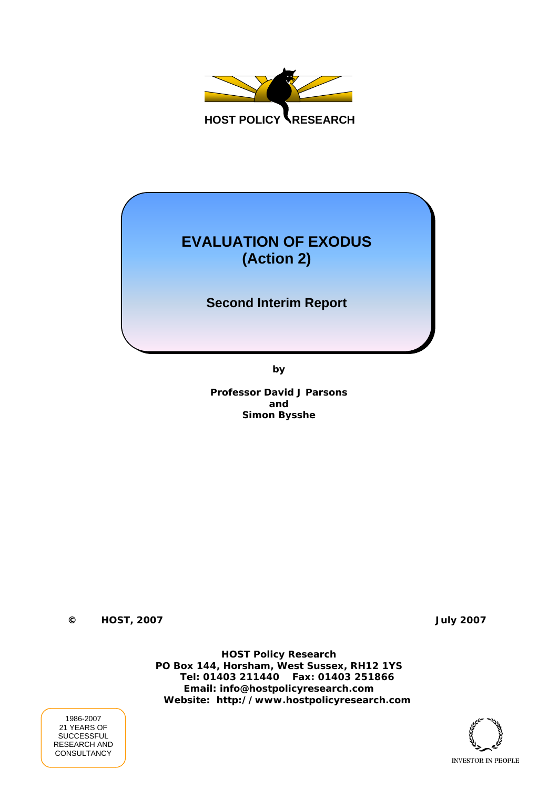

# **EVALUATION OF EXODUS (Action 2)**

## **Second Interim Report**

**by** 

**Professor David J Parsons and Simon Bysshe** 

**© HOST, 2007 July 2007** 

**HOST Policy Research PO Box 144, Horsham, West Sussex, RH12 1YS Tel: 01403 211440 Fax: 01403 251866 Email: info@hostpolicyresearch.com Website: http://www.hostpolicyresearch.com** 



1986-2007 21 YEARS OF SUCCESSFUL RESEARCH AND **CONSULTANCY**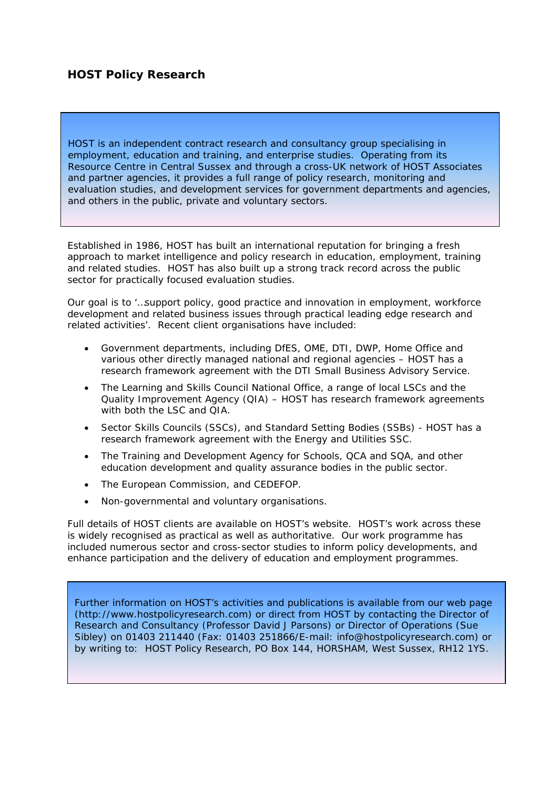## **HOST Policy Research**

HOST is an independent contract research and consultancy group specialising in employment, education and training, and enterprise studies. Operating from its Resource Centre in Central Sussex and through a cross-UK network of HOST Associates and partner agencies, it provides a full range of policy research, monitoring and evaluation studies, and development services for government departments and agencies, and others in the public, private and voluntary sectors.

Established in 1986, HOST has built an international reputation for bringing a fresh approach to market intelligence and policy research in education, employment, training and related studies. HOST has also built up a strong track record across the public sector for practically focused evaluation studies.

Our goal is to *'…support policy, good practice and innovation in employment, workforce development and related business issues through practical leading edge research and related activities'*. Recent client organisations have included:

- Government departments, including DfES, OME, DTI, DWP, Home Office and various other directly managed national and regional agencies – HOST has a research framework agreement with the DTI Small Business Advisory Service.
- The Learning and Skills Council National Office, a range of local LSCs and the Quality Improvement Agency (QIA) – HOST has research framework agreements with both the LSC and QIA.
- Sector Skills Councils (SSCs), and Standard Setting Bodies (SSBs) HOST has a research framework agreement with the Energy and Utilities SSC.
- The Training and Development Agency for Schools, QCA and SQA, and other education development and quality assurance bodies in the public sector.
- The European Commission, and CEDEFOP.
- Non-governmental and voluntary organisations.

Full details of HOST clients are available on HOST's website. HOST's work across these is widely recognised as practical as well as authoritative. Our work programme has included numerous sector and cross-sector studies to inform policy developments, and enhance participation and the delivery of education and employment programmes.

Further information on HOST's activities and publications is available from our web page (http://www.hostpolicyresearch.com) or direct from HOST by contacting the Director of Research and Consultancy (Professor David J Parsons) or Director of Operations (Sue Sibley) on 01403 211440 (Fax: 01403 251866/E-mail: info@hostpolicyresearch.com) or by writing to: HOST Policy Research, PO Box 144, HORSHAM, West Sussex, RH12 1YS.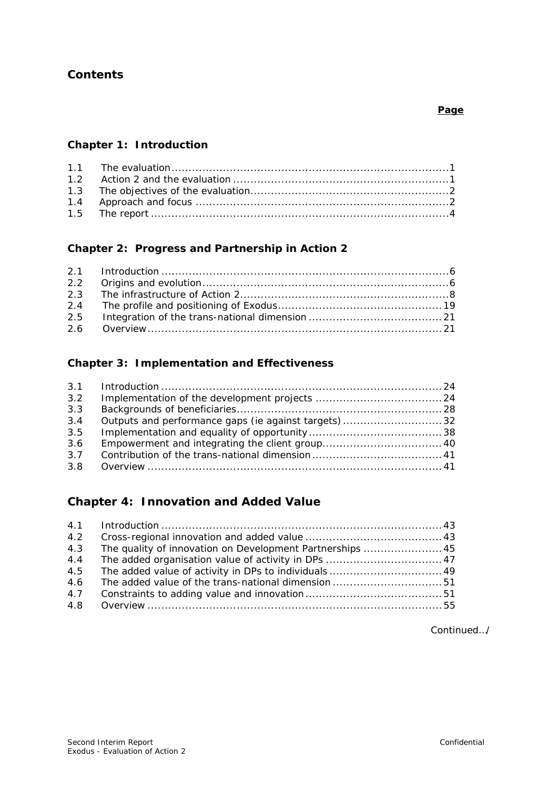## **Contents**

**Chapter 1: Introduction** 

## **Chapter 2: Progress and Partnership in Action 2**

## **Chapter 3: Implementation and Effectiveness**

| 3.2 |                                                      |  |
|-----|------------------------------------------------------|--|
| 3.3 |                                                      |  |
| 3.4 | Outputs and performance gaps (ie against targets) 32 |  |
| 3.5 |                                                      |  |
| 3.6 |                                                      |  |
| 3.7 |                                                      |  |
|     |                                                      |  |

## **Chapter 4: Innovation and Added Value**

| 4.2 |                                                           |  |
|-----|-----------------------------------------------------------|--|
| 4.3 | The quality of innovation on Development Partnerships  45 |  |
| 4.4 |                                                           |  |
| 4.5 |                                                           |  |
| 4.6 |                                                           |  |
| 4.7 |                                                           |  |
|     |                                                           |  |

Continued…/

#### **Page**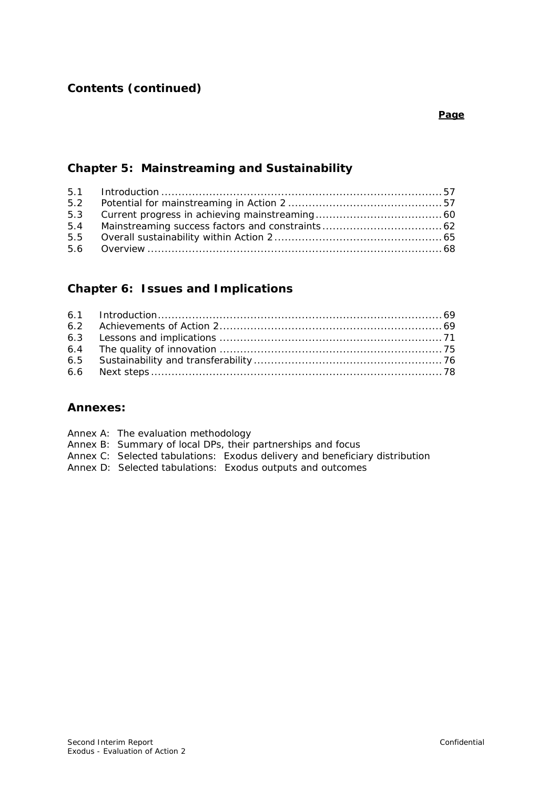## **Chapter 5: Mainstreaming and Sustainability**

## **Chapter 6: Issues and Implications**

#### **Annexes:**

|  | Annex A: The evaluation methodology |  |
|--|-------------------------------------|--|
|--|-------------------------------------|--|

- Annex B: Summary of local DPs, their partnerships and focus
- Annex C: Selected tabulations: Exodus delivery and beneficiary distribution
- Annex D: Selected tabulations: Exodus outputs and outcomes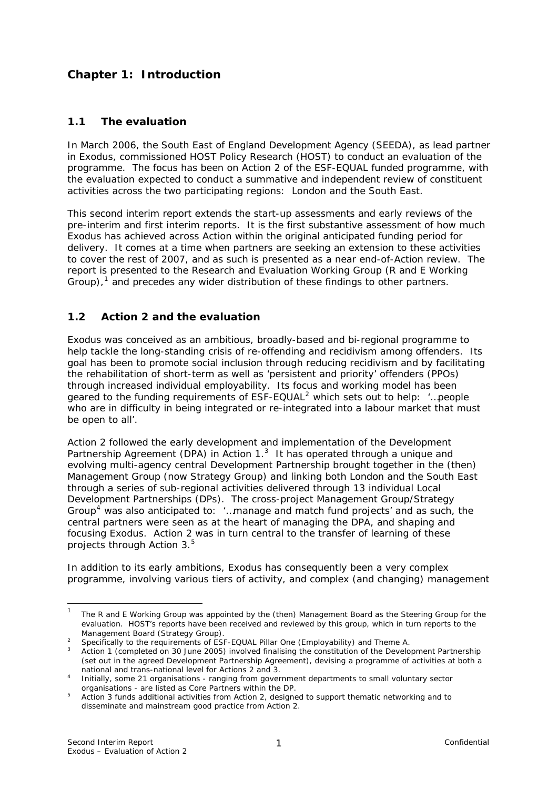## **Chapter 1: Introduction**

#### **1.1 The evaluation**

In March 2006, the South East of England Development Agency (SEEDA), as lead partner in Exodus, commissioned HOST Policy Research (HOST) to conduct an evaluation of the programme. The focus has been on Action 2 of the ESF-EQUAL funded programme, with the evaluation expected to conduct a summative and independent review of constituent activities across the two participating regions: London and the South East.

This second interim report extends the start-up assessments and early reviews of the pre-interim and first interim reports. It is the first substantive assessment of how much Exodus has achieved across Action within the original anticipated funding period for delivery. It comes at a time when partners are seeking an extension to these activities to cover the rest of 2007, and as such is presented as a near end-of-Action review. The report is presented to the Research and Evaluation Working Group (R and E Working Group), $<sup>1</sup>$  $<sup>1</sup>$  $<sup>1</sup>$  and precedes any wider distribution of these findings to other partners.</sup>

### **1.2 Action 2 and the evaluation**

Exodus was conceived as an ambitious, broadly-based and bi-regional programme to help tackle the long-standing crisis of re-offending and recidivism among offenders. Its goal has been to promote social inclusion through reducing recidivism and by facilitating the rehabilitation of short-term as well as 'persistent and priority' offenders (PPOs) through increased individual employability. Its focus and working model has been geared to the funding requirements of ESF-EQUAL[2](#page-4-1) which sets out to help: *'…people who are in difficulty in being integrated or re-integrated into a labour market that must be open to all'*.

Action 2 followed the early development and implementation of the Development Partnership Agreement (DPA) in Action  $1<sup>3</sup>$  $1<sup>3</sup>$  $1<sup>3</sup>$  It has operated through a unique and evolving multi-agency central Development Partnership brought together in the (then) Management Group (now Strategy Group) and linking both London and the South East through a series of sub-regional activities delivered through 13 individual Local Development Partnerships (DPs). The cross-project Management Group/Strategy Group[4](#page-4-3) was also anticipated to: *'…manage and match fund projects'* and as such, the central partners were seen as at the heart of managing the DPA, and shaping and focusing Exodus. Action 2 was in turn central to the transfer of learning of these projects through Action 3.<sup>5</sup>

In addition to its early ambitions, Exodus has consequently been a very complex programme, involving various tiers of activity, and complex (and changing) management

<span id="page-4-0"></span> $\frac{1}{1}$  The R and E Working Group was appointed by the (then) Management Board as the Steering Group for the evaluation. HOST's reports have been received and reviewed by this group, which in turn reports to the

<span id="page-4-2"></span><span id="page-4-1"></span>

Management Board (Strategy Group).<br><sup>2</sup> Specifically to the requirements of ESF-EQUAL Pillar One (Employability) and Theme A.<br><sup>3</sup> Action 1 (completed on 30 June 2005) involved finalising the constitution of the Development (set out in the agreed Development Partnership Agreement), devising a programme of activities at both a

<span id="page-4-3"></span>national and trans-national level for Actions 2 and 3.<br><sup>4</sup> Initially, some 21 organisations - ranging from government departments to small voluntary sector organisations - are listed as Core Partners within the DP. 5

Action 3 funds additional activities from Action 2, designed to support thematic networking and to disseminate and mainstream good practice from Action 2.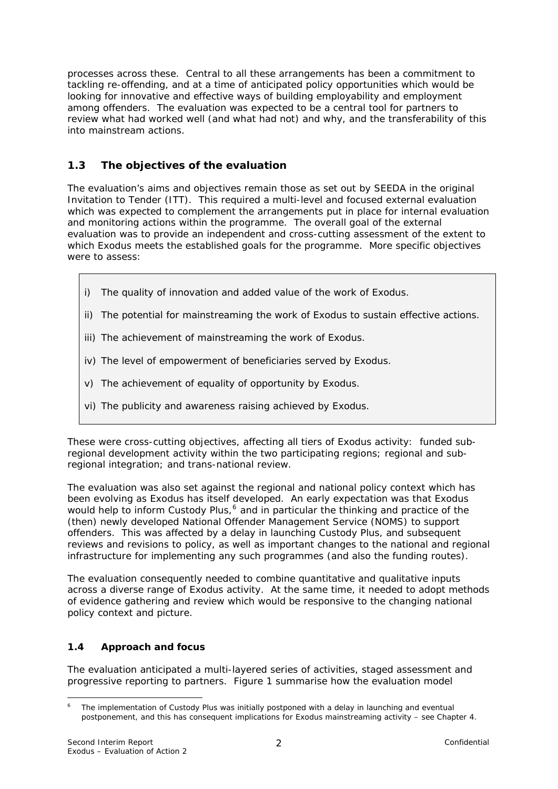processes across these. Central to all these arrangements has been a commitment to tackling re-offending, and at a time of anticipated policy opportunities which would be looking for innovative and effective ways of building employability and employment among offenders. The evaluation was expected to be a central tool for partners to review what had worked well (and what had not) and why, and the transferability of this into mainstream actions.

## **1.3 The objectives of the evaluation**

The evaluation's aims and objectives remain those as set out by SEEDA in the original Invitation to Tender (ITT). This required a multi-level and focused external evaluation which was expected to complement the arrangements put in place for internal evaluation and monitoring actions within the programme. The overall goal of the external evaluation was to provide *an independent and cross-cutting assessment of the extent to which Exodus meets the established goals for the programme.* More specific objectives were to assess:

- i) The quality of innovation and added value of the work of Exodus.
- ii) The potential for mainstreaming the work of Exodus to sustain effective actions.
- iii) The achievement of mainstreaming the work of Exodus.
- iv) The level of empowerment of beneficiaries served by Exodus.
- v) The achievement of equality of opportunity by Exodus.
- vi) The publicity and awareness raising achieved by Exodus.

These were cross-cutting objectives, affecting all tiers of Exodus activity: funded subregional development activity within the two participating regions; regional and subregional integration; and trans-national review.

The evaluation was also set against the regional and national policy context which has been evolving as Exodus has itself developed. An early expectation was that Exodus would help to inform Custody Plus,<sup>[6](#page-5-0)</sup> and in particular the thinking and practice of the (then) newly developed National Offender Management Service (NOMS) to support offenders. This was affected by a delay in launching Custody Plus, and subsequent reviews and revisions to policy, as well as important changes to the national and regional infrastructure for implementing any such programmes (and also the funding routes).

The evaluation consequently needed to combine quantitative and qualitative inputs across a diverse range of Exodus activity. At the same time, it needed to adopt methods of evidence gathering and review which would be responsive to the changing national policy context and picture.

#### **1.4 Approach and focus**

The evaluation anticipated a multi-layered series of activities, staged assessment and progressive reporting to partners. Figure 1 summarise how the evaluation model

<span id="page-5-0"></span><sup>1</sup> 6 The implementation of Custody Plus was initially postponed with a delay in launching and eventual postponement, and this has consequent implications for Exodus mainstreaming activity – see Chapter 4.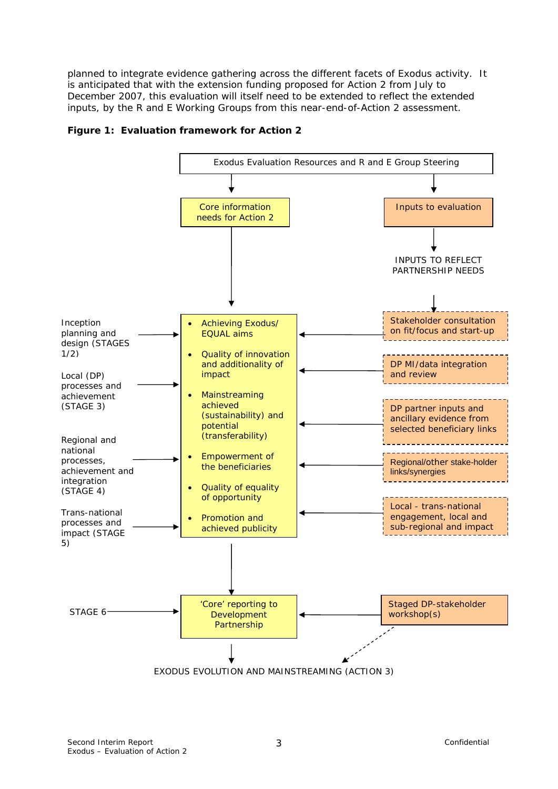planned to integrate evidence gathering across the different facets of Exodus activity. It is anticipated that with the extension funding proposed for Action 2 from July to December 2007, this evaluation will itself need to be extended to reflect the extended inputs, by the R and E Working Groups from this near-end-of-Action 2 assessment.



#### **Figure 1: Evaluation framework for Action 2**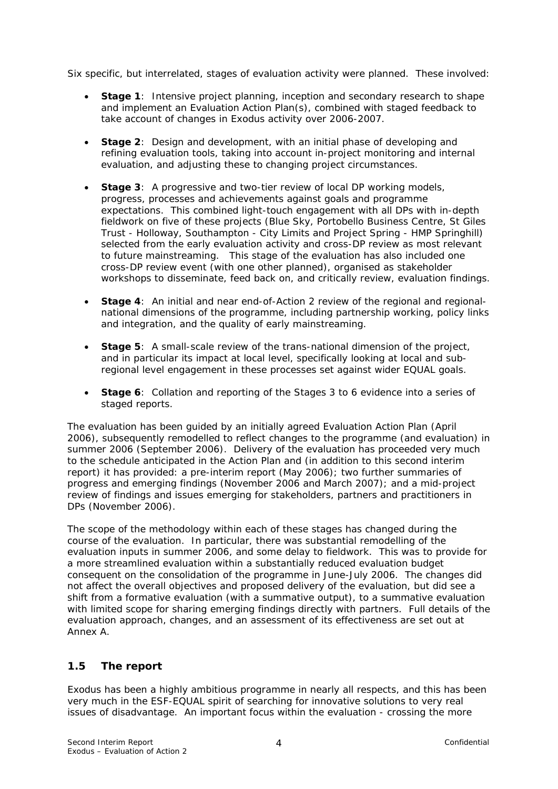Six specific, but interrelated, stages of evaluation activity were planned. These involved:

- **Stage 1**: Intensive project planning, inception and secondary research to shape and implement an Evaluation Action Plan(s), combined with staged feedback to take account of changes in Exodus activity over 2006-2007.
- **Stage 2**: Design and development, with an initial phase of developing and refining evaluation tools, taking into account in-project monitoring and internal evaluation, and adjusting these to changing project circumstances.
- **Stage 3**: A progressive and two-tier review of local DP working models, progress, processes and achievements against goals and programme expectations. This combined light-touch engagement with all DPs with in-depth fieldwork on five of these projects (Blue Sky, Portobello Business Centre, St Giles Trust - Holloway, Southampton - City Limits and Project Spring - HMP Springhill) selected from the early evaluation activity and cross-DP review as most relevant to future mainstreaming. This stage of the evaluation has also included one cross-DP review event (with one other planned), organised as stakeholder workshops to disseminate, feed back on, and critically review, evaluation findings.
- **Stage 4**: An initial and near end-of-Action 2 review of the regional and regionalnational dimensions of the programme, including partnership working, policy links and integration, and the quality of early mainstreaming.
- **Stage 5:** A small-scale review of the trans-national dimension of the project, and in particular its impact at local level, specifically looking at local and subregional level engagement in these processes set against wider EQUAL goals.
- **Stage 6**: Collation and reporting of the Stages 3 to 6 evidence into a series of staged reports.

The evaluation has been guided by an initially agreed Evaluation Action Plan (April 2006), subsequently remodelled to reflect changes to the programme (and evaluation) in summer 2006 (September 2006). Delivery of the evaluation has proceeded very much to the schedule anticipated in the Action Plan and (in addition to this second interim report) it has provided: a pre-interim report (May 2006); two further summaries of progress and emerging findings (November 2006 and March 2007); and a mid-project review of findings and issues emerging for stakeholders, partners and practitioners in DPs (November 2006).

The scope of the methodology within each of these stages has changed during the course of the evaluation. In particular, there was substantial remodelling of the evaluation inputs in summer 2006, and some delay to fieldwork. This was to provide for a more streamlined evaluation within a substantially reduced evaluation budget consequent on the consolidation of the programme in June-July 2006. The changes did not affect the overall objectives and proposed delivery of the evaluation, but did see a shift from a formative evaluation (with a summative output), to a summative evaluation with limited scope for sharing emerging findings directly with partners. Full details of the evaluation approach, changes, and an assessment of its effectiveness are set out at Annex A.

#### **1.5 The report**

Exodus has been a highly ambitious programme in nearly all respects, and this has been very much in the ESF-EQUAL spirit of searching for innovative solutions to very real issues of disadvantage. An important focus within the evaluation - crossing the more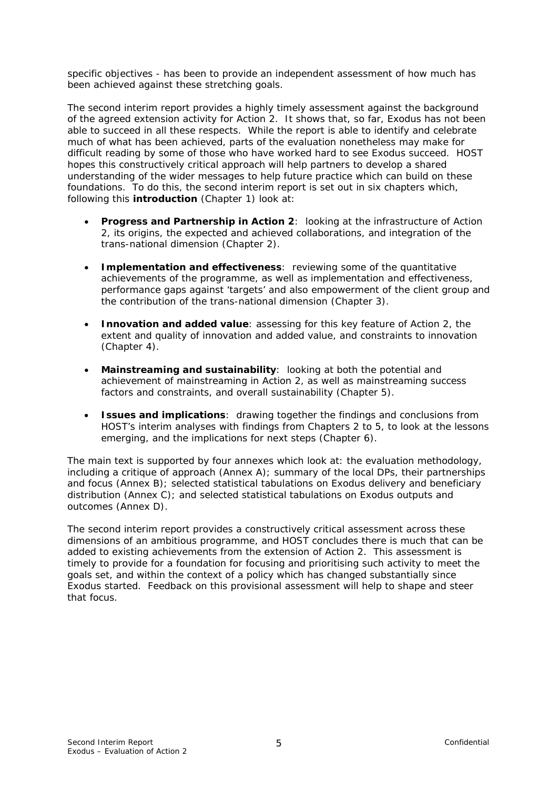specific objectives - has been to provide an independent assessment of how much has been achieved against these stretching goals.

The second interim report provides a highly timely assessment against the background of the agreed extension activity for Action 2. It shows that, so far, Exodus has not been able to succeed in all these respects. While the report is able to identify and celebrate much of what has been achieved, parts of the evaluation nonetheless may make for difficult reading by some of those who have worked hard to see Exodus succeed. HOST hopes this constructively critical approach will help partners to develop a shared understanding of the wider messages to help future practice which can build on these foundations. To do this, the second interim report is set out in six chapters which, following this **introduction** (Chapter 1) look at:

- **Progress and Partnership in Action 2**: looking at the infrastructure of Action 2, its origins, the expected and achieved collaborations, and integration of the trans-national dimension (Chapter 2).
- **Implementation and effectiveness**:reviewing some of the quantitative achievements of the programme, as well as implementation and effectiveness, performance gaps against 'targets' and also empowerment of the client group and the contribution of the trans-national dimension (Chapter 3).
- **Innovation and added value**: assessing for this key feature of Action 2, the extent and quality of innovation and added value, and constraints to innovation (Chapter 4).
- **Mainstreaming and sustainability**:looking at both the potential and achievement of mainstreaming in Action 2, as well as mainstreaming success factors and constraints, and overall sustainability (Chapter 5).
- **Issues and implications**:drawing together the findings and conclusions from HOST's interim analyses with findings from Chapters 2 to 5, to look at the lessons emerging, and the implications for next steps (Chapter 6).

The main text is supported by four annexes which look at: the evaluation methodology, including a critique of approach (Annex A); summary of the local DPs, their partnerships and focus (Annex B); selected statistical tabulations on Exodus delivery and beneficiary distribution (Annex C); and selected statistical tabulations on Exodus outputs and outcomes (Annex D).

The second interim report provides a constructively critical assessment across these dimensions of an ambitious programme, and HOST concludes there is much that can be added to existing achievements from the extension of Action 2. This assessment is timely to provide for a foundation for focusing and prioritising such activity to meet the goals set, and within the context of a policy which has changed substantially since Exodus started. Feedback on this provisional assessment will help to shape and steer that focus.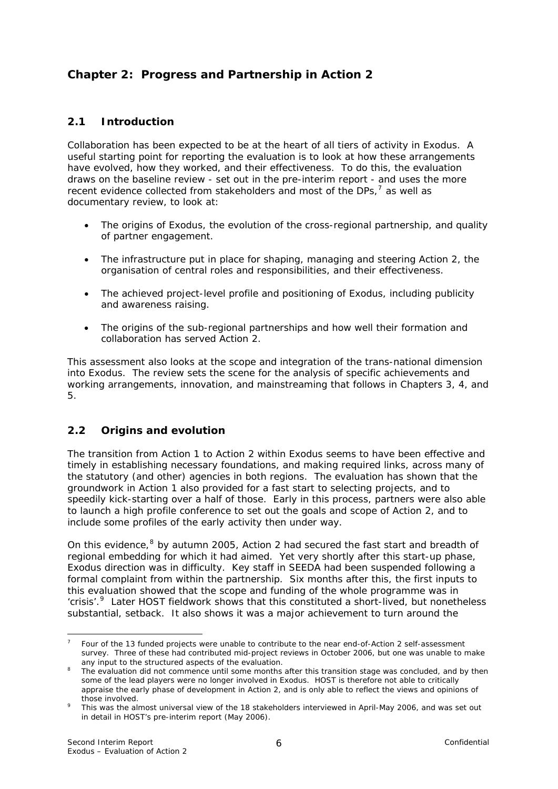## **Chapter 2: Progress and Partnership in Action 2**

## **2.1 Introduction**

Collaboration has been expected to be at the heart of all tiers of activity in Exodus. A useful starting point for reporting the evaluation is to look at how these arrangements have evolved, how they worked, and their effectiveness. To do this, the evaluation draws on the baseline review - set out in the pre-interim report - and uses the more recent evidence collected from stakeholders and most of the DPs,<sup>[7](#page-9-0)</sup> as well as documentary review, to look at:

- The origins of Exodus, the evolution of the cross-regional partnership, and quality of partner engagement.
- The infrastructure put in place for shaping, managing and steering Action 2, the organisation of central roles and responsibilities, and their effectiveness.
- The achieved project-level profile and positioning of Exodus, including publicity and awareness raising.
- The origins of the sub-regional partnerships and how well their formation and collaboration has served Action 2.

This assessment also looks at the scope and integration of the trans-national dimension into Exodus. The review sets the scene for the analysis of specific achievements and working arrangements, innovation, and mainstreaming that follows in Chapters 3, 4, and 5.

## **2.2 Origins and evolution**

The transition from Action 1 to Action 2 within Exodus seems to have been effective and timely in establishing necessary foundations, and making required links, across many of the statutory (and other) agencies in both regions. The evaluation has shown that the groundwork in Action 1 also provided for a fast start to selecting projects, and to speedily kick-starting over a half of those. Early in this process, partners were also able to launch a high profile conference to set out the goals and scope of Action 2, and to include some profiles of the early activity then under way.

On this evidence, $8$  by autumn 2005, Action 2 had secured the fast start and breadth of regional embedding for which it had aimed. Yet very shortly after this start-up phase, Exodus direction was in difficulty. Key staff in SEEDA had been suspended following a formal complaint from within the partnership. Six months after this, the first inputs to this evaluation showed that the scope and funding of the whole programme was in 'crisis'.<sup>[9](#page-9-2)</sup> Later HOST fieldwork shows that this constituted a short-lived, but nonetheless substantial, setback. It also shows it was a major achievement to turn around the

1

<span id="page-9-0"></span><sup>7</sup> Four of the 13 funded projects were unable to contribute to the near end-of-Action 2 self-assessment survey. Three of these had contributed mid-project reviews in October 2006, but one was unable to make

<span id="page-9-1"></span>any input to the structured aspects of the evaluation.<br><sup>8</sup> The evaluation did not commence until some months after this transition stage was concluded, and by then some of the lead players were no longer involved in Exodus. HOST is therefore not able to critically appraise the early phase of development in Action 2, and is only able to reflect the views and opinions of

<span id="page-9-2"></span>those involved. 9 This was the almost universal view of the 18 stakeholders interviewed in April-May 2006, and was set out in detail in HOST's pre-interim report (May 2006).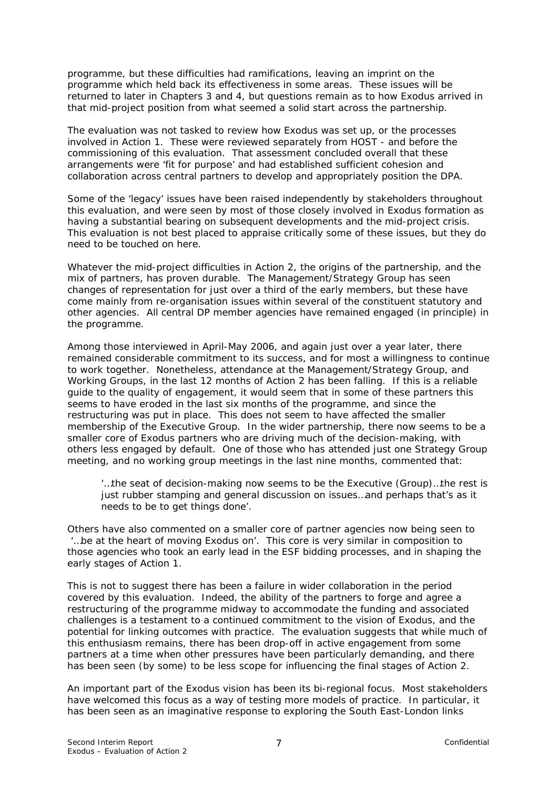programme, but these difficulties had ramifications, leaving an imprint on the programme which held back its effectiveness in some areas. These issues will be returned to later in Chapters 3 and 4, but questions remain as to how Exodus arrived in that mid-project position from what seemed a solid start across the partnership.

The evaluation was not tasked to review how Exodus was set up, or the processes involved in Action 1. These were reviewed separately from HOST - and before the commissioning of this evaluation. That assessment concluded overall that these arrangements were 'fit for purpose' and had established sufficient cohesion and collaboration across central partners to develop and appropriately position the DPA.

Some of the 'legacy' issues have been raised independently by stakeholders throughout this evaluation, and were seen by most of those closely involved in Exodus formation as having a substantial bearing on subsequent developments and the mid-project crisis. This evaluation is not best placed to appraise critically some of these issues, but they do need to be touched on here.

Whatever the mid-project difficulties in Action 2, the origins of the partnership, and the mix of partners, has proven durable. The Management/Strategy Group has seen changes of representation for just over a third of the early members, but these have come mainly from re-organisation issues within several of the constituent statutory and other agencies. All central DP member agencies have remained engaged (in principle) in the programme.

Among those interviewed in April-May 2006, and again just over a year later, there remained considerable commitment to its success, and for most a willingness to continue to work together. Nonetheless, attendance at the Management/Strategy Group, and Working Groups, in the last 12 months of Action 2 has been falling. If this is a reliable guide to the quality of engagement, it would seem that in some of these partners this seems to have eroded in the last six months of the programme, and since the restructuring was put in place. This does not seem to have affected the smaller membership of the Executive Group. In the wider partnership, there now seems to be a smaller core of Exodus partners who are driving much of the decision-making, with others less engaged by default. One of those who has attended just one Strategy Group meeting, and no working group meetings in the last nine months, commented that:

*'…the seat of decision-making now seems to be the Executive (Group)…the rest is just rubber stamping and general discussion on issues…and perhaps that's as it needs to be to get things done'.* 

Others have also commented on a smaller core of partner agencies now being seen to *'…be at the heart of moving Exodus on'*. This core is very similar in composition to those agencies who took an early lead in the ESF bidding processes, and in shaping the early stages of Action 1.

This is not to suggest there has been a failure in wider collaboration in the period covered by this evaluation. Indeed, the ability of the partners to forge and agree a restructuring of the programme midway to accommodate the funding and associated challenges is a testament to a continued commitment to the vision of Exodus, and the potential for linking outcomes with practice. The evaluation suggests that while much of this enthusiasm remains, there has been drop-off in active engagement from some partners at a time when other pressures have been particularly demanding, and there has been seen (by some) to be less scope for influencing the final stages of Action 2.

An important part of the Exodus vision has been its bi-regional focus. Most stakeholders have welcomed this focus as a way of testing more models of practice. In particular, it has been seen as an imaginative response to exploring the South East-London links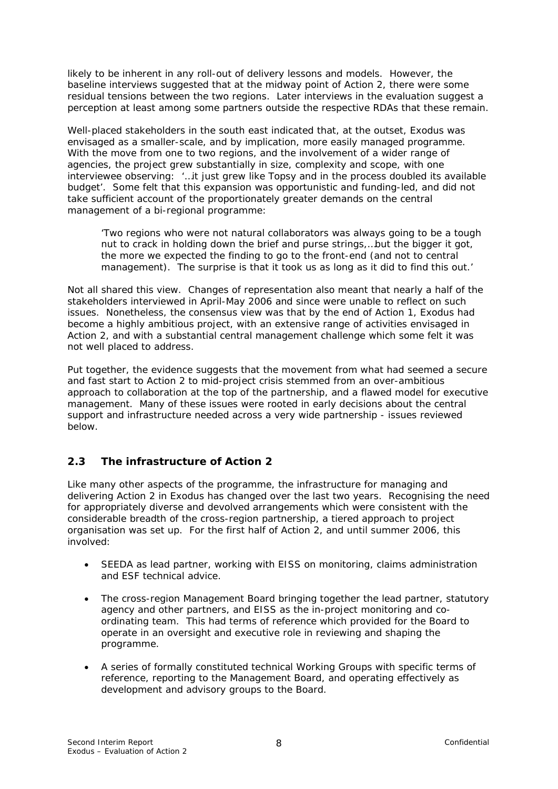likely to be inherent in any roll-out of delivery lessons and models. However, the baseline interviews suggested that at the midway point of Action 2, there were some residual tensions between the two regions. Later interviews in the evaluation suggest a perception at least among some partners outside the respective RDAs that these remain.

Well-placed stakeholders in the south east indicated that, at the outset, Exodus was envisaged as a smaller-scale, and by implication, more easily managed programme. With the move from one to two regions, and the involvement of a wider range of agencies, the project grew substantially in size, complexity and scope, with one interviewee observing: *'…it just grew like Topsy and in the process doubled its available budget'*. Some felt that this expansion was opportunistic and funding-led, and did not take sufficient account of the proportionately greater demands on the central management of a bi-regional programme:

*'Two regions who were not natural collaborators was always going to be a tough nut to crack in holding down the brief and purse strings,…but the bigger it got, the more we expected the finding to go to the front-end (and not to central management). The surprise is that it took us as long as it did to find this out.'* 

Not all shared this view. Changes of representation also meant that nearly a half of the stakeholders interviewed in April-May 2006 and since were unable to reflect on such issues. Nonetheless, the consensus view was that by the end of Action 1, Exodus had become a highly ambitious project, with an extensive range of activities envisaged in Action 2, and with a substantial central management challenge which some felt it was not well placed to address.

Put together, the evidence suggests that the movement from what had seemed a secure and fast start to Action 2 to mid-project crisis stemmed from an over-ambitious approach to collaboration at the top of the partnership, and a flawed model for executive management. Many of these issues were rooted in early decisions about the central support and infrastructure needed across a very wide partnership - issues reviewed below.

## **2.3 The infrastructure of Action 2**

Like many other aspects of the programme, the infrastructure for managing and delivering Action 2 in Exodus has changed over the last two years. Recognising the need for appropriately diverse and devolved arrangements which were consistent with the considerable breadth of the cross-region partnership, a tiered approach to project organisation was set up. For the first half of Action 2, and until summer 2006, this involved:

- SEEDA as lead partner, working with EISS on monitoring, claims administration and ESF technical advice.
- The cross-region Management Board bringing together the lead partner, statutory agency and other partners, and EISS as the in-project monitoring and coordinating team. This had terms of reference which provided for the Board to operate in an oversight and executive role in reviewing and shaping the programme.
- A series of formally constituted technical Working Groups with specific terms of reference, reporting to the Management Board, and operating effectively as development and advisory groups to the Board.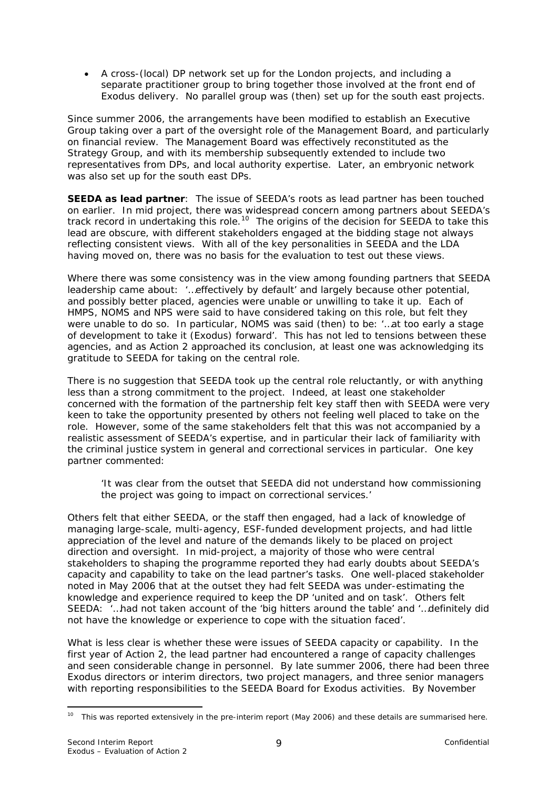<span id="page-12-0"></span>• A cross-(local) DP network set up for the London projects, and including a separate practitioner group to bring together those involved at the front end of Exodus delivery. No parallel group was (then) set up for the south east projects.

Since summer 2006, the arrangements have been modified to establish an Executive Group taking over a part of the oversight role of the Management Board, and particularly on financial review. The Management Board was effectively reconstituted as the Strategy Group, and with its membership subsequently extended to include two representatives from DPs, and local authority expertise. Later, an embryonic network was also set up for the south east DPs.

**SEEDA as lead partner**: The issue of SEEDA's roots as lead partner has been touched on earlier. In mid project, there was widespread concern among partners about SEEDA's track record in undertaking this role.[10](#page-12-0) The origins of the decision for SEEDA to take this lead are obscure, with different stakeholders engaged at the bidding stage not always reflecting consistent views. With all of the key personalities in SEEDA and the LDA having moved on, there was no basis for the evaluation to test out these views.

Where there was some consistency was in the view among founding partners that SEEDA leadership came about: *'…effectively by default'* and largely because other potential, and possibly better placed, agencies were unable or unwilling to take it up. Each of HMPS, NOMS and NPS were said to have considered taking on this role, but felt they were unable to do so. In particular, NOMS was said (then) to be: *'…at too early a stage of development to take it (Exodus) forward'.* This has not led to tensions between these agencies, and as Action 2 approached its conclusion, at least one was acknowledging its gratitude to SEEDA for taking on the central role.

There is no suggestion that SEEDA took up the central role reluctantly, or with anything less than a strong commitment to the project. Indeed, at least one stakeholder concerned with the formation of the partnership felt key staff then with SEEDA were very keen to take the opportunity presented by others not feeling well placed to take on the role. However, some of the same stakeholders felt that this was not accompanied by a realistic assessment of SEEDA's expertise, and in particular their lack of familiarity with the criminal justice system in general and correctional services in particular. One key partner commented:

#### *'It was clear from the outset that SEEDA did not understand how commissioning the project was going to impact on correctional services.'*

Others felt that either SEEDA, or the staff then engaged, had a lack of knowledge of managing large-scale, multi-agency, ESF-funded development projects, and had little appreciation of the level and nature of the demands likely to be placed on project direction and oversight. In mid-project, a majority of those who were central stakeholders to shaping the programme reported they had early doubts about SEEDA's capacity and capability to take on the lead partner's tasks. One well-placed stakeholder noted in May 2006 that at the outset they had felt SEEDA was under-estimating the knowledge and experience required to keep the DP *'united and on task'.* Others felt SEEDA: *'…had not taken account of the 'big hitters around the table'* and *'…definitely did not have the knowledge or experience to cope with the situation faced'.* 

What is less clear is whether these were issues of SEEDA capacity or capability. In the first year of Action 2, the lead partner had encountered a range of capacity challenges and seen considerable change in personnel. By late summer 2006, there had been three Exodus directors or interim directors, two project managers, and three senior managers with reporting responsibilities to the SEEDA Board for Exodus activities. By November

<sup>&</sup>lt;u>.</u>  $10$  This was reported extensively in the pre-interim report (May 2006) and these details are summarised here.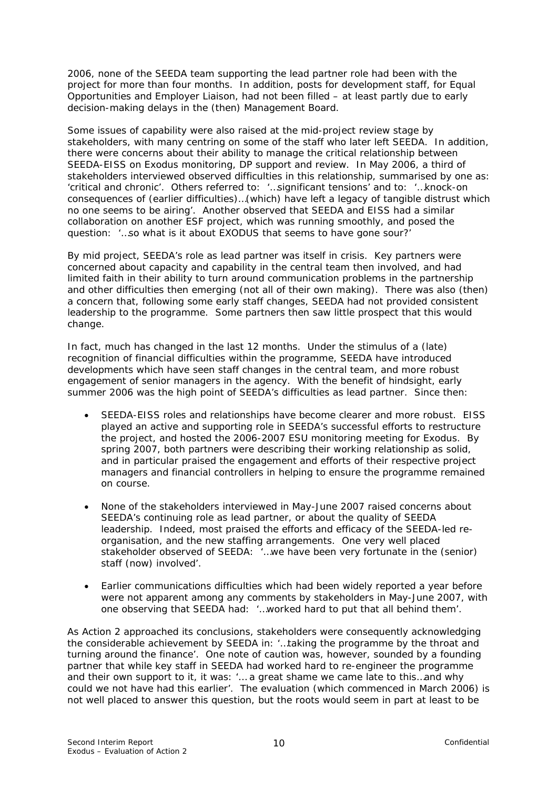2006, none of the SEEDA team supporting the lead partner role had been with the project for more than four months. In addition, posts for development staff, for Equal Opportunities and Employer Liaison, had not been filled – at least partly due to early decision-making delays in the (then) Management Board.

Some issues of capability were also raised at the mid-project review stage by stakeholders, with many centring on some of the staff who later left SEEDA. In addition, there were concerns about their ability to manage the critical relationship between SEEDA-EISS on Exodus monitoring, DP support and review. In May 2006, a third of stakeholders interviewed observed difficulties in this relationship, summarised by one as: '*critical and chronic'.* Others referred to: *'…significant tensions'* and to: *'…knock-on consequences of (earlier difficulties)…(which) have left a legacy of tangible distrust which no one seems to be airing'*. Another observed that SEEDA and EISS had a similar collaboration on another ESF project, which was running smoothly, and posed the question: *'…so what is it about EXODUS that seems to have gone sour?'*

By mid project, SEEDA's role as lead partner was itself in crisis. Key partners were concerned about capacity and capability in the central team then involved, and had limited faith in their ability to turn around communication problems in the partnership and other difficulties then emerging (not all of their own making). There was also (then) a concern that, following some early staff changes, SEEDA had not provided consistent leadership to the programme. Some partners then saw little prospect that this would change.

In fact, much has changed in the last 12 months. Under the stimulus of a (late) recognition of financial difficulties within the programme, SEEDA have introduced developments which have seen staff changes in the central team, and more robust engagement of senior managers in the agency. With the benefit of hindsight, early summer 2006 was the high point of SEEDA's difficulties as lead partner. Since then:

- SEEDA-EISS roles and relationships have become clearer and more robust. EISS played an active and supporting role in SEEDA's successful efforts to restructure the project, and hosted the 2006-2007 ESU monitoring meeting for Exodus. By spring 2007, both partners were describing their working relationship as solid, and in particular praised the engagement and efforts of their respective project managers and financial controllers in helping to ensure the programme remained on course.
- None of the stakeholders interviewed in May-June 2007 raised concerns about SEEDA's continuing role as lead partner, or about the quality of SEEDA leadership. Indeed, most praised the efforts and efficacy of the SEEDA-led reorganisation, and the new staffing arrangements. One very well placed stakeholder observed of SEEDA: *'…we have been very fortunate in the (senior) staff (now) involved'.*
- Earlier communications difficulties which had been widely reported a year before were not apparent among any comments by stakeholders in May-June 2007, with one observing that SEEDA had: *'…worked hard to put that all behind them'.*

As Action 2 approached its conclusions, stakeholders were consequently acknowledging the considerable achievement by SEEDA in: '*…taking the programme by the throat and turning around the finance'.* One note of caution was, however, sounded by a founding partner that while key staff in SEEDA had worked hard to re-engineer the programme and their own support to it, it was: *'… a great shame we came late to this…and why could we not have had this earlier'*. The evaluation (which commenced in March 2006) is not well placed to answer this question, but the roots would seem in part at least to be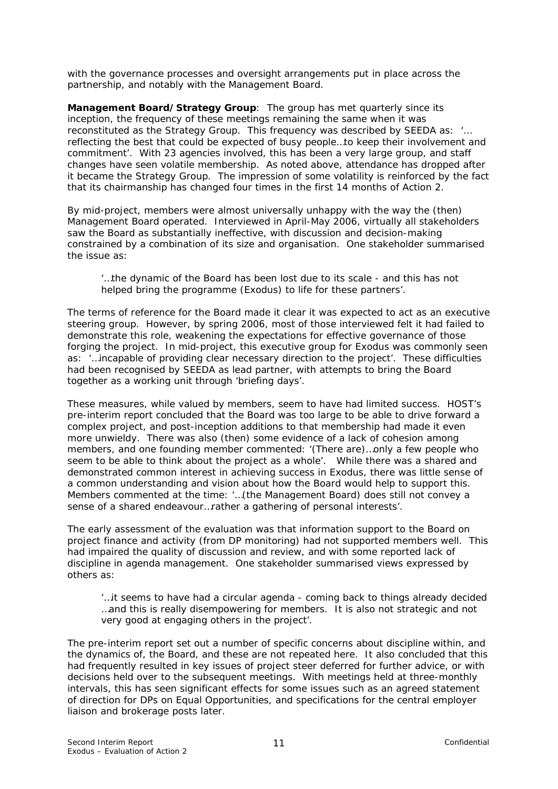with the governance processes and oversight arrangements put in place across the partnership, and notably with the Management Board.

**Management Board/Strategy Group**: The group has met quarterly since its inception, the frequency of these meetings remaining the same when it was reconstituted as the Strategy Group. This frequency was described by SEEDA as: '*… reflecting the best that could be expected of busy people…to keep their involvement and commitment'*. With 23 agencies involved, this has been a very large group, and staff changes have seen volatile membership. As noted above, attendance has dropped after it became the Strategy Group. The impression of some volatility is reinforced by the fact that its chairmanship has changed four times in the first 14 months of Action 2.

By mid-project, members were almost universally unhappy with the way the (then) Management Board operated. Interviewed in April-May 2006, virtually all stakeholders saw the Board as substantially ineffective, with discussion and decision-making constrained by a combination of its size and organisation. One stakeholder summarised the issue as:

#### *'…the dynamic of the Board has been lost due to its scale - and this has not helped bring the programme (Exodus) to life for these partners'.*

The terms of reference for the Board made it clear it was expected to act as an executive steering group. However, by spring 2006, most of those interviewed felt it had failed to demonstrate this role, weakening the expectations for effective governance of those forging the project. In mid-project, this executive group for Exodus was commonly seen as: '...incapable of providing clear necessary direction to the project'. These difficulties had been recognised by SEEDA as lead partner, with attempts to bring the Board together as a working unit through 'briefing days'.

These measures, while valued by members, seem to have had limited success. HOST's pre-interim report concluded that the Board was too large to be able to drive forward a complex project, and post-inception additions to that membership had made it even more unwieldy. There was also (then) some evidence of a lack of cohesion among members, and one founding member commented: *'(There are)…only a few people who seem to be able to think about the project as a whole'*. While there was a shared and demonstrated common interest in achieving success in Exodus, there was little sense of a common understanding and vision about how the Board would help to support this. Members commented at the time: *'…(the Management Board) does still not convey a sense of a shared endeavour…rather a gathering of personal interests'*.

The early assessment of the evaluation was that information support to the Board on project finance and activity (from DP monitoring) had not supported members well. This had impaired the quality of discussion and review, and with some reported lack of discipline in agenda management. One stakeholder summarised views expressed by others as:

*'…it seems to have had a circular agenda - coming back to things already decided …and this is really disempowering for members. It is also not strategic and not very good at engaging others in the project'*.

The pre-interim report set out a number of specific concerns about discipline within, and the dynamics of, the Board, and these are not repeated here. It also concluded that this had frequently resulted in key issues of project steer deferred for further advice, or with decisions held over to the subsequent meetings. With meetings held at three-monthly intervals, this has seen significant effects for some issues such as an agreed statement of direction for DPs on Equal Opportunities, and specifications for the central employer liaison and brokerage posts later.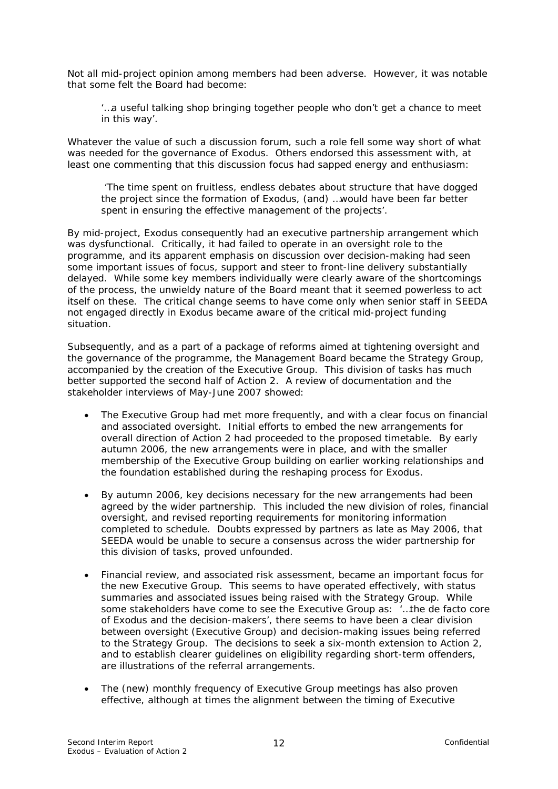Not all mid-project opinion among members had been adverse. However, it was notable that some felt the Board had become:

#### *'…a useful talking shop bringing together people who don't get a chance to meet in this way'.*

Whatever the value of such a discussion forum, such a role fell some way short of what was needed for the governance of Exodus. Others endorsed this assessment with, at least one commenting that this discussion focus had sapped energy and enthusiasm:

*'The time spent on fruitless, endless debates about structure that have dogged the project since the formation of Exodus, (and) …would have been far better spent in ensuring the effective management of the projects'.*

By mid-project, Exodus consequently had an executive partnership arrangement which was dysfunctional. Critically, it had failed to operate in an oversight role to the programme, and its apparent emphasis on discussion over decision-making had seen some important issues of focus, support and steer to front-line delivery substantially delayed. While some key members individually were clearly aware of the shortcomings of the process, the unwieldy nature of the Board meant that it seemed powerless to act itself on these. The critical change seems to have come only when senior staff in SEEDA not engaged directly in Exodus became aware of the critical mid-project funding situation.

Subsequently, and as a part of a package of reforms aimed at tightening oversight and the governance of the programme, the Management Board became the Strategy Group, accompanied by the creation of the Executive Group. This division of tasks has much better supported the second half of Action 2. A review of documentation and the stakeholder interviews of May-June 2007 showed:

- The Executive Group had met more frequently, and with a clear focus on financial and associated oversight. Initial efforts to embed the new arrangements for overall direction of Action 2 had proceeded to the proposed timetable. By early autumn 2006, the new arrangements were in place, and with the smaller membership of the Executive Group building on earlier working relationships and the foundation established during the reshaping process for Exodus.
- By autumn 2006, key decisions necessary for the new arrangements had been agreed by the wider partnership. This included the new division of roles, financial oversight, and revised reporting requirements for monitoring information completed to schedule. Doubts expressed by partners as late as May 2006, that SEEDA would be unable to secure a consensus across the wider partnership for this division of tasks, proved unfounded.
- Financial review, and associated risk assessment, became an important focus for the new Executive Group. This seems to have operated effectively, with status summaries and associated issues being raised with the Strategy Group. While some stakeholders have come to see the Executive Group as: '*…the de facto core of Exodus and the decision-makers'*, there seems to have been a clear division between oversight (Executive Group) and decision-making issues being referred to the Strategy Group. The decisions to seek a six-month extension to Action 2, and to establish clearer guidelines on eligibility regarding short-term offenders, are illustrations of the referral arrangements.
- The (new) monthly frequency of Executive Group meetings has also proven effective, although at times the alignment between the timing of Executive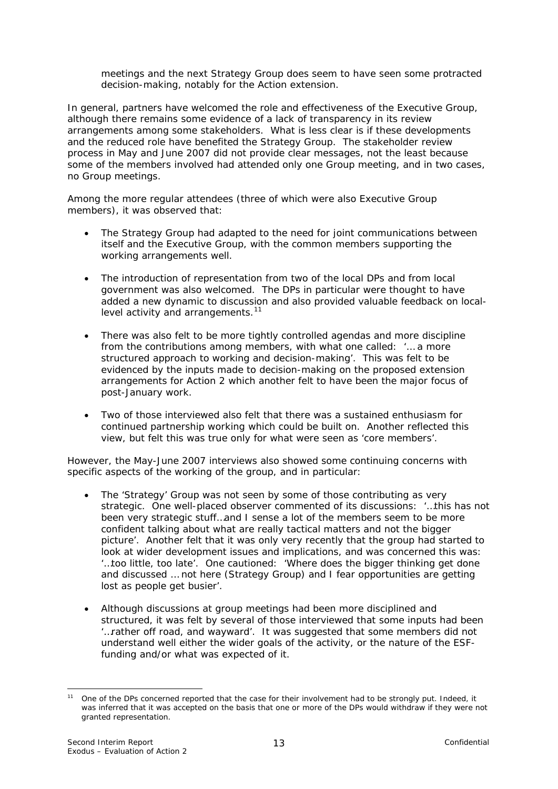<span id="page-16-0"></span>meetings and the next Strategy Group does seem to have seen some protracted decision-making, notably for the Action extension.

In general, partners have welcomed the role and effectiveness of the Executive Group, although there remains some evidence of a lack of transparency in its review arrangements among some stakeholders. What is less clear is if these developments and the reduced role have benefited the Strategy Group. The stakeholder review process in May and June 2007 did not provide clear messages, not the least because some of the members involved had attended only one Group meeting, and in two cases, no Group meetings.

Among the more regular attendees (three of which were also Executive Group members), it was observed that:

- The Strategy Group had adapted to the need for joint communications between itself and the Executive Group, with the common members supporting the working arrangements well.
- The introduction of representation from two of the local DPs and from local government was also welcomed. The DPs in particular were thought to have added a new dynamic to discussion and also provided valuable feedback on local-level activity and arrangements.<sup>[11](#page-16-0)</sup>
- There was also felt to be more tightly controlled agendas and more discipline from the contributions among members, with what one called: *'… a more structured approach to working and decision-making'.* This was felt to be evidenced by the inputs made to decision-making on the proposed extension arrangements for Action 2 which another felt to have been the major focus of post-January work.
- Two of those interviewed also felt that there was a sustained enthusiasm for continued partnership working which could be built on. Another reflected this view, but felt this was true only for what were seen as 'core members'.

However, the May-June 2007 interviews also showed some continuing concerns with specific aspects of the working of the group, and in particular:

- The 'Strategy' Group was not seen by some of those contributing as very strategic. One well-placed observer commented of its discussions: *'…this has not been very strategic stuff…and I sense a lot of the members seem to be more confident talking about what are really tactical matters and not the bigger picture'*. Another felt that it was only very recently that the group had started to look at wider development issues and implications, and was concerned this was: *'…too little, too late'*. One cautioned: *'Where does the bigger thinking get done and discussed … not here (Strategy Group) and I fear opportunities are getting lost as people get busier'.*
- Although discussions at group meetings had been more disciplined and structured, it was felt by several of those interviewed that some inputs had been *'…rather off road, and wayward'.* It was suggested that some members did not understand well either the wider goals of the activity, or the nature of the ESFfunding and/or what was expected of it.

<sup>1</sup> <sup>11</sup> One of the DPs concerned reported that the case for their involvement had to be strongly put. Indeed, it was inferred that it was accepted on the basis that one or more of the DPs would withdraw if they were not granted representation.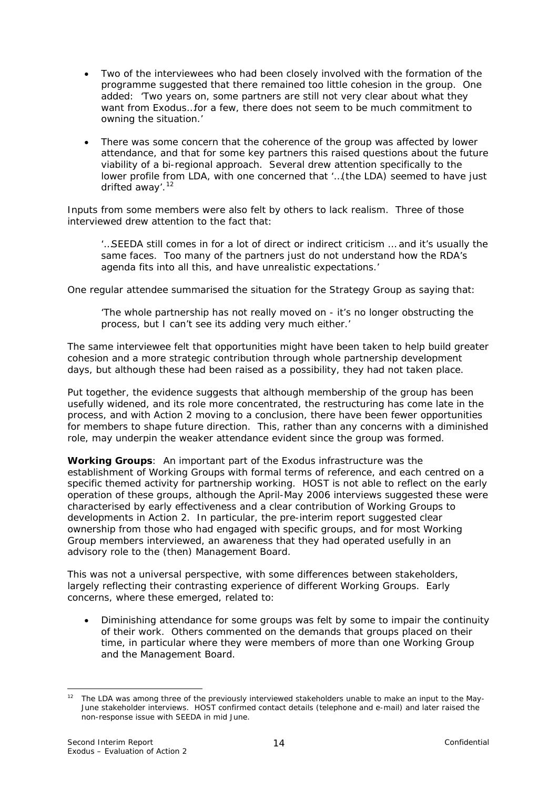- <span id="page-17-0"></span>• Two of the interviewees who had been closely involved with the formation of the programme suggested that there remained too little cohesion in the group. One added: *'Two years on, some partners are still not very clear about what they want from Exodus…for a few, there does not seem to be much commitment to owning the situation.'*
- There was some concern that the coherence of the group was affected by lower attendance, and that for some key partners this raised questions about the future viability of a bi-regional approach. Several drew attention specifically to the lower profile from LDA, with one concerned that *'…(the LDA) seemed to have just drifted away'*. [12](#page-17-0)

Inputs from some members were also felt by others to lack realism. Three of those interviewed drew attention to the fact that:

*'…SEEDA still comes in for a lot of direct or indirect criticism … and it's usually the same faces. Too many of the partners just do not understand how the RDA's agenda fits into all this, and have unrealistic expectations.'* 

One regular attendee summarised the situation for the Strategy Group as saying that:

*'The whole partnership has not really moved on - it's no longer obstructing the process, but I can't see its adding very much either.'* 

The same interviewee felt that opportunities might have been taken to help build greater cohesion and a more strategic contribution through whole partnership development days, but although these had been raised as a possibility, they had not taken place.

Put together, the evidence suggests that although membership of the group has been usefully widened, and its role more concentrated, the restructuring has come late in the process, and with Action 2 moving to a conclusion, there have been fewer opportunities for members to shape future direction. This, rather than any concerns with a diminished role, may underpin the weaker attendance evident since the group was formed.

**Working Groups**: An important part of the Exodus infrastructure was the establishment of Working Groups with formal terms of reference, and each centred on a specific themed activity for partnership working. HOST is not able to reflect on the early operation of these groups, although the April-May 2006 interviews suggested these were characterised by early effectiveness and a clear contribution of Working Groups to developments in Action 2. In particular, the pre-interim report suggested clear ownership from those who had engaged with specific groups, and for most Working Group members interviewed, an awareness that they had operated usefully in an advisory role to the (then) Management Board.

This was not a universal perspective, with some differences between stakeholders, largely reflecting their contrasting experience of different Working Groups. Early concerns, where these emerged, related to:

• Diminishing attendance for some groups was felt by some to impair the continuity of their work. Others commented on the demands that groups placed on their time, in particular where they were members of more than one Working Group and the Management Board.

<sup>1</sup> <sup>12</sup> The LDA was among three of the previously interviewed stakeholders unable to make an input to the May-June stakeholder interviews. HOST confirmed contact details (telephone and e-mail) and later raised the non-response issue with SEEDA in mid June.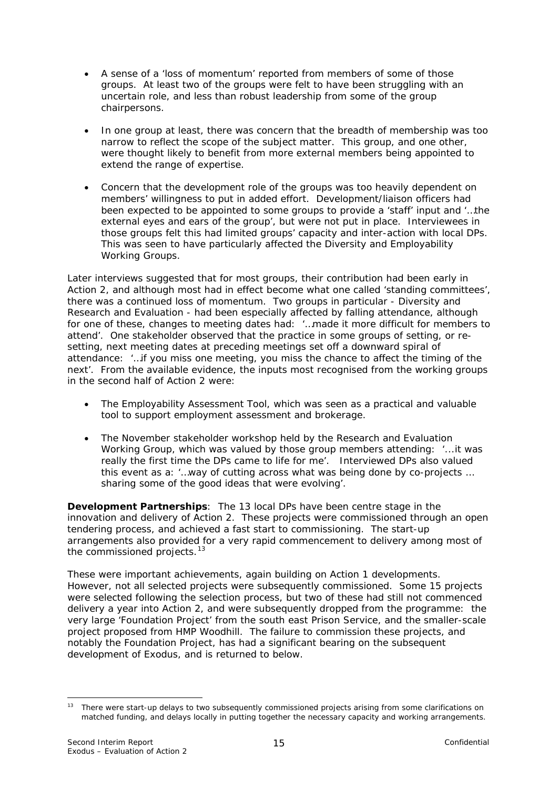- <span id="page-18-0"></span>• A sense of a *'loss of momentum'* reported from members of some of those groups. At least two of the groups were felt to have been struggling with an uncertain role, and less than robust leadership from some of the group chairpersons.
- In one group at least, there was concern that the breadth of membership was too narrow to reflect the scope of the subject matter. This group, and one other, were thought likely to benefit from more external members being appointed to extend the range of expertise.
- Concern that the development role of the groups was too heavily dependent on members' willingness to put in added effort. Development/liaison officers had been expected to be appointed to some groups to provide a 'staff' input and *'…the external eyes and ears of the group',* but were not put in place. Interviewees in those groups felt this had limited groups' capacity and inter-action with local DPs. This was seen to have particularly affected the Diversity and Employability Working Groups.

Later interviews suggested that for most groups, their contribution had been early in Action 2, and although most had in effect become what one called 'standing committees', there was a continued loss of momentum. Two groups in particular - Diversity and Research and Evaluation - had been especially affected by falling attendance, although for one of these, changes to meeting dates had: '*…made it more difficult for members to attend'*. One stakeholder observed that the practice in some groups of setting, or resetting, next meeting dates at preceding meetings set off a downward spiral of attendance: '*…if you miss one meeting, you miss the chance to affect the timing of the next'*. From the available evidence, the inputs most recognised from the working groups in the second half of Action 2 were:

- The Employability Assessment Tool, which was seen as a practical and valuable tool to support employment assessment and brokerage.
- The November stakeholder workshop held by the Research and Evaluation Working Group, which was valued by those group members attending: *'...it was really the first time the DPs came to life for me'*. Interviewed DPs also valued this event as a: *'…way of cutting across what was being done by co-projects … sharing some of the good ideas that were evolving'.*

**Development Partnerships**: The 13 local DPs have been centre stage in the innovation and delivery of Action 2. These projects were commissioned through an open tendering process, and achieved a fast start to commissioning. The start-up arrangements also provided for a very rapid commencement to delivery among most of the commissioned projects. $13$ 

These were important achievements, again building on Action 1 developments. However, not all selected projects were subsequently commissioned. Some 15 projects were selected following the selection process, but two of these had still not commenced delivery a year into Action 2, and were subsequently dropped from the programme: the very large 'Foundation Project' from the south east Prison Service, and the smaller-scale project proposed from HMP Woodhill. The failure to commission these projects, and notably the Foundation Project, has had a significant bearing on the subsequent development of Exodus, and is returned to below.

<sup>1</sup> <sup>13</sup> There were start-up delays to two subsequently commissioned projects arising from some clarifications on matched funding, and delays locally in putting together the necessary capacity and working arrangements.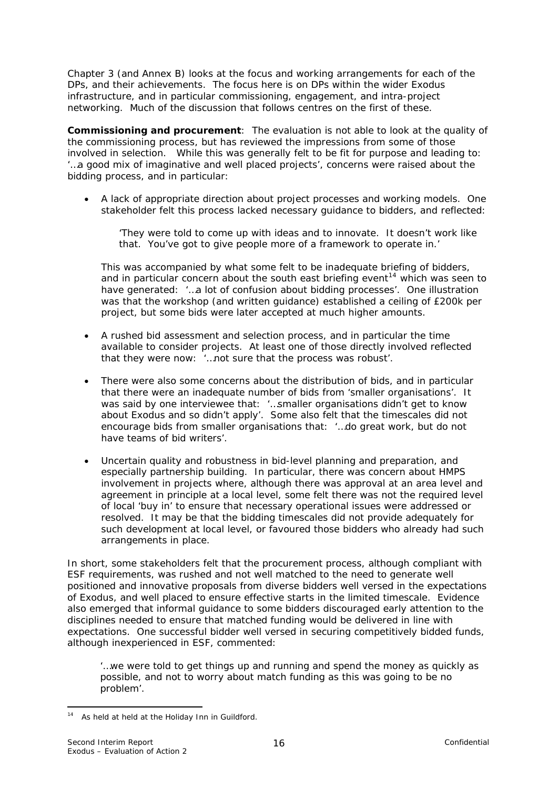<span id="page-19-0"></span>Chapter 3 (and Annex B) looks at the focus and working arrangements for each of the DPs, and their achievements. The focus here is on DPs within the wider Exodus infrastructure, and in particular commissioning, engagement, and intra-project networking. Much of the discussion that follows centres on the first of these.

**Commissioning and procurement**: The evaluation is not able to look at the quality of the commissioning process, but has reviewed the impressions from some of those involved in selection. While this was generally felt to be fit for purpose and leading to: *'…a good mix of imaginative and well placed projects'*, concerns were raised about the bidding process, and in particular:

• A lack of appropriate direction about project processes and working models. One stakeholder felt this process lacked necessary guidance to bidders, and reflected:

*'They were told to come up with ideas and to innovate. It doesn't work like that. You've got to give people more of a framework to operate in.'*

This was accompanied by what some felt to be inadequate briefing of bidders, and in particular concern about the south east briefing event<sup>[14](#page-19-0)</sup> which was seen to have generated: *'…a lot of confusion about bidding processes'*. One illustration was that the workshop (and written guidance) established a ceiling of £200k per project, but some bids were later accepted at much higher amounts.

- A rushed bid assessment and selection process, and in particular the time available to consider projects. At least one of those directly involved reflected that they were now: *'…not sure that the process was robust'*.
- There were also some concerns about the distribution of bids, and in particular that there were an inadequate number of bids from 'smaller organisations'. It was said by one interviewee that: *'…smaller organisations didn't get to know about Exodus and so didn't apply'.* Some also felt that the timescales did not encourage bids from smaller organisations that: *'…do great work, but do not have teams of bid writers'*.
- Uncertain quality and robustness in bid-level planning and preparation, and especially partnership building. In particular, there was concern about HMPS involvement in projects where, although there was approval at an area level and agreement in principle at a local level, some felt there was not the required level of local 'buy in' to ensure that necessary operational issues were addressed or resolved. It may be that the bidding timescales did not provide adequately for such development at local level, or favoured those bidders who already had such arrangements in place.

In short, some stakeholders felt that the procurement process, although compliant with ESF requirements, was rushed and not well matched to the need to generate well positioned and innovative proposals from diverse bidders well versed in the expectations of Exodus, and well placed to ensure effective starts in the limited timescale. Evidence also emerged that informal guidance to some bidders discouraged early attention to the disciplines needed to ensure that matched funding would be delivered in line with expectations. One successful bidder well versed in securing competitively bidded funds, although inexperienced in ESF, commented:

*'…we were told to get things up and running and spend the money as quickly as possible, and not to worry about match funding as this was going to be no problem'*.

<sup>&</sup>lt;u>.</u> <sup>14</sup> As held at held at the Holiday Inn in Guildford.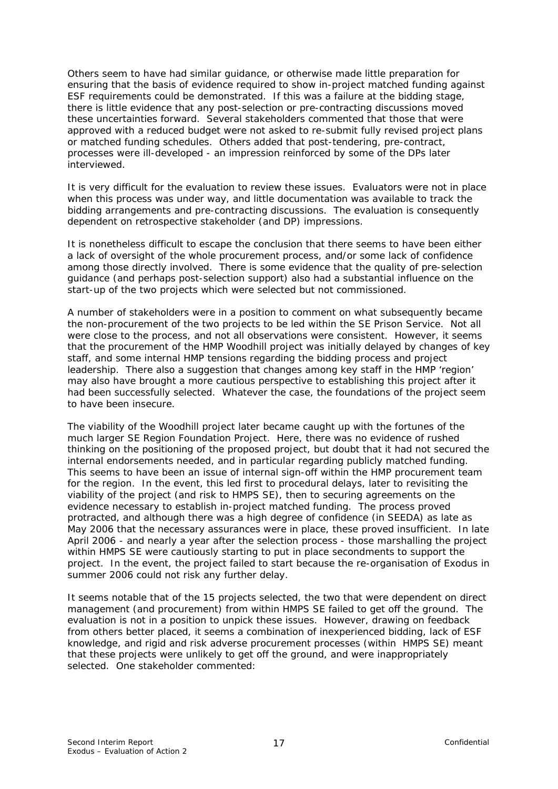Others seem to have had similar guidance, or otherwise made little preparation for ensuring that the basis of evidence required to show in-project matched funding against ESF requirements could be demonstrated. If this was a failure at the bidding stage, there is little evidence that any post-selection or pre-contracting discussions moved these uncertainties forward. Several stakeholders commented that those that were approved with a reduced budget were not asked to re-submit fully revised project plans or matched funding schedules. Others added that post-tendering, pre-contract, processes were ill-developed - an impression reinforced by some of the DPs later interviewed.

It is very difficult for the evaluation to review these issues. Evaluators were not in place when this process was under way, and little documentation was available to track the bidding arrangements and pre-contracting discussions. The evaluation is consequently dependent on retrospective stakeholder (and DP) impressions.

It is nonetheless difficult to escape the conclusion that there seems to have been either a lack of oversight of the whole procurement process, and/or some lack of confidence among those directly involved. There is some evidence that the quality of pre-selection guidance (and perhaps post-selection support) also had a substantial influence on the start-up of the two projects which were selected but not commissioned.

A number of stakeholders were in a position to comment on what subsequently became the non-procurement of the two projects to be led within the SE Prison Service. Not all were close to the process, and not all observations were consistent. However, it seems that the procurement of the HMP Woodhill project was initially delayed by changes of key staff, and some internal HMP tensions regarding the bidding process and project leadership. There also a suggestion that changes among key staff in the HMP 'region' may also have brought a more cautious perspective to establishing this project after it had been successfully selected. Whatever the case, the foundations of the project seem to have been insecure.

The viability of the Woodhill project later became caught up with the fortunes of the much larger SE Region Foundation Project. Here, there was no evidence of rushed thinking on the positioning of the proposed project, but doubt that it had not secured the internal endorsements needed, and in particular regarding publicly matched funding. This seems to have been an issue of internal sign-off within the HMP procurement team for the region. In the event, this led first to procedural delays, later to revisiting the viability of the project (and risk to HMPS SE), then to securing agreements on the evidence necessary to establish in-project matched funding. The process proved protracted, and although there was a high degree of confidence (in SEEDA) as late as May 2006 that the necessary assurances were in place, these proved insufficient. In late April 2006 - and nearly a year after the selection process - those marshalling the project within HMPS SE were cautiously starting to put in place secondments to support the project. In the event, the project failed to start because the re-organisation of Exodus in summer 2006 could not risk any further delay.

It seems notable that of the 15 projects selected, the two that were dependent on direct management (and procurement) from within HMPS SE failed to get off the ground. The evaluation is not in a position to unpick these issues. However, drawing on feedback from others better placed, it seems a combination of inexperienced bidding, lack of ESF knowledge, and rigid and risk adverse procurement processes (within HMPS SE) meant that these projects were unlikely to get off the ground, and were inappropriately selected. One stakeholder commented: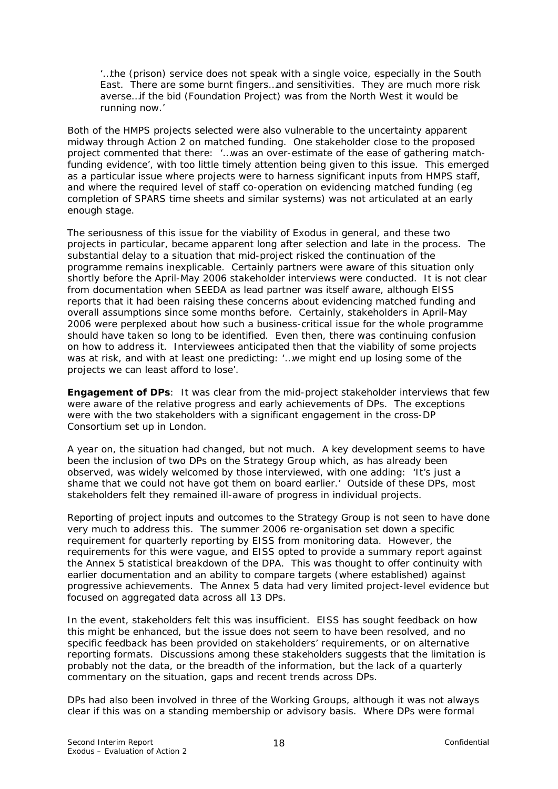*'…the (prison) service does not speak with a single voice, especially in the South East. There are some burnt fingers…and sensitivities. They are much more risk averse…if the bid (Foundation Project) was from the North West it would be running now.'* 

Both of the HMPS projects selected were also vulnerable to the uncertainty apparent midway through Action 2 on matched funding. One stakeholder close to the proposed project commented that there: *'…was an over-estimate of the ease of gathering matchfunding evidence'*, with too little timely attention being given to this issue. This emerged as a particular issue where projects were to harness significant inputs from HMPS staff, and where the required level of staff co-operation on evidencing matched funding (eg completion of SPARS time sheets and similar systems) was not articulated at an early enough stage.

The seriousness of this issue for the viability of Exodus in general, and these two projects in particular, became apparent long after selection and late in the process. The substantial delay to a situation that mid-project risked the continuation of the programme remains inexplicable. Certainly partners were aware of this situation only shortly before the April-May 2006 stakeholder interviews were conducted. It is not clear from documentation when SEEDA as lead partner was itself aware, although EISS reports that it had been raising these concerns about evidencing matched funding and overall assumptions since some months before. Certainly, stakeholders in April-May 2006 were perplexed about how such a business-critical issue for the whole programme should have taken so long to be identified. Even then, there was continuing confusion on how to address it. Interviewees anticipated then that the viability of some projects was at risk, and with at least one predicting: *'…we might end up losing some of the projects we can least afford to lose'.* 

**Engagement of DPs**: It was clear from the mid-project stakeholder interviews that few were aware of the relative progress and early achievements of DPs. The exceptions were with the two stakeholders with a significant engagement in the cross-DP Consortium set up in London.

A year on, the situation had changed, but not much. A key development seems to have been the inclusion of two DPs on the Strategy Group which, as has already been observed, was widely welcomed by those interviewed, with one adding: *'It's just a shame that we could not have got them on board earlier.'* Outside of these DPs, most stakeholders felt they remained ill-aware of progress in individual projects.

Reporting of project inputs and outcomes to the Strategy Group is not seen to have done very much to address this. The summer 2006 re-organisation set down a specific requirement for quarterly reporting by EISS from monitoring data. However, the requirements for this were vague, and EISS opted to provide a summary report against the Annex 5 statistical breakdown of the DPA. This was thought to offer continuity with earlier documentation and an ability to compare targets (where established) against progressive achievements. The Annex 5 data had very limited project-level evidence but focused on aggregated data across all 13 DPs.

In the event, stakeholders felt this was insufficient. EISS has sought feedback on how this might be enhanced, but the issue does not seem to have been resolved, and no specific feedback has been provided on stakeholders' requirements, or on alternative reporting formats. Discussions among these stakeholders suggests that the limitation is probably not the data, or the breadth of the information, but the lack of a quarterly commentary on the situation, gaps and recent trends across DPs.

DPs had also been involved in three of the Working Groups, although it was not always clear if this was on a standing membership or advisory basis. Where DPs were formal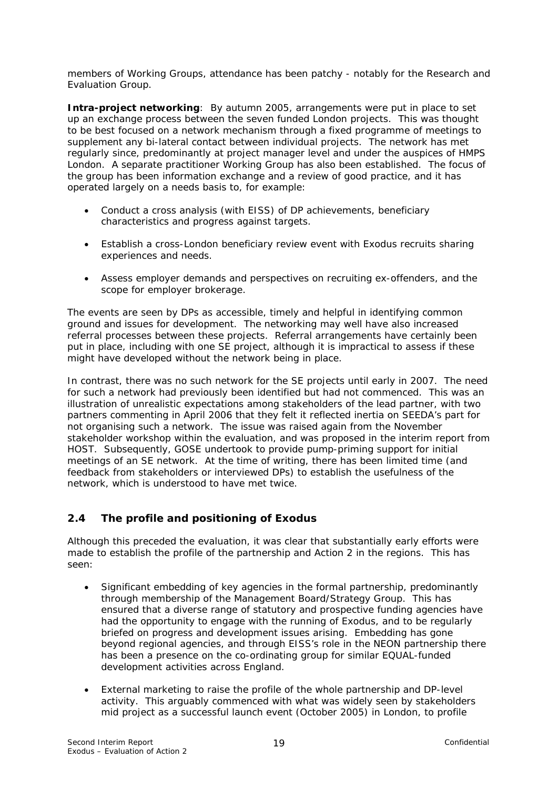members of Working Groups, attendance has been patchy - notably for the Research and Evaluation Group.

**Intra-project networking**: By autumn 2005, arrangements were put in place to set up an exchange process between the seven funded London projects. This was thought to be best focused on a network mechanism through a fixed programme of meetings to supplement any bi-lateral contact between individual projects. The network has met regularly since, predominantly at project manager level and under the auspices of HMPS London. A separate practitioner Working Group has also been established. The focus of the group has been information exchange and a review of good practice, and it has operated largely on a needs basis to, for example:

- Conduct a cross analysis (with EISS) of DP achievements, beneficiary characteristics and progress against targets.
- Establish a cross-London beneficiary review event with Exodus recruits sharing experiences and needs.
- Assess employer demands and perspectives on recruiting ex-offenders, and the scope for employer brokerage.

The events are seen by DPs as accessible, timely and helpful in identifying common ground and issues for development. The networking may well have also increased referral processes between these projects. Referral arrangements have certainly been put in place, including with one SE project, although it is impractical to assess if these might have developed without the network being in place.

In contrast, there was no such network for the SE projects until early in 2007. The need for such a network had previously been identified but had not commenced. This was an illustration of unrealistic expectations among stakeholders of the lead partner, with two partners commenting in April 2006 that they felt it reflected inertia on SEEDA's part for not organising such a network. The issue was raised again from the November stakeholder workshop within the evaluation, and was proposed in the interim report from HOST. Subsequently, GOSE undertook to provide pump-priming support for initial meetings of an SE network. At the time of writing, there has been limited time (and feedback from stakeholders or interviewed DPs) to establish the usefulness of the network, which is understood to have met twice.

## **2.4 The profile and positioning of Exodus**

Although this preceded the evaluation, it was clear that substantially early efforts were made to establish the profile of the partnership and Action 2 in the regions. This has seen:

- Significant embedding of key agencies in the formal partnership, predominantly through membership of the Management Board/Strategy Group. This has ensured that a diverse range of statutory and prospective funding agencies have had the opportunity to engage with the running of Exodus, and to be regularly briefed on progress and development issues arising. Embedding has gone beyond regional agencies, and through EISS's role in the NEON partnership there has been a presence on the co-ordinating group for similar EQUAL-funded development activities across England.
- External marketing to raise the profile of the whole partnership and DP-level activity. This arguably commenced with what was widely seen by stakeholders mid project as a successful launch event (October 2005) in London, to profile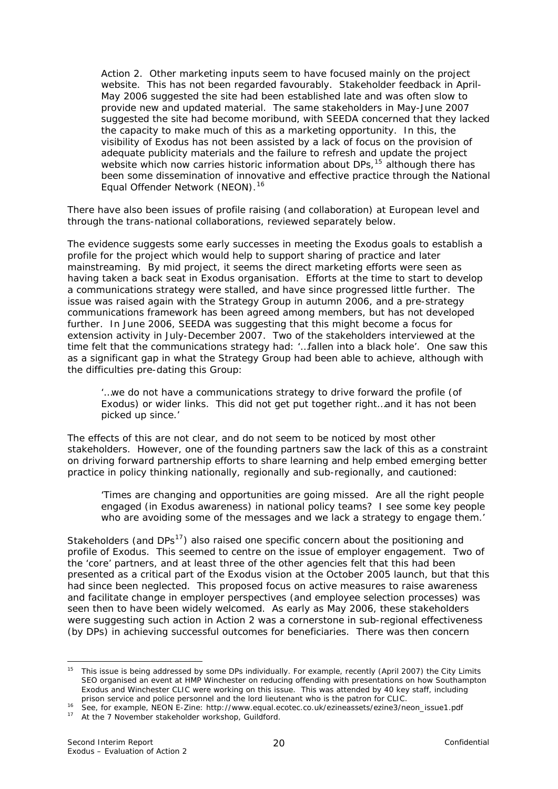<span id="page-23-0"></span>Action 2. Other marketing inputs seem to have focused mainly on the project website. This has not been regarded favourably. Stakeholder feedback in April-May 2006 suggested the site had been established late and was often slow to provide new and updated material. The same stakeholders in May-June 2007 suggested the site had become moribund, with SEEDA concerned that they lacked the capacity to make much of this as a marketing opportunity. In this, the visibility of Exodus has not been assisted by a lack of focus on the provision of adequate publicity materials and the failure to refresh and update the project website which now carries historic information about DPs,<sup>15</sup> although there has been some dissemination of innovative and effective practice through the National Equal Offender Network (NEON).<sup>16</sup>

There have also been issues of profile raising (and collaboration) at European level and through the trans-national collaborations, reviewed separately below.

The evidence suggests some early successes in meeting the Exodus goals to establish a profile for the project which would help to support sharing of practice and later mainstreaming. By mid project, it seems the direct marketing efforts were seen as having taken a back seat in Exodus organisation. Efforts at the time to start to develop a communications strategy were stalled, and have since progressed little further. The issue was raised again with the Strategy Group in autumn 2006, and a pre-strategy *communications framework* has been agreed among members, but has not developed further. In June 2006, SEEDA was suggesting that this might become a focus for extension activity in July-December 2007. Two of the stakeholders interviewed at the time felt that the communications strategy had: *'…fallen into a black hole'*. One saw this as a significant gap in what the Strategy Group had been able to achieve, although with the difficulties pre-dating this Group:

*'…we do not have a communications strategy to drive forward the profile (of Exodus) or wider links. This did not get put together right…and it has not been picked up since.'* 

The effects of this are not clear, and do not seem to be noticed by most other stakeholders. However, one of the founding partners saw the lack of this as a constraint on driving forward partnership efforts to share learning and help embed emerging better practice in policy thinking nationally, regionally and sub-regionally, and cautioned:

*'Times are changing and opportunities are going missed. Are all the right people engaged (in Exodus awareness) in national policy teams? I see some key people who are avoiding some of the messages and we lack a strategy to engage them.'* 

Stakeholders (and  $DPs<sup>17</sup>$  $DPs<sup>17</sup>$  $DPs<sup>17</sup>$ ) also raised one specific concern about the positioning and profile of Exodus. This seemed to centre on the issue of employer engagement. Two of the 'core' partners, and at least three of the other agencies felt that this had been presented as a critical part of the Exodus vision at the October 2005 launch, but that this had since been neglected. This proposed focus on active measures to raise awareness and facilitate change in employer perspectives (and employee selection processes) was seen then to have been widely welcomed. As early as May 2006, these stakeholders were suggesting such action in Action 2 was a cornerstone in sub-regional effectiveness (by DPs) in achieving successful outcomes for beneficiaries. There was then concern

<sup>1</sup> <sup>15</sup> This issue is being addressed by some DPs individually. For example, recently (April 2007) the City Limits SEO organised an event at HMP Winchester on reducing offending with presentations on how Southampton Exodus and Winchester CLIC were working on this issue. This was attended by 40 key staff, including

prison service and police personnel and the lord lieutenant who is the patron for CLIC.<br><sup>16</sup> See, for example, NEON E-Zine: http://www.equal.ecotec.co.uk/ezineassets/ezine3/neon\_issue1.pdf<br><sup>17</sup> At the 7 November stakeholde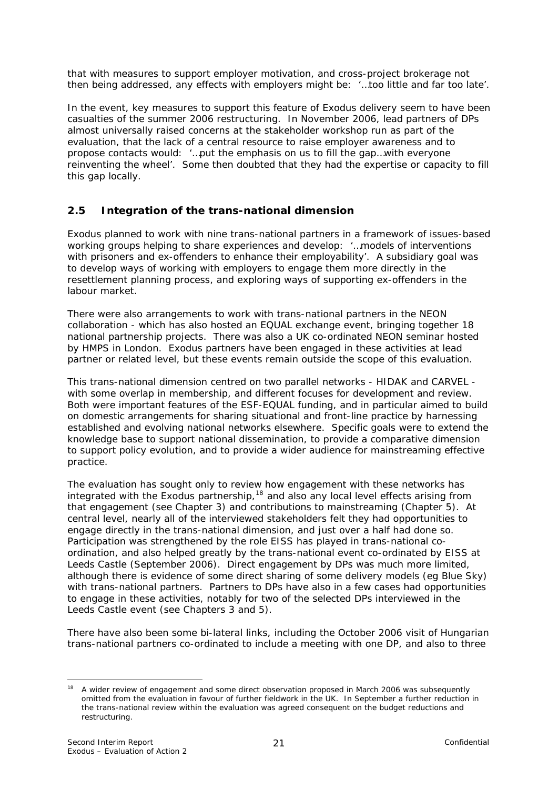<span id="page-24-0"></span>that with measures to support employer motivation, and cross-project brokerage not then being addressed, any effects with employers might be: *'…too little and far too late'*.

In the event, key measures to support this feature of Exodus delivery seem to have been casualties of the summer 2006 restructuring. In November 2006, lead partners of DPs almost universally raised concerns at the stakeholder workshop run as part of the evaluation, that the lack of a central resource to raise employer awareness and to propose contacts would: '*…put the emphasis on us to fill the gap…with everyone reinventing the wheel'*. Some then doubted that they had the expertise or capacity to fill this gap locally.

## **2.5 Integration of the trans-national dimension**

Exodus planned to work with nine trans-national partners in a framework of issues-based working groups helping to share experiences and develop: *'…models of interventions with prisoners and ex-offenders to enhance their employability'*. A subsidiary goal was to develop ways of working with employers to engage them more directly in the resettlement planning process, and exploring ways of supporting ex-offenders in the labour market.

There were also arrangements to work with trans-national partners in the NEON collaboration - which has also hosted an EQUAL exchange event, bringing together 18 national partnership projects. There was also a UK co-ordinated NEON seminar hosted by HMPS in London. Exodus partners have been engaged in these activities at lead partner or related level, but these events remain outside the scope of this evaluation.

This trans-national dimension centred on two parallel networks - HIDAK and CARVEL with some overlap in membership, and different focuses for development and review. Both were important features of the ESF-EQUAL funding, and in particular aimed to build on domestic arrangements for sharing situational and front-line practice by harnessing established and evolving national networks elsewhere. Specific goals were to extend the knowledge base to support national dissemination, to provide a comparative dimension to support policy evolution, and to provide a wider audience for mainstreaming effective practice.

The evaluation has sought only to review how engagement with these networks has integrated with the Exodus partnership,  $18$  and also any local level effects arising from that engagement (see Chapter 3) and contributions to mainstreaming (Chapter 5). At central level, nearly all of the interviewed stakeholders felt they had opportunities to engage directly in the trans-national dimension, and just over a half had done so. Participation was strengthened by the role EISS has played in trans-national coordination, and also helped greatly by the trans-national event co-ordinated by EISS at Leeds Castle (September 2006). Direct engagement by DPs was much more limited, although there is evidence of some direct sharing of some delivery models (eg Blue Sky) with trans-national partners. Partners to DPs have also in a few cases had opportunities to engage in these activities, notably for two of the selected DPs interviewed in the Leeds Castle event (see Chapters 3 and 5).

There have also been some bi-lateral links, including the October 2006 visit of Hungarian trans-national partners co-ordinated to include a meeting with one DP, and also to three

<sup>1</sup> <sup>18</sup> A wider review of engagement and some direct observation proposed in March 2006 was subsequently omitted from the evaluation in favour of further fieldwork in the UK. In September a further reduction in the trans-national review within the evaluation was agreed consequent on the budget reductions and restructuring.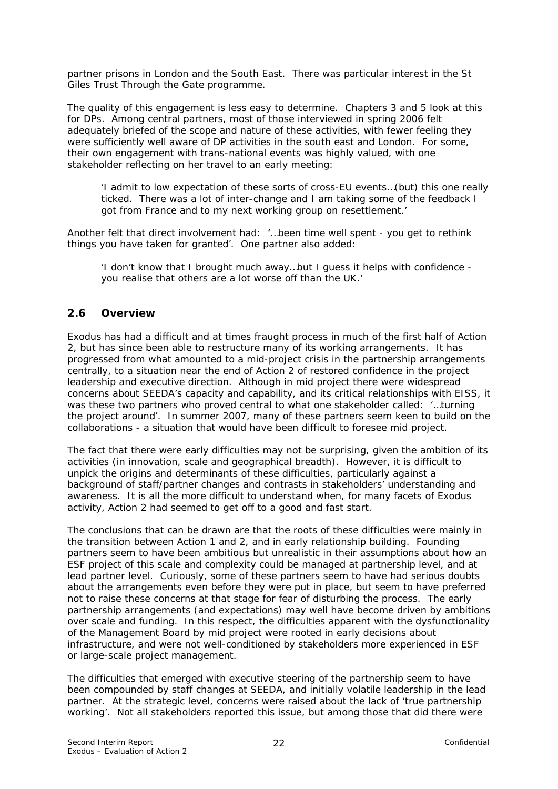partner prisons in London and the South East. There was particular interest in the St Giles Trust *Through the Gate* programme.

The quality of this engagement is less easy to determine. Chapters 3 and 5 look at this for DPs. Among central partners, most of those interviewed in spring 2006 felt adequately briefed of the scope and nature of these activities, with fewer feeling they were sufficiently well aware of DP activities in the south east and London. For some, their own engagement with trans-national events was highly valued, with one stakeholder reflecting on her travel to an early meeting:

*'I admit to low expectation of these sorts of cross-EU events…(but) this one really ticked. There was a lot of inter-change and I am taking some of the feedback I got from France and to my next working group on resettlement.'* 

Another felt that direct involvement had: '*…been time well spent - you get to rethink things you have taken for granted'*. One partner also added:

*'I don't know that I brought much away…but I guess it helps with confidence you realise that others are a lot worse off than the UK.'* 

#### **2.6 Overview**

Exodus has had a difficult and at times fraught process in much of the first half of Action 2, but has since been able to restructure many of its working arrangements. It has progressed from what amounted to a mid-project crisis in the partnership arrangements centrally, to a situation near the end of Action 2 of restored confidence in the project leadership and executive direction. Although in mid project there were widespread concerns about SEEDA's capacity and capability, and its critical relationships with EISS, it was these two partners who proved central to what one stakeholder called: *'…turning the project around'.* In summer 2007, many of these partners seem keen to build on the collaborations - a situation that would have been difficult to foresee mid project.

The fact that there were early difficulties may not be surprising, given the ambition of its activities (in innovation, scale and geographical breadth). However, it is difficult to unpick the origins and determinants of these difficulties, particularly against a background of staff/partner changes and contrasts in stakeholders' understanding and awareness. It is all the more difficult to understand when, for many facets of Exodus activity, Action 2 had seemed to get off to a good and fast start.

The conclusions that can be drawn are that the roots of these difficulties were mainly in the transition between Action 1 and 2, and in early relationship building. Founding partners seem to have been ambitious but unrealistic in their assumptions about how an ESF project of this scale and complexity could be managed at partnership level, and at lead partner level. Curiously, some of these partners seem to have had serious doubts about the arrangements even before they were put in place, but seem to have preferred not to raise these concerns at that stage for fear of disturbing the process. The early partnership arrangements (and expectations) may well have become driven by ambitions over scale and funding. In this respect, the difficulties apparent with the dysfunctionality of the Management Board by mid project were rooted in early decisions about infrastructure, and were not well-conditioned by stakeholders more experienced in ESF or large-scale project management.

The difficulties that emerged with executive steering of the partnership seem to have been compounded by staff changes at SEEDA, and initially volatile leadership in the lead partner. *At the strategic level, concerns were raised about the lack of 'true partnership working'.* Not all stakeholders reported this issue, but among those that did there were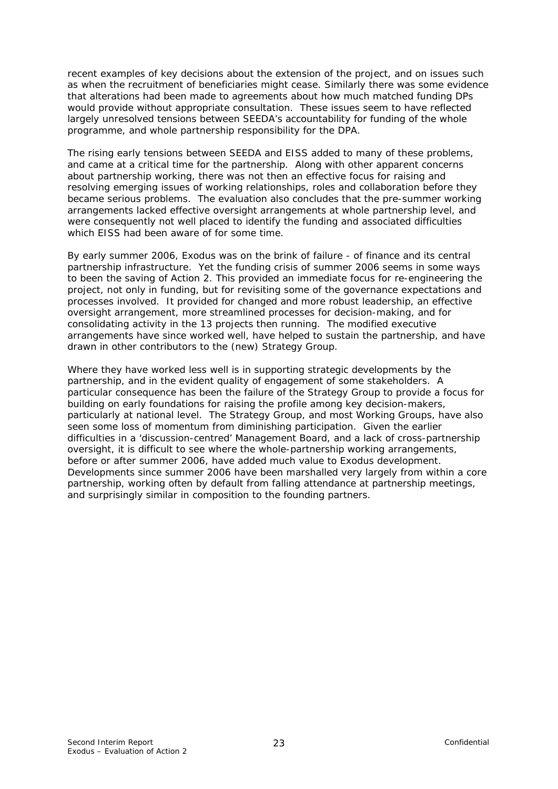recent examples of key decisions about the extension of the project, and on issues such as when the recruitment of beneficiaries might cease. Similarly there was some evidence that alterations had been made to agreements about how much matched funding DPs would provide without appropriate consultation. These issues seem to have reflected largely unresolved tensions between SEEDA's accountability for funding of the whole programme, and whole partnership responsibility for the DPA.

The rising early tensions between SEEDA and EISS added to many of these problems, and came at a critical time for the partnership. Along with other apparent concerns about partnership working, there was not then an effective focus for raising and resolving emerging issues of working relationships, roles and collaboration before they became serious problems. The evaluation also concludes that the pre-summer working arrangements lacked effective oversight arrangements at whole partnership level, and were consequently not well placed to identify the funding and associated difficulties which EISS had been aware of for some time.

By early summer 2006, Exodus was on the brink of failure - of finance and its central partnership infrastructure. Yet the funding crisis of summer 2006 seems in some ways to been the saving of Action 2. This provided an immediate focus for re-engineering the project, not only in funding, but for revisiting some of the governance expectations and processes involved. It provided for changed and more robust leadership, an effective oversight arrangement, more streamlined processes for decision-making, and for consolidating activity in the 13 projects then running. The modified executive arrangements have since worked well, have helped to sustain the partnership, and have drawn in other contributors to the (new) Strategy Group.

Where they have worked less well is in supporting strategic developments by the partnership, and in the evident quality of engagement of some stakeholders. A particular consequence has been the failure of the Strategy Group to provide a focus for building on early foundations for raising the profile among key decision-makers, particularly at national level. The Strategy Group, and most Working Groups, have also seen some loss of momentum from diminishing participation. Given the earlier difficulties in a 'discussion-centred' Management Board, and a lack of cross-partnership oversight, it is difficult to see where the whole-partnership working arrangements, before or after summer 2006, have added much value to Exodus development. Developments since summer 2006 have been marshalled very largely from within a core partnership, working often by default from falling attendance at partnership meetings, and surprisingly similar in composition to the founding partners.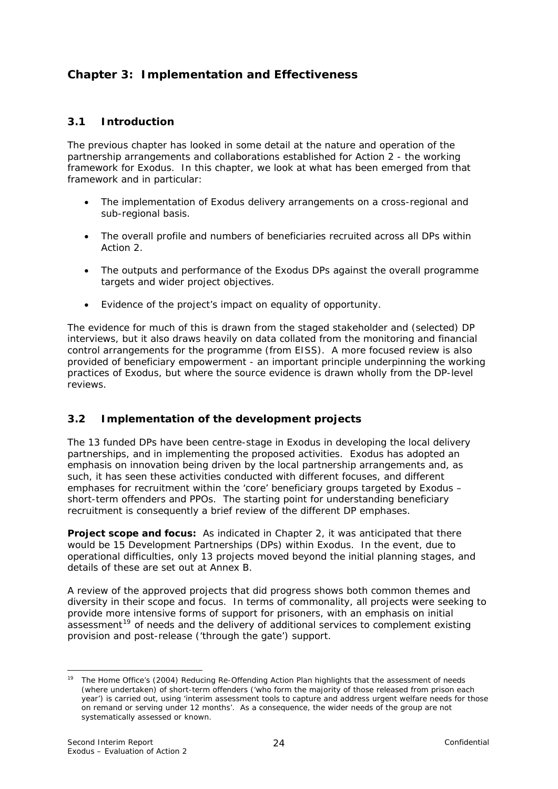## <span id="page-27-0"></span>**Chapter 3: Implementation and Effectiveness**

## **3.1 Introduction**

The previous chapter has looked in some detail at the nature and operation of the partnership arrangements and collaborations established for Action 2 - the working framework for Exodus. In this chapter, we look at what has been emerged from that framework and in particular:

- The implementation of Exodus delivery arrangements on a cross-regional and sub-regional basis.
- The overall profile and numbers of beneficiaries recruited across all DPs within Action 2.
- The outputs and performance of the Exodus DPs against the overall programme targets and wider project objectives.
- Evidence of the project's impact on equality of opportunity.

The evidence for much of this is drawn from the staged stakeholder and (selected) DP interviews, but it also draws heavily on data collated from the monitoring and financial control arrangements for the programme (from EISS). A more focused review is also provided of beneficiary empowerment - an important principle underpinning the working practices of Exodus, but where the source evidence is drawn wholly from the DP-level reviews.

## **3.2 Implementation of the development projects**

The 13 funded DPs have been centre-stage in Exodus in developing the local delivery partnerships, and in implementing the proposed activities. Exodus has adopted an emphasis on innovation being driven by the local partnership arrangements and, as such, it has seen these activities conducted with different focuses, and different emphases for recruitment within the 'core' beneficiary groups targeted by Exodus – short-term offenders and PPOs. The starting point for understanding beneficiary recruitment is consequently a brief review of the different DP emphases.

**Project scope and focus:** As indicated in Chapter 2, it was anticipated that there would be 15 Development Partnerships (DPs) within Exodus. In the event, due to operational difficulties, only 13 projects moved beyond the initial planning stages, and details of these are set out at Annex B.

A review of the approved projects that did progress shows both common themes and diversity in their scope and focus. In terms of commonality, all projects were seeking to provide more intensive forms of support for prisoners, with an emphasis on initial  $a$ ssessment<sup>[19](#page-27-0)</sup> of needs and the delivery of additional services to complement existing provision and post-release ('through the gate') support.

1

<sup>19</sup> The Home Office's (2004) *Reducing Re-Offending Action Plan* highlights that the assessment of needs (where undertaken) of short-term offenders ('who form the majority of those released from prison each year') is carried out, using 'interim assessment tools to capture and address urgent welfare needs for those on remand or serving under 12 months'. As a consequence, the wider needs of the group are not systematically assessed or known.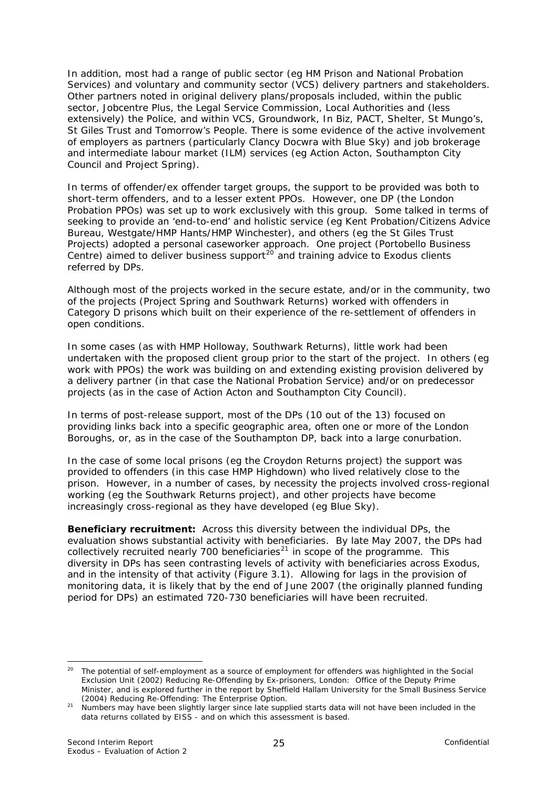<span id="page-28-0"></span>In addition, most had a range of public sector (eg HM Prison and National Probation Services) and voluntary and community sector (VCS) delivery partners and stakeholders. Other partners noted in original delivery plans/proposals included, within the public sector, Jobcentre Plus, the Legal Service Commission, Local Authorities and (less extensively) the Police, and within VCS, Groundwork, In Biz, PACT, Shelter, St Mungo's, St Giles Trust and Tomorrow's People. There is some evidence of the active involvement of employers as partners (particularly Clancy Docwra with Blue Sky) and job brokerage and intermediate labour market (ILM) services (eg Action Acton, Southampton City Council and Project Spring).

In terms of offender/ex offender target groups, the support to be provided was both to short-term offenders, and to a lesser extent PPOs. However, one DP (the London Probation PPOs) was set up to work exclusively with this group. Some talked in terms of seeking to provide an 'end-to-end' and holistic service (eg Kent Probation/Citizens Advice Bureau, Westgate/HMP Hants/HMP Winchester), and others (eg the St Giles Trust Projects) adopted a personal caseworker approach. One project (Portobello Business Centre) aimed to deliver business support<sup>[20](#page-28-0)</sup> and training advice to Exodus clients referred by DPs.

Although most of the projects worked in the secure estate, and/or in the community, two of the projects (Project Spring and Southwark Returns) worked with offenders in Category D prisons which built on their experience of the re-settlement of offenders in open conditions.

In some cases (as with HMP Holloway, Southwark Returns), little work had been undertaken with the proposed client group prior to the start of the project. In others (eg work with PPOs) the work was building on and extending existing provision delivered by a delivery partner (in that case the National Probation Service) and/or on predecessor projects (as in the case of Action Acton and Southampton City Council).

In terms of post-release support, most of the DPs (10 out of the 13) focused on providing links back into a specific geographic area, often one or more of the London Boroughs, or, as in the case of the Southampton DP, back into a large conurbation.

In the case of some local prisons (eg the Croydon Returns project) the support was provided to offenders (in this case HMP Highdown) who lived relatively close to the prison. However, in a number of cases, by necessity the projects involved cross-regional working (eg the Southwark Returns project), and other projects have become increasingly cross-regional as they have developed (eg Blue Sky).

**Beneficiary recruitment:** Across this diversity between the individual DPs, the evaluation shows substantial activity with beneficiaries. By late May 2007, the DPs had collectively recruited nearly 700 beneficiaries<sup>[21](#page-28-0)</sup> in scope of the programme. This diversity in DPs has seen contrasting levels of activity with beneficiaries across Exodus, and in the intensity of that activity (Figure 3.1). Allowing for lags in the provision of monitoring data, it is likely that by the end of June 2007 (the originally planned funding period for DPs) an estimated 720-730 beneficiaries will have been recruited.

<sup>1</sup> <sup>20</sup> The potential of self-employment as a source of employment for offenders was highlighted in the Social Exclusion Unit (2002) *Reducing Re-Offending by Ex-prisoners*, London: Office of the Deputy Prime Minister, and is explored further in the report by Sheffield Hallam University for the Small Business Service (2004) *Reducing Re-Offending: The Enterprise Option.* 

<sup>21</sup> Numbers may have been slightly larger since late supplied starts data will not have been included in the data returns collated by EISS - and on which this assessment is based.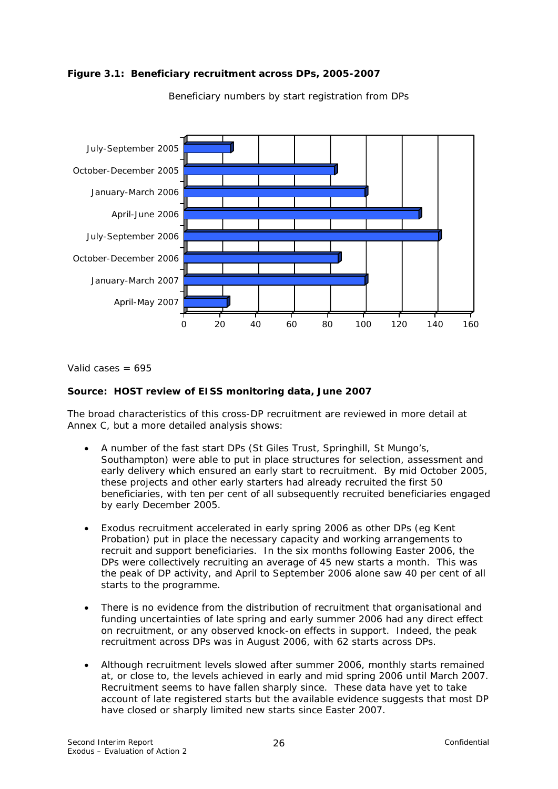



Beneficiary numbers by start registration from DPs

Valid cases  $= 695$ 

#### **Source: HOST review of EISS monitoring data, June 2007**

The broad characteristics of this cross-DP recruitment are reviewed in more detail at Annex C, but a more detailed analysis shows:

- A number of the fast start DPs (St Giles Trust, Springhill, St Mungo's, Southampton) were able to put in place structures for selection, assessment and early delivery which ensured an early start to recruitment. By mid October 2005, these projects and other early starters had already recruited the first 50 beneficiaries, with ten per cent of all subsequently recruited beneficiaries engaged by early December 2005.
- Exodus recruitment accelerated in early spring 2006 as other DPs (eg Kent Probation) put in place the necessary capacity and working arrangements to recruit and support beneficiaries. In the six months following Easter 2006, the DPs were collectively recruiting an average of 45 new starts a month. This was the peak of DP activity, and April to September 2006 alone saw 40 per cent of all starts to the programme.
- There is no evidence from the distribution of recruitment that organisational and funding uncertainties of late spring and early summer 2006 had any direct effect on recruitment, or any observed knock-on effects in support. Indeed, the peak recruitment across DPs was in August 2006, with 62 starts across DPs.
- Although recruitment levels slowed after summer 2006, monthly starts remained at, or close to, the levels achieved in early and mid spring 2006 until March 2007. Recruitment seems to have fallen sharply since. These data have yet to take account of late registered starts but the available evidence suggests that most DP have closed or sharply limited new starts since Easter 2007.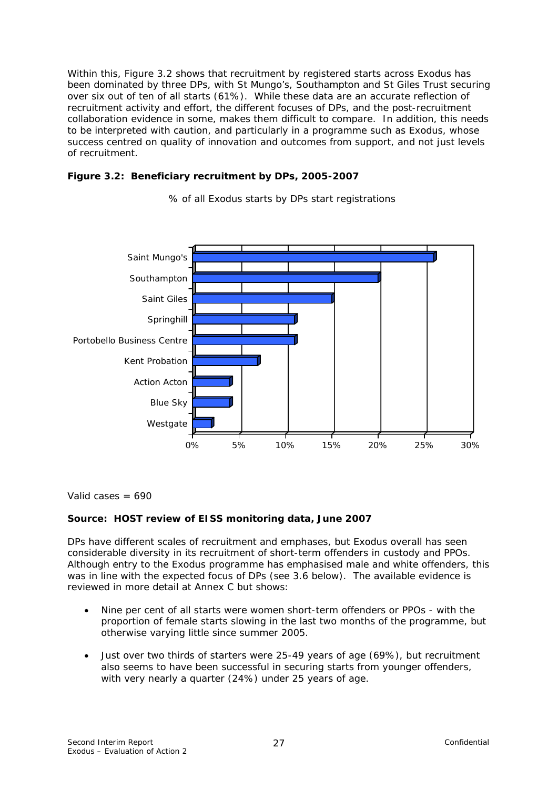Within this, Figure 3.2 shows that recruitment by registered starts across Exodus has been dominated by three DPs, with St Mungo's, Southampton and St Giles Trust securing over six out of ten of all starts (61%). While these data are an accurate reflection of recruitment activity and effort, the different focuses of DPs, and the post-recruitment collaboration evidence in some, makes them difficult to compare. In addition, this needs to be interpreted with caution, and particularly in a programme such as Exodus, whose success centred on quality of innovation and outcomes from support, and not just levels of recruitment.

#### **Figure 3.2: Beneficiary recruitment by DPs, 2005-2007**



% of all Exodus starts by DPs start registrations

Valid cases  $= 690$ 

#### **Source: HOST review of EISS monitoring data, June 2007**

DPs have different scales of recruitment and emphases, but Exodus overall has seen considerable diversity in its recruitment of short-term offenders in custody and PPOs. Although entry to the Exodus programme has emphasised male and white offenders, this was in line with the expected focus of DPs (see 3.6 below). The available evidence is reviewed in more detail at Annex C but shows:

- Nine per cent of all starts were women short-term offenders or PPOs with the proportion of female starts slowing in the last two months of the programme, but otherwise varying little since summer 2005.
- Just over two thirds of starters were 25-49 years of age (69%), but recruitment also seems to have been successful in securing starts from younger offenders, with very nearly a quarter (24%) under 25 years of age.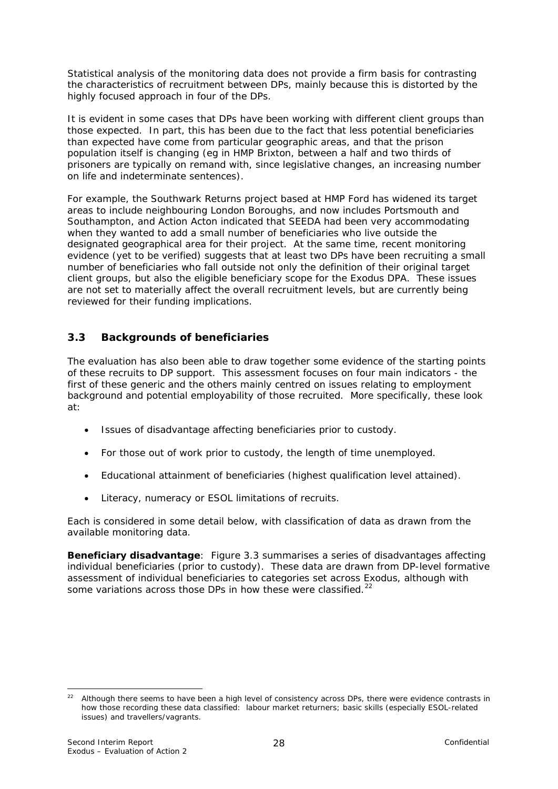<span id="page-31-0"></span>Statistical analysis of the monitoring data does not provide a firm basis for contrasting the characteristics of recruitment between DPs, mainly because this is distorted by the highly focused approach in four of the DPs.

It is evident in some cases that DPs have been working with different client groups than those expected. In part, this has been due to the fact that less potential beneficiaries than expected have come from particular geographic areas, and that the prison population itself is changing (eg in HMP Brixton, between a half and two thirds of prisoners are typically on remand with, since legislative changes, an increasing number on life and indeterminate sentences).

For example, the Southwark Returns project based at HMP Ford has widened its target areas to include neighbouring London Boroughs, and now includes Portsmouth and Southampton, and Action Acton indicated that SEEDA had been very accommodating when they wanted to add a small number of beneficiaries who live outside the designated geographical area for their project. At the same time, recent monitoring evidence (yet to be verified) suggests that at least two DPs have been recruiting a small number of beneficiaries who fall outside not only the definition of their original target client groups, but also the eligible beneficiary scope for the Exodus DPA. These issues are not set to materially affect the overall recruitment levels, but are currently being reviewed for their funding implications.

## **3.3 Backgrounds of beneficiaries**

The evaluation has also been able to draw together some evidence of the starting points of these recruits to DP support. This assessment focuses on four main indicators - the first of these generic and the others mainly centred on issues relating to employment background and potential employability of those recruited. More specifically, these look at:

- Issues of disadvantage affecting beneficiaries prior to custody.
- For those out of work prior to custody, the length of time unemployed.
- Educational attainment of beneficiaries (highest qualification level attained).
- Literacy, numeracy or ESOL limitations of recruits.

Each is considered in some detail below, with classification of data as drawn from the available monitoring data.

**Beneficiary disadvantage**: Figure 3.3 summarises a series of disadvantages affecting individual beneficiaries (prior to custody). These data are drawn from DP-level formative assessment of individual beneficiaries to categories set across Exodus, although with some variations across those DPs in how these were classified.<sup>[22](#page-31-0)</sup>

<sup>1</sup>  $22$  Although there seems to have been a high level of consistency across DPs, there were evidence contrasts in how those recording these data classified: labour market returners; basic skills (especially ESOL-related issues) and travellers/vagrants.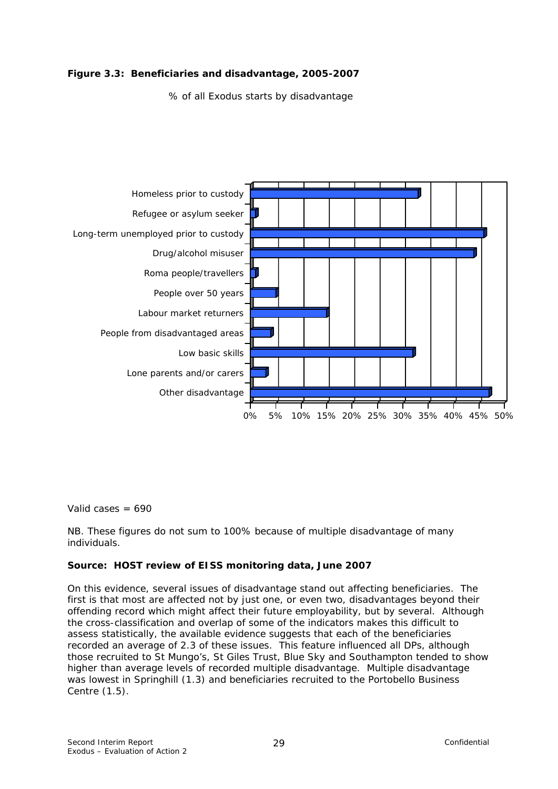#### **Figure 3.3: Beneficiaries and disadvantage, 2005-2007**

% of all Exodus starts by disadvantage



Valid cases  $= 690$ 

NB. These figures do not sum to 100% because of multiple disadvantage of many individuals.

#### **Source: HOST review of EISS monitoring data, June 2007**

On this evidence, several issues of disadvantage stand out affecting beneficiaries. The first is that most are affected not by just one, or even two, disadvantages beyond their offending record which might affect their future employability, but by several. Although the cross-classification and overlap of some of the indicators makes this difficult to assess statistically, the available evidence suggests that each of the beneficiaries recorded an average of 2.3 of these issues. This feature influenced all DPs, although those recruited to St Mungo's, St Giles Trust, Blue Sky and Southampton tended to show higher than average levels of recorded multiple disadvantage. Multiple disadvantage was lowest in Springhill (1.3) and beneficiaries recruited to the Portobello Business Centre (1.5).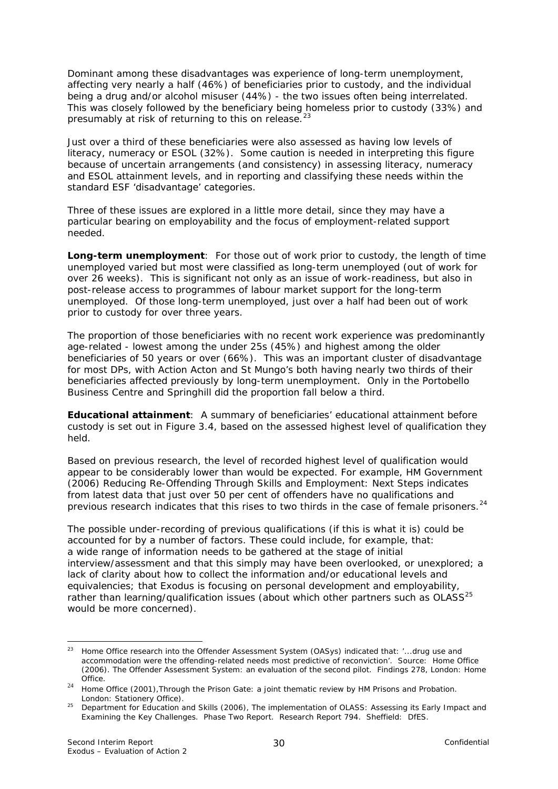<span id="page-33-0"></span>Dominant among these disadvantages was experience of long-term unemployment, affecting very nearly a half (46%) of beneficiaries prior to custody, and the individual being a drug and/or alcohol misuser (44%) - the two issues often being interrelated. This was closely followed by the beneficiary being homeless prior to custody (33%) and presumably at risk of returning to this on release.<sup>[23](#page-33-0)</sup>

Just over a third of these beneficiaries were also assessed as having low levels of literacy, numeracy or ESOL (32%). Some caution is needed in interpreting this figure because of uncertain arrangements (and consistency) in assessing literacy, numeracy and ESOL attainment levels, and in reporting and classifying these needs within the standard ESF 'disadvantage' categories.

Three of these issues are explored in a little more detail, since they may have a particular bearing on employability and the focus of employment-related support needed.

**Long-term unemployment**: For those out of work prior to custody, the length of time unemployed varied but most were classified as long-term unemployed (out of work for over 26 weeks). This is significant not only as an issue of work-readiness, but also in post-release access to programmes of labour market support for the long-term unemployed. Of those long-term unemployed, just over a half had been out of work prior to custody for over three years.

The proportion of those beneficiaries with no recent work experience was predominantly age-related - lowest among the under 25s (45%) and highest among the older beneficiaries of 50 years or over (66%). This was an important cluster of disadvantage for most DPs, with Action Acton and St Mungo's both having nearly two thirds of their beneficiaries affected previously by long-term unemployment. Only in the Portobello Business Centre and Springhill did the proportion fall below a third.

**Educational attainment**: A summary of beneficiaries' educational attainment before custody is set out in Figure 3.4, based on the assessed highest level of qualification they held.

Based on previous research, the level of recorded highest level of qualification would appear to be considerably lower than would be expected. For example, HM Government (2006) *Reducing Re-Offending Through Skills and Employment: Next Steps* indicates from latest data that just over 50 per cent of offenders have no qualifications and previous research indicates that this rises to two thirds in the case of female prisoners.<sup>[24](#page-33-0)</sup>

The possible under-recording of previous qualifications (if this is what it is) could be accounted for by a number of factors. These could include, for example, that: a wide range of information needs to be gathered at the stage of initial interview/assessment and that this simply may have been overlooked, or unexplored; a lack of clarity about how to collect the information and/or educational levels and equivalencies; that Exodus is focusing on personal development and employability, rather than learning/qualification issues (about which other partners such as OLASS<sup>[25](#page-33-0)</sup> would be more concerned).

1

<sup>23</sup> Home Office research into the Offender Assessment System (OASys) indicated that: *'...drug use and accommodation were the offending-related needs most predictive of reconviction'.* Source: Home Office (2006). *The Offender Assessment System: an evaluation of the second pilot*. Findings 278, London: Home

Office. 24 Home Office (2001),*Through the Prison Gate*: *a joint thematic review by HM Prisons and Probation*. London: Stationery Office).

<sup>25</sup> Department for Education and Skills (2006), *The implementation of OLASS: Assessing its Early Impact and Examining the Key Challenges. Phase Two Report.* Research Report 794. Sheffield: DfES.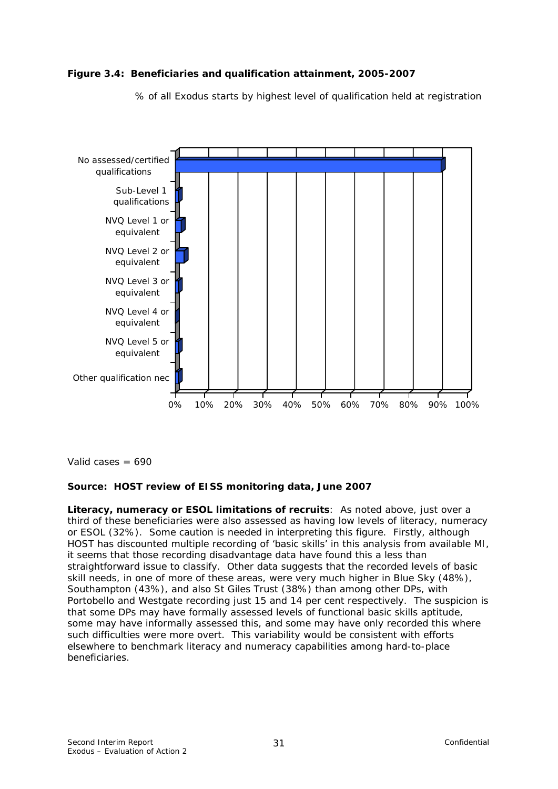

% of all Exodus starts by highest level of qualification held at registration



Valid cases  $= 690$ 

#### **Source: HOST review of EISS monitoring data, June 2007**

**Literacy, numeracy or ESOL limitations of recruits**: As noted above, just over a third of these beneficiaries were also assessed as having low levels of literacy, numeracy or ESOL (32%). Some caution is needed in interpreting this figure. Firstly, although HOST has discounted multiple recording of 'basic skills' in this analysis from available MI, it seems that those recording disadvantage data have found this a less than straightforward issue to classify. Other data suggests that the recorded levels of basic skill needs, in one of more of these areas, were very much higher in Blue Sky (48%), Southampton (43%), and also St Giles Trust (38%) than among other DPs, with Portobello and Westgate recording just 15 and 14 per cent respectively. The suspicion is that some DPs may have formally assessed levels of functional basic skills aptitude, some may have informally assessed this, and some may have only recorded this where such difficulties were more overt. This variability would be consistent with efforts elsewhere to benchmark literacy and numeracy capabilities among hard-to-place beneficiaries.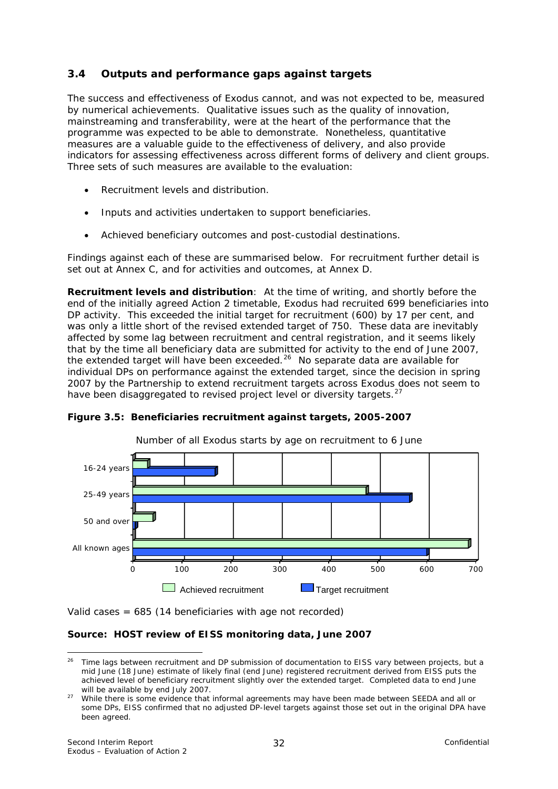## <span id="page-35-0"></span>**3.4 Outputs and performance gaps against targets**

The success and effectiveness of Exodus cannot, and was not expected to be, measured by numerical achievements. Qualitative issues such as the quality of innovation, mainstreaming and transferability, were at the heart of the performance that the programme was expected to be able to demonstrate. Nonetheless, quantitative measures are a valuable guide to the effectiveness of delivery, and also provide indicators for assessing effectiveness across different forms of delivery and client groups. Three sets of such measures are available to the evaluation:

- Recruitment levels and distribution.
- Inputs and activities undertaken to support beneficiaries.
- Achieved beneficiary outcomes and post-custodial destinations.

Findings against each of these are summarised below. For recruitment further detail is set out at Annex C, and for activities and outcomes, at Annex D.

**Recruitment levels and distribution**: At the time of writing, and shortly before the end of the initially agreed Action 2 timetable, Exodus had recruited 699 beneficiaries into DP activity. This exceeded the initial target for recruitment (600) by 17 per cent, and was only a little short of the revised extended target of 750. These data are inevitably affected by some lag between recruitment and central registration, and it seems likely that by the time all beneficiary data are submitted for activity to the end of June 2007, the extended target will have been exceeded.<sup>[26](#page-35-0)</sup> No separate data are available for individual DPs on performance against the extended target, since the decision in spring 2007 by the Partnership to extend recruitment targets across Exodus does not seem to have been disaggregated to revised project level or diversity targets.<sup>[27](#page-35-0)</sup>



#### **Figure 3.5: Beneficiaries recruitment against targets, 2005-2007**

Valid cases = 685 (14 beneficiaries with age not recorded)

#### **Source: HOST review of EISS monitoring data, June 2007**

1

Time lags between recruitment and DP submission of documentation to EISS vary between projects, but a mid June (18 June) estimate of likely final (end June) registered recruitment derived from EISS puts the achieved level of beneficiary recruitment slightly over the extended target. Completed data to end June

will be available by end July 2007.<br><sup>27</sup> While there is some evidence that informal agreements may have been made between SEEDA and all or some DPs, EISS confirmed that no adjusted DP-level targets against those set out in the original DPA have been agreed.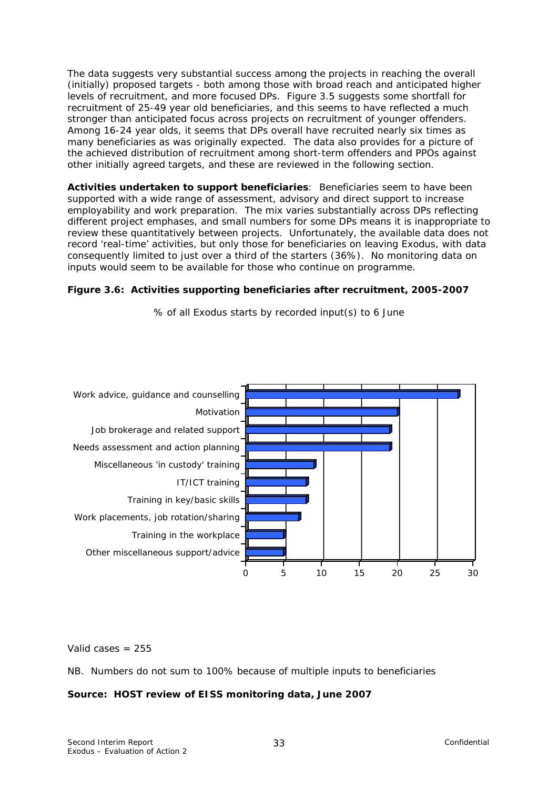The data suggests very substantial success among the projects in reaching the overall (initially) proposed targets - both among those with broad reach and anticipated higher levels of recruitment, and more focused DPs. Figure 3.5 suggests some shortfall for recruitment of 25-49 year old beneficiaries, and this seems to have reflected a much stronger than anticipated focus across projects on recruitment of younger offenders. Among 16-24 year olds, it seems that DPs overall have recruited nearly six times as many beneficiaries as was originally expected. The data also provides for a picture of the achieved distribution of recruitment among short-term offenders and PPOs against other initially agreed targets, and these are reviewed in the following section.

**Activities undertaken to support beneficiaries**: Beneficiaries seem to have been supported with a wide range of assessment, advisory and direct support to increase employability and work preparation. The mix varies substantially across DPs reflecting different project emphases, and small numbers for some DPs means it is inappropriate to review these quantitatively between projects. Unfortunately, the available data does not record 'real-time' activities, but only those for beneficiaries on leaving Exodus, with data consequently limited to just over a third of the starters (36%). No monitoring data on inputs would seem to be available for those who continue on programme.

#### **Figure 3.6: Activities supporting beneficiaries after recruitment, 2005-2007**

% of all Exodus starts by recorded input(s) to 6 June



Valid cases  $= 255$ 

NB. Numbers do not sum to 100% because of multiple inputs to beneficiaries

#### **Source: HOST review of EISS monitoring data, June 2007**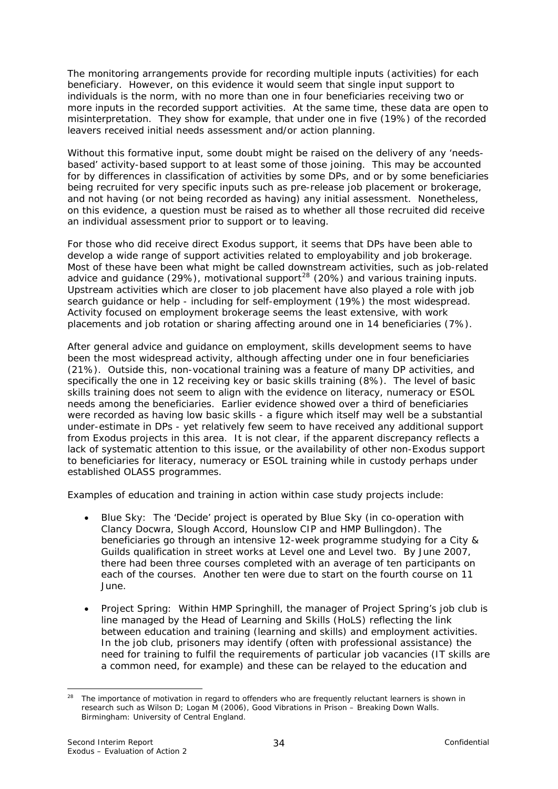<span id="page-37-0"></span>The monitoring arrangements provide for recording multiple inputs (activities) for each beneficiary. However, on this evidence it would seem that single input support to individuals is the norm, with no more than one in four beneficiaries receiving two or more inputs in the recorded support activities. At the same time, these data are open to misinterpretation. They show for example, that under one in five (19%) of the recorded leavers received initial needs assessment and/or action planning.

Without this formative input, some doubt might be raised on the delivery of any 'needsbased' activity-based support to at least some of those joining. This may be accounted for by differences in classification of activities by some DPs, and or by some beneficiaries being recruited for very specific inputs such as pre-release job placement or brokerage, and not having (or not being recorded as having) any initial assessment. Nonetheless, on this evidence, a question must be raised as to whether all those recruited did receive an individual assessment prior to support or to leaving.

For those who did receive direct Exodus support, it seems that DPs have been able to develop a wide range of support activities related to employability and job brokerage. Most of these have been what might be called *downstream* activities, such as job-related advice and guidance (29%), motivational support<sup>[28](#page-37-0)</sup> (20%) and various training inputs. Upstream activities which are closer to job placement have also played a role with job search guidance or help - including for self-employment (19%) the most widespread. Activity focused on employment brokerage seems the least extensive, with work placements and job rotation or sharing affecting around one in 14 beneficiaries (7%).

After general advice and guidance on employment, skills development seems to have been the most widespread activity, although affecting under one in four beneficiaries (21%). Outside this, non-vocational training was a feature of many DP activities, and specifically the one in 12 receiving key or basic skills training (8%). The level of basic skills training does not seem to align with the evidence on literacy, numeracy or ESOL needs among the beneficiaries. Earlier evidence showed over a third of beneficiaries were recorded as having low basic skills - a figure which itself may well be a substantial under-estimate in DPs - yet relatively few seem to have received any additional support from Exodus projects in this area. It is not clear, if the apparent discrepancy reflects a lack of systematic attention to this issue, or the availability of other non-Exodus support to beneficiaries for literacy, numeracy or ESOL training while in custody perhaps under established OLASS programmes.

Examples of education and training in action within case study projects include:

- *Blue Sky*: The 'Decide' project is operated by Blue Sky (in co-operation with Clancy Docwra, Slough Accord, Hounslow CIP and HMP Bullingdon). The beneficiaries go through an intensive 12-week programme studying for a City & Guilds qualification in street works at Level one and Level two. By June 2007, there had been three courses completed with an average of ten participants on each of the courses. Another ten were due to start on the fourth course on 11 June.
- *Project Spring*:Within HMP Springhill, the manager of Project Spring's job club is line managed by the Head of Learning and Skills (HoLS) reflecting the link between education and training (learning and skills) and employment activities. In the job club, prisoners may identify (often with professional assistance) the need for training to fulfil the requirements of particular job vacancies (IT skills are a common need, for example) and these can be relayed to the education and

<sup>1</sup> <sup>28</sup> The importance of motivation in regard to offenders who are frequently reluctant learners is shown in research such as Wilson D; Logan M (2006), *Good Vibrations in Prison – Breaking Down Walls.*  Birmingham: University of Central England.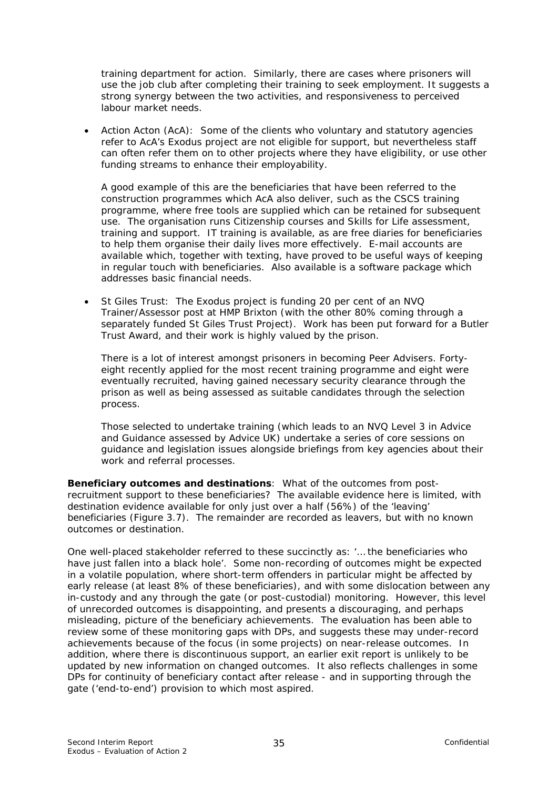training department for action. Similarly, there are cases where prisoners will use the job club after completing their training to seek employment. It suggests a strong synergy between the two activities, and responsiveness to perceived labour market needs.

• *Action Acton (AcA)*: Some of the clients who voluntary and statutory agencies refer to AcA's Exodus project are not eligible for support, but nevertheless staff can often refer them on to other projects where they have eligibility, or use other funding streams to enhance their employability.

A good example of this are the beneficiaries that have been referred to the construction programmes which AcA also deliver, such as the CSCS training programme, where free tools are supplied which can be retained for subsequent use. The organisation runs Citizenship courses and Skills for Life assessment, training and support. IT training is available, as are free diaries for beneficiaries to help them organise their daily lives more effectively. E-mail accounts are available which, together with texting, have proved to be useful ways of keeping in regular touch with beneficiaries. Also available is a software package which addresses basic financial needs.

• *St Giles Trust*: The Exodus project is funding 20 per cent of an NVQ Trainer/Assessor post at HMP Brixton (with the other 80% coming through a separately funded St Giles Trust Project). Work has been put forward for a Butler Trust Award, and their work is highly valued by the prison.

There is a lot of interest amongst prisoners in becoming Peer Advisers. Fortyeight recently applied for the most recent training programme and eight were eventually recruited, having gained necessary security clearance through the prison as well as being assessed as suitable candidates through the selection process.

Those selected to undertake training (which leads to an NVQ Level 3 in Advice and Guidance assessed by Advice UK) undertake a series of core sessions on guidance and legislation issues alongside briefings from key agencies about their work and referral processes.

**Beneficiary outcomes and destinations**: What of the outcomes from postrecruitment support to these beneficiaries? The available evidence here is limited, with destination evidence available for only just over a half (56%) of the 'leaving' beneficiaries (Figure 3.7). The remainder are recorded as leavers, but with no known outcomes or destination.

One well-placed stakeholder referred to these succinctly as: '*… the beneficiaries who have just fallen into a black hole'.* Some non-recording of outcomes might be expected in a volatile population, where short-term offenders in particular might be affected by early release (at least 8% of these beneficiaries), and with some dislocation between any in-custody and any through the gate (or post-custodial) monitoring. However, this level of unrecorded outcomes is disappointing, and presents a discouraging, and perhaps misleading, picture of the beneficiary achievements. The evaluation has been able to review some of these monitoring gaps with DPs, and suggests these may under-record achievements because of the focus (in some projects) on near-release outcomes. In addition, where there is discontinuous support, an earlier exit report is unlikely to be updated by new information on changed outcomes. It also reflects challenges in some DPs for continuity of beneficiary contact after release - and in supporting through the gate ('end-to-end') provision to which most aspired.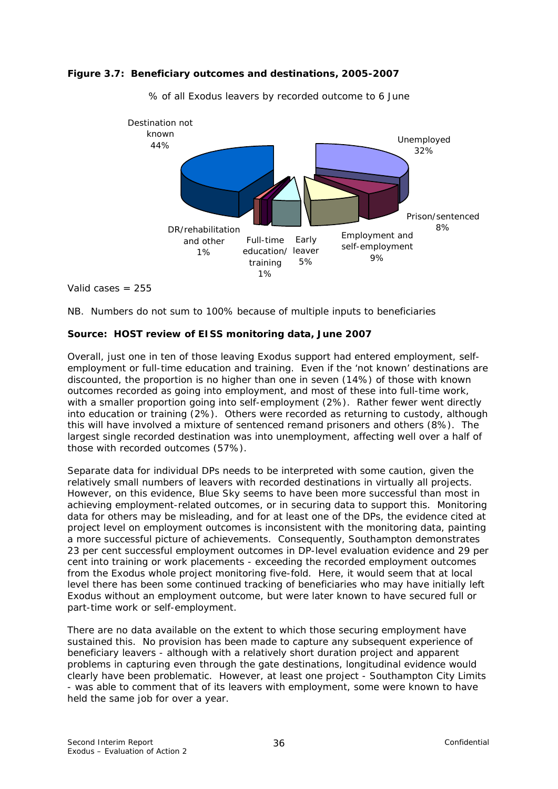



% of all Exodus leavers by recorded outcome to 6 June

Valid cases  $= 255$ 

NB. Numbers do not sum to 100% because of multiple inputs to beneficiaries

#### **Source: HOST review of EISS monitoring data, June 2007**

Overall, just one in ten of those leaving Exodus support had entered employment, selfemployment or full-time education and training. Even if the 'not known' destinations are discounted, the proportion is no higher than one in seven (14%) of those with known outcomes recorded as going into employment, and most of these into full-time work, with a smaller proportion going into self-employment (2%). Rather fewer went directly into education or training (2%). Others were recorded as returning to custody, although this will have involved a mixture of sentenced remand prisoners and others (8%). The largest single recorded destination was into unemployment, affecting well over a half of those with recorded outcomes (57%).

Separate data for individual DPs needs to be interpreted with some caution, given the relatively small numbers of leavers with recorded destinations in virtually all projects. However, on this evidence, Blue Sky seems to have been more successful than most in achieving employment-related outcomes, or in securing data to support this. Monitoring data for others may be misleading, and for at least one of the DPs, the evidence cited at project level on employment outcomes is inconsistent with the monitoring data, painting a more successful picture of achievements. Consequently, Southampton demonstrates 23 per cent successful employment outcomes in DP-level evaluation evidence and 29 per cent into training or work placements - exceeding the recorded employment outcomes from the Exodus whole project monitoring five-fold. Here, it would seem that at local level there has been some continued tracking of beneficiaries who may have initially left Exodus without an employment outcome, but were later known to have secured full or part-time work or self-employment.

There are no data available on the extent to which those securing employment have sustained this. No provision has been made to capture any subsequent experience of beneficiary leavers - although with a relatively short duration project and apparent problems in capturing even through the gate destinations, longitudinal evidence would clearly have been problematic. However, at least one project - Southampton City Limits - was able to comment that of its leavers with employment, some were known to have held the same job for over a year.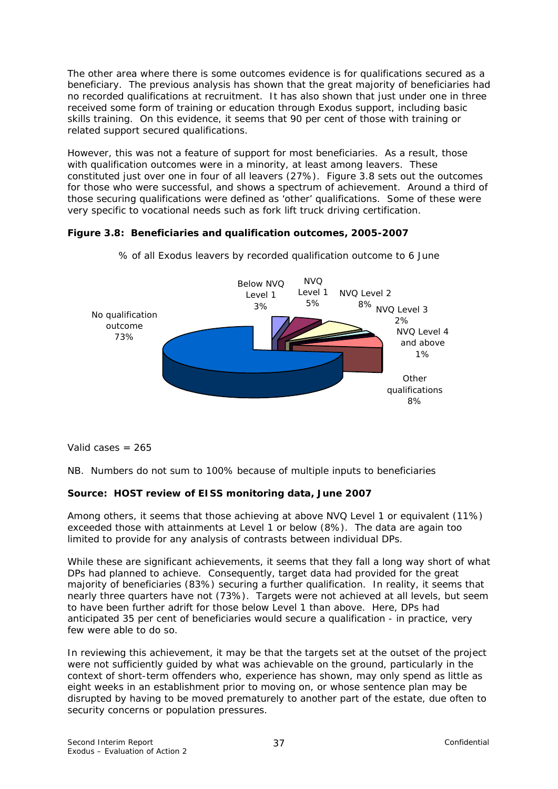The other area where there is some outcomes evidence is for qualifications secured as a beneficiary. The previous analysis has shown that the great majority of beneficiaries had no recorded qualifications at recruitment. It has also shown that just under one in three received some form of training or education through Exodus support, including basic skills training. On this evidence, it seems that 90 per cent of those with training or related support secured qualifications.

However, this was not a feature of support for most beneficiaries. As a result, those with qualification outcomes were in a minority, at least among leavers. These constituted just over one in four of all leavers (27%). Figure 3.8 sets out the outcomes for those who were successful, and shows a spectrum of achievement. Around a third of those securing qualifications were defined as 'other' qualifications. Some of these were very specific to vocational needs such as fork lift truck driving certification.

#### **Figure 3.8: Beneficiaries and qualification outcomes, 2005-2007**



% of all Exodus leavers by recorded qualification outcome to 6 June

Valid cases  $= 265$ 

NB. Numbers do not sum to 100% because of multiple inputs to beneficiaries

#### **Source: HOST review of EISS monitoring data, June 2007**

Among others, it seems that those achieving at above NVQ Level 1 or equivalent (11%) exceeded those with attainments at Level 1 or below (8%). The data are again too limited to provide for any analysis of contrasts between individual DPs.

While these are significant achievements, it seems that they fall a long way short of what DPs had planned to achieve. Consequently, target data had provided for the great majority of beneficiaries (83%) securing a further qualification. In reality, it seems that nearly three quarters have not (73%). Targets were not achieved at all levels, but seem to have been further adrift for those below Level 1 than above. Here, DPs had anticipated 35 per cent of beneficiaries would secure a qualification - in practice, very few were able to do so.

In reviewing this achievement, it may be that the targets set at the outset of the project were not sufficiently guided by what was achievable on the ground, particularly in the context of short-term offenders who, experience has shown, may only spend as little as eight weeks in an establishment prior to moving on, or whose sentence plan may be disrupted by having to be moved prematurely to another part of the estate, due often to security concerns or population pressures.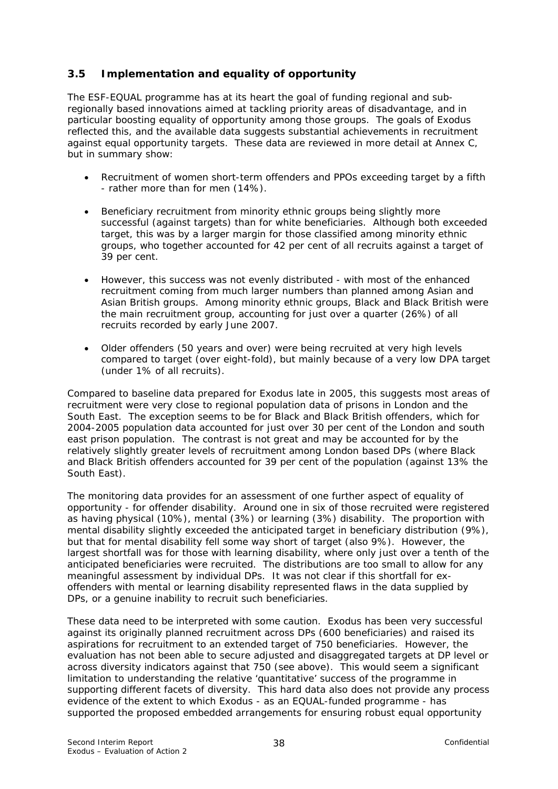# **3.5 Implementation and equality of opportunity**

The ESF-EQUAL programme has at its heart the goal of funding regional and subregionally based innovations aimed at tackling priority areas of disadvantage, and in particular boosting equality of opportunity among those groups. The goals of Exodus reflected this, and the available data suggests substantial achievements in recruitment against equal opportunity targets. These data are reviewed in more detail at Annex C, but in summary show:

- Recruitment of women short-term offenders and PPOs exceeding target by a fifth - rather more than for men (14%).
- Beneficiary recruitment from minority ethnic groups being slightly more successful (against targets) than for white beneficiaries. Although both exceeded target, this was by a larger margin for those classified among minority ethnic groups, who together accounted for 42 per cent of all recruits against a target of 39 per cent.
- However, this success was not evenly distributed with most of the enhanced recruitment coming from much larger numbers than planned among Asian and Asian British groups. Among minority ethnic groups, Black and Black British were the main recruitment group, accounting for just over a quarter (26%) of all recruits recorded by early June 2007.
- Older offenders (50 years and over) were being recruited at very high levels compared to target (over eight-fold), but mainly because of a very low DPA target (under 1% of all recruits).

Compared to baseline data prepared for Exodus late in 2005, this suggests most areas of recruitment were very close to regional population data of prisons in London and the South East. The exception seems to be for Black and Black British offenders, which for 2004-2005 population data accounted for just over 30 per cent of the London and south east prison population. The contrast is not great and may be accounted for by the relatively slightly greater levels of recruitment among London based DPs (where Black and Black British offenders accounted for 39 per cent of the population (against 13% the South East).

The monitoring data provides for an assessment of one further aspect of equality of opportunity - for offender disability. Around one in six of those recruited were registered as having physical (10%), mental (3%) or learning (3%) disability. The proportion with mental disability slightly exceeded the anticipated target in beneficiary distribution (9%), but that for mental disability fell some way short of target (also 9%). However, the largest shortfall was for those with learning disability, where only just over a tenth of the anticipated beneficiaries were recruited. The distributions are too small to allow for any meaningful assessment by individual DPs. It was not clear if this shortfall for exoffenders with mental or learning disability represented flaws in the data supplied by DPs, or a genuine inability to recruit such beneficiaries.

These data need to be interpreted with some caution. Exodus has been very successful against its originally planned recruitment across DPs (600 beneficiaries) and raised its aspirations for recruitment to an extended target of 750 beneficiaries. However, the evaluation has not been able to secure adjusted and disaggregated targets at DP level or across diversity indicators against that 750 (see above). This would seem a significant limitation to understanding the relative 'quantitative' success of the programme in supporting different facets of diversity. This hard data also does not provide any process evidence of the extent to which Exodus - as an EQUAL-funded programme - has supported the proposed embedded arrangements for ensuring robust equal opportunity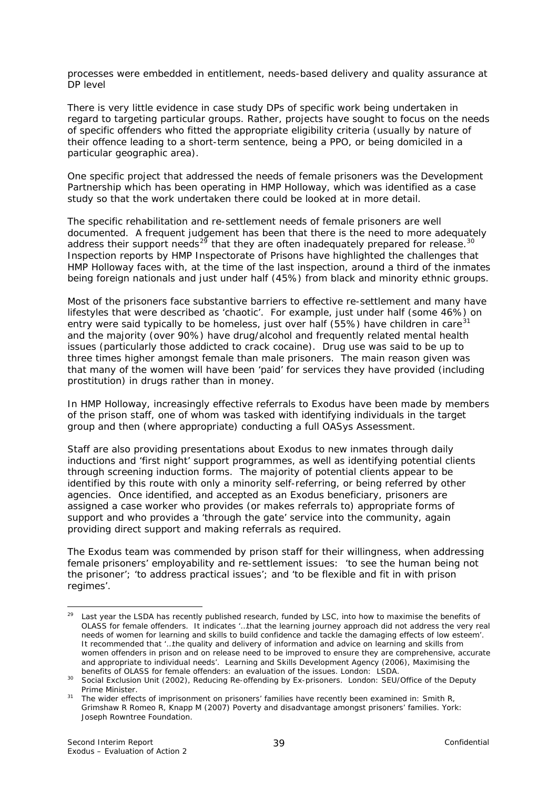<span id="page-42-0"></span>processes were embedded in entitlement, needs-based delivery and quality assurance at DP level

There is very little evidence in case study DPs of specific work being undertaken in regard to targeting particular groups. Rather, projects have sought to focus on the needs of specific offenders who fitted the appropriate eligibility criteria (usually by nature of their offence leading to a short-term sentence, being a PPO, or being domiciled in a particular geographic area).

One specific project that addressed the needs of female prisoners was the Development Partnership which has been operating in HMP Holloway, which was identified as a case study so that the work undertaken there could be looked at in more detail.

The specific rehabilitation and re-settlement needs of female prisoners are well documented. A frequent judgement has been that there is the need to more adequately address their support needs<sup>[29](#page-42-0)</sup> that they are often inadequately prepared for release.<sup>30</sup> Inspection reports by HMP Inspectorate of Prisons have highlighted the challenges that HMP Holloway faces with, at the time of the last inspection, around a third of the inmates being foreign nationals and just under half (45%) from black and minority ethnic groups.

Most of the prisoners face substantive barriers to effective re-settlement and many have lifestyles that were described as 'chaotic'. For example, just under half (some 46%) on entry were said typically to be homeless, just over half (55%) have children in care<sup>[31](#page-42-0)</sup> and the majority (over 90%) have drug/alcohol and frequently related mental health issues (particularly those addicted to crack cocaine). Drug use was said to be up to three times higher amongst female than male prisoners. The main reason given was that many of the women will have been 'paid' for services they have provided (including prostitution) in drugs rather than in money.

In HMP Holloway, increasingly effective referrals to Exodus have been made by members of the prison staff, one of whom was tasked with identifying individuals in the target group and then (where appropriate) conducting a full OASys Assessment.

Staff are also providing presentations about Exodus to new inmates through daily inductions and 'first night' support programmes, as well as identifying potential clients through screening induction forms. The majority of potential clients appear to be identified by this route with only a minority self-referring, or being referred by other agencies. Once identified, and accepted as an Exodus beneficiary, prisoners are assigned a case worker who provides (or makes referrals to) appropriate forms of support and who provides a 'through the gate' service into the community, again providing direct support and making referrals as required.

The Exodus team was commended by prison staff for their willingness, when addressing female prisoners' employability and re-settlement issues: *'to see the human being not the prisoner'*; *'to address practical issues'*; and *'to be flexible and fit in with prison regimes'.* 

Last year the LSDA has recently published research, funded by LSC, into how to maximise the benefits of OLASS for female offenders. It indicates *'…that the learning journey approach did not address the very real needs of women for learning and skills to build confidence and tackle the damaging effects of low esteem*'. It recommended that *'…the quality and delivery of information and advice on learning and skills from women offenders in prison and on release need to be improved to ensure they are comprehensive, accurate and appropriate to individual needs'*. Learning and Skills Development Agency (2006), *Maximising the* 

*benefits of OLASS for female offenders: an evaluation of the issues.* London: LSDA. 30 Social Exclusion Unit (2002), *Reducing Re-offending by Ex-prisoners*. London: SEU/Office of the Deputy

Prime Minister.<br><sup>31</sup> The wider effects of imprisonment on prisoners' families have recently been examined in: Smith R, Grimshaw R Romeo R, Knapp M (2007) *Poverty and disadvantage amongst prisoners' families.* York: Joseph Rowntree Foundation.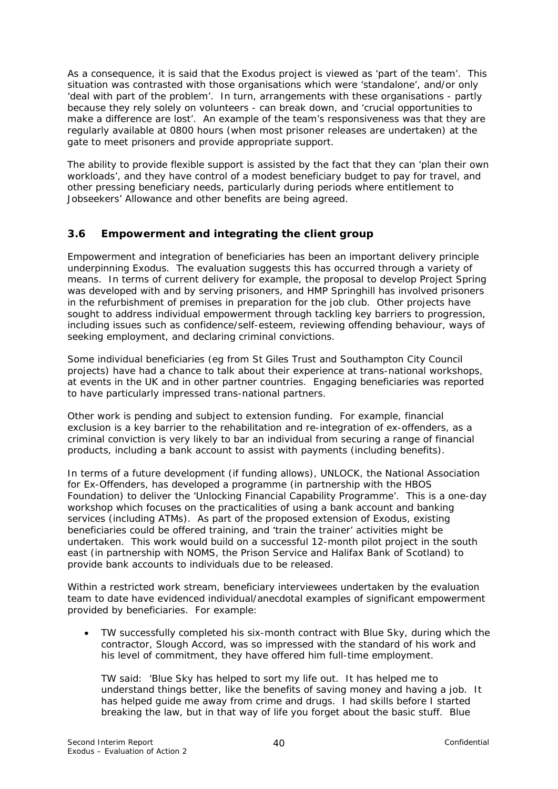As a consequence, it is said that the Exodus project is viewed as *'part of the team'*. This situation was contrasted with those organisations which were 'standalone', and/or only *'deal with part of the problem'*. In turn, arrangements with these organisations - partly because they rely solely on volunteers - can break down, and *'crucial opportunities to make a difference are lost'*. An example of the team's responsiveness was that they are regularly available at 0800 hours (when most prisoner releases are undertaken) at the gate to meet prisoners and provide appropriate support.

The ability to provide flexible support is assisted by the fact that they can *'plan their own workloads'*, and they have control of a modest beneficiary budget to pay for travel, and other pressing beneficiary needs, particularly during periods where entitlement to Jobseekers' Allowance and other benefits are being agreed.

#### **3.6 Empowerment and integrating the client group**

Empowerment and integration of beneficiaries has been an important delivery principle underpinning Exodus. The evaluation suggests this has occurred through a variety of means. In terms of current delivery for example, the proposal to develop Project Spring was developed with and by serving prisoners, and HMP Springhill has involved prisoners in the refurbishment of premises in preparation for the job club. Other projects have sought to address individual empowerment through tackling key barriers to progression, including issues such as confidence/self-esteem, reviewing offending behaviour, ways of seeking employment, and declaring criminal convictions.

Some individual beneficiaries (eg from St Giles Trust and Southampton City Council projects) have had a chance to talk about their experience at trans-national workshops, at events in the UK and in other partner countries. Engaging beneficiaries was reported to have particularly impressed trans-national partners.

Other work is pending and subject to extension funding. For example, financial exclusion is a key barrier to the rehabilitation and re-integration of ex-offenders, as a criminal conviction is very likely to bar an individual from securing a range of financial products, including a bank account to assist with payments (including benefits).

In terms of a future development (if funding allows), UNLOCK, the National Association for Ex-Offenders, has developed a programme (in partnership with the HBOS Foundation) to deliver the 'Unlocking Financial Capability Programme'. This is a one-day workshop which focuses on the practicalities of using a bank account and banking services (including ATMs). As part of the proposed extension of Exodus, existing beneficiaries could be offered training, and 'train the trainer' activities might be undertaken. This work would build on a successful 12-month pilot project in the south east (in partnership with NOMS, the Prison Service and Halifax Bank of Scotland) to provide bank accounts to individuals due to be released.

Within a restricted work stream, beneficiary interviewees undertaken by the evaluation team to date have evidenced individual/anecdotal examples of significant empowerment provided by beneficiaries. For example:

• *TW successfully completed his six-month contract with Blue Sky, during which the contractor, Slough Accord, was so impressed with the standard of his work and his level of commitment, they have offered him full-time employment.*

*TW said:* 'Blue Sky has helped to sort my life out. It has helped me to understand things better, like the benefits of saving money and having a job. It has helped guide me away from crime and drugs. I had skills before I started breaking the law, but in that way of life you forget about the basic stuff. Blue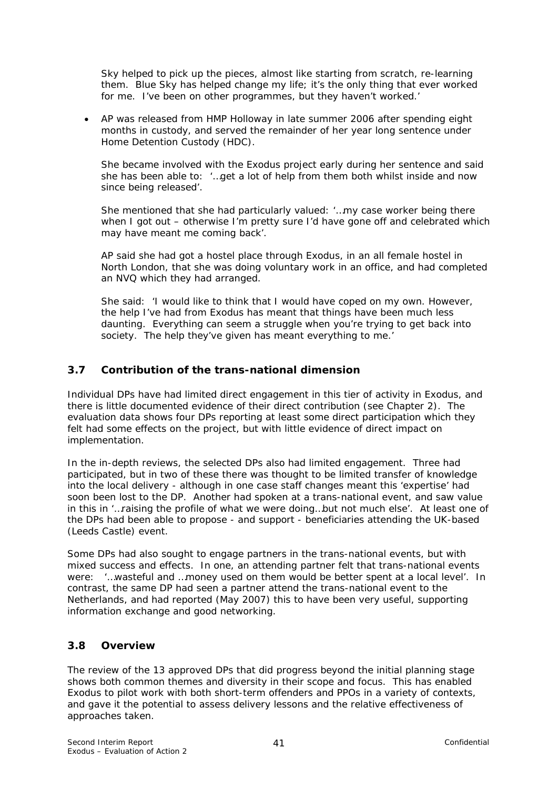Sky helped to pick up the pieces, almost like starting from scratch, re-learning them. Blue Sky has helped change my life; it's the only thing that ever worked for me. I've been on other programmes, but they haven't worked.'

• AP was released from HMP Holloway in late summer 2006 after spending eight months in custody, and served the remainder of her year long sentence under Home Detention Custody (HDC).

She became involved with the Exodus project early during her sentence and said she has been able to: *'…get a lot of help from them both whilst inside and now since being released'.* 

She mentioned that she had particularly valued: *'…my case worker being there when I got out – otherwise I'm pretty sure I'd have gone off and celebrated which may have meant me coming back'*.

AP said she had got a hostel place through Exodus, in an all female hostel in North London, that she was doing voluntary work in an office, and had completed an NVQ which they had arranged.

She said: *'I would like to think that I would have coped on my own. However, the help I've had from Exodus has meant that things have been much less daunting. Everything can seem a struggle when you're trying to get back into society. The help they've given has meant everything to me.'* 

# **3.7 Contribution of the trans-national dimension**

Individual DPs have had limited direct engagement in this tier of activity in Exodus, and there is little documented evidence of their direct contribution (see Chapter 2). The evaluation data shows four DPs reporting at least some direct participation which they felt had some effects on the project, but with little evidence of direct impact on implementation.

In the in-depth reviews, the selected DPs also had limited engagement. Three had participated, but in two of these there was thought to be limited transfer of knowledge into the local delivery - although in one case staff changes meant this 'expertise' had soon been lost to the DP. Another had spoken at a trans-national event, and saw value in this in *'…raising the profile of what we were doing…but not much else'*. At least one of the DPs had been able to propose - and support - beneficiaries attending the UK-based (Leeds Castle) event.

Some DPs had also sought to engage partners in the trans-national events, but with mixed success and effects. In one, an attending partner felt that trans-national events were: *'…wasteful and …money used on them would be better spent at a local level'.* In contrast, the same DP had seen a partner attend the trans-national event to the Netherlands, and had reported (May 2007) this to have been very useful, supporting information exchange and good networking.

# **3.8 Overview**

The review of the 13 approved DPs that did progress beyond the initial planning stage shows both common themes and diversity in their scope and focus. This has enabled Exodus to pilot work with both short-term offenders and PPOs in a variety of contexts, and gave it the potential to assess delivery lessons and the relative effectiveness of approaches taken.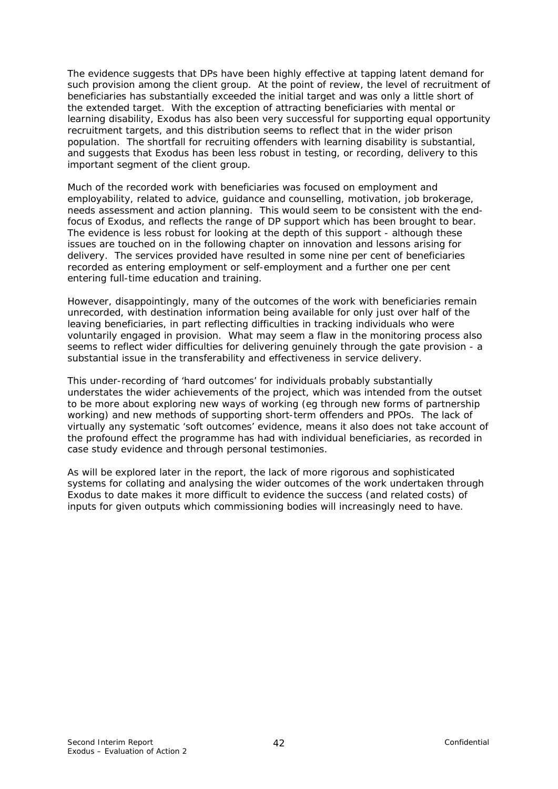The evidence suggests that DPs have been highly effective at tapping latent demand for such provision among the client group. At the point of review, the level of recruitment of beneficiaries has substantially exceeded the initial target and was only a little short of the extended target. With the exception of attracting beneficiaries with mental or learning disability, Exodus has also been very successful for supporting equal opportunity recruitment targets, and this distribution seems to reflect that in the wider prison population. The shortfall for recruiting offenders with learning disability is substantial, and suggests that Exodus has been less robust in testing, or recording, delivery to this important segment of the client group.

Much of the recorded work with beneficiaries was focused on employment and employability, related to advice, guidance and counselling, motivation, job brokerage, needs assessment and action planning. This would seem to be consistent with the endfocus of Exodus, and reflects the range of DP support which has been brought to bear. The evidence is less robust for looking at the depth of this support - although these issues are touched on in the following chapter on innovation and lessons arising for delivery. The services provided have resulted in some nine per cent of beneficiaries recorded as entering employment or self-employment and a further one per cent entering full-time education and training.

However, disappointingly, many of the outcomes of the work with beneficiaries remain unrecorded, with destination information being available for only just over half of the leaving beneficiaries, in part reflecting difficulties in tracking individuals who were voluntarily engaged in provision. What may seem a flaw in the monitoring process also seems to reflect wider difficulties for delivering genuinely through the gate provision - a substantial issue in the transferability and effectiveness in service delivery.

This under-recording of 'hard outcomes' for individuals probably substantially understates the wider achievements of the project, which was intended from the outset to be more about exploring new ways of working (eg through new forms of partnership working) and new methods of supporting short-term offenders and PPOs. The lack of virtually any systematic 'soft outcomes' evidence, means it also does not take account of the profound effect the programme has had with individual beneficiaries, as recorded in case study evidence and through personal testimonies.

As will be explored later in the report, the lack of more rigorous and sophisticated systems for collating and analysing the wider outcomes of the work undertaken through Exodus to date makes it more difficult to evidence the success (and related costs) of inputs for given outputs which commissioning bodies will increasingly need to have.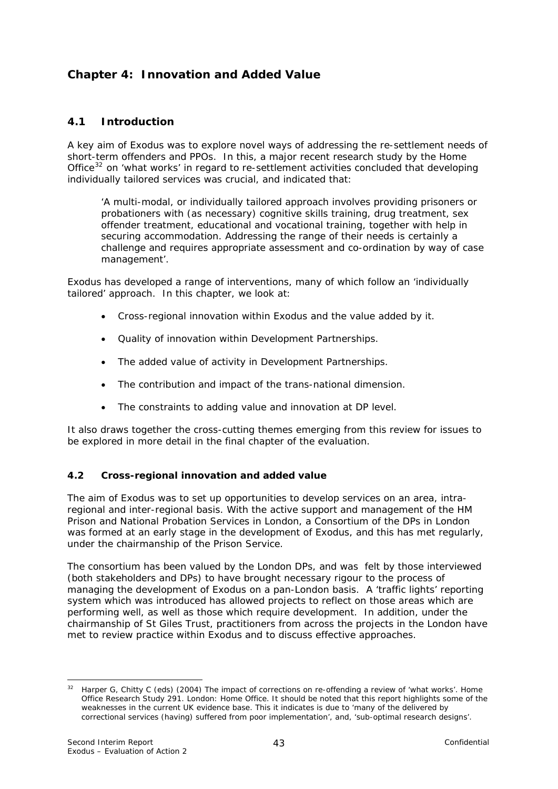# <span id="page-46-0"></span>**Chapter 4: Innovation and Added Value**

#### **4.1 Introduction**

A key aim of Exodus was to explore novel ways of addressing the re-settlement needs of short-term offenders and PPOs. In this, a major recent research study by the Home Office<sup>[32](#page-46-0)</sup> on 'what works' in regard to re-settlement activities concluded that developing individually tailored services was crucial, and indicated that:

*'A multi-modal, or individually tailored approach involves providing prisoners or probationers with (as necessary) cognitive skills training, drug treatment, sex offender treatment, educational and vocational training, together with help in securing accommodation. Addressing the range of their needs is certainly a challenge and requires appropriate assessment and co-ordination by way of case management'*.

Exodus has developed a range of interventions, many of which follow an 'individually tailored' approach. In this chapter, we look at:

- Cross-regional innovation within Exodus and the value added by it.
- Quality of innovation within Development Partnerships.
- The added value of activity in Development Partnerships.
- The contribution and impact of the trans-national dimension.
- The constraints to adding value and innovation at DP level.

It also draws together the cross-cutting themes emerging from this review for issues to be explored in more detail in the final chapter of the evaluation.

#### **4.2 Cross-regional innovation and added value**

The aim of Exodus was to set up opportunities to develop services on an *area*, *intraregional* and *inter-regional* basis. With the active support and management of the HM Prison and National Probation Services in London, a Consortium of the DPs in London was formed at an early stage in the development of Exodus, and this has met regularly, under the chairmanship of the Prison Service.

The consortium has been valued by the London DPs, and was felt by those interviewed (both stakeholders and DPs) to have brought necessary rigour to the process of managing the development of Exodus on a pan-London basis. A 'traffic lights' reporting system which was introduced has allowed projects to reflect on those areas which are performing well, as well as those which require development. In addition, under the chairmanship of St Giles Trust, practitioners from across the projects in the London have met to review practice within Exodus and to discuss effective approaches.

<sup>1</sup> <sup>32</sup> Harper G, Chitty C (eds) (2004) *The impact of corrections on re-offending a review of 'what works'*. Home Office Research Study 291. London: Home Office. It should be noted that this report highlights some of the weaknesses in the current UK evidence base. This it indicates is due to 'many of the delivered by correctional services (having) suffered from poor implementation', and, 'sub-optimal research designs'.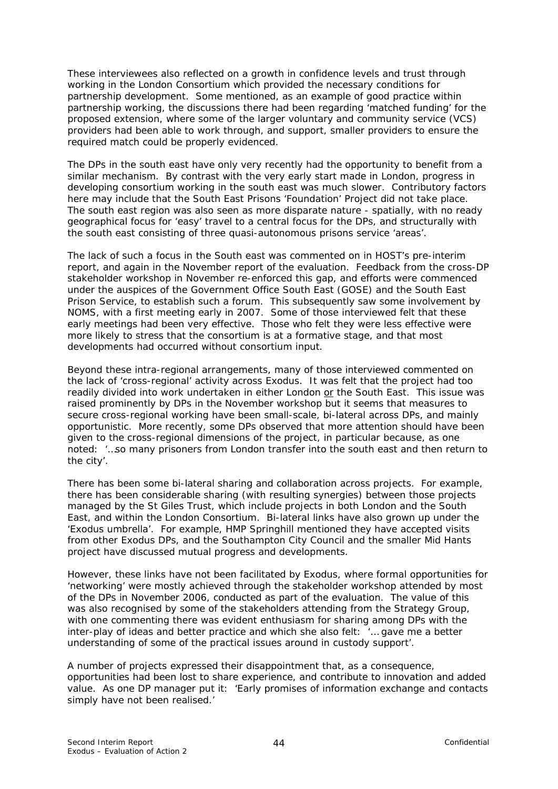These interviewees also reflected on a growth in confidence levels and trust through working in the London Consortium which provided the necessary conditions for partnership development. Some mentioned, as an example of good practice within partnership working, the discussions there had been regarding 'matched funding' for the proposed extension, where some of the larger voluntary and community service (VCS) providers had been able to work through, and support, smaller providers to ensure the required match could be properly evidenced.

The DPs in the south east have only very recently had the opportunity to benefit from a similar mechanism. By contrast with the very early start made in London, progress in developing consortium working in the south east was much slower. Contributory factors here may include that the South East Prisons 'Foundation' Project did not take place. The south east region was also seen as more disparate nature - spatially, with no ready geographical focus for 'easy' travel to a central focus for the DPs, and structurally with the south east consisting of three quasi-autonomous prisons service 'areas'.

The lack of such a focus in the South east was commented on in HOST's pre-interim report, and again in the November report of the evaluation. Feedback from the cross-DP stakeholder workshop in November re-enforced this gap, and efforts were commenced under the auspices of the Government Office South East (GOSE) and the South East Prison Service, to establish such a forum. This subsequently saw some involvement by NOMS, with a first meeting early in 2007. Some of those interviewed felt that these early meetings had been very effective. Those who felt they were less effective were more likely to stress that the consortium is at a formative stage, and that most developments had occurred without consortium input.

Beyond these intra-regional arrangements, many of those interviewed commented on the lack of 'cross-regional' activity across Exodus. It was felt that the project had too readily divided into work undertaken in either London or the South East. This issue was raised prominently by DPs in the November workshop but it seems that measures to secure cross-regional working have been small-scale, bi-lateral across DPs, and mainly opportunistic. More recently, some DPs observed that more attention should have been given to the cross-regional dimensions of the project, in particular because, as one noted: *'…so many prisoners from London transfer into the south east and then return to the city'.* 

There has been some bi-lateral sharing and collaboration across projects. For example, there has been considerable sharing (with resulting synergies) between those projects managed by the St Giles Trust, which include projects in both London and the South East, and within the London Consortium. Bi-lateral links have also grown up under the 'Exodus umbrella'. For example, HMP Springhill mentioned they have accepted visits from other Exodus DPs, and the Southampton City Council and the smaller Mid Hants project have discussed mutual progress and developments.

However, these links have not been facilitated by Exodus, where formal opportunities for 'networking' were mostly achieved through the stakeholder workshop attended by most of the DPs in November 2006, conducted as part of the evaluation. The value of this was also recognised by some of the stakeholders attending from the Strategy Group, with one commenting there was evident enthusiasm for sharing among DPs with the inter-play of ideas and better practice and which she also felt: *'… gave me a better understanding of some of the practical issues around in custody support'*.

A number of projects expressed their disappointment that, as a consequence, opportunities had been lost to share experience, and contribute to innovation and added value. As one DP manager put it: *'Early promises of information exchange and contacts simply have not been realised.'*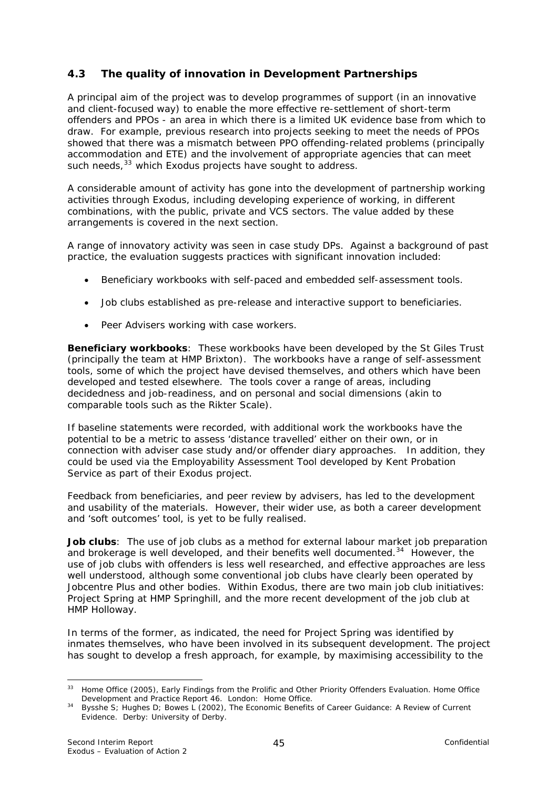# <span id="page-48-0"></span>**4.3 The quality of innovation in Development Partnerships**

A principal aim of the project was to develop programmes of support (in an innovative and client-focused way) to enable the more effective re-settlement of short-term offenders and PPOs - an area in which there is a limited UK evidence base from which to draw. For example, previous research into projects seeking to meet the needs of PPOs showed that there was a mismatch between PPO offending-related problems (principally accommodation and ETE) and the involvement of appropriate agencies that can meet such needs,<sup>[33](#page-48-0)</sup> which Exodus projects have sought to address.

A considerable amount of activity has gone into the development of partnership working activities through Exodus, including developing experience of working, in different combinations, with the public, private and VCS sectors. The value added by these arrangements is covered in the next section.

A range of innovatory activity was seen in case study DPs. Against a background of past practice, the evaluation suggests practices with significant innovation included:

- Beneficiary workbooks with self-paced and embedded self-assessment tools.
- Job clubs established as pre-release and interactive support to beneficiaries.
- Peer Advisers working with case workers.

**Beneficiary workbooks**: These workbooks have been developed by the St Giles Trust (principally the team at HMP Brixton). The workbooks have a range of self-assessment tools, some of which the project have devised themselves, and others which have been developed and tested elsewhere. The tools cover a range of areas, including decidedness and job-readiness, and on personal and social dimensions (akin to comparable tools such as the Rikter Scale).

If baseline statements were recorded, with additional work the workbooks have the potential to be a metric to assess 'distance travelled' either on their own, or in connection with adviser case study and/or offender diary approaches. In addition, they could be used via the Employability Assessment Tool developed by Kent Probation Service as part of their Exodus project.

Feedback from beneficiaries, and peer review by advisers, has led to the development and usability of the materials. However, their wider use, as both a career development and 'soft outcomes' tool, is yet to be fully realised.

**Job clubs**: The use of job clubs as a method for external labour market job preparation and brokerage is well developed, and their benefits well documented.<sup>[34](#page-48-0)</sup> However, the use of job clubs with offenders is less well researched, and effective approaches are less well understood, although some conventional job clubs have clearly been operated by Jobcentre Plus and other bodies. Within Exodus, there are two main job club initiatives: Project Spring at HMP Springhill, and the more recent development of the job club at HMP Holloway.

In terms of the former, as indicated, the need for Project Spring was identified by inmates themselves, who have been involved in its subsequent development. The project has sought to develop a fresh approach, for example, by maximising accessibility to the

<sup>1</sup> <sup>33</sup> Home Office (2005), *Early Findings from the Prolific and Other Priority Offenders Evaluation*. Home Office Development and Practice Report 46. London: Home Office*.* 

<sup>34</sup> Bysshe S; Hughes D; Bowes L (2002), *The Economic Benefits of Career Guidance: A Review of Current Evidence.* Derby: University of Derby.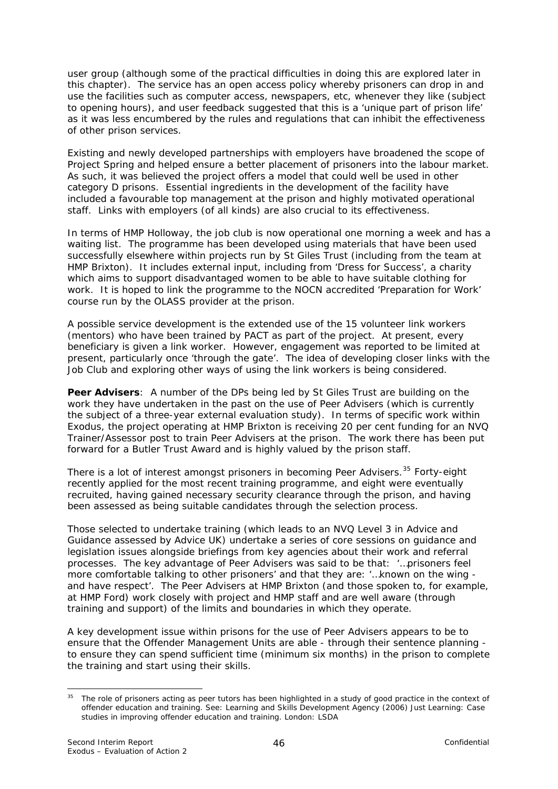<span id="page-49-0"></span>user group (although some of the practical difficulties in doing this are explored later in this chapter). The service has an open access policy whereby prisoners can drop in and use the facilities such as computer access, newspapers, etc, whenever they like (subject to opening hours), and user feedback suggested that this is a 'unique part of prison life' as it was less encumbered by the rules and regulations that can inhibit the effectiveness of other prison services.

Existing and newly developed partnerships with employers have broadened the scope of Project Spring and helped ensure a better placement of prisoners into the labour market. As such, it was believed the project offers a model that could well be used in other category D prisons. Essential ingredients in the development of the facility have included a favourable top management at the prison and highly motivated operational staff. Links with employers (of all kinds) are also crucial to its effectiveness.

In terms of HMP Holloway, the job club is now operational one morning a week and has a waiting list. The programme has been developed using materials that have been used successfully elsewhere within projects run by St Giles Trust (including from the team at HMP Brixton). It includes external input, including from 'Dress for Success', a charity which aims to support disadvantaged women to be able to have suitable clothing for work. It is hoped to link the programme to the NOCN accredited 'Preparation for Work' course run by the OLASS provider at the prison.

A possible service development is the extended use of the 15 volunteer link workers (mentors) who have been trained by PACT as part of the project. At present, every beneficiary is given a link worker. However, engagement was reported to be limited at present, particularly once 'through the gate'. The idea of developing closer links with the Job Club and exploring other ways of using the link workers is being considered.

**Peer Advisers**: A number of the DPs being led by St Giles Trust are building on the work they have undertaken in the past on the use of Peer Advisers (which is currently the subject of a three-year external evaluation study). In terms of specific work within Exodus, the project operating at HMP Brixton is receiving 20 per cent funding for an NVQ Trainer/Assessor post to train Peer Advisers at the prison. The work there has been put forward for a Butler Trust Award and is highly valued by the prison staff.

There is a lot of interest amongst prisoners in becoming Peer Advisers.<sup>[35](#page-49-0)</sup> Forty-eight recently applied for the most recent training programme, and eight were eventually recruited, having gained necessary security clearance through the prison, and having been assessed as being suitable candidates through the selection process.

Those selected to undertake training (which leads to an NVQ Level 3 in Advice and Guidance assessed by Advice UK) undertake a series of core sessions on guidance and legislation issues alongside briefings from key agencies about their work and referral processes. The key advantage of Peer Advisers was said to be that: *'…prisoners feel more comfortable talking to other prisoners'* and that they are: *'…known on the wing and have respect'*. The Peer Advisers at HMP Brixton (and those spoken to, for example, at HMP Ford) work closely with project and HMP staff and are well aware (through training and support) of the limits and boundaries in which they operate.

A key development issue within prisons for the use of Peer Advisers appears to be to ensure that the Offender Management Units are able - through their sentence planning to ensure they can spend sufficient time (minimum six months) in the prison to complete the training and start using their skills.

<sup>1</sup> <sup>35</sup> The role of prisoners acting as peer tutors has been highlighted in a study of good practice in the context of offender education and training. See: Learning and Skills Development Agency (2006) *Just Learning: Case studies in improving offender education and training.* London: LSDA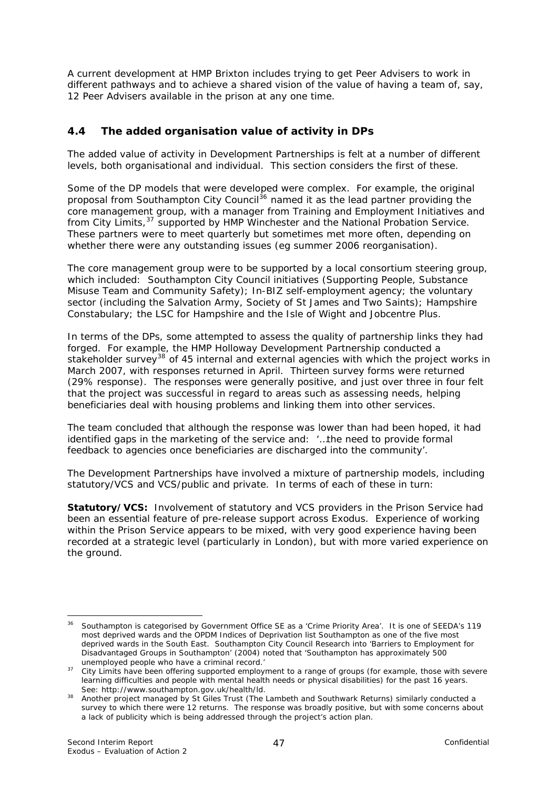<span id="page-50-0"></span>A current development at HMP Brixton includes trying to get Peer Advisers to work in different pathways and to achieve a shared vision of the value of having a team of, say, 12 Peer Advisers available in the prison at any one time.

### **4.4 The added organisation value of activity in DPs**

The added value of activity in Development Partnerships is felt at a number of different levels, both organisational and individual. This section considers the first of these.

Some of the DP models that were developed were complex. For example, the original proposal from Southampton City Council[36](#page-50-0) named it as the lead partner providing the core management group, with a manager from Training and Employment Initiatives and from City Limits,[37](#page-50-0) supported by HMP Winchester and the National Probation Service. These partners were to meet quarterly but sometimes met more often, depending on whether there were any outstanding issues (eg summer 2006 reorganisation).

The core management group were to be supported by a local consortium steering group, which included: Southampton City Council initiatives (Supporting People, Substance Misuse Team and Community Safety); In-BIZ self-employment agency; the voluntary sector (including the Salvation Army, Society of St James and Two Saints); Hampshire Constabulary; the LSC for Hampshire and the Isle of Wight and Jobcentre Plus.

In terms of the DPs, some attempted to assess the quality of partnership links they had forged. For example, the HMP Holloway Development Partnership conducted a stakeholder survey<sup>[38](#page-50-0)</sup> of 45 internal and external agencies with which the project works in March 2007, with responses returned in April. Thirteen survey forms were returned (29% response). The responses were generally positive, and just over three in four felt that the project was successful in regard to areas such as assessing needs, helping beneficiaries deal with housing problems and linking them into other services.

The team concluded that although the response was lower than had been hoped, it had identified gaps in the marketing of the service and: *'…the need to provide formal feedback to agencies once beneficiaries are discharged into the community'.* 

The Development Partnerships have involved a mixture of partnership models, including statutory/VCS and VCS/public and private. In terms of each of these in turn:

**Statutory/VCS:** Involvement of statutory and VCS providers in the Prison Service had been an essential feature of pre-release support across Exodus. Experience of working within the Prison Service appears to be mixed, with very good experience having been recorded at a strategic level (particularly in London), but with more varied experience on the ground.

<sup>&</sup>lt;sup>36</sup> Southampton is categorised by Government Office SE as a 'Crime Priority Area'. It is one of SEEDA's 119 most deprived wards and the OPDM Indices of Deprivation list Southampton as one of the five most deprived wards in the South East. Southampton City Council Research into 'Barriers to Employment for Disadvantaged Groups in Southampton' (2004) noted that 'Southampton has approximately 500

unemployed people who have a criminal record.'<br>37 City Limits have been offering supported employment to a range of groups (for example, those with severe learning difficulties and people with mental health needs or physical disabilities) for the past 16 years.<br>See: http://www.southampton.gov.uk/health/ld.

See: http://www.southampton.gov.uk/health-lealth-lealth-lambeth and Southwark Returns) similarly conducted a survey to which there were 12 returns. The response was broadly positive, but with some concerns about a lack of publicity which is being addressed through the project's action plan.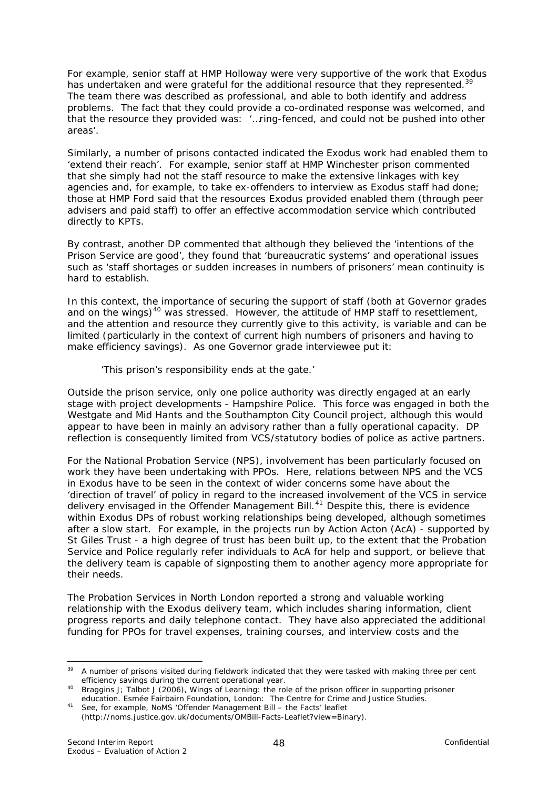<span id="page-51-0"></span>For example, senior staff at HMP Holloway were very supportive of the work that Exodus has undertaken and were grateful for the additional resource that they represented.<sup>[39](#page-51-0)</sup> The team there was described as professional, and able to both identify and address problems. The fact that they could provide a co-ordinated response was welcomed, and that the resource they provided was: *'…ring-fenced, and could not be pushed into other areas'.*

Similarly, a number of prisons contacted indicated the Exodus work had enabled them to 'extend their reach'. For example, senior staff at HMP Winchester prison commented that she simply had not the staff resource to make the extensive linkages with key agencies and, for example, to take ex-offenders to interview as Exodus staff had done; those at HMP Ford said that the resources Exodus provided enabled them (through peer advisers and paid staff) to offer an effective accommodation service which contributed directly to KPTs.

By contrast, another DP commented that although they believed the 'intentions of the Prison Service are good', they found that 'bureaucratic systems' and operational issues such as 'staff shortages or sudden increases in numbers of prisoners' mean continuity is hard to establish.

In this context, the importance of securing the support of staff (both at Governor grades and on the wings) $40$  was stressed. However, the attitude of HMP staff to resettlement, and the attention and resource they currently give to this activity, is variable and can be limited (particularly in the context of current high numbers of prisoners and having to make efficiency savings). As one Governor grade interviewee put it:

#### *'This prison's responsibility ends at the gate.'*

Outside the prison service, only one police authority was directly engaged at an early stage with project developments - Hampshire Police. This force was engaged in both the Westgate and Mid Hants and the Southampton City Council project, although this would appear to have been in mainly an advisory rather than a fully operational capacity. DP reflection is consequently limited from VCS/statutory bodies of police as active partners.

For the National Probation Service (NPS), involvement has been particularly focused on work they have been undertaking with PPOs. Here, relations between NPS and the VCS in Exodus have to be seen in the context of wider concerns some have about the 'direction of travel' of policy in regard to the increased involvement of the VCS in service delivery envisaged in the Offender Management Bill.<sup>[41](#page-51-0)</sup> Despite this, there is evidence within Exodus DPs of robust working relationships being developed, although sometimes after a slow start. For example, in the projects run by Action Acton (AcA) - supported by St Giles Trust - a high degree of trust has been built up, to the extent that the Probation Service and Police regularly refer individuals to AcA for help and support, or believe that the delivery team is capable of signposting them to another agency more appropriate for their needs.

The Probation Services in North London reported a strong and valuable working relationship with the Exodus delivery team, which includes sharing information, client progress reports and daily telephone contact. They have also appreciated the additional funding for PPOs for travel expenses, training courses, and interview costs and the

<sup>1</sup> <sup>39</sup> A number of prisons visited during fieldwork indicated that they were tasked with making three per cent efficiency savings during the current operational year.

efficiency savings during the current operations of Learning: the role of the prison officer in supporting prisoner<br>education. Esmée Fairbairn Foundation, London: The Centre for Crime and Justice Studies.

*education.* Esmée Fairbairn Foundation, London:The Centre for Crime and Justice Studies. 41 See, for example, NoMS *'Offender Management Bill – the Facts'* leaflet (http://noms.justice.gov.uk/documents/OMBill-Facts-Leaflet?view=Binary).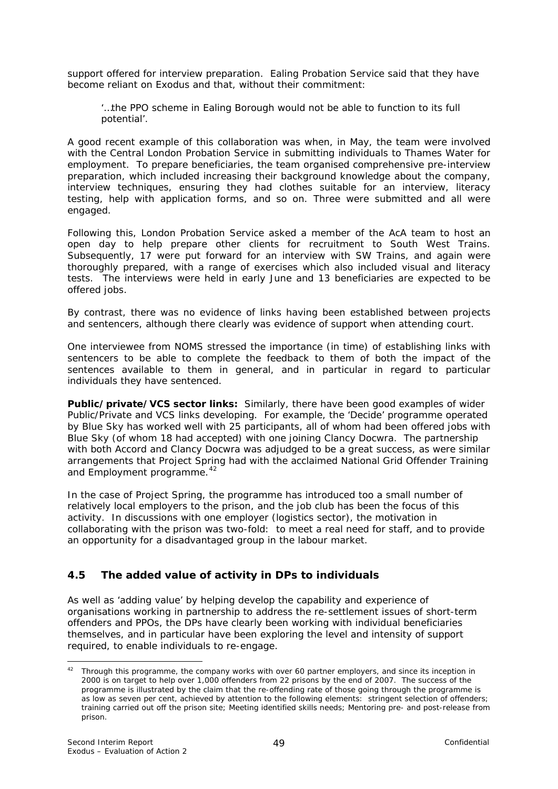<span id="page-52-0"></span>support offered for interview preparation. Ealing Probation Service said that they have become reliant on Exodus and that, without their commitment:

#### '…*the PPO scheme in Ealing Borough would not be able to function to its full potential'.*

A good recent example of this collaboration was when, in May, the team were involved with the Central London Probation Service in submitting individuals to Thames Water for employment. To prepare beneficiaries, the team organised comprehensive pre-interview preparation, which included increasing their background knowledge about the company, interview techniques, ensuring they had clothes suitable for an interview, literacy testing, help with application forms, and so on. Three were submitted and all were engaged.

Following this, London Probation Service asked a member of the AcA team to host an open day to help prepare other clients for recruitment to South West Trains. Subsequently, 17 were put forward for an interview with SW Trains, and again were thoroughly prepared, with a range of exercises which also included visual and literacy tests. The interviews were held in early June and 13 beneficiaries are expected to be offered jobs.

By contrast, there was no evidence of links having been established between projects and sentencers, although there clearly was evidence of support when attending court.

One interviewee from NOMS stressed the importance (in time) of establishing links with sentencers to be able to complete the feedback to them of both the impact of the sentences available to them in general, and in particular in regard to particular individuals they have sentenced.

**Public/private/VCS sector links:** Similarly, there have been good examples of wider Public/Private and VCS links developing. For example, the 'Decide' programme operated by Blue Sky has worked well with 25 participants, all of whom had been offered jobs with Blue Sky (of whom 18 had accepted) with one joining Clancy Docwra. The partnership with both Accord and Clancy Docwra was adjudged to be a great success, as were similar arrangements that Project Spring had with the acclaimed National Grid Offender Training and Employment programme.<sup>[42](#page-52-0)</sup>

In the case of Project Spring, the programme has introduced too a small number of relatively local employers to the prison, and the job club has been the focus of this activity. In discussions with one employer (logistics sector), the motivation in collaborating with the prison was two-fold: to meet a real need for staff, and to provide an opportunity for a disadvantaged group in the labour market.

# **4.5 The added value of activity in DPs to individuals**

As well as 'adding value' by helping develop the capability and experience of organisations working in partnership to address the re-settlement issues of short-term offenders and PPOs, the DPs have clearly been working with individual beneficiaries themselves, and in particular have been exploring the level and intensity of support required, to enable individuals to re-engage.

 $42$  Through this programme, the company works with over 60 partner employers, and since its inception in 2000 is on target to help over 1,000 offenders from 22 prisons by the end of 2007. The success of the programme is illustrated by the claim that the re-offending rate of those going through the programme is as low as seven per cent, achieved by attention to the following elements: stringent selection of offenders; training carried out off the prison site; Meeting identified skills needs; Mentoring pre- and post-release from prison.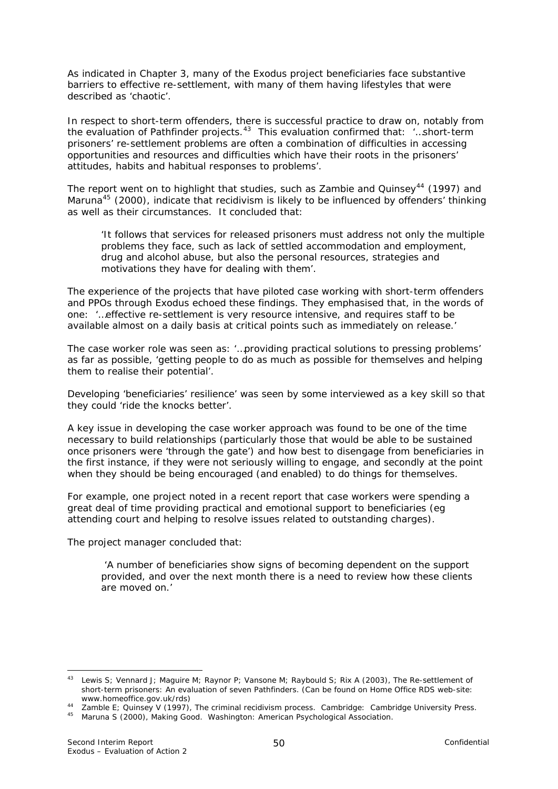<span id="page-53-0"></span>As indicated in Chapter 3, many of the Exodus project beneficiaries face substantive barriers to effective re-settlement, with many of them having lifestyles that were described as 'chaotic'.

In respect to short-term offenders, there is successful practice to draw on, notably from the evaluation of Pathfinder projects.[43](#page-53-0) This evaluation confirmed that: *'…short-term prisoners' re-settlement problems are often a combination of difficulties in accessing opportunities and resources and difficulties which have their roots in the prisoners' attitudes, habits and habitual responses to problems*'.

The report went on to highlight that studies, such as Zambie and Quinsey<sup>[44](#page-53-0)</sup> (1997) and Maruna<sup>[45](#page-53-0)</sup> (2000), indicate that recidivism is likely to be influenced by offenders' thinking as well as their circumstances. It concluded that:

*'It follows that services for released prisoners must address not only the multiple problems they face, such as lack of settled accommodation and employment, drug and alcohol abuse, but also the personal resources, strategies and motivations they have for dealing with them'.*

The experience of the projects that have piloted case working with short-term offenders and PPOs through Exodus echoed these findings. They emphasised that, in the words of one: '*…effective re-settlement is very resource intensive, and requires staff to be available almost on a daily basis at critical points such as immediately on release.'*

The case worker role was seen as: '…*providing practical solutions to pressing problems' as far as possible, 'getting people to do as much as possible for themselves and helping them to realise their potential'*.

Developing 'beneficiaries' resilience' was seen by some interviewed as a key skill so that they could 'ride the knocks better'.

A key issue in developing the case worker approach was found to be one of the time necessary to build relationships (particularly those that would be able to be sustained once prisoners were 'through the gate') and how best to disengage from beneficiaries in the first instance, if they were not seriously willing to engage, and secondly at the point when they should be being encouraged (and enabled) to do things for themselves.

For example, one project noted in a recent report that case workers were spending a great deal of time providing practical and emotional support to beneficiaries (eg attending court and helping to resolve issues related to outstanding charges).

The project manager concluded that:

 *'A number of beneficiaries show signs of becoming dependent on the support provided, and over the next month there is a need to review how these clients are moved on.'*

<sup>43</sup> Lewis S; Vennard J; Maguire M; Raynor P; Vansone M; Raybould S; Rix A (2003), *The Re-settlement of short-term prisoners: An evaluation of seven Pathfinders.* (Can be found on Home Office RDS web-site:

[www.homeoffice.gov.uk/rds\)](http://www.homeoffice.gov.uk/rds/) 44 Zamble E; Quinsey V (1997), *The criminal recidivism process.* Cambridge: Cambridge University Press. 45 Maruna S (2000), *Making Good.* Washington: American Psychological Association.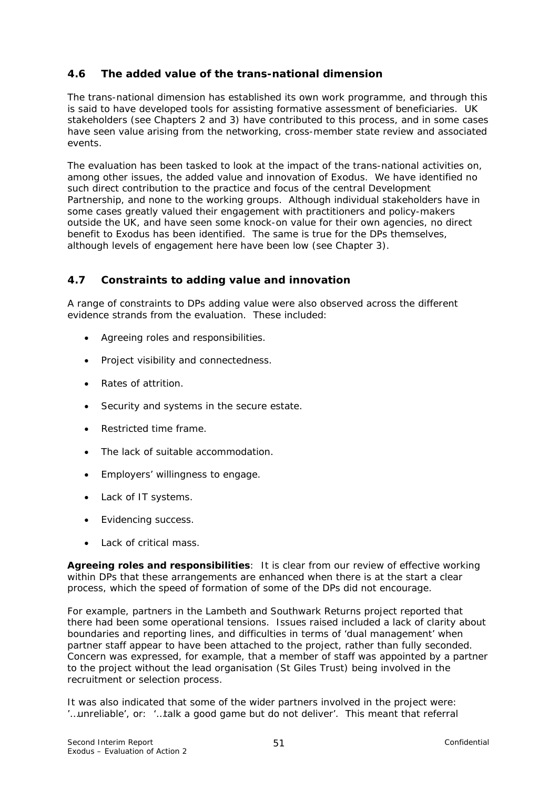### **4.6 The added value of the trans-national dimension**

The trans-national dimension has established its own work programme, and through this is said to have developed tools for assisting formative assessment of beneficiaries. UK stakeholders (see Chapters 2 and 3) have contributed to this process, and in some cases have seen value arising from the networking, cross-member state review and associated events.

The evaluation has been tasked to look at the impact of the trans-national activities on, among other issues, the added value and innovation of Exodus. We have identified no such direct contribution to the practice and focus of the central Development Partnership, and none to the working groups. Although individual stakeholders have in some cases greatly valued their engagement with practitioners and policy-makers outside the UK, and have seen some knock-on value for their own agencies, no direct benefit to Exodus has been identified. The same is true for the DPs themselves, although levels of engagement here have been low (see Chapter 3).

#### **4.7 Constraints to adding value and innovation**

A range of constraints to DPs adding value were also observed across the different evidence strands from the evaluation. These included:

- Agreeing roles and responsibilities.
- Project visibility and connectedness.
- Rates of attrition.
- Security and systems in the secure estate.
- Restricted time frame.
- The lack of suitable accommodation.
- Employers' willingness to engage.
- Lack of IT systems.
- Evidencing success.
- Lack of critical mass.

**Agreeing roles and responsibilities**: It is clear from our review of effective working within DPs that these arrangements are enhanced when there is at the start a clear process, which the speed of formation of some of the DPs did not encourage.

For example, partners in the Lambeth and Southwark Returns project reported that there had been some operational tensions. Issues raised included a lack of clarity about boundaries and reporting lines, and difficulties in terms of 'dual management' when partner staff appear to have been attached to the project, rather than fully seconded. Concern was expressed, for example, that a member of staff was appointed by a partner to the project without the lead organisation (St Giles Trust) being involved in the recruitment or selection process.

It was also indicated that some of the wider partners involved in the project were: *'…unreliable'*, or: *'…talk a good game but do not deliver'*. This meant that referral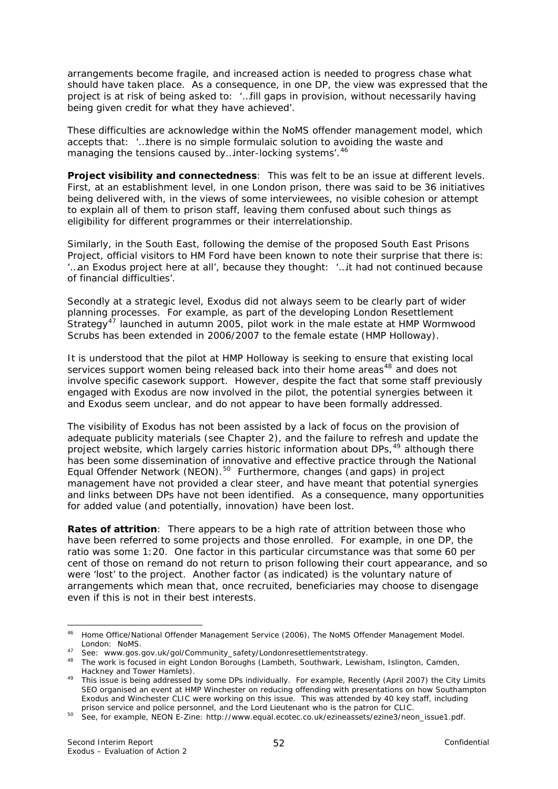<span id="page-55-0"></span>arrangements become fragile, and increased action is needed to progress chase what should have taken place. As a consequence, in one DP, the view was expressed that the project is at risk of being asked to: *'…fill gaps in provision, without necessarily having being given credit for what they have achieved'.* 

These difficulties are acknowledge within the NoMS offender management model, which accepts that: '…*there is no simple formulaic solution to avoiding the waste and managing the tensions caused by…inter-locking systems*'.[46](#page-55-0)

**Project visibility and connectedness**: This was felt to be an issue at different levels. First, at an establishment level, in one London prison, there was said to be 36 initiatives being delivered with, in the views of some interviewees, no visible cohesion or attempt to explain all of them to prison staff, leaving them confused about such things as eligibility for different programmes or their interrelationship.

Similarly, in the South East, following the demise of the proposed South East Prisons Project, official visitors to HM Ford have been known to note their surprise that there is: '*…an Exodus project here at all'*, because they thought: *'…it had not continued because of financial difficulties'*.

Secondly at a strategic level, Exodus did not always seem to be clearly part of wider planning processes. For example, as part of the developing London Resettlement Strategy<sup>[47](#page-55-0)</sup> launched in autumn 2005, pilot work in the male estate at HMP Wormwood Scrubs has been extended in 2006/2007 to the female estate (HMP Holloway).

It is understood that the pilot at HMP Holloway is seeking to ensure that existing local services support women being released back into their home areas<sup>[48](#page-55-0)</sup> and does not involve specific casework support. However, despite the fact that some staff previously engaged with Exodus are now involved in the pilot, the potential synergies between it and Exodus seem unclear, and do not appear to have been formally addressed.

The visibility of Exodus has not been assisted by a lack of focus on the provision of adequate publicity materials (see Chapter 2), and the failure to refresh and update the project website, which largely carries historic information about DPs,<sup>[49](#page-55-0)</sup> although there has been some dissemination of innovative and effective practice through the National Equal Offender Network (NEON).<sup>[50](#page-55-0)</sup> Furthermore, changes (and gaps) in project management have not provided a clear steer, and have meant that potential synergies and links between DPs have not been identified. As a consequence, many opportunities for added value (and potentially, innovation) have been lost.

**Rates of attrition**: There appears to be a high rate of attrition between those who have been referred to some projects and those enrolled. For example, in one DP, the ratio was some 1:20. One factor in this particular circumstance was that some 60 per cent of those on remand do not return to prison following their court appearance, and so were 'lost' to the project. Another factor (as indicated) is the voluntary nature of arrangements which mean that, once recruited, beneficiaries may choose to disengage even if this is not in their best interests.

<sup>46</sup> Home Office/National Offender Management Service (2006), *The NoMS Offender Management Model.* 

London: NoMS.<br>
<sup>47</sup> See: www.gos.gov.uk/gol/Community\_safety/Londonresettlementstrategy.<br>
<sup>48</sup> The work is focused in eight London Boroughs (Lambeth, Southwark, Lewisham, Islington, Camden,<br>
Hackney and Tower Hamlets).

Hackney and Tower Hamlets). 49 This issue is being addressed by some DPs individually. For example, Recently (April 2007) the City Limits SEO organised an event at HMP Winchester on reducing offending with presentations on how Southampton Exodus and Winchester CLIC were working on this issue. This was attended by 40 key staff, including<br>prison service and police personnel, and the Lord Lieutenant who is the patron for CLIC.

prison service and personpersonnel, and the correction of ClicClice and See, for example, NEON E-Zine: http://www.equal.ecotec.co.uk/ezineassets/ezine3/neon\_issue1.pdf.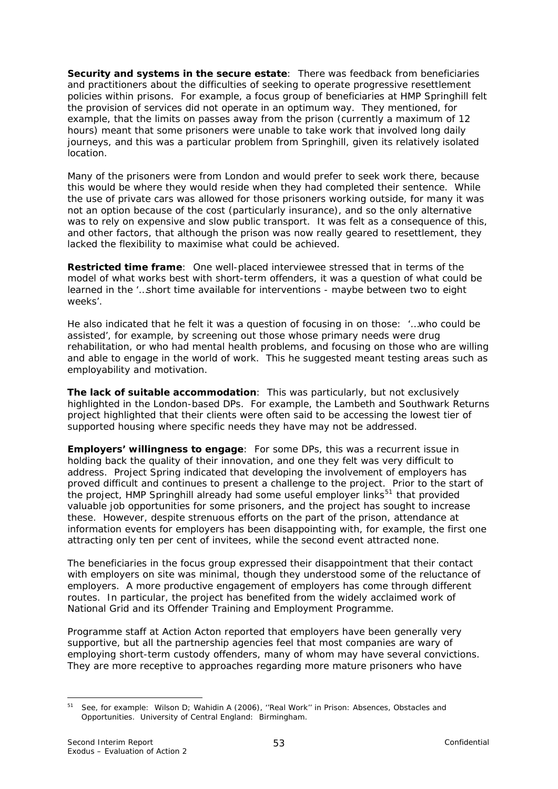<span id="page-56-0"></span>**Security and systems in the secure estate**: There was feedback from beneficiaries and practitioners about the difficulties of seeking to operate progressive resettlement policies within prisons. For example, a focus group of beneficiaries at HMP Springhill felt the provision of services did not operate in an optimum way. They mentioned, for example, that the limits on passes away from the prison (currently a maximum of 12 hours) meant that some prisoners were unable to take work that involved long daily journeys, and this was a particular problem from Springhill, given its relatively isolated location.

Many of the prisoners were from London and would prefer to seek work there, because this would be where they would reside when they had completed their sentence. While the use of private cars was allowed for those prisoners working outside, for many it was not an option because of the cost (particularly insurance), and so the only alternative was to rely on expensive and slow public transport. It was felt as a consequence of this, and other factors, that although the prison was now really geared to resettlement, they lacked the flexibility to maximise what could be achieved.

**Restricted time frame**:One well-placed interviewee stressed that in terms of the model of what works best with short-term offenders, it was a question of what could be learned in the '…*short time available for interventions - maybe between two to eight weeks'*.

He also indicated that he felt it was a question of focusing in on those: *'…who could be assisted'*, for example, by screening out those whose primary needs were drug rehabilitation, or who had mental health problems, and focusing on those who are willing and able to engage in the world of work. This he suggested meant testing areas such as employability and motivation.

**The lack of suitable accommodation**:This was particularly, but not exclusively highlighted in the London-based DPs. For example, the Lambeth and Southwark Returns project highlighted that their clients were often said to be accessing the lowest tier of supported housing where specific needs they have may not be addressed.

**Employers' willingness to engage**: For some DPs, this was a recurrent issue in holding back the quality of their innovation, and one they felt was very difficult to address. Project Spring indicated that developing the involvement of employers has proved difficult and continues to present a challenge to the project. Prior to the start of the project, HMP Springhill already had some useful employer links<sup>[51](#page-56-0)</sup> that provided valuable job opportunities for some prisoners, and the project has sought to increase these. However, despite strenuous efforts on the part of the prison, attendance at information events for employers has been disappointing with, for example, the first one attracting only ten per cent of invitees, while the second event attracted none.

The beneficiaries in the focus group expressed their disappointment that their contact with employers on site was minimal, though they understood some of the reluctance of employers. A more productive engagement of employers has come through different routes. In particular, the project has benefited from the widely acclaimed work of National Grid and its Offender Training and Employment Programme.

Programme staff at Action Acton reported that employers have been generally very supportive, but all the partnership agencies feel that most companies are wary of employing short-term custody offenders, many of whom may have several convictions. They are more receptive to approaches regarding more mature prisoners who have

<sup>51</sup> See, for example: Wilson D; Wahidin A (2006), *''Real Work'' in Prison: Absences, Obstacles and Opportunities.* University of Central England: Birmingham.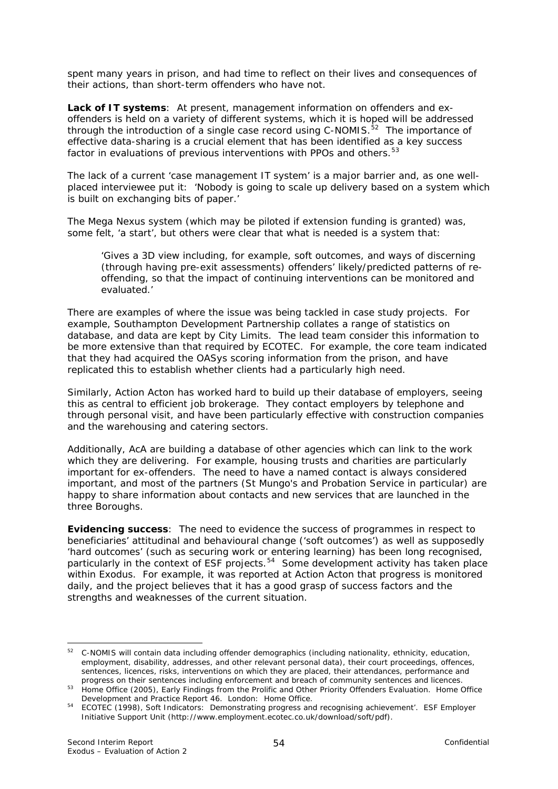<span id="page-57-0"></span>spent many years in prison, and had time to reflect on their lives and consequences of their actions, than short-term offenders who have not.

**Lack of IT systems**:At present, management information on offenders and exoffenders is held on a variety of different systems, which it is hoped will be addressed through the introduction of a single case record using C-NOMIS.<sup>[52](#page-57-0)</sup> The importance of effective data-sharing is a crucial element that has been identified as a key success factor in evaluations of previous interventions with PPOs and others.<sup>[53](#page-57-0)</sup>

The lack of a current 'case management IT system' is a major barrier and, as one wellplaced interviewee put it: *'Nobody is going to scale up delivery based on a system which is built on exchanging bits of paper.'* 

The Mega Nexus system (which may be piloted if extension funding is granted) was, some felt, 'a start', but others were clear that what is needed is a system that:

*'Gives a 3D view including, for example, soft outcomes, and ways of discerning (through having pre-exit assessments) offenders' likely/predicted patterns of reoffending, so that the impact of continuing interventions can be monitored and evaluated.'*

There are examples of where the issue was being tackled in case study projects. For example, Southampton Development Partnership collates a range of statistics on database, and data are kept by City Limits. The lead team consider this information to be more extensive than that required by ECOTEC. For example, the core team indicated that they had acquired the OASys scoring information from the prison, and have replicated this to establish whether clients had a particularly high need.

Similarly, Action Acton has worked hard to build up their database of employers, seeing this as central to efficient job brokerage. They contact employers by telephone and through personal visit, and have been particularly effective with construction companies and the warehousing and catering sectors.

Additionally, AcA are building a database of other agencies which can link to the work which they are delivering. For example, housing trusts and charities are particularly important for ex-offenders. The need to have a named contact is always considered important, and most of the partners (St Mungo's and Probation Service in particular) are happy to share information about contacts and new services that are launched in the three Boroughs.

**Evidencing success**: The need to evidence the success of programmes in respect to beneficiaries' attitudinal and behavioural change ('soft outcomes') as well as supposedly 'hard outcomes' (such as securing work or entering learning) has been long recognised, particularly in the context of ESF projects.<sup>[54](#page-57-0)</sup> Some development activity has taken place within Exodus. For example, it was reported at Action Acton that progress is monitored daily, and the project believes that it has a good grasp of success factors and the strengths and weaknesses of the current situation.

<sup>52</sup> C-NOMIS will contain data including offender demographics (including nationality, ethnicity, education, employment, disability, addresses, and other relevant personal data), their court proceedings, offences, sentences, licences, risks, interventions on which they are placed, their attendances, performance and progress on their sentences including enforcement and breach of community sentences and licences.

progress on their sentences including enforcement and breach of community sentences and licences. 53 Home Office (2005), *Early Findings from the Prolific and Other Priority Offenders Evaluation.* Home Office Development and Practice Report 46. London: Home Office*.*

<sup>54</sup> ECOTEC (1998), *Soft Indicators: Demonstrating progress and recognising achievement'.* ESF Employer Initiative Support Unit (<http://www.employment.ecotec.co.uk/download/soft/pdf>).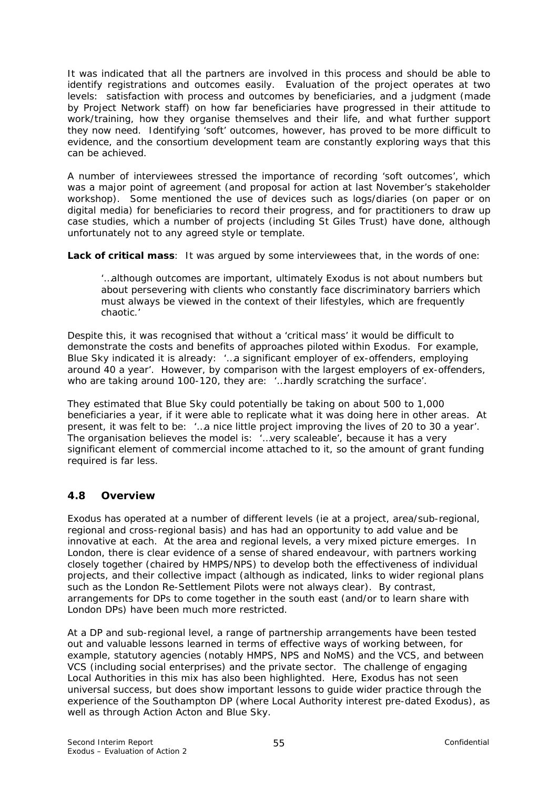It was indicated that all the partners are involved in this process and should be able to identify registrations and outcomes easily. Evaluation of the project operates at two levels: satisfaction with process and outcomes by beneficiaries, and a judgment (made by Project Network staff) on how far beneficiaries have progressed in their attitude to work/training, how they organise themselves and their life, and what further support they now need. Identifying 'soft' outcomes, however, has proved to be more difficult to evidence, and the consortium development team are constantly exploring ways that this can be achieved.

A number of interviewees stressed the importance of recording 'soft outcomes', which was a major point of agreement (and proposal for action at last November's stakeholder workshop). Some mentioned the use of devices such as logs/diaries (on paper or on digital media) for beneficiaries to record their progress, and for practitioners to draw up case studies, which a number of projects (including St Giles Trust) have done, although unfortunately not to any agreed style or template.

**Lack of critical mass**: It was argued by some interviewees that, in the words of one:

*'…although outcomes are important, ultimately Exodus is not about numbers but about persevering with clients who constantly face discriminatory barriers which must always be viewed in the context of their lifestyles, which are frequently chaotic.'* 

Despite this, it was recognised that without a 'critical mass' it would be difficult to demonstrate the costs and benefits of approaches piloted within Exodus. For example, Blue Sky indicated it is already: '…a significant employer of ex-offenders, employing around 40 a year'. However, by comparison with the largest employers of ex-offenders, who are taking around 100-120, they are: '…hardly scratching the surface'.

They estimated that Blue Sky could potentially be taking on about 500 to 1,000 beneficiaries a year, if it were able to replicate what it was doing here in other areas. At present, it was felt to be: '…a nice little project improving the lives of 20 to 30 a year'. The organisation believes the model is: *'…very scaleable'*, because it has a very significant element of commercial income attached to it, so the amount of grant funding required is far less.

# **4.8 Overview**

Exodus has operated at a number of different levels (ie at a project, area/sub-regional, regional and cross-regional basis) and has had an opportunity to add value and be innovative at each. At the area and regional levels, a very mixed picture emerges. In London, there is clear evidence of a sense of shared endeavour, with partners working closely together (chaired by HMPS/NPS) to develop both the effectiveness of individual projects, and their collective impact (although as indicated, links to wider regional plans such as the London Re-Settlement Pilots were not always clear). By contrast, arrangements for DPs to come together in the south east (and/or to learn share with London DPs) have been much more restricted.

At a DP and sub-regional level, a range of partnership arrangements have been tested out and valuable lessons learned in terms of effective ways of working between, for example, statutory agencies (notably HMPS, NPS and NoMS) and the VCS, and between VCS (including social enterprises) and the private sector. The challenge of engaging Local Authorities in this mix has also been highlighted. Here, Exodus has not seen universal success, but does show important lessons to guide wider practice through the experience of the Southampton DP (where Local Authority interest pre-dated Exodus), as well as through Action Acton and Blue Sky.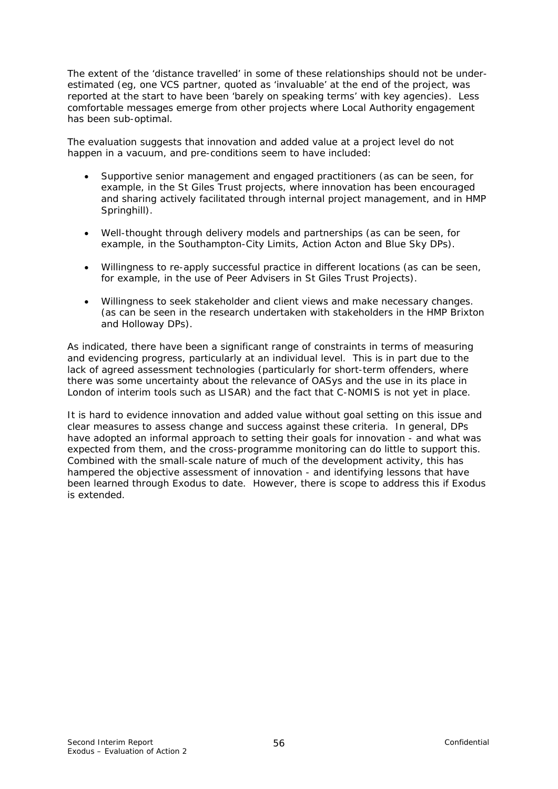The extent of the 'distance travelled' in some of these relationships should not be underestimated (eg, one VCS partner, quoted as 'invaluable' at the end of the project, was reported at the start to have been 'barely on speaking terms' with key agencies). Less comfortable messages emerge from other projects where Local Authority engagement has been sub-optimal.

The evaluation suggests that innovation and added value at a project level do not happen in a vacuum, and pre-conditions seem to have included:

- *Supportive senior management and engaged practitioners* (as can be seen, for example, in the St Giles Trust projects, where innovation has been encouraged and sharing actively facilitated through internal project management, and in HMP Springhill).
- *Well-thought through delivery models and partnerships* (as can be seen, for example, in the Southampton-City Limits, Action Acton and Blue Sky DPs).
- *Willingness to re-apply successful practice in different locations* (as can be seen, for example, in the use of Peer Advisers in St Giles Trust Projects).
- *Willingness to seek stakeholder and client views and make necessary changes.*  (as can be seen in the research undertaken with stakeholders in the HMP Brixton and Holloway DPs).

As indicated, there have been a significant range of constraints in terms of measuring and evidencing progress, particularly at an individual level. This is in part due to the lack of agreed assessment technologies (particularly for short-term offenders, where there was some uncertainty about the relevance of OASys and the use in its place in London of interim tools such as LISAR) and the fact that C-NOMIS is not yet in place.

It is hard to evidence innovation and added value without goal setting on this issue and clear measures to assess change and success against these criteria. In general, DPs have adopted an informal approach to setting their goals for innovation - and what was expected from them, and the cross-programme monitoring can do little to support this. Combined with the small-scale nature of much of the development activity, this has hampered the objective assessment of innovation - and identifying lessons that have been learned through Exodus to date. However, there is scope to address this if Exodus is extended.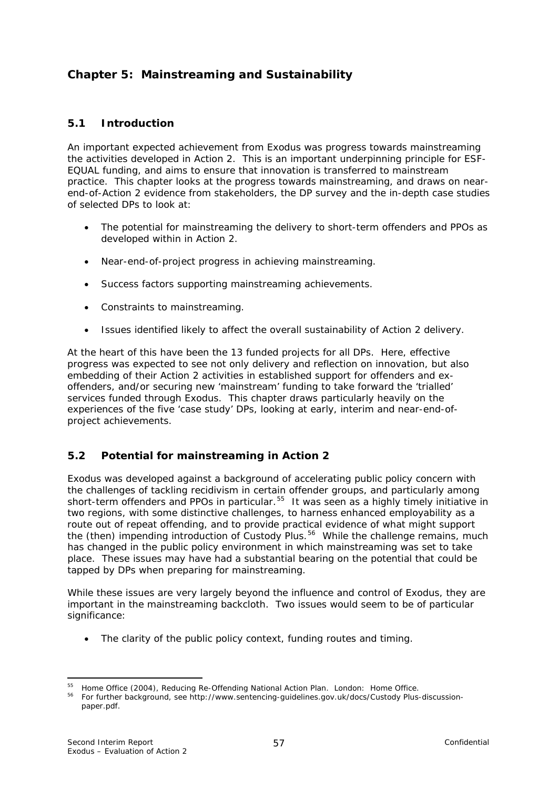# <span id="page-60-0"></span>**Chapter 5: Mainstreaming and Sustainability**

### **5.1 Introduction**

An important expected achievement from Exodus was progress towards mainstreaming the activities developed in Action 2. This is an important underpinning principle for ESF-EQUAL funding, and aims to ensure that innovation is transferred to mainstream practice. This chapter looks at the progress towards mainstreaming, and draws on nearend-of-Action 2 evidence from stakeholders, the DP survey and the in-depth case studies of selected DPs to look at:

- The potential for mainstreaming the delivery to short-term offenders and PPOs as developed within in Action 2.
- Near-end-of-project progress in achieving mainstreaming.
- Success factors supporting mainstreaming achievements.
- Constraints to mainstreaming.
- Issues identified likely to affect the overall sustainability of Action 2 delivery.

At the heart of this have been the 13 funded projects for all DPs. Here, effective progress was expected to see not only delivery and reflection on innovation, but also embedding of their Action 2 activities in established support for offenders and exoffenders, and/or securing new 'mainstream' funding to take forward the 'trialled' services funded through Exodus. This chapter draws particularly heavily on the experiences of the five 'case study' DPs, looking at early, interim and near-end-ofproject achievements.

#### **5.2 Potential for mainstreaming in Action 2**

Exodus was developed against a background of accelerating public policy concern with the challenges of tackling recidivism in certain offender groups, and particularly among short-term offenders and PPOs in particular.<sup>[55](#page-60-0)</sup> It was seen as a highly timely initiative in two regions, with some distinctive challenges, to harness enhanced employability as a route out of repeat offending, and to provide practical evidence of what might support the (then) impending introduction of Custody Plus.<sup>[56](#page-60-0)</sup> While the challenge remains, much has changed in the public policy environment in which mainstreaming was set to take place. These issues may have had a substantial bearing on the potential that could be tapped by DPs when preparing for mainstreaming.

While these issues are very largely beyond the influence and control of Exodus, they are important in the mainstreaming backcloth. Two issues would seem to be of particular significance:

• The clarity of the public policy context, funding routes and timing.

<sup>55</sup> Home Office (2004), Reducing Re-Offending National Action Plan. London: Home Office.

For further Dackground, see http://www.sentencing-guidelines.gov.uk/docs/Custody Plus-discussion-<br><sup>56</sup> For further background, see [http://www.sentencing-guidelines.gov.uk/docs/Custody Plus-discussion](http://www.sentencing-guidelines.gov.uk/docs/Custody%20Plus-discussion-paper.pdf)[paper.pdf.](http://www.sentencing-guidelines.gov.uk/docs/Custody%20Plus-discussion-paper.pdf)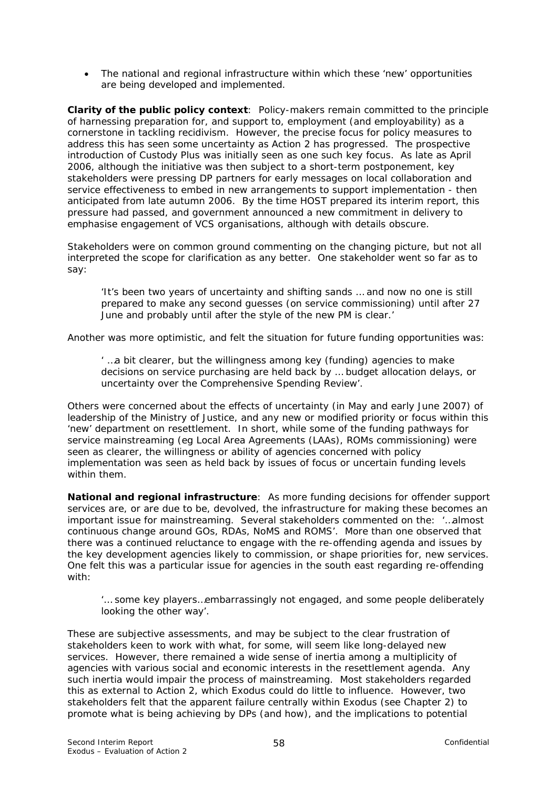• The national and regional infrastructure within which these 'new' opportunities are being developed and implemented.

**Clarity of the public policy context**: Policy-makers remain committed to the principle of harnessing preparation for, and support to, employment (and employability) as a cornerstone in tackling recidivism. However, the precise focus for policy measures to address this has seen some uncertainty as Action 2 has progressed. The prospective introduction of Custody Plus was initially seen as one such key focus. As late as April 2006, although the initiative was then subject to a short-term postponement, key stakeholders were pressing DP partners for early messages on local collaboration and service effectiveness to embed in new arrangements to support implementation - then anticipated from late autumn 2006. By the time HOST prepared its interim report, this pressure had passed, and government announced a new commitment in delivery to emphasise engagement of VCS organisations, although with details obscure.

Stakeholders were on common ground commenting on the changing picture, but not all interpreted the scope for clarification as any better. One stakeholder went so far as to say:

*'It's been two years of uncertainty and shifting sands … and now no one is still prepared to make any second guesses (on service commissioning) until after 27 June and probably until after the style of the new PM is clear.'* 

Another was more optimistic, and felt the situation for future funding opportunities was:

*' …a bit clearer, but the willingness among key (funding) agencies to make decisions on service purchasing are held back by … budget allocation delays, or uncertainty over the Comprehensive Spending Review'.* 

Others were concerned about the effects of uncertainty (in May and early June 2007) of leadership of the Ministry of Justice, and any new or modified priority or focus within this 'new' department on resettlement. In short, while some of the funding pathways for service mainstreaming (eg Local Area Agreements (LAAs), ROMs commissioning) were seen as clearer, the willingness or ability of agencies concerned with policy implementation was seen as held back by issues of focus or uncertain funding levels within them.

**National and regional infrastructure**: As more funding decisions for offender support services are, or are due to be, devolved, the infrastructure for making these becomes an important issue for mainstreaming. Several stakeholders commented on the: *'…almost continuous change around GOs, RDAs, NoMS and ROMS'.* More than one observed that there was a continued reluctance to engage with the re-offending agenda and issues by the key development agencies likely to commission, or shape priorities for, new services. One felt this was a particular issue for agencies in the south east regarding re-offending with:

#### *'… some key players…embarrassingly not engaged, and some people deliberately looking the other way'.*

These are subjective assessments, and may be subject to the clear frustration of stakeholders keen to work with what, for some, will seem like long-delayed new services. However, there remained a wide sense of inertia among a multiplicity of agencies with various social and economic interests in the resettlement agenda. Any such inertia would impair the process of mainstreaming. Most stakeholders regarded this as external to Action 2, which Exodus could do little to influence. However, two stakeholders felt that the apparent failure centrally within Exodus (see Chapter 2) to promote what is being achieving by DPs (and how), and the implications to potential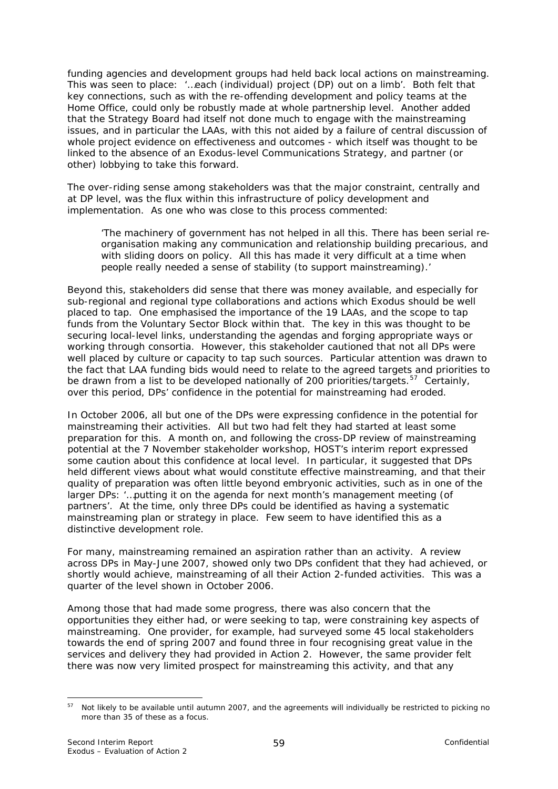<span id="page-62-0"></span>funding agencies and development groups had held back local actions on mainstreaming. This was seen to place: *'…each (individual) project (DP) out on a limb'*. Both felt that key connections, such as with the re-offending development and policy teams at the Home Office, could only be robustly made at whole partnership level. Another added that the Strategy Board had itself not done much to engage with the mainstreaming issues, and in particular the LAAs, with this not aided by a failure of central discussion of whole project evidence on effectiveness and outcomes - which itself was thought to be linked to the absence of an Exodus-level Communications Strategy, and partner (or other) lobbying to take this forward.

The over-riding sense among stakeholders was that the major constraint, centrally and at DP level, was the flux within this infrastructure of policy development and implementation. As one who was close to this process commented:

*'The machinery of government has not helped in all this. There has been serial reorganisation making any communication and relationship building precarious, and with sliding doors on policy. All this has made it very difficult at a time when people really needed a sense of stability (to support mainstreaming).'* 

Beyond this, stakeholders did sense that there was money available, and especially for sub-regional and regional type collaborations and actions which Exodus should be well placed to tap. One emphasised the importance of the 19 LAAs, and the scope to tap funds from the Voluntary Sector Block within that. The key in this was thought to be securing local-level links, understanding the agendas and forging appropriate ways or working through consortia. However, this stakeholder cautioned that not all DPs were well placed by culture or capacity to tap such sources. Particular attention was drawn to the fact that LAA funding bids would need to relate to the agreed targets and priorities to be drawn from a list to be developed nationally of 200 priorities/targets.<sup>[57](#page-62-0)</sup> Certainly, over this period, DPs' confidence in the potential for mainstreaming had eroded.

In October 2006, all but one of the DPs were expressing confidence in the potential for mainstreaming their activities. All but two had felt they had started at least some preparation for this. A month on, and following the cross-DP review of mainstreaming potential at the 7 November stakeholder workshop, HOST's interim report expressed some caution about this confidence at local level. In particular, it suggested that DPs held different views about what would constitute effective mainstreaming, and that their quality of preparation was often little beyond embryonic activities, such as in one of the larger DPs: *'…putting it on the agenda for next month's management meeting (of partners'*. At the time, only three DPs could be identified as having a systematic mainstreaming plan or strategy in place. Few seem to have identified this as a distinctive development role.

For many, mainstreaming remained an aspiration rather than an activity. A review across DPs in May-June 2007, showed only two DPs confident that they had achieved, or shortly would achieve, mainstreaming of all their Action 2-funded activities. This was a quarter of the level shown in October 2006.

Among those that had made some progress, there was also concern that the opportunities they either had, or were seeking to tap, were constraining key aspects of mainstreaming. One provider, for example, had surveyed some 45 local stakeholders towards the end of spring 2007 and found three in four recognising great value in the services and delivery they had provided in Action 2. However, the same provider felt there was now very limited prospect for mainstreaming this activity, and that any

<sup>1</sup>  $57$  Not likely to be available until autumn 2007, and the agreements will individually be restricted to picking no more than 35 of these as a focus.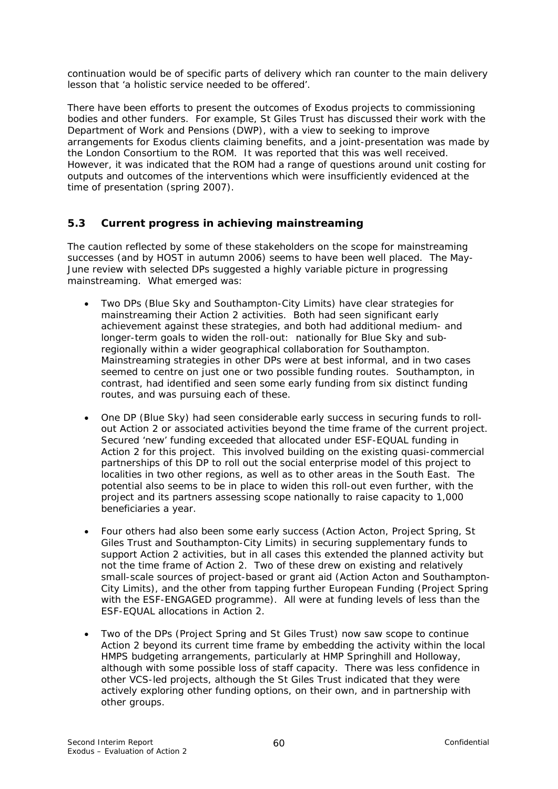continuation would be of specific parts of delivery which ran counter to the main delivery lesson that *'a holistic service needed to be offered'.*

There have been efforts to present the outcomes of Exodus projects to commissioning bodies and other funders. For example, St Giles Trust has discussed their work with the Department of Work and Pensions (DWP), with a view to seeking to improve arrangements for Exodus clients claiming benefits, and a joint-presentation was made by the London Consortium to the ROM. It was reported that this was well received. However, it was indicated that the ROM had a range of questions around unit costing for outputs and outcomes of the interventions which were insufficiently evidenced at the time of presentation (spring 2007).

# **5.3 Current progress in achieving mainstreaming**

The caution reflected by some of these stakeholders on the scope for mainstreaming successes (and by HOST in autumn 2006) seems to have been well placed. The May-June review with selected DPs suggested a highly variable picture in progressing mainstreaming. What emerged was:

- Two DPs (Blue Sky and Southampton-City Limits) have clear strategies for mainstreaming their Action 2 activities. Both had seen significant early achievement against these strategies, and both had additional medium- and longer-term goals to widen the roll-out: nationally for Blue Sky and subregionally within a wider geographical collaboration for Southampton. Mainstreaming strategies in other DPs were at best informal, and in two cases seemed to centre on just one or two possible funding routes. Southampton, in contrast, had identified and seen some early funding from six distinct funding routes, and was pursuing each of these.
- One DP (Blue Sky) had seen considerable early success in securing funds to rollout Action 2 or associated activities beyond the time frame of the current project. Secured 'new' funding exceeded that allocated under ESF-EQUAL funding in Action 2 for this project. This involved building on the existing quasi-commercial partnerships of this DP to roll out the social enterprise model of this project to localities in two other regions, as well as to other areas in the South East. The potential also seems to be in place to widen this roll-out even further, with the project and its partners assessing scope nationally to raise capacity to 1,000 beneficiaries a year.
- Four others had also been some early success (Action Acton, Project Spring, St Giles Trust and Southampton-City Limits) in securing supplementary funds to support Action 2 activities, but in all cases this extended the planned activity but not the time frame of Action 2. Two of these drew on existing and relatively small-scale sources of project-based or grant aid (Action Acton and Southampton-City Limits), and the other from tapping further European Funding (Project Spring with the ESF-ENGAGED programme). All were at funding levels of less than the ESF-EQUAL allocations in Action 2.
- Two of the DPs (Project Spring and St Giles Trust) now saw scope to continue Action 2 beyond its current time frame by embedding the activity within the local HMPS budgeting arrangements, particularly at HMP Springhill and Holloway, although with some possible loss of staff capacity. There was less confidence in other VCS-led projects, although the St Giles Trust indicated that they were actively exploring other funding options, on their own, and in partnership with other groups.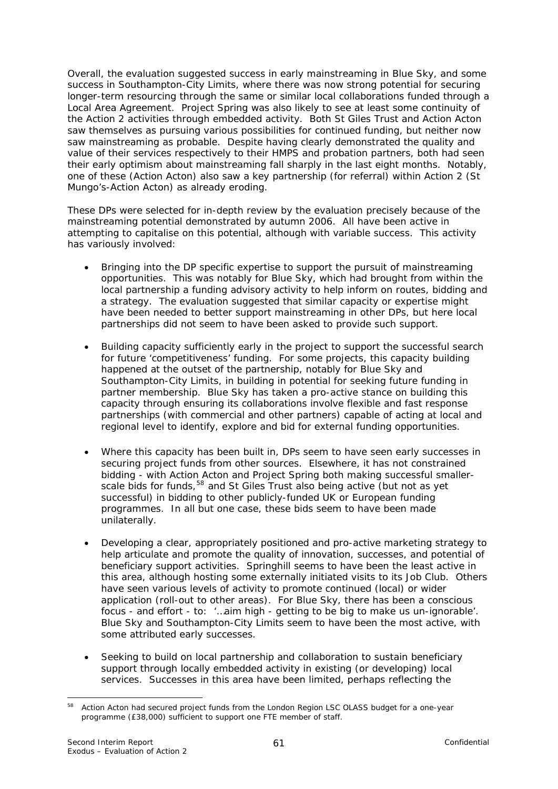<span id="page-64-0"></span>Overall, the evaluation suggested success in early mainstreaming in Blue Sky, and some success in Southampton-City Limits, where there was now strong potential for securing longer-term resourcing through the same or similar local collaborations funded through a Local Area Agreement. Project Spring was also likely to see at least some continuity of the Action 2 activities through embedded activity. Both St Giles Trust and Action Acton saw themselves as pursuing various possibilities for continued funding, but neither now saw mainstreaming as probable. Despite having clearly demonstrated the quality and value of their services respectively to their HMPS and probation partners, both had seen their early optimism about mainstreaming fall sharply in the last eight months. Notably, one of these (Action Acton) also saw a key partnership (for referral) within Action 2 (St Mungo's-Action Acton) as already eroding.

These DPs were selected for in-depth review by the evaluation precisely because of the mainstreaming potential demonstrated by autumn 2006. All have been active in attempting to capitalise on this potential, although with variable success. This activity has variously involved:

- Bringing into the DP specific expertise to support the pursuit of mainstreaming opportunities. This was notably for Blue Sky, which had brought from within the local partnership a funding advisory activity to help inform on routes, bidding and a strategy. The evaluation suggested that similar capacity or expertise might have been needed to better support mainstreaming in other DPs, but here local partnerships did not seem to have been asked to provide such support.
- Building capacity sufficiently early in the project to support the successful search for future 'competitiveness' funding. For some projects, this capacity building happened at the outset of the partnership, notably for Blue Sky and Southampton-City Limits, in building in potential for seeking future funding in partner membership. Blue Sky has taken a pro-active stance on building this capacity through ensuring its collaborations involve flexible and fast response partnerships (with commercial and other partners) capable of acting at local and regional level to identify, explore and bid for external funding opportunities.
- Where this capacity has been built in, DPs seem to have seen early successes in securing project funds from other sources. Elsewhere, it has not constrained bidding - with Action Acton and Project Spring both making successful smaller-scale bids for funds,<sup>[58](#page-64-0)</sup> and St Giles Trust also being active (but not as yet successful) in bidding to other publicly-funded UK or European funding programmes. In all but one case, these bids seem to have been made unilaterally.
- Developing a clear, appropriately positioned and pro-active marketing strategy to help articulate and promote the quality of innovation, successes, and potential of beneficiary support activities. Springhill seems to have been the least active in this area, although hosting some externally initiated visits to its Job Club. Others have seen various levels of activity to promote continued (local) or wider application (roll-out to other areas). For Blue Sky, there has been a conscious focus - and effort - to: *'…aim high - getting to be big to make us un-ignorable'.*  Blue Sky and Southampton-City Limits seem to have been the most active, with some attributed early successes*.*
- Seeking to build on local partnership and collaboration to sustain beneficiary support through locally embedded activity in existing (or developing) local services. Successes in this area have been limited, perhaps reflecting the

<sup>1</sup> <sup>58</sup> Action Acton had secured project funds from the London Region LSC OLASS budget for a one-year programme (£38,000) sufficient to support one FTE member of staff.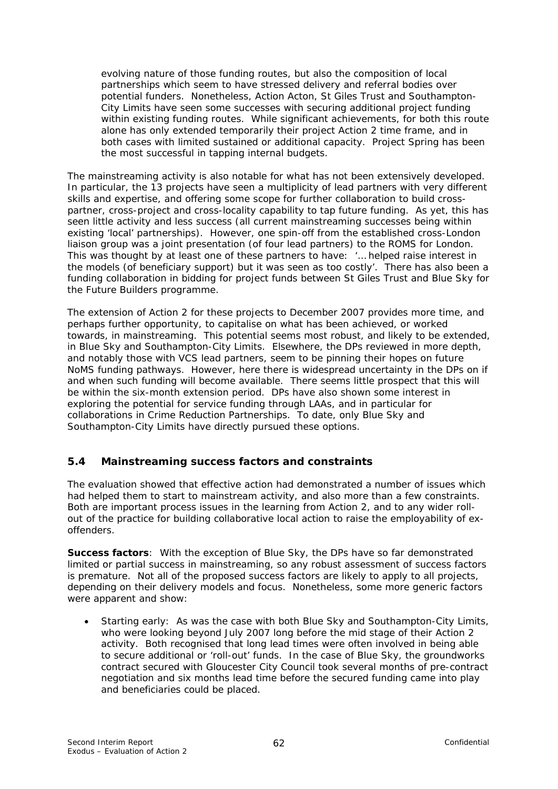evolving nature of those funding routes, but also the composition of local partnerships which seem to have stressed delivery and referral bodies over potential funders. Nonetheless, Action Acton, St Giles Trust and Southampton-City Limits have seen some successes with securing additional project funding within existing funding routes. While significant achievements, for both this route alone has only extended temporarily their project Action 2 time frame, and in both cases with limited sustained or additional capacity. Project Spring has been the most successful in tapping internal budgets.

The mainstreaming activity is also notable for what has not been extensively developed. In particular, the 13 projects have seen a multiplicity of lead partners with very different skills and expertise, and offering some scope for further collaboration to build crosspartner, cross-project and cross-locality capability to tap future funding. As yet, this has seen little activity and less success (all current mainstreaming successes being within existing 'local' partnerships). However, one spin-off from the established cross-London liaison group was a joint presentation (of four lead partners) to the ROMS for London. This was thought by at least one of these partners to have: *'… helped raise interest in the models (of beneficiary support) but it was seen as too costly'*. There has also been a funding collaboration in bidding for project funds between St Giles Trust and Blue Sky for the *Future Builders* programme.

The extension of Action 2 for these projects to December 2007 provides more time, and perhaps further opportunity, to capitalise on what has been achieved, or worked towards, in mainstreaming. This potential seems most robust, and likely to be extended, in Blue Sky and Southampton-City Limits. Elsewhere, the DPs reviewed in more depth, and notably those with VCS lead partners, seem to be pinning their hopes on future NoMS funding pathways. However, here there is widespread uncertainty in the DPs on if and when such funding will become available. There seems little prospect that this will be within the six-month extension period. DPs have also shown some interest in exploring the potential for service funding through LAAs, and in particular for collaborations in Crime Reduction Partnerships. To date, only Blue Sky and Southampton-City Limits have directly pursued these options.

# **5.4 Mainstreaming success factors and constraints**

The evaluation showed that effective action had demonstrated a number of issues which had helped them to start to mainstream activity, and also more than a few constraints. Both are important process issues in the learning from Action 2, and to any wider rollout of the practice for building collaborative local action to raise the employability of exoffenders.

**Success factors**: With the exception of Blue Sky, the DPs have so far demonstrated limited or partial success in mainstreaming, so any robust assessment of success factors is premature. Not all of the proposed success factors are likely to apply to all projects, depending on their delivery models and focus. Nonetheless, some more generic factors were apparent and show:

• Starting early: As was the case with both Blue Sky and Southampton-City Limits, who were looking beyond July 2007 long before the mid stage of their Action 2 activity. Both recognised that long lead times were often involved in being able to secure additional or 'roll-out' funds. In the case of Blue Sky, the groundworks contract secured with Gloucester City Council took several months of pre-contract negotiation and six months lead time before the secured funding came into play and beneficiaries could be placed.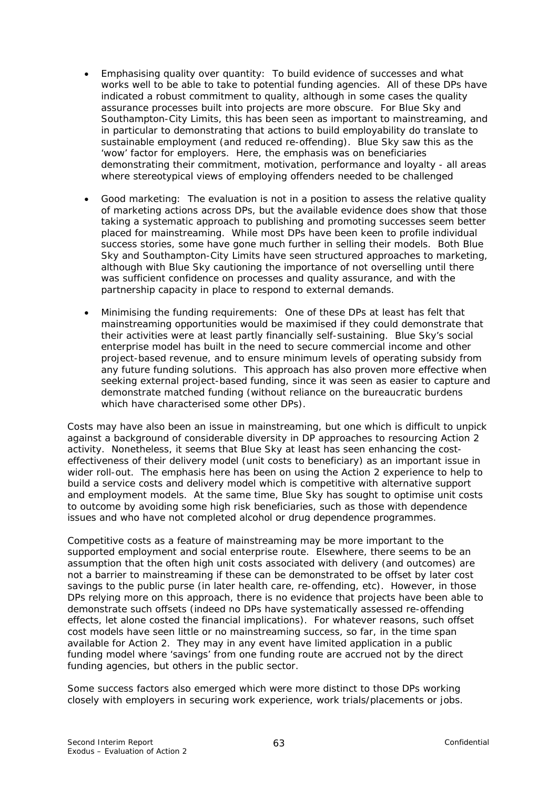- Emphasising quality over quantity: To build evidence of successes and what works well to be able to take to potential funding agencies. All of these DPs have indicated a robust commitment to quality, although in some cases the quality assurance processes built into projects are more obscure. For Blue Sky and Southampton-City Limits, this has been seen as important to mainstreaming, and in particular to demonstrating that actions to build employability do translate to sustainable employment (and reduced re-offending). Blue Sky saw this as the 'wow' factor for employers. Here, the emphasis was on beneficiaries demonstrating their commitment, motivation, performance and loyalty - all areas where stereotypical views of employing offenders needed to be challenged
- Good marketing: The evaluation is not in a position to assess the relative quality of marketing actions across DPs, but the available evidence does show that those taking a systematic approach to publishing and promoting successes seem better placed for mainstreaming. While most DPs have been keen to profile individual success stories, some have gone much further in selling their models. Both Blue Sky and Southampton-City Limits have seen structured approaches to marketing, although with Blue Sky cautioning the importance of not overselling until there was sufficient confidence on processes and quality assurance, and with the partnership capacity in place to respond to external demands.
- Minimising the funding requirements: One of these DPs at least has felt that mainstreaming opportunities would be maximised if they could demonstrate that their activities were at least partly financially self-sustaining. Blue Sky's social enterprise model has built in the need to secure commercial income and other project-based revenue, and to ensure minimum levels of operating subsidy from any future funding solutions. This approach has also proven more effective when seeking external project-based funding, since it was seen as easier to capture and demonstrate matched funding (without reliance on the bureaucratic burdens which have characterised some other DPs).

Costs may have also been an issue in mainstreaming, but one which is difficult to unpick against a background of considerable diversity in DP approaches to resourcing Action 2 activity. Nonetheless, it seems that Blue Sky at least has seen enhancing the costeffectiveness of their delivery model (unit costs to beneficiary) as an important issue in wider roll-out. The emphasis here has been on using the Action 2 experience to help to build a service costs and delivery model which is competitive with alternative support and employment models. At the same time, Blue Sky has sought to optimise unit costs to outcome by avoiding some high risk beneficiaries, such as those with dependence issues and who have not completed alcohol or drug dependence programmes.

Competitive costs as a feature of mainstreaming may be more important to the supported employment and social enterprise route. Elsewhere, there seems to be an assumption that the often high unit costs associated with delivery (and outcomes) are not a barrier to mainstreaming if these can be demonstrated to be offset by later cost savings to the public purse (in later health care, re-offending, etc). However, in those DPs relying more on this approach, there is no evidence that projects have been able to demonstrate such offsets (indeed no DPs have systematically assessed re-offending effects, let alone costed the financial implications). For whatever reasons, such *offset cost* models have seen little or no mainstreaming success, so far, in the time span available for Action 2. They may in any event have limited application in a public funding model where 'savings' from one funding route are accrued not by the direct funding agencies, but others in the public sector.

Some success factors also emerged which were more distinct to those DPs working closely with employers in securing work experience, work trials/placements or jobs.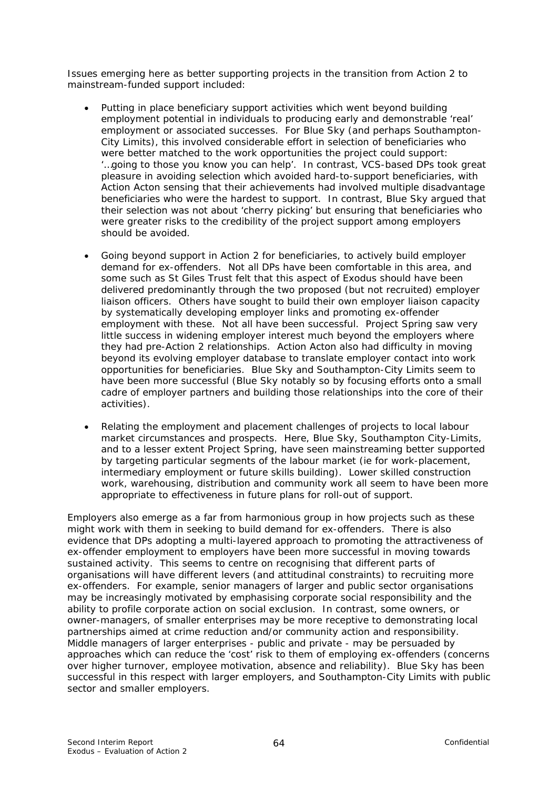Issues emerging here as better supporting projects in the transition from Action 2 to mainstream-funded support included:

- Putting in place beneficiary support activities which went beyond building employment potential in individuals to producing early and demonstrable 'real' employment or associated successes. For Blue Sky (and perhaps Southampton-City Limits), this involved considerable effort in selection of beneficiaries who were better matched to the work opportunities the project could support: *'…going to those you know you can help'.* In contrast, VCS-based DPs took great pleasure in avoiding selection which avoided hard-to-support beneficiaries, with Action Acton sensing that their achievements had involved multiple disadvantage beneficiaries who were the hardest to support. In contrast, Blue Sky argued that their selection was not about 'cherry picking' but ensuring that beneficiaries who were greater risks to the credibility of the project support among employers should be avoided.
- Going beyond support in Action 2 for beneficiaries, to actively build employer demand for ex-offenders. Not all DPs have been comfortable in this area, and some such as St Giles Trust felt that this aspect of Exodus should have been delivered predominantly through the two proposed (but not recruited) employer liaison officers. Others have sought to build their own employer liaison capacity by systematically developing employer links and promoting ex-offender employment with these. Not all have been successful. Project Spring saw very little success in widening employer interest much beyond the employers where they had pre-Action 2 relationships. Action Acton also had difficulty in moving beyond its evolving employer database to translate employer contact into work opportunities for beneficiaries. Blue Sky and Southampton-City Limits seem to have been more successful (Blue Sky notably so by focusing efforts onto a small cadre of employer partners and building those relationships into the core of their activities).
- Relating the employment and placement challenges of projects to local labour market circumstances and prospects. Here, Blue Sky, Southampton City-Limits, and to a lesser extent Project Spring, have seen mainstreaming better supported by targeting particular segments of the labour market (ie for work-placement, intermediary employment or future skills building). Lower skilled construction work, warehousing, distribution and community work all seem to have been more appropriate to effectiveness in future plans for roll-out of support.

Employers also emerge as a far from harmonious group in how projects such as these might work with them in seeking to build demand for ex-offenders. There is also evidence that DPs adopting a multi-layered approach to promoting the attractiveness of ex-offender employment to employers have been more successful in moving towards sustained activity. This seems to centre on recognising that different parts of organisations will have different levers (and attitudinal constraints) to recruiting more ex-offenders. For example, senior managers of larger and public sector organisations may be increasingly motivated by emphasising corporate social responsibility and the ability to profile corporate action on social exclusion. In contrast, some owners, or owner-managers, of smaller enterprises may be more receptive to demonstrating local partnerships aimed at crime reduction and/or community action and responsibility. Middle managers of larger enterprises - public and private - may be persuaded by approaches which can reduce the 'cost' risk to them of employing ex-offenders (concerns over higher turnover, employee motivation, absence and reliability). Blue Sky has been successful in this respect with larger employers, and Southampton-City Limits with public sector and smaller employers.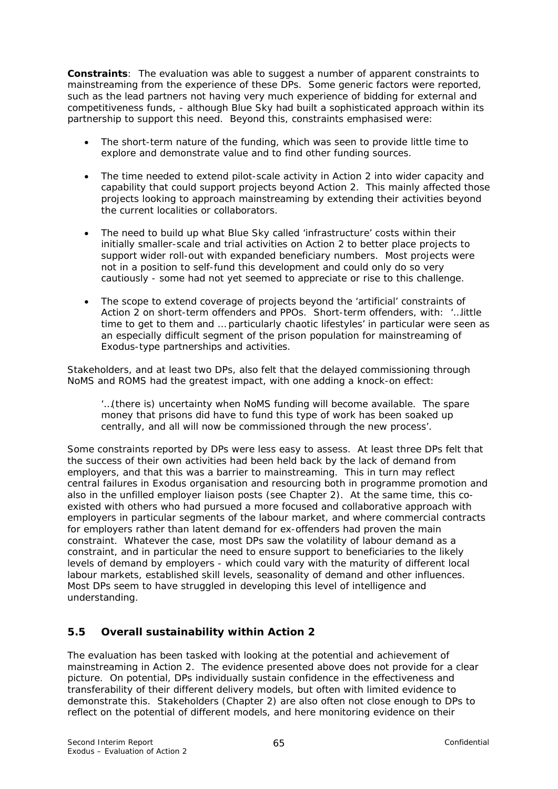**Constraints**: The evaluation was able to suggest a number of apparent constraints to mainstreaming from the experience of these DPs. Some generic factors were reported, such as the lead partners not having very much experience of bidding for external and competitiveness funds, - although Blue Sky had built a sophisticated approach within its partnership to support this need. Beyond this, constraints emphasised were:

- The short-term nature of the funding, which was seen to provide little time to explore and demonstrate value and to find other funding sources.
- The time needed to extend pilot-scale activity in Action 2 into wider capacity and capability that could support projects beyond Action 2. This mainly affected those projects looking to approach mainstreaming by extending their activities beyond the current localities or collaborators.
- The need to build up what Blue Sky called 'infrastructure' costs within their initially smaller-scale and trial activities on Action 2 to better place projects to support wider roll-out with expanded beneficiary numbers. Most projects were not in a position to self-fund this development and could only do so very cautiously - some had not yet seemed to appreciate or rise to this challenge.
- The scope to extend coverage of projects beyond the 'artificial' constraints of Action 2 on short-term offenders and PPOs. Short-term offenders, with: '*…little time to get to them and … particularly chaotic lifestyles'* in particular were seen as an especially difficult segment of the prison population for mainstreaming of Exodus-type partnerships and activities.

Stakeholders, and at least two DPs, also felt that the delayed commissioning through NoMS and ROMS had the greatest impact, with one adding a knock-on effect:

*'…(there is) uncertainty when NoMS funding will become available. The spare money that prisons did have to fund this type of work has been soaked up centrally, and all will now be commissioned through the new process'.* 

Some constraints reported by DPs were less easy to assess. At least three DPs felt that the success of their own activities had been held back by the lack of demand from employers, and that this was a barrier to mainstreaming. This in turn may reflect central failures in Exodus organisation and resourcing both in programme promotion and also in the unfilled employer liaison posts (see Chapter 2). At the same time, this coexisted with others who had pursued a more focused and collaborative approach with employers in particular segments of the labour market, and where commercial contracts for employers rather than latent demand for ex-offenders had proven the main constraint. Whatever the case, most DPs saw the volatility of labour demand as a constraint, and in particular the need to ensure support to beneficiaries to the likely levels of demand by employers - which could vary with the maturity of different local labour markets, established skill levels, seasonality of demand and other influences. Most DPs seem to have struggled in developing this level of intelligence and understanding.

# **5.5 Overall sustainability within Action 2**

The evaluation has been tasked with looking at the potential and achievement of mainstreaming in Action 2. The evidence presented above does not provide for a clear picture. On potential, DPs individually sustain confidence in the effectiveness and transferability of their different delivery models, but often with limited evidence to demonstrate this. Stakeholders (Chapter 2) are also often not close enough to DPs to reflect on the potential of different models, and here monitoring evidence on their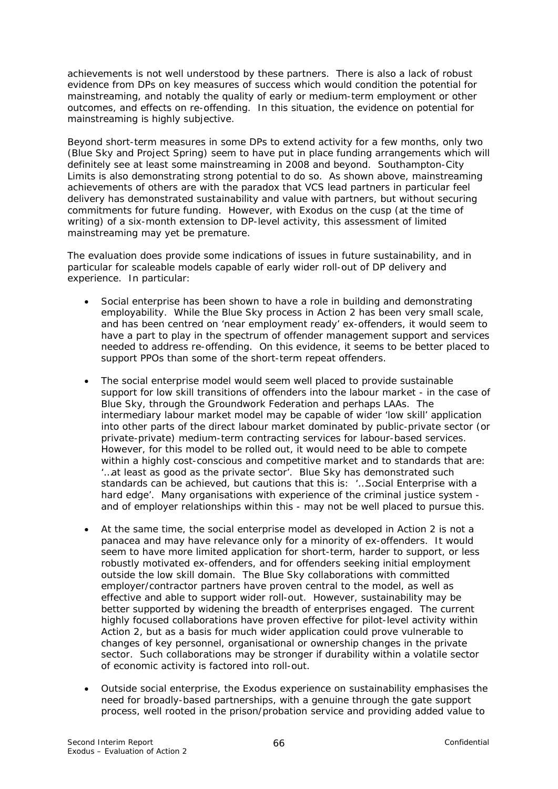achievements is not well understood by these partners. There is also a lack of robust evidence from DPs on key measures of success which would condition the potential for mainstreaming, and notably the quality of early or medium-term employment or other outcomes, and effects on re-offending. In this situation, the evidence on potential for mainstreaming is highly subjective.

Beyond short-term measures in some DPs to extend activity for a few months, only two (Blue Sky and Project Spring) seem to have put in place funding arrangements which will definitely see at least some mainstreaming in 2008 and beyond. Southampton-City Limits is also demonstrating strong potential to do so. As shown above, mainstreaming achievements of others are with the paradox that VCS lead partners in particular feel delivery has demonstrated sustainability and value with partners, but without securing commitments for future funding. However, with Exodus on the cusp (at the time of writing) of a six-month extension to DP-level activity, this assessment of limited mainstreaming may yet be premature.

The evaluation does provide some indications of issues in future sustainability, and in particular for scaleable models capable of early wider roll-out of DP delivery and experience. In particular:

- Social enterprise has been shown to have a role in building and demonstrating employability. While the Blue Sky process in Action 2 has been very small scale, and has been centred on 'near employment ready' ex-offenders, it would seem to have a part to play in the spectrum of offender management support and services needed to address re-offending. On this evidence, it seems to be better placed to support PPOs than some of the short-term repeat offenders.
- The social enterprise model would seem well placed to provide sustainable support for low skill transitions of offenders into the labour market - in the case of Blue Sky, through the Groundwork Federation and perhaps LAAs. The intermediary labour market model may be capable of wider 'low skill' application into other parts of the direct labour market dominated by public-private sector (or private-private) medium-term contracting services for labour-based services. However, for this model to be rolled out, it would need to be able to compete within a highly cost-conscious and competitive market and to standards that are: *'…at least as good as the private sector'*. Blue Sky has demonstrated such standards can be achieved, but cautions that this is: *'…Social Enterprise with a hard edge'.* Many organisations with experience of the criminal justice system and of employer relationships within this - may not be well placed to pursue this.
- At the same time, the social enterprise model as developed in Action 2 is not a panacea and may have relevance only for a minority of ex-offenders. It would seem to have more limited application for short-term, harder to support, or less robustly motivated ex-offenders, and for offenders seeking initial employment outside the low skill domain. The Blue Sky collaborations with committed employer/contractor partners have proven central to the model, as well as effective and able to support wider roll-out. However, sustainability may be better supported by widening the breadth of enterprises engaged. The current highly focused collaborations have proven effective for pilot-level activity within Action 2, but as a basis for much wider application could prove vulnerable to changes of key personnel, organisational or ownership changes in the private sector. Such collaborations may be stronger if durability within a volatile sector of economic activity is factored into roll-out.
- Outside social enterprise, the Exodus experience on sustainability emphasises the need for broadly-based partnerships, with a genuine through the gate support process, well rooted in the prison/probation service and providing added value to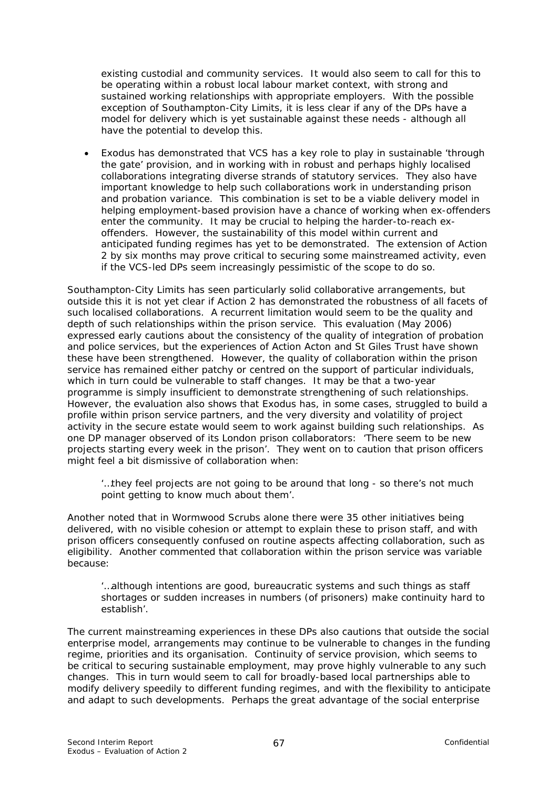existing custodial and community services. It would also seem to call for this to be operating within a robust local labour market context, with strong and sustained working relationships with appropriate employers. With the possible exception of Southampton-City Limits, it is less clear if any of the DPs have a model for delivery which is yet sustainable against these needs - although all have the potential to develop this.

• Exodus has demonstrated that VCS has a key role to play in sustainable 'through the gate' provision, and in working with in robust and perhaps highly localised collaborations integrating diverse strands of statutory services. They also have important knowledge to help such collaborations work in understanding prison and probation variance. This combination is set to be a viable delivery model in helping employment-based provision have a chance of working when ex-offenders enter the community. It may be crucial to helping the harder-to-reach exoffenders. However, the sustainability of this model within current and anticipated funding regimes has yet to be demonstrated. The extension of Action 2 by six months may prove critical to securing some mainstreamed activity, even if the VCS-led DPs seem increasingly pessimistic of the scope to do so.

Southampton-City Limits has seen particularly solid collaborative arrangements, but outside this it is not yet clear if Action 2 has demonstrated the robustness of all facets of such localised collaborations. A recurrent limitation would seem to be the quality and depth of such relationships within the prison service. This evaluation (May 2006) expressed early cautions about the consistency of the quality of integration of probation and police services, but the experiences of Action Acton and St Giles Trust have shown these have been strengthened. However, the quality of collaboration within the prison service has remained either patchy or centred on the support of particular individuals, which in turn could be vulnerable to staff changes. It may be that a two-year programme is simply insufficient to demonstrate strengthening of such relationships. However, the evaluation also shows that Exodus has, in some cases, struggled to build a profile within prison service partners, and the very diversity and volatility of project activity in the secure estate would seem to work against building such relationships. As one DP manager observed of its London prison collaborators: *'There seem to be new projects starting every week in the prison'*. They went on to caution that prison officers might feel a bit dismissive of collaboration when:

#### *'…they feel projects are not going to be around that long - so there's not much point getting to know much about them'.*

Another noted that in Wormwood Scrubs alone there were 35 other initiatives being delivered, with no visible cohesion or attempt to explain these to prison staff, and with prison officers consequently confused on routine aspects affecting collaboration, such as eligibility. Another commented that collaboration within the prison service was variable because:

#### *'…although intentions are good, bureaucratic systems and such things as staff shortages or sudden increases in numbers (of prisoners) make continuity hard to establish'.*

The current mainstreaming experiences in these DPs also cautions that outside the social enterprise model, arrangements may continue to be vulnerable to changes in the funding regime, priorities and its organisation. Continuity of service provision, which seems to be critical to securing sustainable employment, may prove highly vulnerable to any such changes. This in turn would seem to call for broadly-based local partnerships able to modify delivery speedily to different funding regimes, and with the flexibility to anticipate and adapt to such developments. Perhaps the great advantage of the social enterprise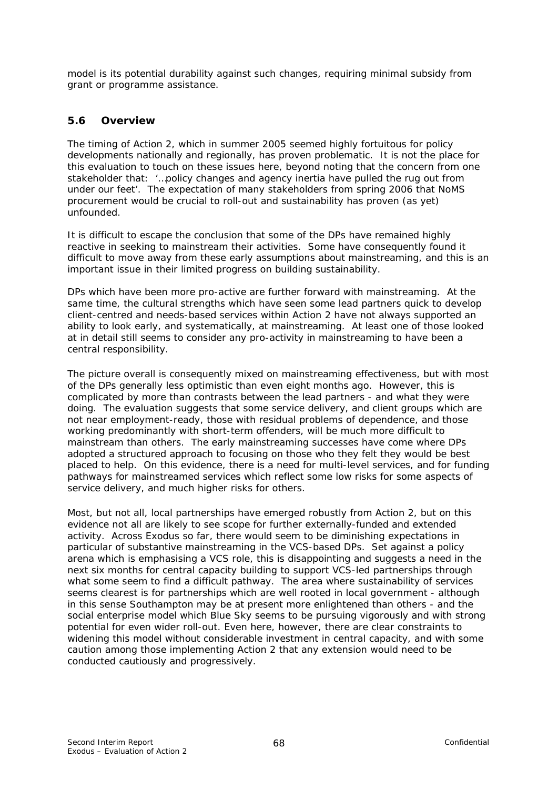model is its potential durability against such changes, requiring minimal subsidy from grant or programme assistance.

# **5.6 Overview**

The timing of Action 2, which in summer 2005 seemed highly fortuitous for policy developments nationally and regionally, has proven problematic. It is not the place for this evaluation to touch on these issues here, beyond noting that the concern from one stakeholder that: *'…policy changes and agency inertia have pulled the rug out from under our feet'.* The expectation of many stakeholders from spring 2006 that NoMS procurement would be crucial to roll-out and sustainability has proven (as yet) unfounded.

It is difficult to escape the conclusion that some of the DPs have remained highly reactive in seeking to mainstream their activities. Some have consequently found it difficult to move away from these early assumptions about mainstreaming, and this is an important issue in their limited progress on building sustainability.

DPs which have been more pro-active are further forward with mainstreaming. At the same time, the cultural strengths which have seen some lead partners quick to develop client-centred and needs-based services within Action 2 have not always supported an ability to look early, and systematically, at mainstreaming. At least one of those looked at in detail still seems to consider any pro-activity in mainstreaming to have been a central responsibility.

The picture overall is consequently mixed on mainstreaming effectiveness, but with most of the DPs generally less optimistic than even eight months ago. However, this is complicated by more than contrasts between the lead partners - and what they were doing. The evaluation suggests that some service delivery, and client groups which are not near employment-ready, those with residual problems of dependence, and those working predominantly with short-term offenders, will be much more difficult to mainstream than others. The early mainstreaming successes have come where DPs adopted a structured approach to focusing on those who they felt they would be best placed to help. On this evidence, there is a need for multi-level services, and for funding pathways for mainstreamed services which reflect some low risks for some aspects of service delivery, and much higher risks for others.

Most, but not all, local partnerships have emerged robustly from Action 2, but on this evidence not all are likely to see scope for further externally-funded and extended activity. Across Exodus so far, there would seem to be diminishing expectations in particular of substantive mainstreaming in the VCS-based DPs. Set against a policy arena which is emphasising a VCS role, this is disappointing and suggests a need in the next six months for central capacity building to support VCS-led partnerships through what some seem to find a difficult pathway. The area where sustainability of services seems clearest is for partnerships which are well rooted in local government - although in this sense Southampton may be at present more enlightened than others - and the social enterprise model which Blue Sky seems to be pursuing vigorously and with strong potential for even wider roll-out. Even here, however, there are clear constraints to widening this model without considerable investment in central capacity, and with some caution among those implementing Action 2 that any extension would need to be conducted cautiously and progressively.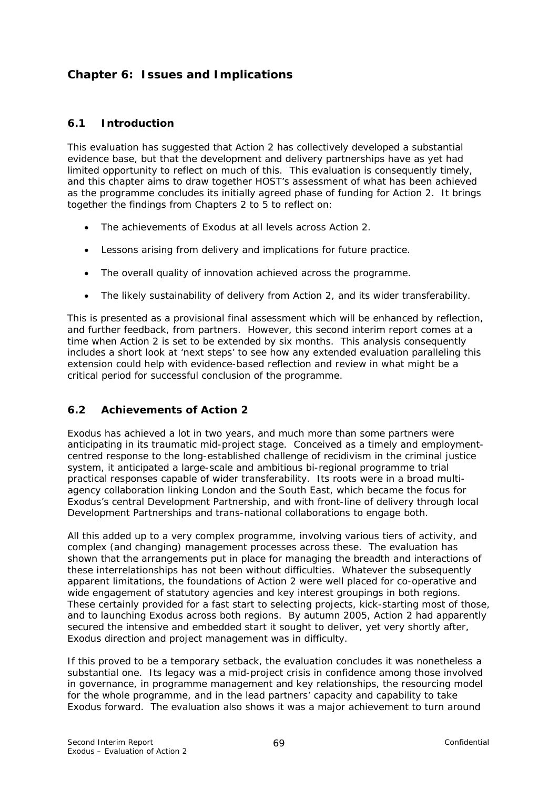# **Chapter 6: Issues and Implications**

## **6.1 Introduction**

This evaluation has suggested that Action 2 has collectively developed a substantial evidence base, but that the development and delivery partnerships have as yet had limited opportunity to reflect on much of this. This evaluation is consequently timely, and this chapter aims to draw together HOST's assessment of what has been achieved as the programme concludes its initially agreed phase of funding for Action 2. It brings together the findings from Chapters 2 to 5 to reflect on:

- The achievements of Exodus at all levels across Action 2.
- Lessons arising from delivery and implications for future practice.
- The overall quality of innovation achieved across the programme.
- The likely sustainability of delivery from Action 2, and its wider transferability.

This is presented as a provisional final assessment which will be enhanced by reflection, and further feedback, from partners. However, this second interim report comes at a time when Action 2 is set to be extended by six months. This analysis consequently includes a short look at 'next steps' to see how any extended evaluation paralleling this extension could help with evidence-based reflection and review in what might be a critical period for successful conclusion of the programme.

# **6.2 Achievements of Action 2**

Exodus has achieved a lot in two years, and much more than some partners were anticipating in its traumatic mid-project stage. Conceived as a timely and employmentcentred response to the long-established challenge of recidivism in the criminal justice system, it anticipated a large-scale and ambitious bi-regional programme to trial practical responses capable of wider transferability. Its roots were in a broad multiagency collaboration linking London and the South East, which became the focus for Exodus's central Development Partnership, and with front-line of delivery through local Development Partnerships and trans-national collaborations to engage both.

All this added up to a very complex programme, involving various tiers of activity, and complex (and changing) management processes across these. The evaluation has shown that the arrangements put in place for managing the breadth and interactions of these interrelationships has not been without difficulties. Whatever the subsequently apparent limitations, the foundations of Action 2 were well placed for co-operative and wide engagement of statutory agencies and key interest groupings in both regions. These certainly provided for a fast start to selecting projects, kick-starting most of those, and to launching Exodus across both regions. By autumn 2005, Action 2 had apparently secured the intensive and embedded start it sought to deliver, yet very shortly after, Exodus direction and project management was in difficulty.

If this proved to be a temporary setback, the evaluation concludes it was nonetheless a substantial one. Its legacy was a mid-project crisis in confidence among those involved in governance, in programme management and key relationships, the resourcing model for the whole programme, and in the lead partners' capacity and capability to take Exodus forward. The evaluation also shows it was a major achievement to turn around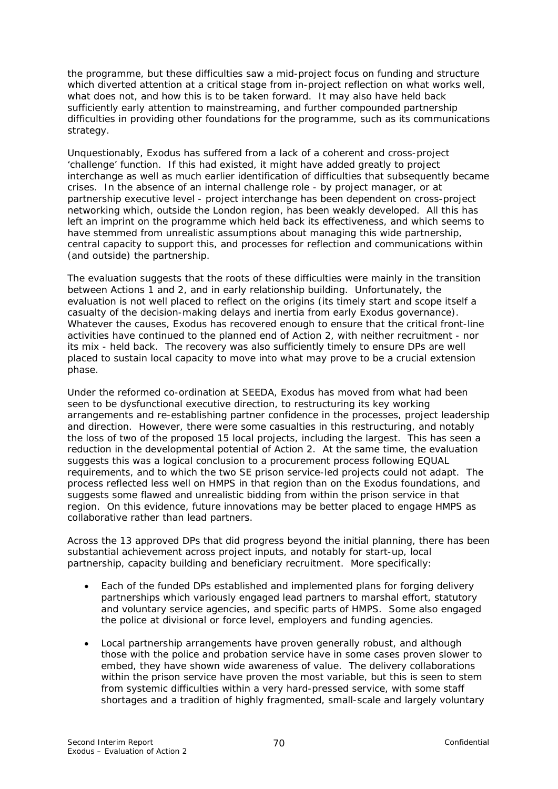the programme, but these difficulties saw a mid-project focus on funding and structure which diverted attention at a critical stage from in-project reflection on what works well, what does not, and how this is to be taken forward. It may also have held back sufficiently early attention to mainstreaming, and further compounded partnership difficulties in providing other foundations for the programme, such as its communications strategy.

Unquestionably, Exodus has suffered from a lack of a coherent and cross-project 'challenge' function. If this had existed, it might have added greatly to project interchange as well as much earlier identification of difficulties that subsequently became crises. In the absence of an internal challenge role - by project manager, or at partnership executive level - project interchange has been dependent on cross-project networking which, outside the London region, has been weakly developed. All this has left an imprint on the programme which held back its effectiveness, and which seems to have stemmed from unrealistic assumptions about managing this wide partnership, central capacity to support this, and processes for reflection and communications within (and outside) the partnership.

The evaluation suggests that the roots of these difficulties were mainly in the transition between Actions 1 and 2, and in early relationship building. Unfortunately, the evaluation is not well placed to reflect on the origins (its timely start and scope itself a casualty of the decision-making delays and inertia from early Exodus governance). Whatever the causes, Exodus has recovered enough to ensure that the critical front-line activities have continued to the planned end of Action 2, with neither recruitment - nor its mix - held back. The recovery was also sufficiently timely to ensure DPs are well placed to sustain local capacity to move into what may prove to be a crucial extension phase.

Under the reformed co-ordination at SEEDA, Exodus has moved from what had been seen to be dysfunctional executive direction, to restructuring its key working arrangements and re-establishing partner confidence in the processes, project leadership and direction. However, there were some casualties in this restructuring, and notably the loss of two of the proposed 15 local projects, including the largest. This has seen a reduction in the developmental potential of Action 2. At the same time, the evaluation suggests this was a logical conclusion to a procurement process following EQUAL requirements, and to which the two SE prison service-led projects could not adapt. The process reflected less well on HMPS in that region than on the Exodus foundations, and suggests some flawed and unrealistic bidding from within the prison service in that region. On this evidence, future innovations may be better placed to engage HMPS as collaborative rather than lead partners.

Across the 13 approved DPs that did progress beyond the initial planning, there has been substantial achievement across project inputs, and notably for start-up, local partnership, capacity building and beneficiary recruitment. More specifically:

- Each of the funded DPs established and implemented plans for forging delivery partnerships which variously engaged lead partners to marshal effort, statutory and voluntary service agencies, and specific parts of HMPS. Some also engaged the police at divisional or force level, employers and funding agencies.
- Local partnership arrangements have proven generally robust, and although those with the police and probation service have in some cases proven slower to embed, they have shown wide awareness of value. The delivery collaborations within the prison service have proven the most variable, but this is seen to stem from systemic difficulties within a very hard-pressed service, with some staff shortages and a tradition of highly fragmented, small-scale and largely voluntary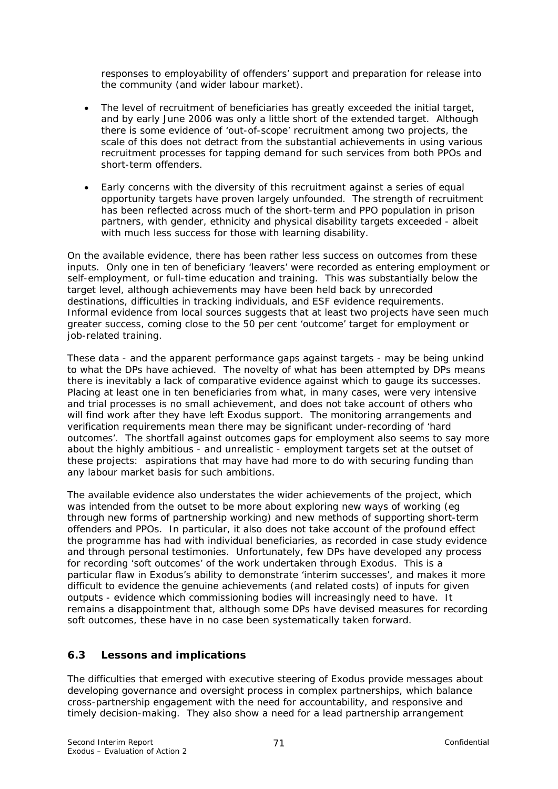responses to employability of offenders' support and preparation for release into the community (and wider labour market).

- The level of recruitment of beneficiaries has greatly exceeded the initial target, and by early June 2006 was only a little short of the extended target. Although there is some evidence of 'out-of-scope' recruitment among two projects, the scale of this does not detract from the substantial achievements in using various recruitment processes for tapping demand for such services from both PPOs and short-term offenders.
- Early concerns with the diversity of this recruitment against a series of equal opportunity targets have proven largely unfounded. The strength of recruitment has been reflected across much of the short-term and PPO population in prison partners, with gender, ethnicity and physical disability targets exceeded - albeit with much less success for those with learning disability.

On the available evidence, there has been rather less success on outcomes from these inputs. Only one in ten of beneficiary 'leavers' were recorded as entering employment or self-employment, or full-time education and training. This was substantially below the target level, although achievements may have been held back by unrecorded destinations, difficulties in tracking individuals, and ESF evidence requirements. Informal evidence from local sources suggests that at least two projects have seen much greater success, coming close to the 50 per cent 'outcome' target for employment or job-related training.

These data - and the apparent performance gaps against targets - may be being unkind to what the DPs have achieved. The novelty of what has been attempted by DPs means there is inevitably a lack of comparative evidence against which to gauge its successes. Placing at least one in ten beneficiaries from what, in many cases, were very intensive and trial processes is no small achievement, and does not take account of others who will find work after they have left Exodus support. The monitoring arrangements and verification requirements mean there may be significant under-recording of 'hard outcomes'. The shortfall against outcomes gaps for employment also seems to say more about the highly ambitious - and unrealistic - employment targets set at the outset of these projects: aspirations that may have had more to do with securing funding than any labour market basis for such ambitions.

The available evidence also understates the wider achievements of the project, which was intended from the outset to be more about exploring new ways of working (eg through new forms of partnership working) and new methods of supporting short-term offenders and PPOs. In particular, it also does not take account of the profound effect the programme has had with individual beneficiaries, as recorded in case study evidence and through personal testimonies. Unfortunately, few DPs have developed any process for recording 'soft outcomes' of the work undertaken through Exodus. This is a particular flaw in Exodus's ability to demonstrate 'interim successes', and makes it more difficult to evidence the genuine achievements (and related costs) of inputs for given outputs - evidence which commissioning bodies will increasingly need to have. It remains a disappointment that, although some DPs have devised measures for recording soft outcomes, these have in no case been systematically taken forward.

# **6.3 Lessons and implications**

The difficulties that emerged with executive steering of Exodus provide messages about developing governance and oversight process in complex partnerships, which balance cross-partnership engagement with the need for accountability, and responsive and timely decision-making. They also show a need for a lead partnership arrangement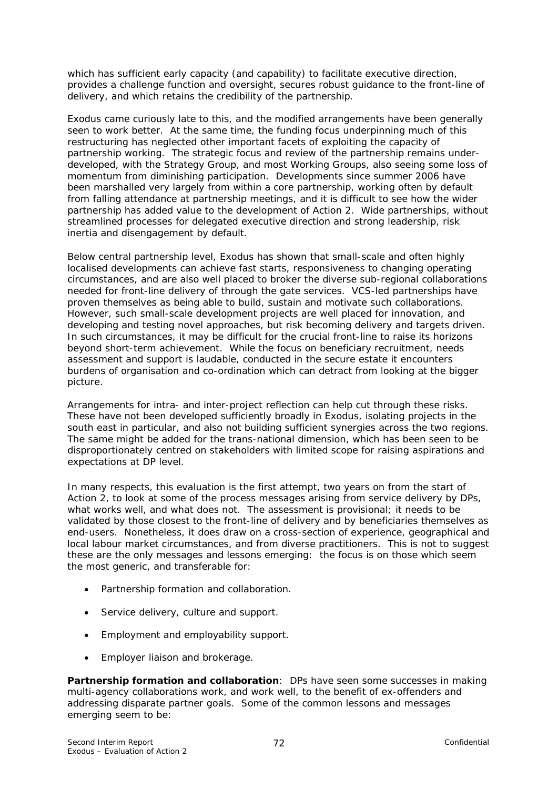which has sufficient early capacity (and capability) to facilitate executive direction, provides a challenge function and oversight, secures robust guidance to the front-line of delivery, and which retains the credibility of the partnership.

Exodus came curiously late to this, and the modified arrangements have been generally seen to work better. At the same time, the funding focus underpinning much of this restructuring has neglected other important facets of exploiting the capacity of partnership working. The strategic focus and review of the partnership remains underdeveloped, with the Strategy Group, and most Working Groups, also seeing some loss of momentum from diminishing participation. Developments since summer 2006 have been marshalled very largely from within a core partnership, working often by default from falling attendance at partnership meetings, and it is difficult to see how the wider partnership has added value to the development of Action 2. Wide partnerships, without streamlined processes for delegated executive direction and strong leadership, risk inertia and disengagement by default.

Below central partnership level, Exodus has shown that small-scale and often highly localised developments can achieve fast starts, responsiveness to changing operating circumstances, and are also well placed to broker the diverse sub-regional collaborations needed for front-line delivery of through the gate services. VCS-led partnerships have proven themselves as being able to build, sustain and motivate such collaborations. However, such small-scale development projects are well placed for innovation, and developing and testing novel approaches, but risk becoming delivery and targets driven. In such circumstances, it may be difficult for the crucial front-line to raise its horizons beyond short-term achievement. While the focus on beneficiary recruitment, needs assessment and support is laudable, conducted in the secure estate it encounters burdens of organisation and co-ordination which can detract from looking at the bigger picture.

Arrangements for intra- and inter-project reflection can help cut through these risks. These have not been developed sufficiently broadly in Exodus, isolating projects in the south east in particular, and also not building sufficient synergies across the two regions. The same might be added for the trans-national dimension, which has been seen to be disproportionately centred on stakeholders with limited scope for raising aspirations and expectations at DP level.

In many respects, this evaluation is the first attempt, two years on from the start of Action 2, to look at some of the process messages arising from service delivery by DPs, what works well, and what does not. The assessment is provisional; it needs to be validated by those closest to the front-line of delivery and by beneficiaries themselves as end-users. Nonetheless, it does draw on a cross-section of experience, geographical and local labour market circumstances, and from diverse practitioners. This is not to suggest these are the only messages and lessons emerging: the focus is on those which seem the most generic, and transferable for:

- Partnership formation and collaboration.
- Service delivery, culture and support.
- Employment and employability support.
- Employer liaison and brokerage.

**Partnership formation and collaboration**: DPs have seen some successes in making multi-agency collaborations work, and work well, to the benefit of ex-offenders and addressing disparate partner goals. Some of the common lessons and messages emerging seem to be: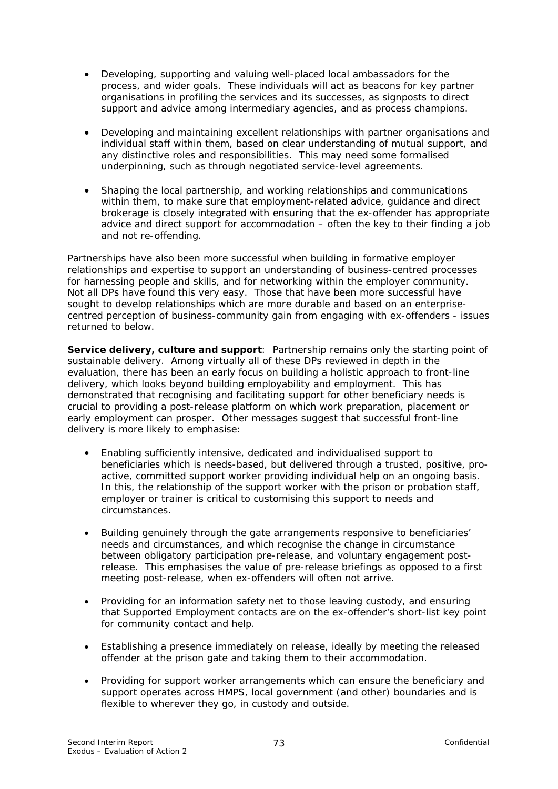- Developing, supporting and valuing well-placed local ambassadors for the process, and wider goals. These individuals will act as beacons for key partner organisations in profiling the services and its successes, as signposts to direct support and advice among intermediary agencies, and as process champions.
- Developing and maintaining excellent relationships with partner organisations and individual staff within them, based on clear understanding of mutual support, and any distinctive roles and responsibilities. This may need some formalised underpinning, such as through negotiated service-level agreements.
- Shaping the local partnership, and working relationships and communications within them, to make sure that employment-related advice, guidance and direct brokerage is closely integrated with ensuring that the ex-offender has appropriate advice and direct support for accommodation – often the key to their finding a job and not re-offending.

Partnerships have also been more successful when building in formative employer relationships and expertise to support an understanding of business-centred processes for harnessing people and skills, and for networking within the employer community. Not all DPs have found this very easy. Those that have been more successful have sought to develop relationships which are more durable and based on an enterprisecentred perception of business-community gain from engaging with ex-offenders - issues returned to below.

**Service delivery, culture and support**: Partnership remains only the starting point of sustainable delivery.Among virtually all of these DPs reviewed in depth in the evaluation, there has been an early focus on building a holistic approach to front-line delivery, which looks beyond building employability and employment. This has demonstrated that recognising and facilitating support for other beneficiary needs is crucial to providing a post-release platform on which work preparation, placement or early employment can prosper. Other messages suggest that successful front-line delivery is more likely to emphasise:

- Enabling sufficiently intensive, dedicated and individualised support to beneficiaries which is needs-based, but delivered through a trusted, positive, proactive, committed support worker providing individual help on an ongoing basis. In this, the relationship of the support worker with the prison or probation staff, employer or trainer is critical to customising this support to needs and circumstances.
- Building genuinely through the gate arrangements responsive to beneficiaries' needs and circumstances, and which recognise the change in circumstance between obligatory participation pre-release, and voluntary engagement postrelease. This emphasises the value of pre-release briefings as opposed to a first meeting post-release, when ex-offenders will often not arrive.
- Providing for an information safety net to those leaving custody, and ensuring that Supported Employment contacts are on the ex-offender's short-list key point for community contact and help.
- Establishing a presence immediately on release, ideally by meeting the released offender at the prison gate and taking them to their accommodation.
- Providing for support worker arrangements which can ensure the beneficiary and support operates across HMPS, local government (and other) boundaries and is flexible to wherever they go, in custody and outside.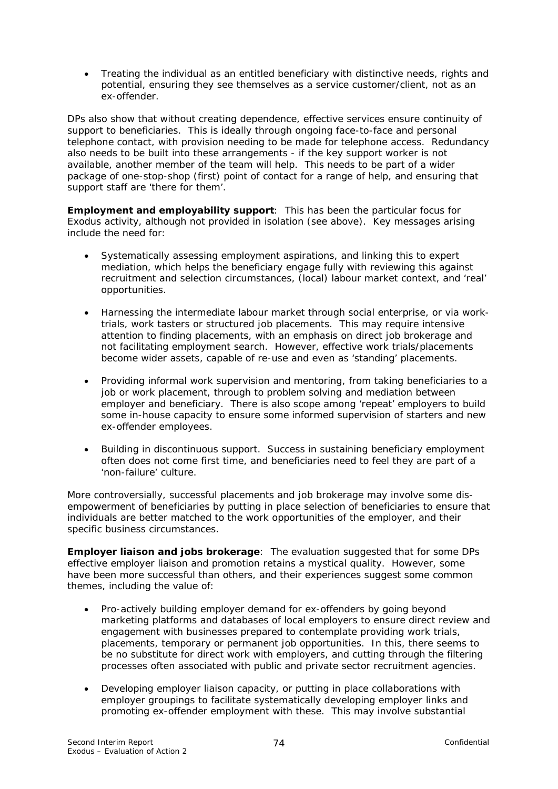• Treating the individual as an entitled beneficiary with distinctive needs, rights and potential, ensuring they see themselves as a service customer/client, not as an ex-offender.

DPs also show that without creating dependence, effective services ensure continuity of support to beneficiaries. This is ideally through ongoing face-to-face and personal telephone contact, with provision needing to be made for telephone access. Redundancy also needs to be built into these arrangements - if the key support worker is not available, another member of the team will help. This needs to be part of a wider package of one-stop-shop (first) point of contact for a range of help, and ensuring that support staff are 'there for them'.

**Employment and employability support**: This has been the particular focus for Exodus activity, although not provided in isolation (see above). Key messages arising include the need for:

- Systematically assessing employment aspirations, and linking this to expert mediation, which helps the beneficiary engage fully with reviewing this against recruitment and selection circumstances, (local) labour market context, and 'real' opportunities.
- Harnessing the intermediate labour market through social enterprise, or via worktrials, work tasters or structured job placements. This may require intensive attention to finding placements, with an emphasis on direct job brokerage and not facilitating employment search. However, effective work trials/placements become wider assets, capable of re-use and even as 'standing' placements.
- Providing informal work supervision and mentoring, from taking beneficiaries to a job or work placement, through to problem solving and mediation between employer and beneficiary. There is also scope among 'repeat' employers to build some in-house capacity to ensure some informed supervision of starters and new ex-offender employees.
- Building in discontinuous support. Success in sustaining beneficiary employment often does not come first time, and beneficiaries need to feel they are part of a 'non-failure' culture.

More controversially, successful placements and job brokerage may involve some disempowerment of beneficiaries by putting in place selection of beneficiaries to ensure that individuals are better matched to the work opportunities of the employer, and their specific business circumstances.

**Employer liaison and jobs brokerage**: The evaluation suggested that for some DPs effective employer liaison and promotion retains a mystical quality. However, some have been more successful than others, and their experiences suggest some common themes, including the value of:

- Pro-actively building employer demand for ex-offenders by going beyond marketing platforms and databases of local employers to ensure direct review and engagement with businesses prepared to contemplate providing work trials, placements, temporary or permanent job opportunities. In this, there seems to be no substitute for direct work with employers, and cutting through the filtering processes often associated with public and private sector recruitment agencies.
- Developing employer liaison capacity, or putting in place collaborations with employer groupings to facilitate systematically developing employer links and promoting ex-offender employment with these. This may involve substantial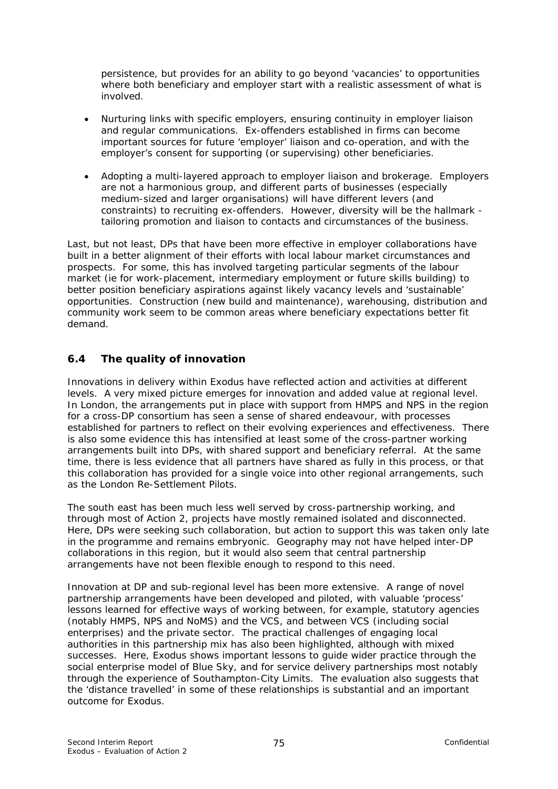persistence, but provides for an ability to go beyond 'vacancies' to opportunities where both beneficiary and employer start with a realistic assessment of what is involved.

- Nurturing links with specific employers, ensuring continuity in employer liaison and regular communications. Ex-offenders established in firms can become important sources for future 'employer' liaison and co-operation, and with the employer's consent for supporting (or supervising) other beneficiaries.
- Adopting a multi-layered approach to employer liaison and brokerage. Employers are not a harmonious group, and different parts of businesses (especially medium-sized and larger organisations) will have different levers (and constraints) to recruiting ex-offenders. However, diversity will be the hallmark tailoring promotion and liaison to contacts and circumstances of the business.

Last, but not least, DPs that have been more effective in employer collaborations have built in a better alignment of their efforts with local labour market circumstances and prospects. For some, this has involved targeting particular segments of the labour market (ie for work-placement, intermediary employment or future skills building) to better position beneficiary aspirations against likely vacancy levels and 'sustainable' opportunities. Construction (new build and maintenance), warehousing, distribution and community work seem to be common areas where beneficiary expectations better fit demand.

# **6.4 The quality of innovation**

Innovations in delivery within Exodus have reflected action and activities at different levels. A very mixed picture emerges for innovation and added value at regional level. In London, the arrangements put in place with support from HMPS and NPS in the region for a cross-DP consortium has seen a sense of shared endeavour, with processes established for partners to reflect on their evolving experiences and effectiveness. There is also some evidence this has intensified at least some of the cross-partner working arrangements built into DPs, with shared support and beneficiary referral. At the same time, there is less evidence that all partners have shared as fully in this process, or that this collaboration has provided for a single voice into other regional arrangements, such as the London Re-Settlement Pilots.

The south east has been much less well served by cross-partnership working, and through most of Action 2, projects have mostly remained isolated and disconnected. Here, DPs were seeking such collaboration, but action to support this was taken only late in the programme and remains embryonic. Geography may not have helped inter-DP collaborations in this region, but it would also seem that central partnership arrangements have not been flexible enough to respond to this need.

Innovation at DP and sub-regional level has been more extensive. A range of novel partnership arrangements have been developed and piloted, with valuable 'process' lessons learned for effective ways of working between, for example, statutory agencies (notably HMPS, NPS and NoMS) and the VCS, and between VCS (including social enterprises) and the private sector. The practical challenges of engaging local authorities in this partnership mix has also been highlighted, although with mixed successes. Here, Exodus shows important lessons to guide wider practice through the social enterprise model of Blue Sky, and for service delivery partnerships most notably through the experience of Southampton-City Limits. The evaluation also suggests that the 'distance travelled' in some of these relationships is substantial and an important outcome for Exodus.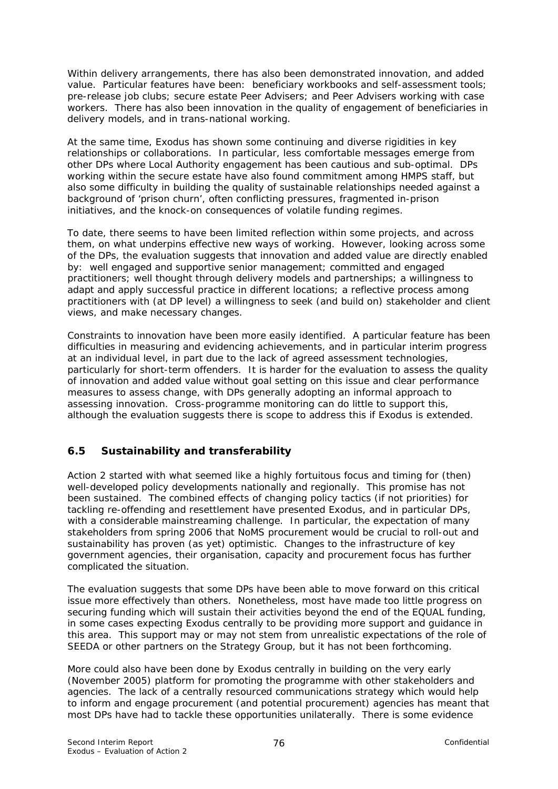Within delivery arrangements, there has also been demonstrated innovation, and added value. Particular features have been: beneficiary workbooks and self-assessment tools; pre-release job clubs; secure estate Peer Advisers; and Peer Advisers working with case workers. There has also been innovation in the quality of engagement of beneficiaries in delivery models, and in trans-national working.

At the same time, Exodus has shown some continuing and diverse rigidities in key relationships or collaborations. In particular, less comfortable messages emerge from other DPs where Local Authority engagement has been cautious and sub-optimal. DPs working within the secure estate have also found commitment among HMPS staff, but also some difficulty in building the quality of sustainable relationships needed against a background of 'prison churn', often conflicting pressures, fragmented in-prison initiatives, and the knock-on consequences of volatile funding regimes.

To date, there seems to have been limited reflection within some projects, and across them, on what underpins effective new ways of working. However, looking across some of the DPs, the evaluation suggests that innovation and added value are directly enabled by: well engaged and supportive senior management; committed and engaged practitioners; well thought through delivery models and partnerships; a willingness to adapt and apply successful practice in different locations; a reflective process among practitioners with (at DP level) a willingness to seek (and build on) stakeholder and client views, and make necessary changes.

Constraints to innovation have been more easily identified. A particular feature has been difficulties in measuring and evidencing achievements, and in particular interim progress at an individual level, in part due to the lack of agreed assessment technologies, particularly for short-term offenders. It is harder for the evaluation to assess the quality of innovation and added value without goal setting on this issue and clear performance measures to assess change, with DPs generally adopting an informal approach to assessing innovation. Cross-programme monitoring can do little to support this, although the evaluation suggests there is scope to address this if Exodus is extended.

# **6.5 Sustainability and transferability**

Action 2 started with what seemed like a highly fortuitous focus and timing for (then) well-developed policy developments nationally and regionally. This promise has not been sustained. The combined effects of changing policy tactics (if not priorities) for tackling re-offending and resettlement have presented Exodus, and in particular DPs, with a considerable mainstreaming challenge. In particular, the expectation of many stakeholders from spring 2006 that NoMS procurement would be crucial to roll-out and sustainability has proven (as yet) optimistic. Changes to the infrastructure of key government agencies, their organisation, capacity and procurement focus has further complicated the situation.

The evaluation suggests that some DPs have been able to move forward on this critical issue more effectively than others. Nonetheless, most have made too little progress on securing funding which will sustain their activities beyond the end of the EQUAL funding, in some cases expecting Exodus centrally to be providing more support and guidance in this area. This support may or may not stem from unrealistic expectations of the role of SEEDA or other partners on the Strategy Group, but it has not been forthcoming.

More could also have been done by Exodus centrally in building on the very early (November 2005) platform for promoting the programme with other stakeholders and agencies. The lack of a centrally resourced communications strategy which would help to inform and engage procurement (and potential procurement) agencies has meant that most DPs have had to tackle these opportunities unilaterally. There is some evidence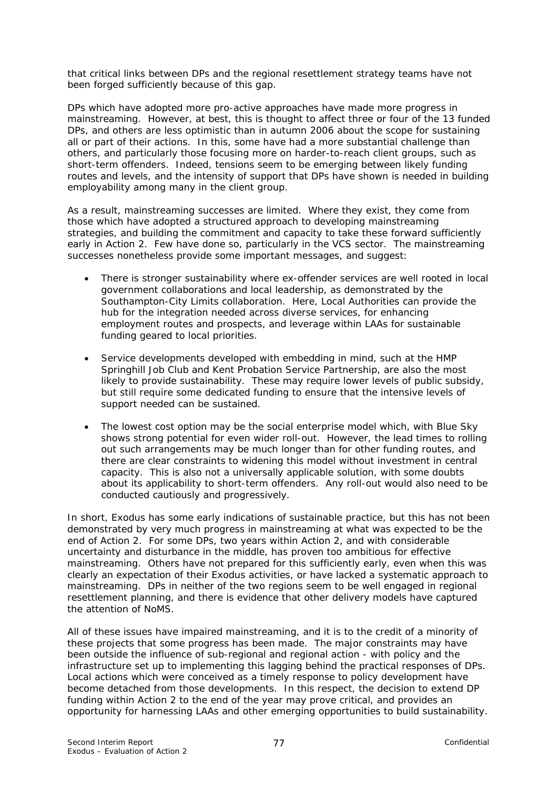that critical links between DPs and the regional resettlement strategy teams have not been forged sufficiently because of this gap.

DPs which have adopted more pro-active approaches have made more progress in mainstreaming. However, at best, this is thought to affect three or four of the 13 funded DPs, and others are less optimistic than in autumn 2006 about the scope for sustaining all or part of their actions. In this, some have had a more substantial challenge than others, and particularly those focusing more on harder-to-reach client groups, such as short-term offenders. Indeed, tensions seem to be emerging between likely funding routes and levels, and the intensity of support that DPs have shown is needed in building employability among many in the client group.

As a result, mainstreaming successes are limited. Where they exist, they come from those which have adopted a structured approach to developing mainstreaming strategies, and building the commitment and capacity to take these forward sufficiently early in Action 2. Few have done so, particularly in the VCS sector. The mainstreaming successes nonetheless provide some important messages, and suggest:

- There is stronger sustainability where ex-offender services are well rooted in local government collaborations and local leadership, as demonstrated by the Southampton-City Limits collaboration. Here, Local Authorities can provide the hub for the integration needed across diverse services, for enhancing employment routes and prospects, and leverage within LAAs for sustainable funding geared to local priorities.
- Service developments developed with embedding in mind, such at the HMP Springhill Job Club and Kent Probation Service Partnership, are also the most likely to provide sustainability. These may require lower levels of public subsidy, but still require some dedicated funding to ensure that the intensive levels of support needed can be sustained.
- The lowest cost option may be the social enterprise model which, with Blue Sky shows strong potential for even wider roll-out. However, the lead times to rolling out such arrangements may be much longer than for other funding routes, and there are clear constraints to widening this model without investment in central capacity. This is also not a universally applicable solution, with some doubts about its applicability to short-term offenders. Any roll-out would also need to be conducted cautiously and progressively.

In short, Exodus has some early indications of sustainable practice, but this has not been demonstrated by very much progress in mainstreaming at what was expected to be the end of Action 2. For some DPs, two years within Action 2, and with considerable uncertainty and disturbance in the middle, has proven too ambitious for effective mainstreaming. Others have not prepared for this sufficiently early, even when this was clearly an expectation of their Exodus activities, or have lacked a systematic approach to mainstreaming. DPs in neither of the two regions seem to be well engaged in regional resettlement planning, and there is evidence that other delivery models have captured the attention of NoMS.

All of these issues have impaired mainstreaming, and it is to the credit of a minority of these projects that some progress has been made. The major constraints may have been outside the influence of sub-regional and regional action - with policy and the infrastructure set up to implementing this lagging behind the practical responses of DPs. Local actions which were conceived as a timely response to policy development have become detached from those developments. In this respect, the decision to extend DP funding within Action 2 to the end of the year may prove critical, and provides an opportunity for harnessing LAAs and other emerging opportunities to build sustainability.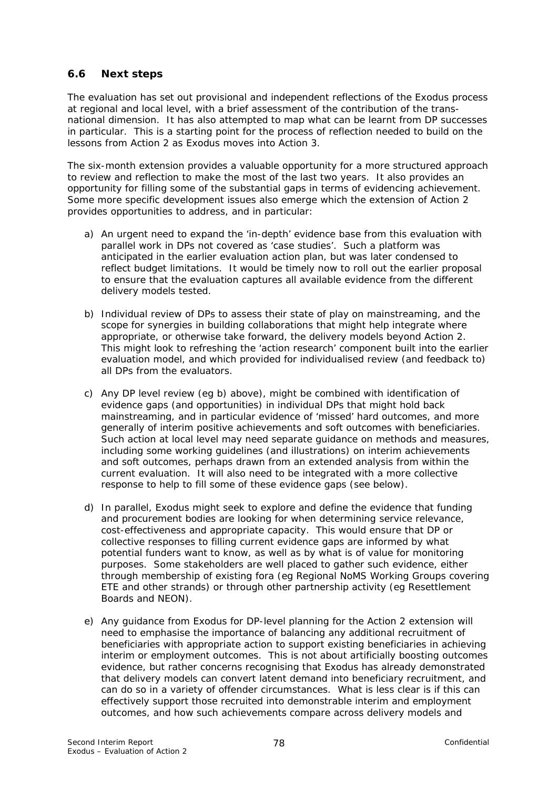### **6.6 Next steps**

The evaluation has set out provisional and independent reflections of the Exodus process at regional and local level, with a brief assessment of the contribution of the transnational dimension. It has also attempted to map what can be learnt from DP successes in particular. This is a starting point for the process of reflection needed to build on the lessons from Action 2 as Exodus moves into Action 3.

The six-month extension provides a valuable opportunity for a more structured approach to review and reflection to make the most of the last two years. It also provides an opportunity for filling some of the substantial gaps in terms of evidencing achievement. Some more specific development issues also emerge which the extension of Action 2 provides opportunities to address, and in particular:

- a) An urgent need to expand the 'in-depth' evidence base from this evaluation with parallel work in DPs not covered as 'case studies'. Such a platform was anticipated in the earlier evaluation action plan, but was later condensed to reflect budget limitations. It would be timely now to roll out the earlier proposal to ensure that the evaluation captures all available evidence from the different delivery models tested.
- b) Individual review of DPs to assess their state of play on mainstreaming, and the scope for synergies in building collaborations that might help integrate where appropriate, or otherwise take forward, the delivery models beyond Action 2. This might look to refreshing the 'action research' component built into the earlier evaluation model, and which provided for individualised review (and feedback to) all DPs from the evaluators.
- c) Any DP level review (eg b) above), might be combined with identification of evidence gaps (and opportunities) in individual DPs that might hold back mainstreaming, and in particular evidence of 'missed' hard outcomes, and more generally of interim positive achievements and soft outcomes with beneficiaries. Such action at local level may need separate guidance on methods and measures, including some working guidelines (and illustrations) on interim achievements and soft outcomes, perhaps drawn from an extended analysis from within the current evaluation. It will also need to be integrated with a more collective response to help to fill some of these evidence gaps (see below).
- d) In parallel, Exodus might seek to explore and define the evidence that funding and procurement bodies are looking for when determining service relevance, cost-effectiveness and appropriate capacity. This would ensure that DP or collective responses to filling current evidence gaps are informed by what potential funders want to know, as well as by what is of value for monitoring purposes. Some stakeholders are well placed to gather such evidence, either through membership of existing fora (eg Regional NoMS Working Groups covering ETE and other strands) or through other partnership activity (eg Resettlement Boards and NEON).
- e) Any guidance from Exodus for DP-level planning for the Action 2 extension will need to emphasise the importance of balancing any additional recruitment of beneficiaries with appropriate action to support existing beneficiaries in achieving interim or employment outcomes. This is not about artificially boosting outcomes evidence, but rather concerns recognising that Exodus has already demonstrated that delivery models can convert latent demand into beneficiary recruitment, and can do so in a variety of offender circumstances. What is less clear is if this can effectively support those recruited into demonstrable interim and employment outcomes, and how such achievements compare across delivery models and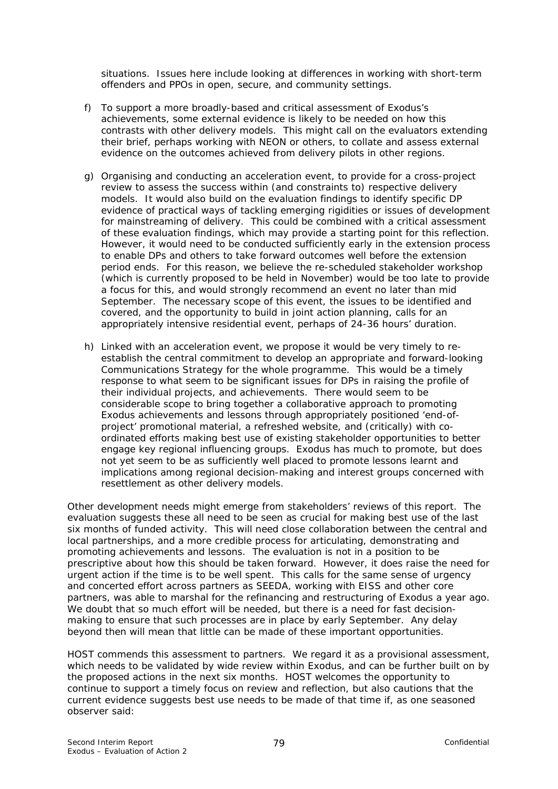situations. Issues here include looking at differences in working with short-term offenders and PPOs in open, secure, and community settings.

- f) To support a more broadly-based and critical assessment of Exodus's achievements, some external evidence is likely to be needed on how this contrasts with other delivery models. This might call on the evaluators extending their brief, perhaps working with NEON or others, to collate and assess external evidence on the outcomes achieved from delivery pilots in other regions.
- g) Organising and conducting an *acceleration event,* to provide for a cross-project review to assess the success within (and constraints to) respective delivery models. It would also build on the evaluation findings to identify specific DP evidence of practical ways of tackling emerging rigidities or issues of development for mainstreaming of delivery. This could be combined with a critical assessment of these evaluation findings, which may provide a starting point for this reflection. However, it would need to be conducted sufficiently early in the extension process to enable DPs and others to take forward outcomes well before the extension period ends. For this reason, we believe the re-scheduled stakeholder workshop (which is currently proposed to be held in November) would be too late to provide a focus for this, and would strongly recommend an event no later than mid September. The necessary scope of this event, the issues to be identified and covered, and the opportunity to build in joint action planning, calls for an appropriately intensive residential event, perhaps of 24-36 hours' duration.
- h) Linked with an acceleration event, we propose it would be very timely to reestablish the central commitment to develop an appropriate and forward-looking Communications Strategy for the whole programme. This would be a timely response to what seem to be significant issues for DPs in raising the profile of their individual projects, and achievements. There would seem to be considerable scope to bring together a collaborative approach to promoting Exodus achievements and lessons through appropriately positioned 'end-ofproject' promotional material, a refreshed website, and (critically) with coordinated efforts making best use of existing stakeholder opportunities to better engage key regional influencing groups. Exodus has much to promote, but does not yet seem to be as sufficiently well placed to promote lessons learnt and implications among regional decision-making and interest groups concerned with resettlement as other delivery models.

Other development needs might emerge from stakeholders' reviews of this report. The evaluation suggests these all need to be seen as crucial for making best use of the last six months of funded activity. This will need close collaboration between the central and local partnerships, and a more credible process for articulating, demonstrating and promoting achievements and lessons. The evaluation is not in a position to be prescriptive about how this should be taken forward. However, it does raise the need for urgent action if the time is to be well spent. This calls for the same sense of urgency and concerted effort across partners as SEEDA, working with EISS and other core partners, was able to marshal for the refinancing and restructuring of Exodus a year ago. We doubt that so much effort will be needed, but there is a need for fast decisionmaking to ensure that such processes are in place by early September. Any delay beyond then will mean that little can be made of these important opportunities.

HOST commends this assessment to partners. We regard it as a provisional assessment, which needs to be validated by wide review within Exodus, and can be further built on by the proposed actions in the next six months. HOST welcomes the opportunity to continue to support a timely focus on review and reflection, but also cautions that the current evidence suggests best use needs to be made of that time if, as one seasoned observer said: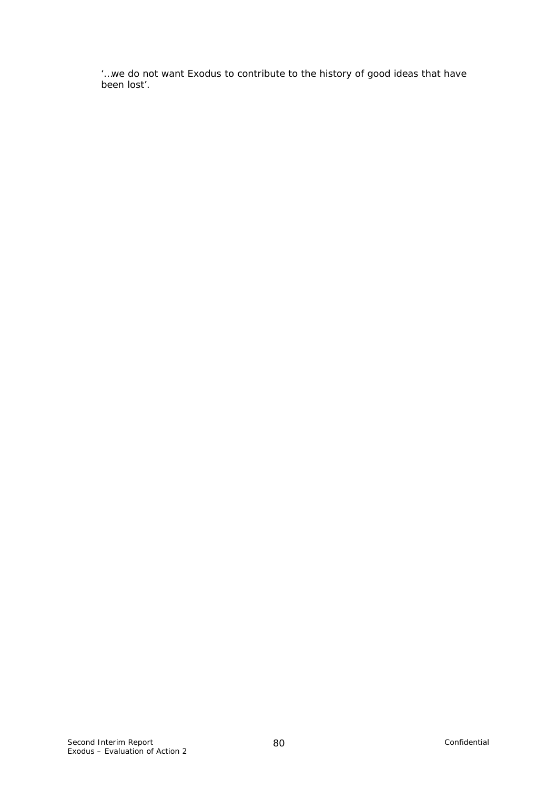*'…we do not want Exodus to contribute to the history of good ideas that have been lost'.*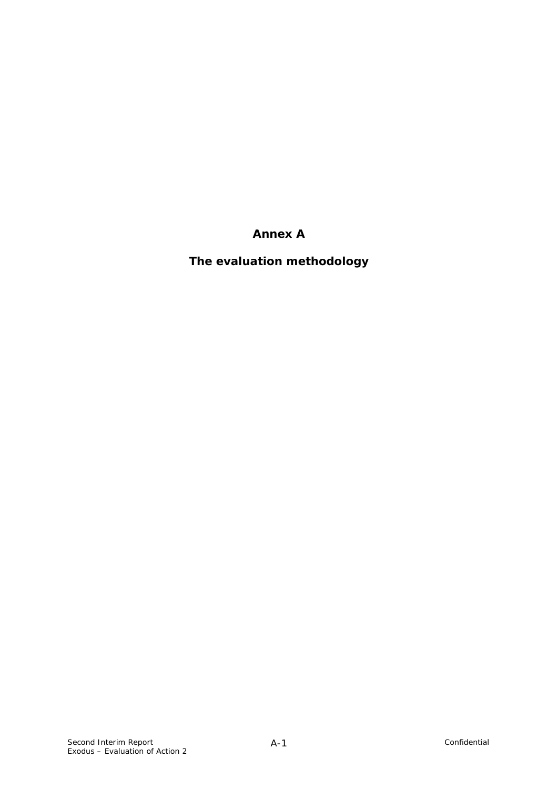**Annex A** 

**The evaluation methodology**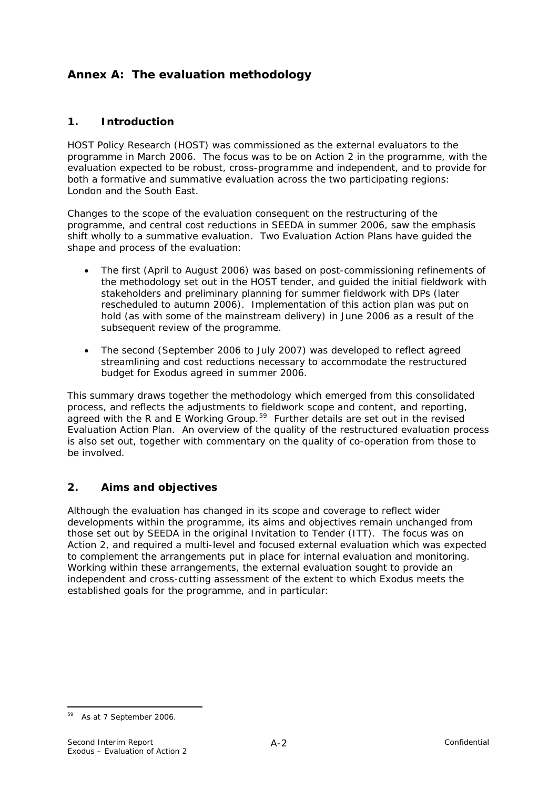# <span id="page-85-0"></span>**Annex A: The evaluation methodology**

## **1. Introduction**

HOST Policy Research (HOST) was commissioned as the external evaluators to the programme in March 2006. The focus was to be on Action 2 in the programme, with the evaluation expected to be robust, cross-programme and independent, and to provide for both a formative and summative evaluation across the two participating regions: London and the South East.

Changes to the scope of the evaluation consequent on the restructuring of the programme, and central cost reductions in SEEDA in summer 2006, saw the emphasis shift wholly to a summative evaluation. Two Evaluation Action Plans have guided the shape and process of the evaluation:

- The first (April to August 2006) was based on post-commissioning refinements of the methodology set out in the HOST tender, and guided the initial fieldwork with stakeholders and preliminary planning for summer fieldwork with DPs (later rescheduled to autumn 2006). Implementation of this action plan was put on hold (as with some of the mainstream delivery) in June 2006 as a result of the subsequent review of the programme.
- The second (September 2006 to July 2007) was developed to reflect agreed streamlining and cost reductions necessary to accommodate the restructured budget for Exodus agreed in summer 2006.

This summary draws together the methodology which emerged from this consolidated process, and reflects the adjustments to fieldwork scope and content, and reporting, agreed with the R and E Working Group.<sup>[59](#page-85-0)</sup> Further details are set out in the revised Evaluation Action Plan. An overview of the quality of the restructured evaluation process is also set out, together with commentary on the quality of co-operation from those to be involved.

# **2. Aims and objectives**

Although the evaluation has changed in its scope and coverage to reflect wider developments within the programme, its aims and objectives remain unchanged from those set out by SEEDA in the original Invitation to Tender (ITT). The focus was on Action 2, and required a multi-level and focused external evaluation which was expected to complement the arrangements put in place for internal evaluation and monitoring. Working within these arrangements, the external evaluation sought to provide *an independent and cross-cutting assessment of the extent to which Exodus meets the established goals for the programme*, and in particular:

<sup>&</sup>lt;u>.</u> 59 As at 7 September 2006.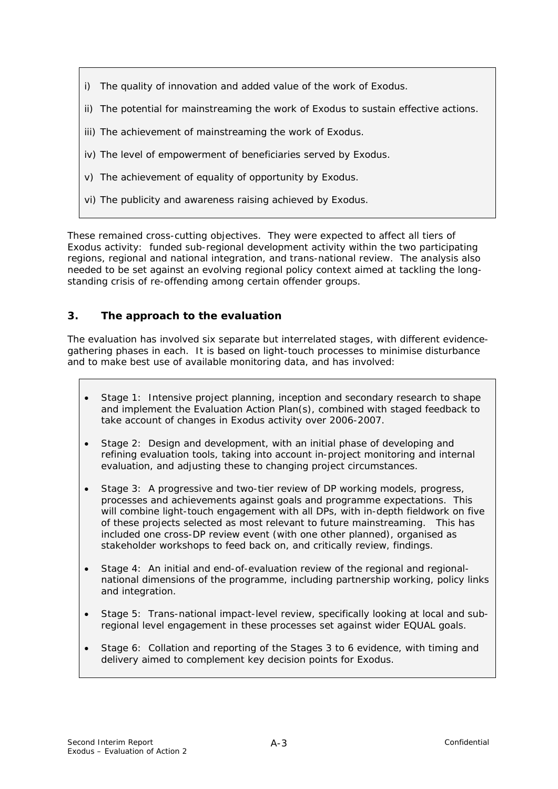- i) The quality of innovation and added value of the work of Exodus.
- ii) The potential for mainstreaming the work of Exodus to sustain effective actions.
- iii) The achievement of mainstreaming the work of Exodus.
- iv) The level of empowerment of beneficiaries served by Exodus.
- v) The achievement of equality of opportunity by Exodus.
- vi) The publicity and awareness raising achieved by Exodus.

These remained cross-cutting objectives. They were expected to affect all tiers of Exodus activity: funded sub-regional development activity within the two participating regions, regional and national integration, and trans-national review. The analysis also needed to be set against an evolving regional policy context aimed at tackling the longstanding crisis of re-offending among certain offender groups.

### **3. The approach to the evaluation**

The evaluation has involved six separate but interrelated stages, with different evidencegathering phases in each. It is based on *light-touch* processes to minimise disturbance and to make best use of available monitoring data, and has involved:

- Stage 1: Intensive project planning, inception and secondary research to shape and implement the Evaluation Action Plan(s), combined with staged feedback to take account of changes in Exodus activity over 2006-2007.
- Stage 2: Design and development, with an initial phase of developing and refining evaluation tools, taking into account in-project monitoring and internal evaluation, and adjusting these to changing project circumstances.
- Stage 3: A progressive and two-tier review of DP working models, progress, processes and achievements against goals and programme expectations. This will combine light-touch engagement with all DPs, with in-depth fieldwork on five of these projects selected as most relevant to future mainstreaming. This has included one cross-DP review event (with one other planned), organised as stakeholder workshops to feed back on, and critically review, findings.
- Stage 4: An initial and end-of-evaluation review of the regional and regionalnational dimensions of the programme, including partnership working, policy links and integration.
- Stage 5: Trans-national impact-level review, specifically looking at local and subregional level engagement in these processes set against wider EQUAL goals.
- Stage 6: Collation and reporting of the Stages 3 to 6 evidence, with timing and delivery aimed to complement key decision points for Exodus.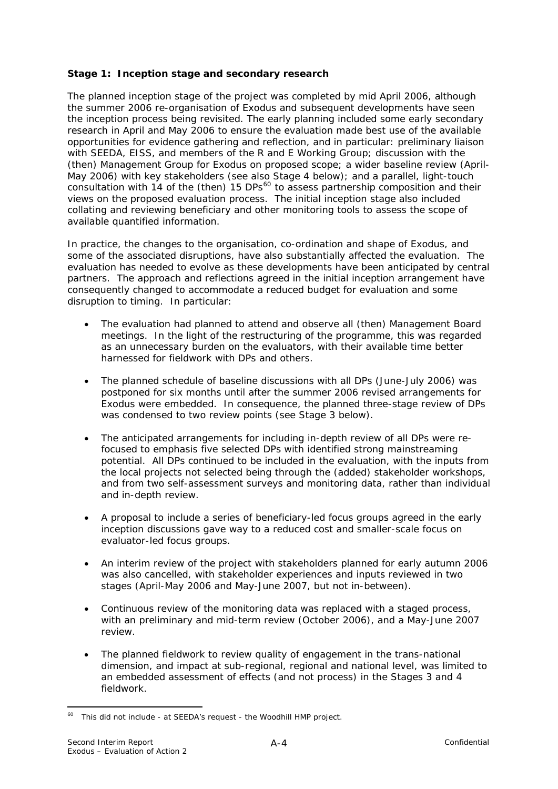### <span id="page-87-0"></span>**Stage 1: Inception stage and secondary research**

The planned inception stage of the project was completed by mid April 2006, although the summer 2006 re-organisation of Exodus and subsequent developments have seen the inception process being revisited. The early planning included some early secondary research in April and May 2006 to ensure the evaluation made best use of the available opportunities for evidence gathering and reflection, and in particular: preliminary liaison with SEEDA, EISS, and members of the R and E Working Group; discussion with the (then) Management Group for Exodus on proposed scope; a wider baseline review (April-May 2006) with key stakeholders (see also Stage 4 below); and a parallel, light-touch consultation with 14 of the (then) 15 DPs $^{60}$  $^{60}$  $^{60}$  to assess partnership composition and their views on the proposed evaluation process. The initial inception stage also included collating and reviewing beneficiary and other monitoring tools to assess the scope of available quantified information.

In practice, the changes to the organisation, co-ordination and shape of Exodus, and some of the associated disruptions, have also substantially affected the evaluation. The evaluation has needed to evolve as these developments have been anticipated by central partners. The approach and reflections agreed in the initial inception arrangement have consequently changed to accommodate a reduced budget for evaluation and some disruption to timing. In particular:

- The evaluation had planned to attend and observe all (then) Management Board meetings. In the light of the restructuring of the programme, this was regarded as an unnecessary burden on the evaluators, with their available time better harnessed for fieldwork with DPs and others.
- The planned schedule of baseline discussions with all DPs (June-July 2006) was postponed for six months until after the summer 2006 revised arrangements for Exodus were embedded. In consequence, the planned three-stage review of DPs was condensed to two review points (see Stage 3 below).
- The anticipated arrangements for including in-depth review of all DPs were refocused to emphasis five selected DPs with identified strong mainstreaming potential. All DPs continued to be included in the evaluation, with the inputs from the local projects not selected being through the (added) stakeholder workshops, and from two self-assessment surveys and monitoring data, rather than individual and in-depth review.
- A proposal to include a series of beneficiary-led focus groups agreed in the early inception discussions gave way to a reduced cost and smaller-scale focus on evaluator-led focus groups.
- An interim review of the project with stakeholders planned for early autumn 2006 was also cancelled, with stakeholder experiences and inputs reviewed in two stages (April-May 2006 and May-June 2007, but not in-between).
- Continuous review of the monitoring data was replaced with a staged process, with an preliminary and mid-term review (October 2006), and a May-June 2007 review.
- The planned fieldwork to review quality of engagement in the trans-national dimension, and impact at sub-regional, regional and national level, was limited to an embedded assessment of effects (and not process) in the Stages 3 and 4 fieldwork.

<sup>&</sup>lt;u>.</u>  $60$  This did not include - at SEEDA's request - the Woodhill HMP project.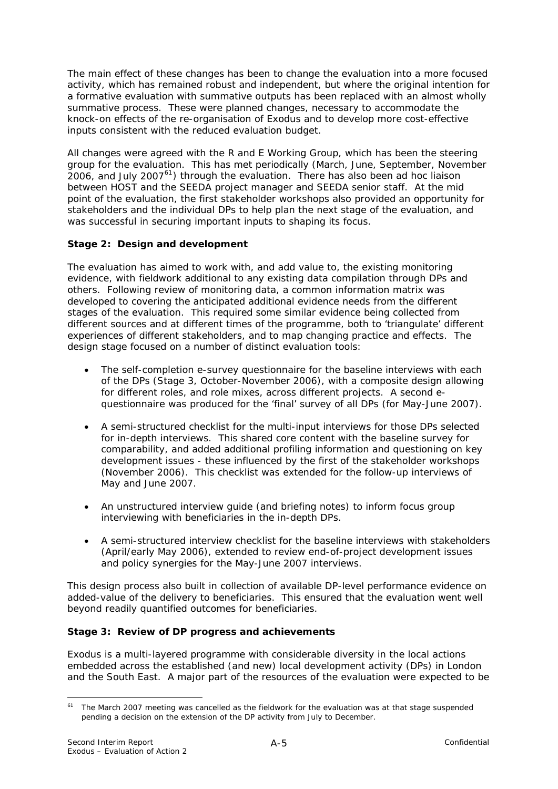<span id="page-88-0"></span>The main effect of these changes has been to change the evaluation into a more focused activity, which has remained robust and independent, but where the original intention for a formative evaluation with summative outputs has been replaced with an almost wholly summative process. These were planned changes, necessary to accommodate the knock-on effects of the re-organisation of Exodus and to develop more cost-effective inputs consistent with the reduced evaluation budget.

All changes were agreed with the R and E Working Group, which has been the steering group for the evaluation. This has met periodically (March, June, September, November 2006, and July 2007[61](#page-88-0)) through the evaluation. There has also been *ad hoc* liaison between HOST and the SEEDA project manager and SEEDA senior staff. At the mid point of the evaluation, the first stakeholder workshops also provided an opportunity for stakeholders and the individual DPs to help plan the next stage of the evaluation, and was successful in securing important inputs to shaping its focus.

# **Stage 2: Design and development**

The evaluation has aimed to work with, and add value to, the existing monitoring evidence, with fieldwork additional to any existing data compilation through DPs and others. Following review of monitoring data, a *common information matrix* was developed to covering the anticipated additional evidence needs from the different stages of the evaluation. This required some similar evidence being collected from different sources and at different times of the programme, both to 'triangulate' different experiences of different stakeholders, and to map changing practice and effects. The design stage focused on a number of distinct evaluation tools:

- The self-completion e-survey questionnaire for the baseline interviews with each of the DPs (Stage 3, October-November 2006), with a composite design allowing for different roles, and role mixes, across different projects. A second equestionnaire was produced for the 'final' survey of all DPs (for May-June 2007).
- A semi-structured checklist for the multi-input interviews for those DPs selected for in-depth interviews. This shared core content with the baseline survey for comparability, and added additional profiling information and questioning on key development issues - these influenced by the first of the stakeholder workshops (November 2006). This checklist was extended for the follow-up interviews of May and June 2007.
- An unstructured interview guide (and briefing notes) to inform focus group interviewing with beneficiaries in the in-depth DPs.
- A semi-structured interview checklist for the baseline interviews with stakeholders (April/early May 2006), extended to review end-of-project development issues and policy synergies for the May-June 2007 interviews.

This design process also built in collection of available DP-level performance evidence on added-value of the delivery to beneficiaries. This ensured that the evaluation went well beyond readily quantified outcomes for beneficiaries.

### **Stage 3: Review of DP progress and achievements**

Exodus is a multi-layered programme with considerable diversity in the local actions embedded across the established (and new) local development activity (DPs) in London and the South East. A major part of the resources of the evaluation were expected to be

<sup>1</sup>  $61$  The March 2007 meeting was cancelled as the fieldwork for the evaluation was at that stage suspended pending a decision on the extension of the DP activity from July to December.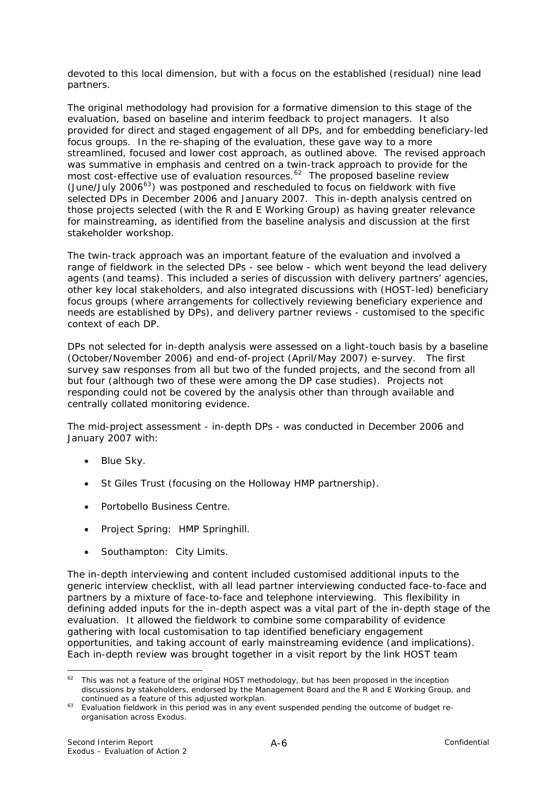<span id="page-89-0"></span>devoted to this local dimension, but with a focus on the established (residual) nine lead partners.

The original methodology had provision for a formative dimension to this stage of the evaluation, based on baseline and interim feedback to project managers. It also provided for direct and staged engagement of all DPs, and for embedding beneficiary-led focus groups. In the re-shaping of the evaluation, these gave way to a more streamlined, focused and lower cost approach, as outlined above. The revised approach was summative in emphasis and centred on a twin-track approach to provide for the most cost-effective use of evaluation resources.<sup>[62](#page-89-0)</sup> The proposed baseline review (June/July 2006 $<sup>63</sup>$  $<sup>63</sup>$  $<sup>63</sup>$ ) was postponed and rescheduled to focus on fieldwork with five</sup> selected DPs in December 2006 and January 2007. This in-depth analysis centred on those projects selected (with the R and E Working Group) as having greater relevance for mainstreaming, as identified from the baseline analysis and discussion at the first stakeholder workshop.

The twin-track approach was an important feature of the evaluation and involved a range of fieldwork in the selected DPs - see below - which went beyond the lead delivery agents (and teams). This included a series of discussion with delivery partners' agencies, other key local stakeholders, and also integrated discussions with (HOST-led) beneficiary focus groups (where arrangements for collectively reviewing beneficiary experience and needs are established by DPs), and delivery partner reviews - customised to the specific context of each DP.

DPs not selected for in-depth analysis were assessed on a light-touch basis by a baseline (October/November 2006) and end-of-project (April/May 2007) e-survey. The first survey saw responses from all but two of the funded projects, and the second from all but four (although two of these were among the DP case studies). Projects not responding could not be covered by the analysis other than through available and centrally collated monitoring evidence.

The mid-project assessment - in-depth DPs - was conducted in December 2006 and January 2007 with:

- Blue Sky.
- St Giles Trust (focusing on the Holloway HMP partnership).
- Portobello Business Centre.
- Project Spring: HMP Springhill.
- Southampton: City Limits.

The in-depth interviewing and content included customised additional inputs to the generic interview checklist, with all lead partner interviewing conducted face-to-face and partners by a mixture of face-to-face and telephone interviewing. This flexibility in defining added inputs for the in-depth aspect was a vital part of the in-depth stage of the evaluation. It allowed the fieldwork to combine some comparability of evidence gathering with local customisation to tap identified beneficiary engagement opportunities, and taking account of early mainstreaming evidence (and implications). Each in-depth review was brought together in a visit report by the link HOST team

<sup>1</sup> <sup>62</sup> This was not a feature of the original HOST methodology, but has been proposed in the inception discussions by stakeholders, endorsed by the Management Board and the R and E Working Group, and

continued as a feature of this adjusted workplan.<br><sup>63</sup> Evaluation fieldwork in this period was in any event suspended pending the outcome of budget reorganisation across Exodus.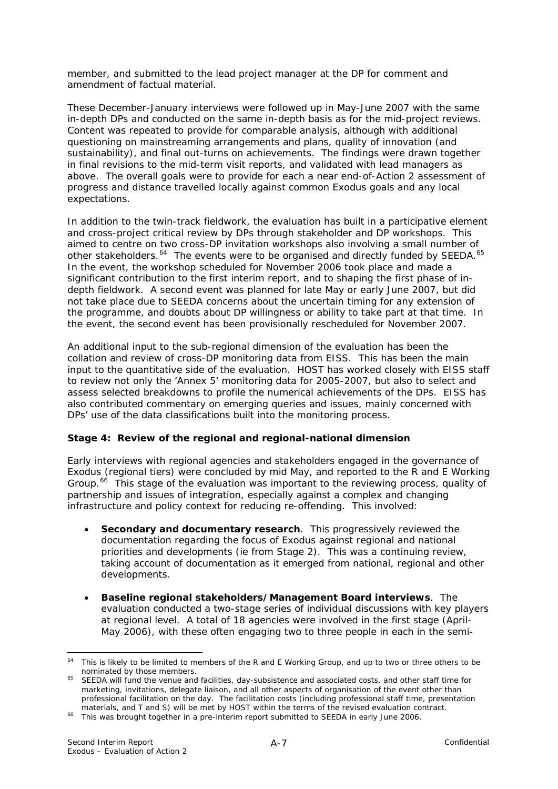<span id="page-90-0"></span>member, and submitted to the lead project manager at the DP for comment and amendment of factual material.

These December-January interviews were followed up in May-June 2007 with the same in-depth DPs and conducted on the same in-depth basis as for the mid-project reviews. Content was repeated to provide for comparable analysis, although with additional questioning on mainstreaming arrangements and plans, quality of innovation (and sustainability), and final out-turns on achievements. The findings were drawn together in final revisions to the mid-term visit reports, and validated with lead managers as above. The overall goals were to provide for each a near end-of-Action 2 assessment of progress and distance travelled locally against common Exodus goals and any local expectations.

In addition to the twin-track fieldwork, the evaluation has built in a participative element and cross-project critical review by DPs through stakeholder and DP workshops. This aimed to centre on two cross-DP invitation workshops also involving a small number of other stakeholders.<sup>[64](#page-90-0)</sup> The events were to be organised and directly funded by SEEDA.<sup>[65](#page-90-0)</sup> In the event, the workshop scheduled for November 2006 took place and made a significant contribution to the first interim report, and to shaping the first phase of indepth fieldwork. A second event was planned for late May or early June 2007, but did not take place due to SEEDA concerns about the uncertain timing for any extension of the programme, and doubts about DP willingness or ability to take part at that time. In the event, the second event has been provisionally rescheduled for November 2007.

An additional input to the sub-regional dimension of the evaluation has been the collation and review of cross-DP monitoring data from EISS. This has been the main input to the quantitative side of the evaluation. HOST has worked closely with EISS staff to review not only the 'Annex 5' monitoring data for 2005-2007, but also to select and assess selected breakdowns to profile the numerical achievements of the DPs. EISS has also contributed commentary on emerging queries and issues, mainly concerned with DPs' use of the data classifications built into the monitoring process.

### **Stage 4: Review of the regional and regional-national dimension**

Early interviews with regional agencies and stakeholders engaged in the governance of Exodus (regional tiers) were concluded by mid May, and reported to the R and E Working Group.<sup>[66](#page-90-0)</sup> This stage of the evaluation was important to the reviewing process, quality of partnership and issues of integration, especially against a complex and changing infrastructure and policy context for reducing re-offending. This involved:

- **Secondary and documentary research**. This progressively reviewed the documentation regarding the focus of Exodus against regional and national priorities and developments (ie from Stage 2). This was a continuing review, taking account of documentation as it emerged from national, regional and other developments.
- **Baseline regional stakeholders/Management Board interviews**. The evaluation conducted a two-stage series of individual discussions with key players at regional level. A total of 18 agencies were involved in the first stage (April-May 2006), with these often engaging two to three people in each in the semi-

1

<sup>&</sup>lt;sup>64</sup> This is likely to be limited to members of the R and E Working Group, and up to two or three others to be nominated by those members.

nominated by those members. 65 SEEDA will fund the venue and facilities, day-subsistence and associated costs, and other staff time for marketing, invitations, delegate liaison, and all other aspects of organisation of the event other than professional facilitation on the day. The facilitation costs (including professional staff time, presentation materials, and T and S) will be met by HOST within the terms of the revised evaluation contract.

materials, and Timers of the space of the revised evaluation contract. This was brought together in a pre-interim report submitted to SEEDA in early June 2006.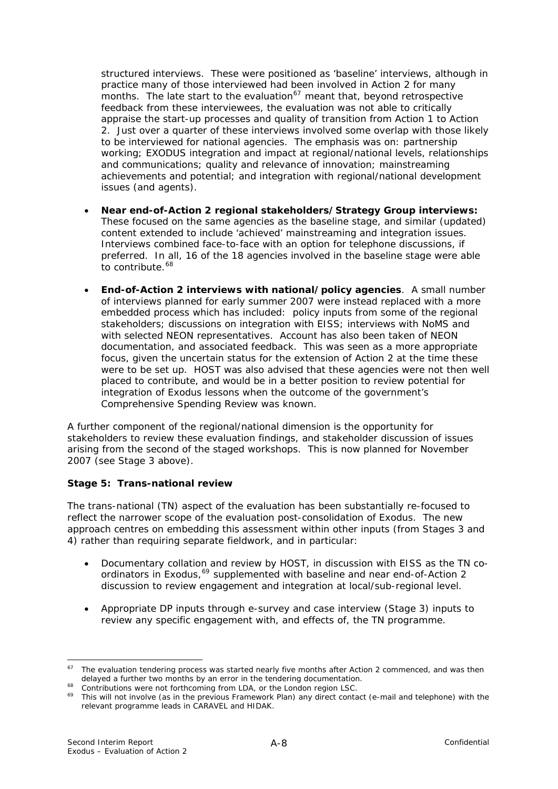<span id="page-91-0"></span>structured interviews. These were positioned as 'baseline' interviews, although in practice many of those interviewed had been involved in Action 2 for many months. The late start to the evaluation<sup>67</sup> meant that, beyond retrospective feedback from these interviewees, the evaluation was not able to critically appraise the start-up processes and quality of transition from Action 1 to Action 2. Just over a quarter of these interviews involved some overlap with those likely to be interviewed for national agencies. The emphasis was on: partnership working; EXODUS integration and impact at regional/national levels, relationships and communications; quality and relevance of innovation; mainstreaming achievements and potential; and integration with regional/national development issues (and agents).

- **Near end-of-Action 2 regional stakeholders/Strategy Group interviews:**  These focused on the same agencies as the baseline stage, and similar (updated) content extended to include 'achieved' mainstreaming and integration issues. Interviews combined face-to-face with an option for telephone discussions, if preferred. In all, 16 of the 18 agencies involved in the baseline stage were able to contribute.<sup>[68](#page-91-0)</sup>
- **End-of-Action 2 interviews with national/policy agencies**. A small number of interviews planned for early summer 2007 were instead replaced with a more embedded process which has included: policy inputs from some of the regional stakeholders; discussions on integration with EISS; interviews with NoMS and with selected NEON representatives. Account has also been taken of NEON documentation, and associated feedback. This was seen as a more appropriate focus, given the uncertain status for the extension of Action 2 at the time these were to be set up. HOST was also advised that these agencies were not then well placed to contribute, and would be in a better position to review potential for integration of Exodus lessons when the outcome of the government's Comprehensive Spending Review was known.

A further component of the regional/national dimension is the opportunity for stakeholders to review these evaluation findings, and stakeholder discussion of issues arising from the second of the staged workshops. This is now planned for November 2007 (see Stage 3 above).

### **Stage 5: Trans-national review**

The trans-national (TN) aspect of the evaluation has been substantially re-focused to reflect the narrower scope of the evaluation post-consolidation of Exodus. The new approach centres on embedding this assessment within other inputs (from Stages 3 and 4) rather than requiring separate fieldwork, and in particular:

- Documentary collation and review by HOST, in discussion with EISS as the TN co-ordinators in Exodus,<sup>[69](#page-91-0)</sup> supplemented with baseline and near end-of-Action 2 discussion to review engagement and integration at local/sub-regional level.
- Appropriate DP inputs through e-survey and case interview (Stage 3) inputs to review any specific engagement with, and effects of, the TN programme.

1

 $67$  The evaluation tendering process was started nearly five months after Action 2 commenced, and was then delayed a further two months by an error in the tendering documentation.<br>
<sup>68</sup> Contributions were not forthcoming from LDA, or the London region LSC.<br>
<sup>69</sup> This will not involve (as in the previous Framework Plan) any dire

relevant programme leads in CARAVEL and HIDAK.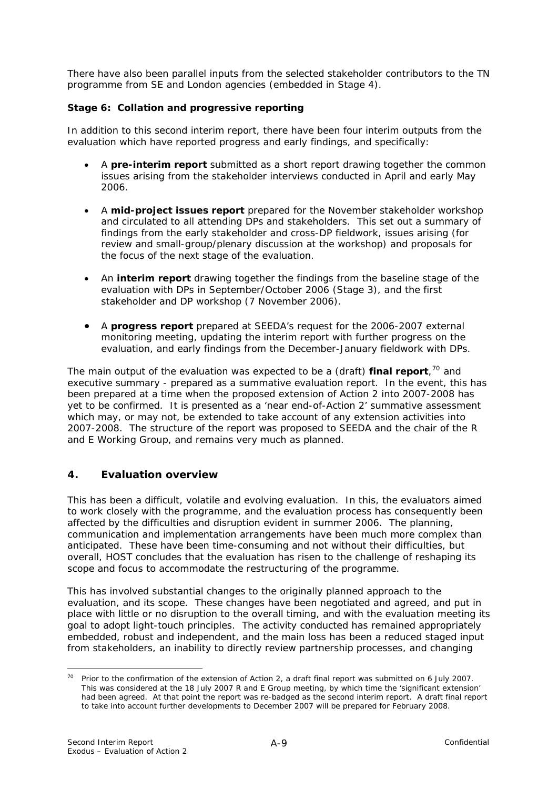<span id="page-92-0"></span>There have also been parallel inputs from the selected stakeholder contributors to the TN programme from SE and London agencies (embedded in Stage 4).

### **Stage 6: Collation and progressive reporting**

In addition to this second interim report, there have been four interim outputs from the evaluation which have reported progress and early findings, and specifically:

- A **pre-interim report** submitted as a short report drawing together the common issues arising from the stakeholder interviews conducted in April and early May 2006.
- A **mid-project issues report** prepared for the November stakeholder workshop and circulated to all attending DPs and stakeholders. This set out a summary of findings from the early stakeholder and cross-DP fieldwork, issues arising (for review and small-group/plenary discussion at the workshop) and proposals for the focus of the next stage of the evaluation.
- An **interim report** drawing together the findings from the baseline stage of the evaluation with DPs in September/October 2006 (Stage 3), and the first stakeholder and DP workshop (7 November 2006).
- A **progress report** prepared at SEEDA's request for the 2006-2007 external monitoring meeting, updating the interim report with further progress on the evaluation, and early findings from the December-January fieldwork with DPs.

The main output of the evaluation was expected to be a (draft) **final report**, [70](#page-92-0) and executive summary - prepared as a summative evaluation report. In the event, this has been prepared at a time when the proposed extension of Action 2 into 2007-2008 has yet to be confirmed. It is presented as a 'near end-of-Action 2' summative assessment which may, or may not, be extended to take account of any extension activities into 2007-2008. The structure of the report was proposed to SEEDA and the chair of the R and E Working Group, and remains very much as planned.

# **4. Evaluation overview**

This has been a difficult, volatile and evolving evaluation. In this, the evaluators aimed to work closely with the programme, and the evaluation process has consequently been affected by the difficulties and disruption evident in summer 2006. The planning, communication and implementation arrangements have been much more complex than anticipated. These have been time-consuming and not without their difficulties, but overall, HOST concludes that the evaluation has risen to the challenge of reshaping its scope and focus to accommodate the restructuring of the programme.

This has involved substantial changes to the originally planned approach to the evaluation, and its scope. These changes have been negotiated and agreed, and put in place with little or no disruption to the overall timing, and with the evaluation meeting its goal to adopt *light-touch* principles. The activity conducted has remained appropriately embedded, robust and independent, and the main loss has been a reduced staged input from stakeholders, an inability to directly review partnership processes, and changing

 $70<sup>1</sup>$ Prior to the confirmation of the extension of Action 2, a draft final report was submitted on 6 July 2007. This was considered at the 18 July 2007 R and E Group meeting, by which time the 'significant extension' had been agreed. At that point the report was re-badged as the second interim report. A draft final report to take into account further developments to December 2007 will be prepared for February 2008.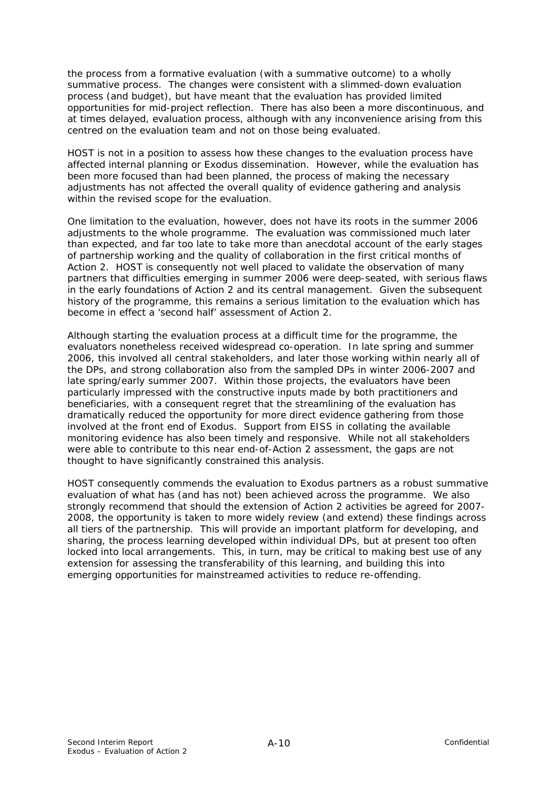the process from a formative evaluation (with a summative outcome) to a wholly summative process. The changes were consistent with a slimmed-down evaluation process (and budget), but have meant that the evaluation has provided limited opportunities for mid-project reflection. There has also been a more discontinuous, and at times delayed, evaluation process, although with any inconvenience arising from this centred on the evaluation team and not on those being evaluated.

HOST is not in a position to assess how these changes to the evaluation process have affected internal planning or Exodus dissemination. However, while the evaluation has been more focused than had been planned, the process of making the necessary adjustments has not affected the overall quality of evidence gathering and analysis within the revised scope for the evaluation.

One limitation to the evaluation, however, does not have its roots in the summer 2006 adjustments to the whole programme. The evaluation was commissioned much later than expected, and far too late to take more than anecdotal account of the early stages of partnership working and the quality of collaboration in the first critical months of Action 2. HOST is consequently not well placed to validate the observation of many partners that difficulties emerging in summer 2006 were deep-seated, with serious flaws in the early foundations of Action 2 and its central management. Given the subsequent history of the programme, this remains a serious limitation to the evaluation which has become in effect a 'second half' assessment of Action 2.

Although starting the evaluation process at a difficult time for the programme, the evaluators nonetheless received widespread co-operation. In late spring and summer 2006, this involved all central stakeholders, and later those working within nearly all of the DPs, and strong collaboration also from the sampled DPs in winter 2006-2007 and late spring/early summer 2007. Within those projects, the evaluators have been particularly impressed with the constructive inputs made by both practitioners and beneficiaries, with a consequent regret that the streamlining of the evaluation has dramatically reduced the opportunity for more direct evidence gathering from those involved at the front end of Exodus. Support from EISS in collating the available monitoring evidence has also been timely and responsive. While not all stakeholders were able to contribute to this near end-of-Action 2 assessment, the gaps are not thought to have significantly constrained this analysis.

HOST consequently commends the evaluation to Exodus partners as a robust summative evaluation of what has (and has not) been achieved across the programme. We also strongly recommend that should the extension of Action 2 activities be agreed for 2007- 2008, the opportunity is taken to more widely review (and extend) these findings across all tiers of the partnership. This will provide an important platform for developing, and sharing, the process learning developed within individual DPs, but at present too often locked into local arrangements. This, in turn, may be critical to making best use of any extension for assessing the transferability of this learning, and building this into emerging opportunities for mainstreamed activities to reduce re-offending.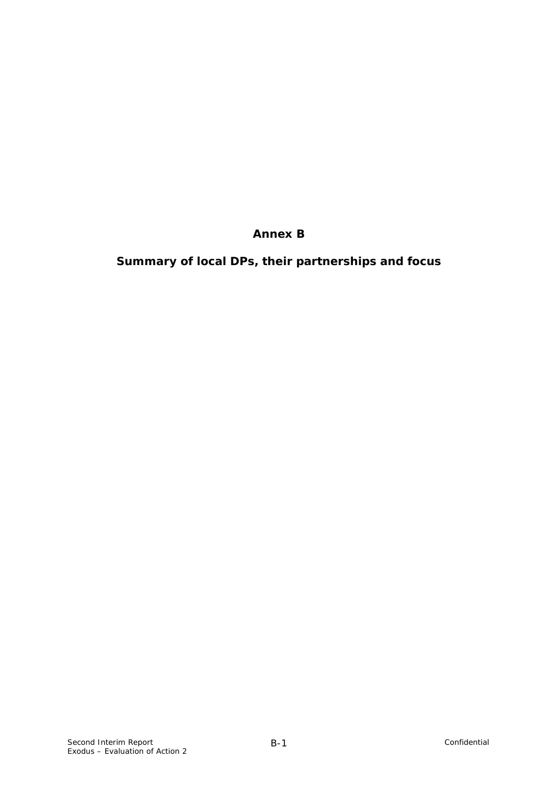# **Annex B**

**Summary of local DPs, their partnerships and focus**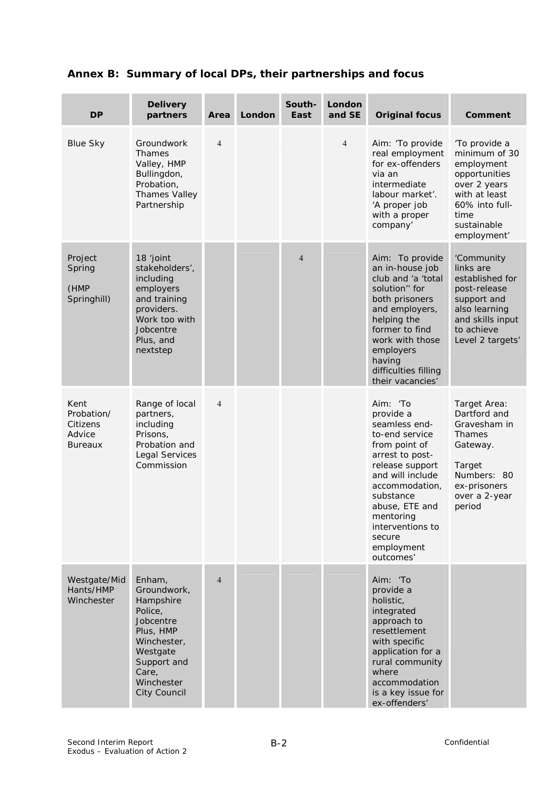|  |  | Annex B: Summary of local DPs, their partnerships and focus |
|--|--|-------------------------------------------------------------|
|  |  |                                                             |

| <b>DP</b>                                                  | <b>Delivery</b><br>partners                                                                                                                                     | Area           | London | South-<br>East | London<br>and SE | <b>Original focus</b>                                                                                                                                                                                                                                      | Comment                                                                                                                                                |
|------------------------------------------------------------|-----------------------------------------------------------------------------------------------------------------------------------------------------------------|----------------|--------|----------------|------------------|------------------------------------------------------------------------------------------------------------------------------------------------------------------------------------------------------------------------------------------------------------|--------------------------------------------------------------------------------------------------------------------------------------------------------|
| <b>Blue Sky</b>                                            | Groundwork<br>Thames<br>Valley, HMP<br>Bullingdon,<br>Probation,<br><b>Thames Valley</b><br>Partnership                                                         | $\overline{4}$ |        |                | $\overline{4}$   | Aim: 'To provide<br>real employment<br>for ex-offenders<br>via an<br>intermediate<br>labour market'.<br>'A proper job<br>with a proper<br>company'                                                                                                         | 'To provide a<br>minimum of 30<br>employment<br>opportunities<br>over 2 years<br>with at least<br>60% into full-<br>time<br>sustainable<br>employment' |
| Project<br>Spring<br>(HMP<br>Springhill)                   | 18 'joint<br>stakeholders',<br>including<br>employers<br>and training<br>providers.<br>Work too with<br>Jobcentre<br>Plus, and<br>nextstep                      |                |        | $\overline{4}$ |                  | Aim: To provide<br>an in-house job<br>club and 'a 'total<br>solution" for<br>both prisoners<br>and employers,<br>helping the<br>former to find<br>work with those<br>employers<br>having<br>difficulties filling<br>their vacancies'                       | 'Community<br>links are<br>established for<br>post-release<br>support and<br>also learning<br>and skills input<br>to achieve<br>Level 2 targets'       |
| Kent<br>Probation/<br>Citizens<br>Advice<br><b>Bureaux</b> | Range of local<br>partners,<br>including<br>Prisons,<br>Probation and<br><b>Legal Services</b><br>Commission                                                    | $\overline{4}$ |        |                |                  | Aim: 'To<br>provide a<br>seamless end-<br>to-end service<br>from point of<br>arrest to post-<br>release support<br>and will include<br>accommodation,<br>substance<br>abuse, ETE and<br>mentoring<br>interventions to<br>secure<br>employment<br>outcomes' | Target Area:<br>Dartford and<br>Gravesham in<br>Thames<br>Gateway.<br>Target<br>Numbers: 80<br>ex-prisoners<br>over a 2-year<br>period                 |
| Westgate/Mid<br>Hants/HMP<br>Winchester                    | Enham,<br>Groundwork,<br>Hampshire<br>Police,<br>Jobcentre<br>Plus, HMP<br>Winchester,<br>Westgate<br>Support and<br>Care,<br>Winchester<br><b>City Council</b> | $\overline{4}$ |        |                |                  | Aim: 'To<br>provide a<br>holistic,<br>integrated<br>approach to<br>resettlement<br>with specific<br>application for a<br>rural community<br>where<br>accommodation<br>is a key issue for<br>ex-offenders'                                                  |                                                                                                                                                        |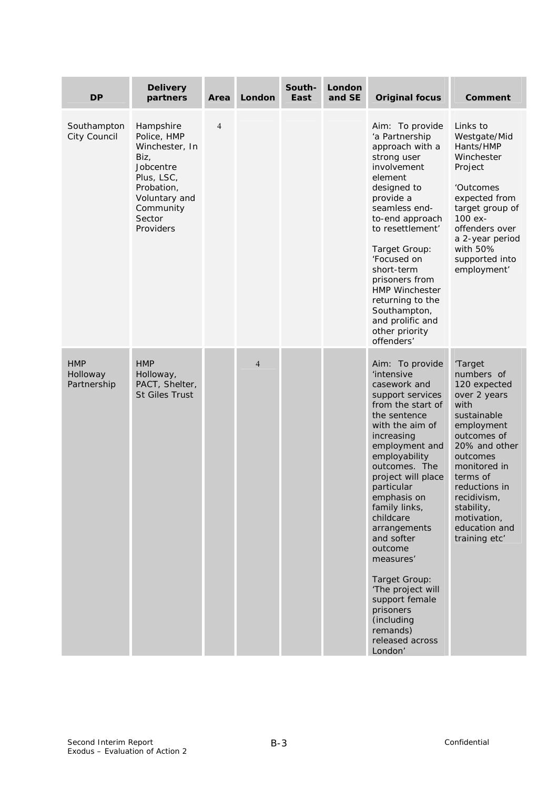| <b>DP</b>                             | <b>Delivery</b><br>partners                                                                                                                      | Area           | London         | South-<br>East | London<br>and SE | <b>Original focus</b>                                                                                                                                                                                                                                                                                                                                                                                                                                                  | <b>Comment</b>                                                                                                                                                                                                                                                    |
|---------------------------------------|--------------------------------------------------------------------------------------------------------------------------------------------------|----------------|----------------|----------------|------------------|------------------------------------------------------------------------------------------------------------------------------------------------------------------------------------------------------------------------------------------------------------------------------------------------------------------------------------------------------------------------------------------------------------------------------------------------------------------------|-------------------------------------------------------------------------------------------------------------------------------------------------------------------------------------------------------------------------------------------------------------------|
| Southampton<br>City Council           | Hampshire<br>Police, HMP<br>Winchester, In<br>Biz,<br>Jobcentre<br>Plus, LSC,<br>Probation,<br>Voluntary and<br>Community<br>Sector<br>Providers | $\overline{4}$ |                |                |                  | Aim: To provide<br>'a Partnership<br>approach with a<br>strong user<br>involvement<br>element<br>designed to<br>provide a<br>seamless end-<br>to-end approach<br>to resettlement'<br>Target Group:<br>'Focused on<br>short-term<br>prisoners from<br><b>HMP Winchester</b><br>returning to the<br>Southampton,<br>and prolific and<br>other priority<br>offenders'                                                                                                     | Links to<br>Westgate/Mid<br>Hants/HMP<br>Winchester<br>Project<br>'Outcomes<br>expected from<br>target group of<br>100 ex-<br>offenders over<br>a 2-year period<br>with 50%<br>supported into<br>employment'                                                      |
| <b>HMP</b><br>Holloway<br>Partnership | <b>HMP</b><br>Holloway,<br>PACT, Shelter,<br><b>St Giles Trust</b>                                                                               |                | $\overline{4}$ |                |                  | Aim: To provide<br><i>'intensive</i><br>casework and<br>support services<br>from the start of<br>the sentence<br>with the aim of<br>increasing<br>employment and<br>employability<br>outcomes. The<br>project will place<br>particular<br>emphasis on<br>family links,<br>childcare<br>arrangements<br>and softer<br>outcome<br>measures'<br>Target Group:<br>'The project will<br>support female<br>prisoners<br>(including<br>remands)<br>released across<br>London' | 'Target<br>numbers of<br>120 expected<br>over 2 years<br>with<br>sustainable<br>employment<br>outcomes of<br>20% and other<br>outcomes<br>monitored in<br>terms of<br>reductions in<br>recidivism,<br>stability,<br>motivation,<br>education and<br>training etc' |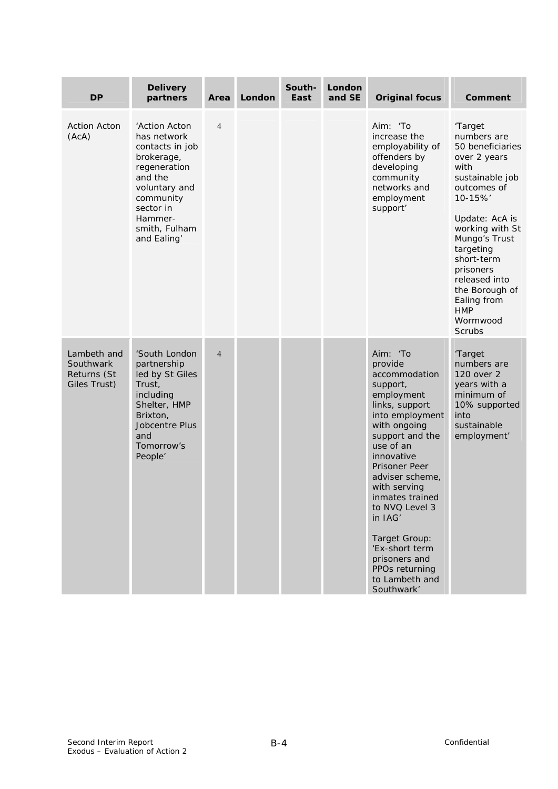| <b>DP</b>                                               | <b>Delivery</b><br>partners                                                                                                                                                    | Area           | <b>London</b> | South-<br>East | London<br>and SE | <b>Original focus</b>                                                                                                                                                                                                                                                                                                                                                              | <b>Comment</b>                                                                                                                                                                                                                                                                                             |
|---------------------------------------------------------|--------------------------------------------------------------------------------------------------------------------------------------------------------------------------------|----------------|---------------|----------------|------------------|------------------------------------------------------------------------------------------------------------------------------------------------------------------------------------------------------------------------------------------------------------------------------------------------------------------------------------------------------------------------------------|------------------------------------------------------------------------------------------------------------------------------------------------------------------------------------------------------------------------------------------------------------------------------------------------------------|
| <b>Action Acton</b><br>(ACA)                            | 'Action Acton<br>has network<br>contacts in job<br>brokerage,<br>regeneration<br>and the<br>voluntary and<br>community<br>sector in<br>Hammer-<br>smith, Fulham<br>and Ealing' | $\overline{4}$ |               |                |                  | Aim: 'To<br>increase the<br>employability of<br>offenders by<br>developing<br>community<br>networks and<br>employment<br>support'                                                                                                                                                                                                                                                  | 'Target<br>numbers are<br>50 beneficiaries<br>over 2 years<br>with<br>sustainable job<br>outcomes of<br>10-15%'<br>Update: AcA is<br>working with St<br>Mungo's Trust<br>targeting<br>short-term<br>prisoners<br>released into<br>the Borough of<br>Ealing from<br><b>HMP</b><br>Wormwood<br><b>Scrubs</b> |
| Lambeth and<br>Southwark<br>Returns (St<br>Giles Trust) | 'South London<br>partnership<br>led by St Giles<br>Trust,<br>including<br>Shelter, HMP<br>Brixton,<br><b>Jobcentre Plus</b><br>and<br>Tomorrow's<br>People'                    | $\overline{4}$ |               |                |                  | Aim: 'To<br>provide<br>accommodation<br>support,<br>employment<br>links, support<br>into employment<br>with ongoing<br>support and the<br>use of an<br>innovative<br><b>Prisoner Peer</b><br>adviser scheme,<br>with serving<br>inmates trained<br>to NVQ Level 3<br>in IAG'<br>Target Group:<br>'Ex-short term<br>prisoners and<br>PPOs returning<br>to Lambeth and<br>Southwark' | 'Target<br>numbers are<br>120 over 2<br>years with a<br>minimum of<br>10% supported<br>into<br>sustainable<br>employment'                                                                                                                                                                                  |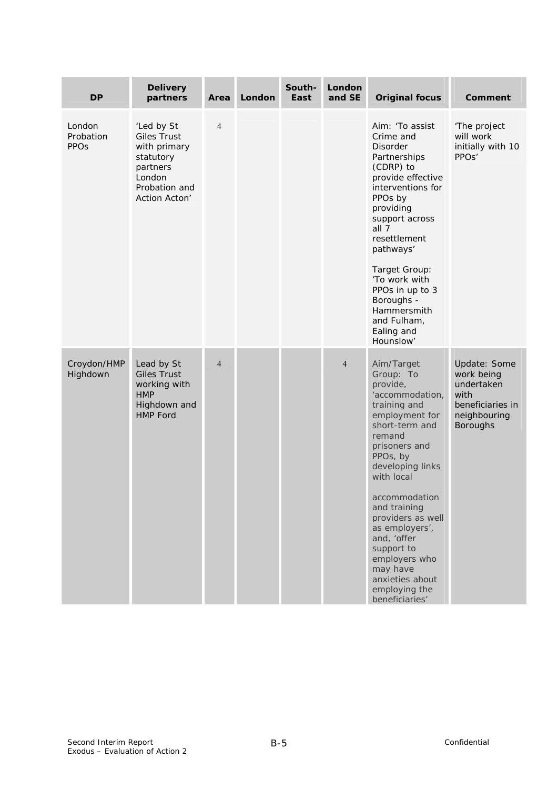| <b>DP</b>                                     | <b>Delivery</b><br>partners                                                                                           | Area           | London | South-<br>East | London<br>and SE | <b>Original focus</b>                                                                                                                                                                                                                                                                                                                                                       | Comment                                                                                                 |
|-----------------------------------------------|-----------------------------------------------------------------------------------------------------------------------|----------------|--------|----------------|------------------|-----------------------------------------------------------------------------------------------------------------------------------------------------------------------------------------------------------------------------------------------------------------------------------------------------------------------------------------------------------------------------|---------------------------------------------------------------------------------------------------------|
| London<br>Probation<br><b>PPO<sub>S</sub></b> | 'Led by St<br><b>Giles Trust</b><br>with primary<br>statutory<br>partners<br>London<br>Probation and<br>Action Acton' | $\overline{4}$ |        |                |                  | Aim: 'To assist<br>Crime and<br><b>Disorder</b><br>Partnerships<br>(CDRP) to<br>provide effective<br>interventions for<br>PPOs by<br>providing<br>support across<br>all $7$<br>resettlement<br>pathways'<br>Target Group:<br>'To work with<br>PPOs in up to 3<br>Boroughs -<br>Hammersmith<br>and Fulham,<br>Ealing and<br>Hounslow'                                        | 'The project<br>will work<br>initially with 10<br>PPO <sub>s'</sub>                                     |
| Croydon/HMP<br>Highdown                       | Lead by St<br><b>Giles Trust</b><br>working with<br><b>HMP</b><br>Highdown and<br><b>HMP Ford</b>                     | $\overline{4}$ |        |                | $\overline{4}$   | Aim/Target<br>Group: To<br>provide,<br>'accommodation,<br>training and<br>employment for<br>short-term and<br>remand<br>prisoners and<br>PPOs, by<br>developing links<br>with local<br>accommodation<br>and training<br>providers as well<br>as employers',<br>and, 'offer<br>support to<br>employers who<br>may have<br>anxieties about<br>employing the<br>beneficiaries' | Update: Some<br>work being<br>undertaken<br>with<br>beneficiaries in<br>neighbouring<br><b>Boroughs</b> |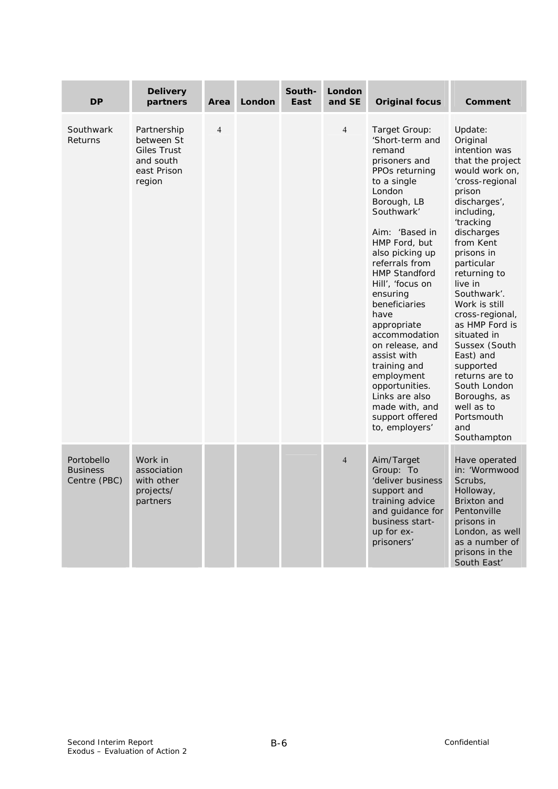| <b>DP</b>                                     | <b>Delivery</b><br>partners                                                           | Area           | London | South-<br>East | London<br>and SE | <b>Original focus</b>                                                                                                                                                                                                                                                                                                                                                                                                                                                                   | Comment                                                                                                                                                                                                                                                                                                                                                                                                                                                                 |
|-----------------------------------------------|---------------------------------------------------------------------------------------|----------------|--------|----------------|------------------|-----------------------------------------------------------------------------------------------------------------------------------------------------------------------------------------------------------------------------------------------------------------------------------------------------------------------------------------------------------------------------------------------------------------------------------------------------------------------------------------|-------------------------------------------------------------------------------------------------------------------------------------------------------------------------------------------------------------------------------------------------------------------------------------------------------------------------------------------------------------------------------------------------------------------------------------------------------------------------|
| Southwark<br>Returns                          | Partnership<br>between St<br><b>Giles Trust</b><br>and south<br>east Prison<br>region | $\overline{4}$ |        |                | $\overline{4}$   | Target Group:<br>'Short-term and<br>remand<br>prisoners and<br>PPOs returning<br>to a single<br>London<br>Borough, LB<br>Southwark'<br>Aim: 'Based in<br>HMP Ford, but<br>also picking up<br>referrals from<br><b>HMP Standford</b><br>Hill', 'focus on<br>ensuring<br>beneficiaries<br>have<br>appropriate<br>accommodation<br>on release, and<br>assist with<br>training and<br>employment<br>opportunities.<br>Links are also<br>made with, and<br>support offered<br>to, employers' | Update:<br>Original<br>intention was<br>that the project<br>would work on,<br>'cross-regional<br>prison<br>discharges',<br>including,<br>'tracking<br>discharges<br>from Kent<br>prisons in<br>particular<br>returning to<br>live in<br>Southwark'.<br>Work is still<br>cross-regional,<br>as HMP Ford is<br>situated in<br>Sussex (South<br>East) and<br>supported<br>returns are to<br>South London<br>Boroughs, as<br>well as to<br>Portsmouth<br>and<br>Southampton |
| Portobello<br><b>Business</b><br>Centre (PBC) | Work in<br>association<br>with other<br>projects/<br>partners                         |                |        |                | $\overline{4}$   | Aim/Target<br>Group: To<br>'deliver business<br>support and<br>training advice<br>and quidance for<br>business start-<br>up for ex-<br>prisoners'                                                                                                                                                                                                                                                                                                                                       | Have operated<br>in: 'Wormwood<br>Scrubs.<br>Holloway,<br>Brixton and<br>Pentonville<br>prisons in<br>London, as well<br>as a number of<br>prisons in the<br>South East'                                                                                                                                                                                                                                                                                                |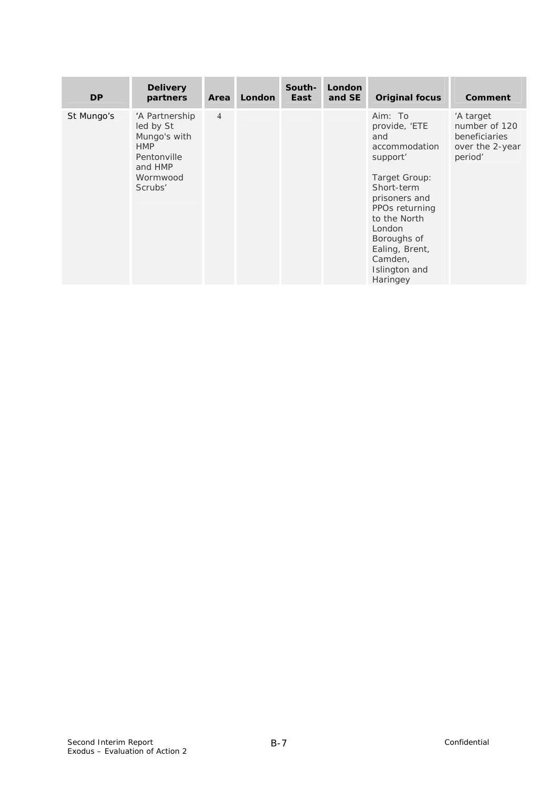| <b>DP</b>  | <b>Delivery</b><br>partners                                                                                | <b>Area</b>    | <b>London</b> | South-<br>East | London<br>and SE | <b>Original focus</b>                                                                                                                                                                                                             | Comment                                                                   |
|------------|------------------------------------------------------------------------------------------------------------|----------------|---------------|----------------|------------------|-----------------------------------------------------------------------------------------------------------------------------------------------------------------------------------------------------------------------------------|---------------------------------------------------------------------------|
| St Mungo's | 'A Partnership<br>led by St<br>Mungo's with<br><b>HMP</b><br>Pentonville<br>and HMP<br>Wormwood<br>Scrubs' | $\overline{4}$ |               |                |                  | Aim: To<br>provide, 'ETE<br>and<br>accommodation<br>support'<br>Target Group:<br>Short-term<br>prisoners and<br>PPOs returning<br>to the North<br>London<br>Boroughs of<br>Ealing, Brent,<br>Camden,<br>Islington and<br>Haringey | 'A target<br>number of 120<br>beneficiaries<br>over the 2-year<br>period' |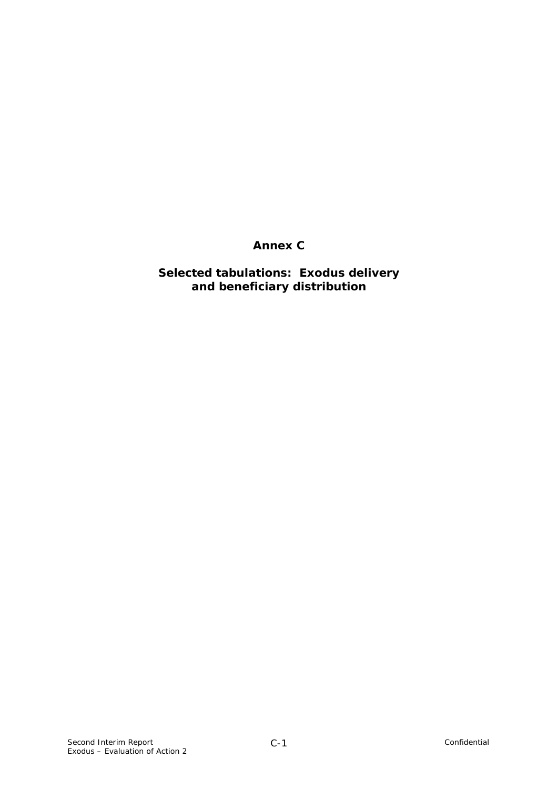# **Annex C**

# **Selected tabulations: Exodus delivery and beneficiary distribution**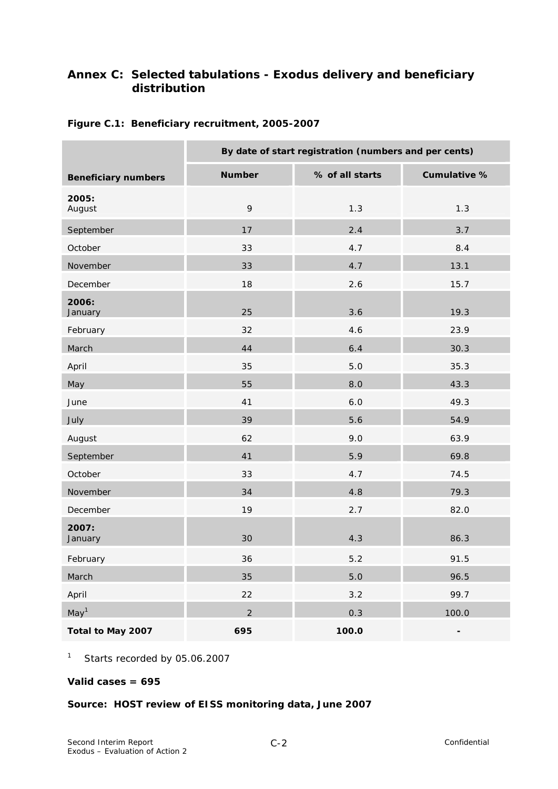# **Annex C: Selected tabulations - Exodus delivery and beneficiary distribution**

|                            | By date of start registration (numbers and per cents) |                 |                          |  |  |  |  |  |
|----------------------------|-------------------------------------------------------|-----------------|--------------------------|--|--|--|--|--|
| <b>Beneficiary numbers</b> | <b>Number</b>                                         | % of all starts | Cumulative %             |  |  |  |  |  |
| 2005:<br>August            | 9                                                     | 1.3             | 1.3                      |  |  |  |  |  |
| September                  | 17                                                    | 2.4             | 3.7                      |  |  |  |  |  |
| October                    | 33                                                    | 4.7             | 8.4                      |  |  |  |  |  |
| November                   | 33                                                    | 4.7             | 13.1                     |  |  |  |  |  |
| December                   | 18                                                    | 2.6             | 15.7                     |  |  |  |  |  |
| 2006:<br>January           | 25                                                    | 3.6             | 19.3                     |  |  |  |  |  |
| February                   | 32                                                    | 4.6             | 23.9                     |  |  |  |  |  |
| March                      | 44                                                    | 6.4             | 30.3                     |  |  |  |  |  |
| April                      | 35                                                    | 5.0             | 35.3                     |  |  |  |  |  |
| May                        | 55                                                    | 8.0             | 43.3                     |  |  |  |  |  |
| June                       | 41                                                    | 6.0             | 49.3                     |  |  |  |  |  |
| July                       | 39                                                    | 5.6             | 54.9                     |  |  |  |  |  |
| August                     | 62                                                    | 9.0             | 63.9                     |  |  |  |  |  |
| September                  | 41                                                    | 5.9             | 69.8                     |  |  |  |  |  |
| October                    | 33                                                    | 4.7             | 74.5                     |  |  |  |  |  |
| November                   | 34                                                    | 4.8             | 79.3                     |  |  |  |  |  |
| December                   | 19                                                    | 2.7             | 82.0                     |  |  |  |  |  |
| 2007:<br>January           | 30                                                    | 4.3             | 86.3                     |  |  |  |  |  |
| February                   | 36                                                    | $5.2$           | 91.5                     |  |  |  |  |  |
| March                      | 35                                                    | $5.0$           | 96.5                     |  |  |  |  |  |
| April                      | 22                                                    | 3.2             | 99.7                     |  |  |  |  |  |
| May <sup>1</sup>           | $\overline{2}$                                        | 0.3             | 100.0                    |  |  |  |  |  |
| Total to May 2007          | 695                                                   | 100.0           | $\overline{\phantom{0}}$ |  |  |  |  |  |

### **Figure C.1: Beneficiary recruitment, 2005-2007**

1 Starts recorded by 05.06.2007

#### **Valid cases = 695**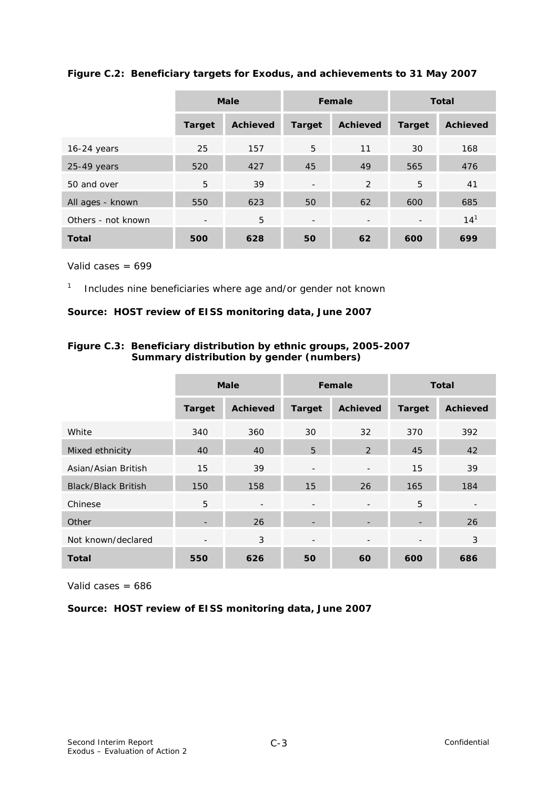|                    |                          | <b>Male</b><br>Female |                          | <b>Total</b>             |                          |                 |
|--------------------|--------------------------|-----------------------|--------------------------|--------------------------|--------------------------|-----------------|
|                    | <b>Target</b>            | <b>Achieved</b>       | <b>Target</b>            | <b>Achieved</b>          | <b>Target</b>            | <b>Achieved</b> |
| $16-24$ years      | 25                       | 157                   | 5                        | 11                       | 30                       | 168             |
| $25-49$ years      | 520                      | 427                   | 45                       | 49                       | 565                      | 476             |
| 50 and over        | 5                        | 39                    | $\overline{\phantom{a}}$ | 2                        | 5                        | 41              |
| All ages - known   | 550                      | 623                   | 50                       | 62                       | 600                      | 685             |
| Others - not known | $\overline{\phantom{a}}$ | 5                     | $\overline{\phantom{a}}$ | $\overline{\phantom{a}}$ | $\overline{\phantom{a}}$ | 14 <sup>1</sup> |
| <b>Total</b>       | 500                      | 628                   | 50                       | 62                       | 600                      | 699             |

### **Figure C.2: Beneficiary targets for Exodus, and achievements to 31 May 2007**

Valid cases = 699

1 Includes nine beneficiaries where age and/or gender not known

#### **Source: HOST review of EISS monitoring data, June 2007**

### **Figure C.3: Beneficiary distribution by ethnic groups, 2005-2007 Summary distribution by gender (numbers)**

|                            | <b>Male</b>              |                          |                          | Female                   | <b>Total</b>             |                          |
|----------------------------|--------------------------|--------------------------|--------------------------|--------------------------|--------------------------|--------------------------|
|                            | <b>Target</b>            | <b>Achieved</b>          | <b>Target</b>            | <b>Achieved</b>          | <b>Target</b>            | <b>Achieved</b>          |
| White                      | 340                      | 360                      | 30                       | 32                       | 370                      | 392                      |
| Mixed ethnicity            | 40                       | 40                       | 5                        | 2                        | 45                       | 42                       |
| Asian/Asian British        | 15                       | 39                       | $\overline{\phantom{a}}$ |                          | 15                       | 39                       |
| <b>Black/Black British</b> | 150                      | 158                      | 15                       | 26                       | 165                      | 184                      |
| Chinese                    | 5                        | $\overline{\phantom{a}}$ | $\overline{\phantom{a}}$ | $\overline{\phantom{a}}$ | 5                        | $\overline{\phantom{a}}$ |
| Other                      | $\overline{\phantom{a}}$ | 26                       |                          |                          | $\overline{\phantom{0}}$ | 26                       |
| Not known/declared         | $\overline{\phantom{a}}$ | 3                        | $\overline{\phantom{a}}$ | $\overline{\phantom{a}}$ | $\overline{\phantom{a}}$ | 3                        |
| <b>Total</b>               | 550                      | 626                      | 50                       | 60                       | 600                      | 686                      |

Valid cases  $= 686$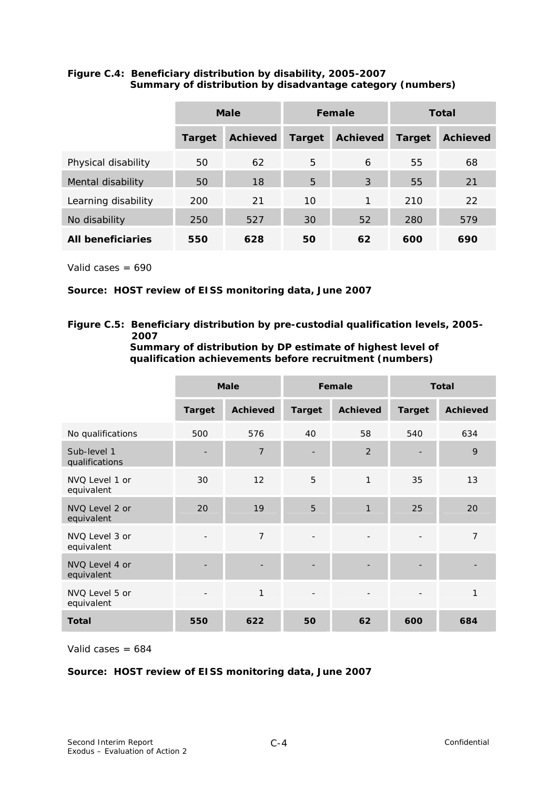|                          | Male          |                 |                | Female          | Total         |                 |
|--------------------------|---------------|-----------------|----------------|-----------------|---------------|-----------------|
|                          | <b>Target</b> | <b>Achieved</b> | <b>Target</b>  | <b>Achieved</b> | <b>Target</b> | <b>Achieved</b> |
| Physical disability      | 50            | 62              | 5              | 6               | 55            | 68              |
| Mental disability        | 50            | 18              | $\overline{5}$ | 3               | 55            | 21              |
| Learning disability      | 200           | 21              | 10             | 1               | 210           | 22              |
| No disability            | 250           | 527             | 30             | 52              | 280           | 579             |
| <b>All beneficiaries</b> | 550           | 628             | 50             | 62              | 600           | 690             |

### **Figure C.4: Beneficiary distribution by disability, 2005-2007 Summary of distribution by disadvantage category (numbers)**

Valid cases  $= 690$ 

NVQ Level 2 or equivalent

NVQ Level 3 or equivalent

NVQ Level 4 or equivalent

NVQ Level 5 or equivalent

### **Source: HOST review of EISS monitoring data, June 2007**

### **Figure C.5: Beneficiary distribution by pre-custodial qualification levels, 2005- 2007**

| qualification achievements before recruitment (numbers) |                          |                 |               |                 |                          |                 |  |  |
|---------------------------------------------------------|--------------------------|-----------------|---------------|-----------------|--------------------------|-----------------|--|--|
|                                                         | <b>Male</b>              |                 |               | Female          | <b>Total</b>             |                 |  |  |
|                                                         | <b>Target</b>            | <b>Achieved</b> | <b>Target</b> | <b>Achieved</b> | <b>Target</b>            | <b>Achieved</b> |  |  |
| No qualifications                                       | 500                      | 576             | 40            | 58              | 540                      | 634             |  |  |
| Sub-level 1<br>qualifications                           | $\overline{\phantom{0}}$ | 7               |               | 2               | $\overline{\phantom{a}}$ | 9               |  |  |
| NVQ Level 1 or<br>equivalent                            | 30                       | 12              | 5             | 1               | 35                       | 13              |  |  |

20 19 5 1 25 20

- 7 - 7 - 7 - 7 - 7

- - - - - -

- 1 - - - - - - 1

**Summary of distribution by DP estimate of highest level of qualification achievements before recruitment (numbers)** 

Valid cases  $= 684$ 

### **Source: HOST review of EISS monitoring data, June 2007**

**Total 550 622 50 62 600 684**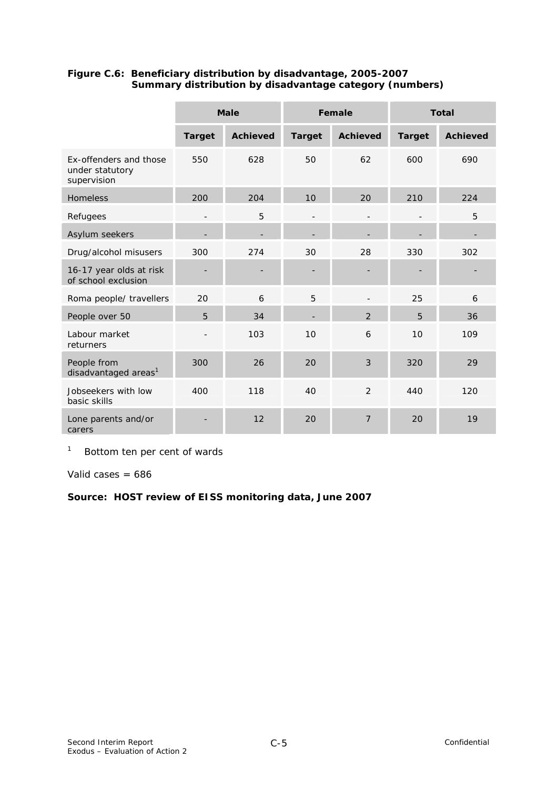|                                                          |                | <b>Male</b>     |               | Female          | <b>Total</b>  |                 |  |
|----------------------------------------------------------|----------------|-----------------|---------------|-----------------|---------------|-----------------|--|
|                                                          | <b>Target</b>  | <b>Achieved</b> | <b>Target</b> | <b>Achieved</b> | <b>Target</b> | <b>Achieved</b> |  |
| Ex-offenders and those<br>under statutory<br>supervision | 550            | 628             | 50            | 62              | 600           | 690             |  |
| <b>Homeless</b>                                          | 200            | 204             | 10            | 20              | 210           | 224             |  |
| Refugees                                                 | $\overline{a}$ | 5               |               |                 |               | 5               |  |
| Asylum seekers                                           |                |                 |               |                 |               |                 |  |
| Drug/alcohol misusers                                    | 300            | 274             | 30            | 28              | 330           | 302             |  |
| 16-17 year olds at risk<br>of school exclusion           |                |                 |               |                 |               |                 |  |
| Roma people/ travellers                                  | 20             | 6               | 5             |                 | 25            | 6               |  |
| People over 50                                           | 5              | 34              |               | 2               | 5             | 36              |  |
| Labour market<br>returners                               |                | 103             | 10            | 6               | 10            | 109             |  |
| People from<br>disadvantaged areas <sup>1</sup>          | 300            | 26              | 20            | 3               | 320           | 29              |  |
| Jobseekers with low<br>basic skills                      | 400            | 118             | 40            | $\overline{2}$  | 440           | 120             |  |
| Lone parents and/or<br>carers                            |                | 12              | 20            | $\overline{7}$  | 20            | 19              |  |

### **Figure C.6: Beneficiary distribution by disadvantage, 2005-2007 Summary distribution by disadvantage category (numbers)**

1 Bottom ten per cent of wards

Valid cases  $= 686$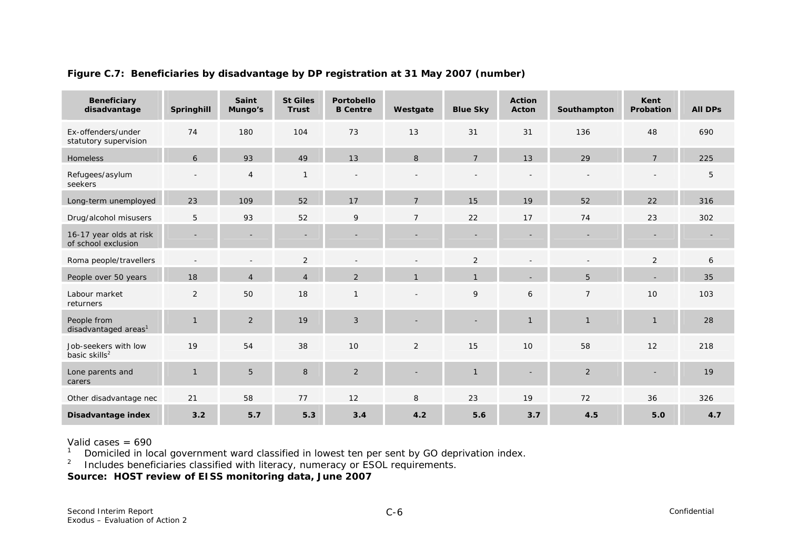| <b>Beneficiary</b><br>disadvantage                | Springhill     | Saint<br>Mungo's | <b>St Giles</b><br>Trust | Portobello<br><b>B</b> Centre | Westgate       | <b>Blue Sky</b> | <b>Action</b><br>Acton   | Southampton    | Kent<br>Probation | <b>All DPs</b> |
|---------------------------------------------------|----------------|------------------|--------------------------|-------------------------------|----------------|-----------------|--------------------------|----------------|-------------------|----------------|
| Ex-offenders/under<br>statutory supervision       | 74             | 180              | 104                      | 73                            | 13             | 31              | 31                       | 136            | 48                | 690            |
| <b>Homeless</b>                                   | 6              | 93               | 49                       | 13                            | 8              | $\overline{7}$  | 13                       | 29             | $\overline{7}$    | 225            |
| Refugees/asylum<br>seekers                        |                | $\overline{4}$   | $\mathbf{1}$             | $\overline{\phantom{a}}$      |                |                 |                          |                |                   | 5              |
| Long-term unemployed                              | 23             | 109              | 52                       | 17                            | $\overline{7}$ | 15              | 19                       | 52             | 22                | 316            |
| Drug/alcohol misusers                             | 5              | 93               | 52                       | 9                             | $\overline{7}$ | 22              | 17                       | 74             | 23                | 302            |
| 16-17 year olds at risk<br>of school exclusion    |                |                  |                          | $\overline{\phantom{a}}$      |                |                 | $\overline{\phantom{a}}$ |                |                   |                |
| Roma people/travellers                            |                |                  | 2                        |                               |                | 2               |                          |                | 2                 | 6              |
| People over 50 years                              | 18             | $\overline{4}$   | $\overline{4}$           | $\overline{2}$                |                | $\mathbf{1}$    |                          | 5              |                   | 35             |
| Labour market<br>returners                        | 2              | 50               | 18                       | $\mathbf{1}$                  |                | 9               | 6                        | $\overline{7}$ | 10                | 103            |
| People from<br>disadvantaged areas <sup>1</sup>   | $\overline{1}$ | 2                | 19                       | 3                             |                |                 | $\mathbf{1}$             | $\mathbf{1}$   | $\mathbf{1}$      | 28             |
| Job-seekers with low<br>basic skills <sup>2</sup> | 19             | 54               | 38                       | 10                            | 2              | 15              | 10                       | 58             | 12                | 218            |
| Lone parents and<br>carers                        | $\overline{1}$ | 5                | 8                        | 2                             |                | $\mathbf{1}$    |                          | 2              |                   | 19             |
| Other disadvantage nec                            | 21             | 58               | 77                       | 12                            | 8              | 23              | 19                       | 72             | 36                | 326            |
| Disadvantage index                                | 3.2            | 5.7              | 5.3                      | 3.4                           | 4.2            | 5.6             | 3.7                      | 4.5            | 5.0               | 4.7            |

### **Figure C.7: Beneficiaries by disadvantage by DP registration at 31 May 2007 (number)**

Valid cases = 690

<sup>1</sup> Domiciled in local government ward classified in lowest ten per sent by GO deprivation index.

<sup>2</sup> Includes beneficiaries classified with literacy, numeracy or ESOL requirements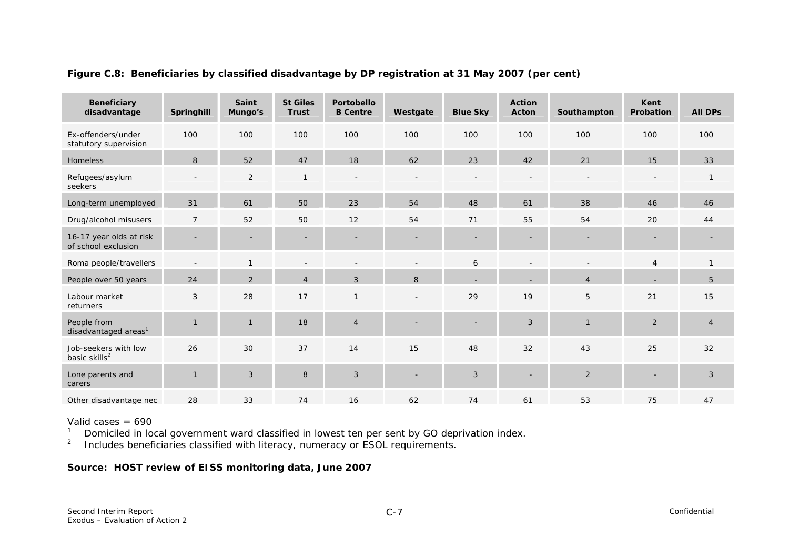| <b>Beneficiary</b><br>disadvantage                | Springhill     | <b>Saint</b><br>Mungo's | <b>St Giles</b><br><b>Trust</b> | <b>Portobello</b><br><b>B</b> Centre | Westgate | <b>Blue Sky</b> | <b>Action</b><br>Acton | Southampton    | Kent<br>Probation | <b>All DPs</b> |
|---------------------------------------------------|----------------|-------------------------|---------------------------------|--------------------------------------|----------|-----------------|------------------------|----------------|-------------------|----------------|
| Ex-offenders/under<br>statutory supervision       | 100            | 100                     | 100                             | 100                                  | 100      | 100             | 100                    | 100            | 100               | 100            |
| <b>Homeless</b>                                   | 8              | 52                      | 47                              | 18                                   | 62       | 23              | 42                     | 21             | 15                | 33             |
| Refugees/asylum<br>seekers                        |                | 2                       | $\mathbf{1}$                    |                                      |          |                 |                        |                |                   | $\mathbf{1}$   |
| Long-term unemployed                              | 31             | 61                      | 50                              | 23                                   | 54       | 48              | 61                     | 38             | 46                | 46             |
| Drug/alcohol misusers                             | $\overline{7}$ | 52                      | 50                              | 12                                   | 54       | 71              | 55                     | 54             | 20                | 44             |
| 16-17 year olds at risk<br>of school exclusion    |                |                         |                                 |                                      |          |                 |                        |                |                   |                |
| Roma people/travellers                            |                |                         |                                 |                                      |          | 6               |                        |                | $\overline{4}$    | $\mathbf{1}$   |
| People over 50 years                              | 24             | 2                       | $\overline{4}$                  | 3                                    | 8        |                 |                        | $\overline{4}$ |                   | 5              |
| Labour market<br>returners                        | 3              | 28                      | 17                              | $\mathbf{1}$                         | $\sim$   | 29              | 19                     | 5              | 21                | 15             |
| People from<br>disadvantaged areas <sup>1</sup>   | $\mathbf{1}$   | $\mathbf{1}$            | 18                              | $\overline{4}$                       |          |                 | 3                      | $\overline{1}$ | 2                 | $\overline{4}$ |
| Job-seekers with low<br>basic skills <sup>2</sup> | 26             | 30                      | 37                              | 14                                   | 15       | 48              | 32                     | 43             | 25                | 32             |
| Lone parents and<br>carers                        | $\overline{1}$ | 3                       | 8                               | 3                                    |          | 3               |                        | $\overline{2}$ |                   | 3              |
| Other disadvantage nec                            | 28             | 33                      | 74                              | 16                                   | 62       | 74              | 61                     | 53             | 75                | 47             |

### **Figure C.8: Beneficiaries by classified disadvantage by DP registration at 31 May 2007 (per cent)**

Valid cases = 690

<sup>1</sup> Domiciled in local government ward classified in lowest ten per sent by GO deprivation index.

<sup>2</sup> Includes beneficiaries classified with literacy, numeracy or ESOL requirements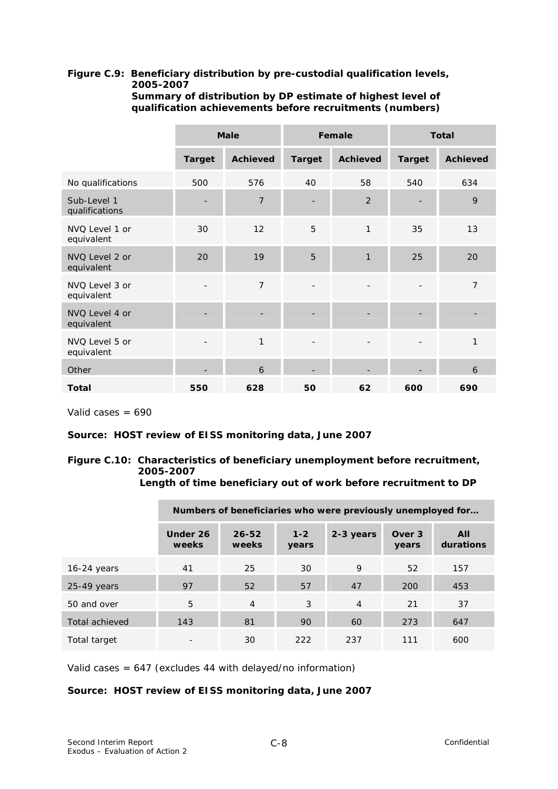# **Figure C.9: Beneficiary distribution by pre-custodial qualification levels, 2005-2007**

|                               |                          | <b>Male</b>     |                          | Female                   | <b>Total</b>             |                 |  |  |
|-------------------------------|--------------------------|-----------------|--------------------------|--------------------------|--------------------------|-----------------|--|--|
|                               | <b>Target</b>            | <b>Achieved</b> | <b>Target</b>            | <b>Achieved</b>          | <b>Target</b>            | <b>Achieved</b> |  |  |
| No qualifications             | 500                      | 576             | 40                       | 58                       | 540                      | 634             |  |  |
| Sub-Level 1<br>qualifications | ٠                        | $\overline{7}$  |                          | 2                        |                          | 9               |  |  |
| NVQ Level 1 or<br>equivalent  | 30                       | 12              | 5                        | $\mathbf{1}$             | 35                       | 13              |  |  |
| NVQ Level 2 or<br>equivalent  | 20                       | 19              | 5                        | $\mathbf{1}$             | 25                       | 20              |  |  |
| NVQ Level 3 or<br>equivalent  | $\qquad \qquad -$        | $\overline{7}$  | $\overline{\phantom{a}}$ |                          |                          | $\overline{7}$  |  |  |
| NVQ Level 4 or<br>equivalent  |                          |                 |                          |                          |                          |                 |  |  |
| NVQ Level 5 or<br>equivalent  | $\overline{\phantom{a}}$ | 1               | $\overline{\phantom{a}}$ | $\overline{\phantom{a}}$ | $\overline{\phantom{a}}$ | 1               |  |  |
| Other                         |                          | 6               |                          |                          |                          | 6               |  |  |
| Total                         | 550                      | 628             | 50                       | 62                       | 600                      | 690             |  |  |

 **Summary of distribution by DP estimate of highest level of qualification achievements before recruitments (numbers)** 

Valid cases = 690

#### **Source: HOST review of EISS monitoring data, June 2007**

### **Figure C.10: Characteristics of beneficiary unemployment before recruitment, 2005-2007**

 **Length of time beneficiary out of work before recruitment to DP**

|                | Numbers of beneficiaries who were previously unemployed for |                    |                  |                |                 |                  |  |  |  |
|----------------|-------------------------------------------------------------|--------------------|------------------|----------------|-----------------|------------------|--|--|--|
|                | Under 26<br>weeks                                           | $26 - 52$<br>weeks | $1 - 2$<br>years | 2-3 years      | Over 3<br>years | All<br>durations |  |  |  |
| $16-24$ years  | 41                                                          | 25                 | 30               | 9              | 52              | 157              |  |  |  |
| $25-49$ years  | 97                                                          | 52                 | 57               | 47             | 200             | 453              |  |  |  |
| 50 and over    | 5                                                           | $\overline{4}$     | 3                | $\overline{4}$ | 21              | 37               |  |  |  |
| Total achieved | 143                                                         | 81                 | 90               | 60             | 273             | 647              |  |  |  |
| Total target   |                                                             | 30                 | 222              | 237            | 111             | 600              |  |  |  |

Valid cases = 647 (excludes 44 with delayed/no information)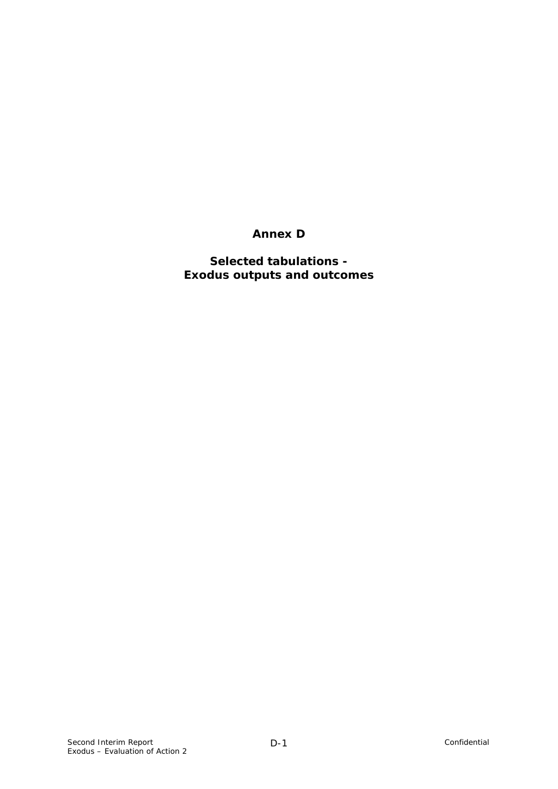## **Annex D**

### **Selected tabulations - Exodus outputs and outcomes**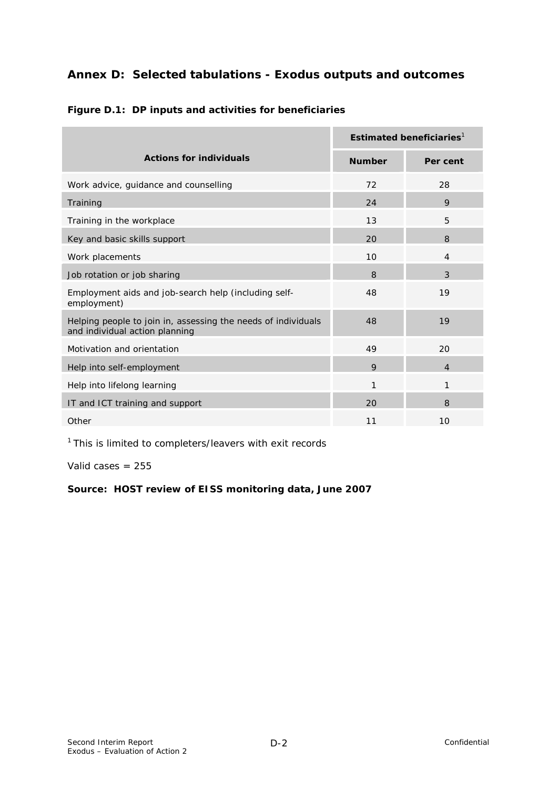## **Annex D: Selected tabulations - Exodus outputs and outcomes**

|                                                                                                 | Estimated beneficiaries $1$ |                |  |  |  |
|-------------------------------------------------------------------------------------------------|-----------------------------|----------------|--|--|--|
| <b>Actions for individuals</b>                                                                  | <b>Number</b>               | Per cent       |  |  |  |
| Work advice, guidance and counselling                                                           | 72                          | 28             |  |  |  |
| Training                                                                                        | 24                          | 9              |  |  |  |
| Training in the workplace                                                                       | 13                          | 5              |  |  |  |
| Key and basic skills support                                                                    | 20                          | 8              |  |  |  |
| Work placements                                                                                 | 10                          | $\overline{4}$ |  |  |  |
| Job rotation or job sharing                                                                     | 8                           | 3              |  |  |  |
| Employment aids and job-search help (including self-<br>employment)                             | 48                          | 19             |  |  |  |
| Helping people to join in, assessing the needs of individuals<br>and individual action planning | 48                          | 19             |  |  |  |
| Motivation and orientation                                                                      | 49                          | 20             |  |  |  |
| Help into self-employment                                                                       | 9                           | $\overline{4}$ |  |  |  |
| Help into lifelong learning                                                                     | 1                           | 1              |  |  |  |
| IT and ICT training and support                                                                 | 20                          | 8              |  |  |  |
| Other                                                                                           | 11                          | 10             |  |  |  |

### **Figure D.1: DP inputs and activities for beneficiaries**

<sup>1</sup> This is limited to completers/leavers with exit records

Valid cases  $= 255$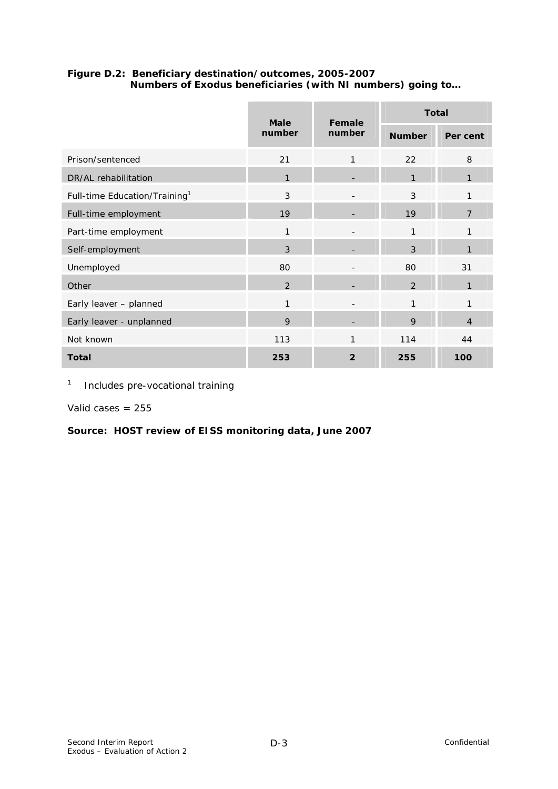### **Figure D.2: Beneficiary destination/outcomes, 2005-2007 Numbers of Exodus beneficiaries (with NI numbers) going to…**

|                                           | <b>Male</b>   | Female         | <b>Total</b>  |                |  |  |
|-------------------------------------------|---------------|----------------|---------------|----------------|--|--|
|                                           | number        | number         | <b>Number</b> | Per cent       |  |  |
| Prison/sentenced                          | 21            | 1              | 22            | 8              |  |  |
| DR/AL rehabilitation                      | $\mathbf{1}$  |                | $\mathbf{1}$  | $\mathbf{1}$   |  |  |
| Full-time Education/Training <sup>1</sup> | 3             |                | 3             | 1              |  |  |
| Full-time employment                      | 19            |                | 19            | $\overline{7}$ |  |  |
| Part-time employment                      | 1             |                | 1             | 1              |  |  |
| Self-employment                           | 3             |                | 3             | 1              |  |  |
| Unemployed                                | 80            |                | 80            | 31             |  |  |
| Other                                     | $\mathcal{P}$ |                | $\mathcal{P}$ | 1              |  |  |
| Early leaver - planned                    | 1             |                | $\mathbf{1}$  | 1              |  |  |
| Early leaver - unplanned                  | 9             |                | 9             | $\overline{4}$ |  |  |
| Not known                                 | 113           | 1              | 114           | 44             |  |  |
| <b>Total</b>                              | 253           | $\overline{2}$ | 255           | 100            |  |  |

1 Includes pre-vocational training

Valid cases  $= 255$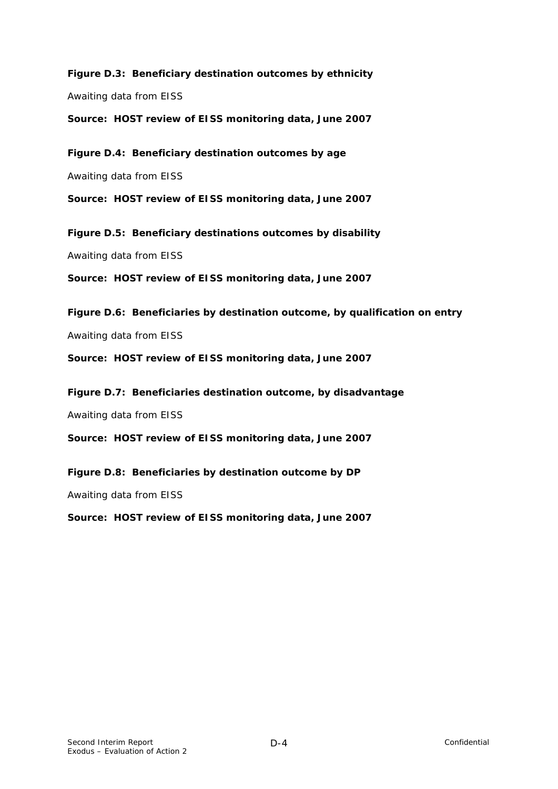**Figure D.3: Beneficiary destination outcomes by ethnicity**  Awaiting data from EISS

**Source: HOST review of EISS monitoring data, June 2007** 

**Figure D.4: Beneficiary destination outcomes by age**  Awaiting data from EISS

**Source: HOST review of EISS monitoring data, June 2007** 

**Figure D.5: Beneficiary destinations outcomes by disability**  Awaiting data from EISS

**Source: HOST review of EISS monitoring data, June 2007** 

**Figure D.6: Beneficiaries by destination outcome, by qualification on entry**  Awaiting data from EISS

**Source: HOST review of EISS monitoring data, June 2007** 

**Figure D.7: Beneficiaries destination outcome, by disadvantage** 

Awaiting data from EISS

**Source: HOST review of EISS monitoring data, June 2007** 

**Figure D.8: Beneficiaries by destination outcome by DP** 

Awaiting data from EISS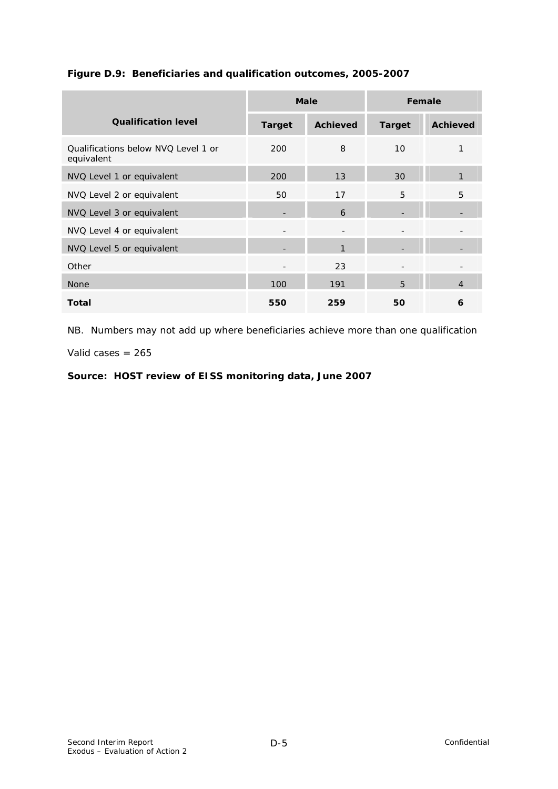|                                                   |                          | <b>Male</b>       | Female                   |                 |  |
|---------------------------------------------------|--------------------------|-------------------|--------------------------|-----------------|--|
| <b>Qualification level</b>                        | <b>Target</b>            | <b>Achieved</b>   | <b>Target</b>            | <b>Achieved</b> |  |
| Oualifications below NVO Level 1 or<br>equivalent | 200                      | 8                 | 10                       | 1               |  |
| NVQ Level 1 or equivalent                         | 200                      | 13                | 30                       | 1               |  |
| NVQ Level 2 or equivalent                         | 50                       | 17                | 5                        | 5               |  |
| NVQ Level 3 or equivalent                         |                          | 6                 |                          |                 |  |
| NVQ Level 4 or equivalent                         | $\overline{\phantom{a}}$ | $\qquad \qquad -$ | $\overline{\phantom{a}}$ |                 |  |
| NVQ Level 5 or equivalent                         | ۰                        | 1                 |                          |                 |  |
| Other                                             | ۰                        | 23                |                          |                 |  |
| <b>None</b>                                       | 100                      | 191               | $5\overline{5}$          | $\overline{4}$  |  |
| <b>Total</b>                                      | 550                      | 259               | 50                       | 6               |  |

#### **Figure D.9: Beneficiaries and qualification outcomes, 2005-2007**

NB. Numbers may not add up where beneficiaries achieve more than one qualification

Valid cases = 265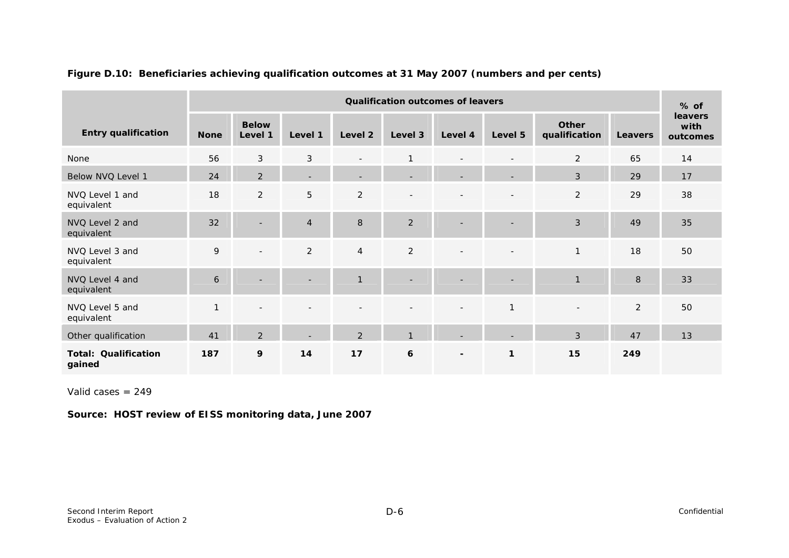|                                       | <b>Qualification outcomes of leavers</b> |                          |                          |                |                 |                          |                          |                          | $%$ of         |                                    |
|---------------------------------------|------------------------------------------|--------------------------|--------------------------|----------------|-----------------|--------------------------|--------------------------|--------------------------|----------------|------------------------------------|
| <b>Entry qualification</b>            | <b>None</b>                              | <b>Below</b><br>Level 1  | Level 1                  | Level 2        | Level 3         | Level 4                  | Level 5                  | Other<br>qualification   | <b>Leavers</b> | <b>leavers</b><br>with<br>outcomes |
| None                                  | 56                                       | $\mathfrak{Z}$           | $\mathfrak{Z}$           | $\blacksquare$ | $\mathbf{1}$    | $\overline{\phantom{0}}$ | $\overline{\phantom{0}}$ | $\overline{2}$           | 65             | 14                                 |
| Below NVQ Level 1                     | 24                                       | 2                        | $\overline{\phantom{0}}$ | ۰              | -               | $\overline{\phantom{0}}$ |                          | 3                        | 29             | 17                                 |
| NVQ Level 1 and<br>equivalent         | 18                                       | $\overline{2}$           | 5                        | $\overline{2}$ | $\qquad \qquad$ |                          | $\overline{\phantom{a}}$ | $\overline{2}$           | 29             | 38                                 |
| NVQ Level 2 and<br>equivalent         | 32                                       | $\blacksquare$           | $\overline{4}$           | 8              | $\overline{2}$  | ۰                        | ۰                        | 3                        | 49             | 35                                 |
| NVQ Level 3 and<br>equivalent         | 9                                        | $\overline{\phantom{a}}$ | $\overline{2}$           | $\overline{4}$ | $\overline{2}$  | ۰                        |                          | $\mathbf{1}$             | 18             | 50                                 |
| NVQ Level 4 and<br>equivalent         | 6                                        |                          |                          | $\mathbf{1}$   |                 |                          |                          | $\overline{1}$           | 8              | 33                                 |
| NVQ Level 5 and<br>equivalent         | $\mathbf{1}$                             | $\overline{\phantom{a}}$ |                          |                |                 | $\blacksquare$           | $\mathbf{1}$             | $\overline{\phantom{a}}$ | $\overline{2}$ | 50                                 |
| Other qualification                   | 41                                       | $\overline{2}$           |                          | 2              | $\mathbf{1}$    |                          |                          | 3                        | 47             | 13                                 |
| <b>Total: Qualification</b><br>gained | 187                                      | 9                        | 14                       | 17             | 6               | $\blacksquare$           | 1                        | 15                       | 249            |                                    |

#### **Figure D.10: Beneficiaries achieving qualification outcomes at 31 May 2007 (numbers and per cents)**

Valid cases = 249